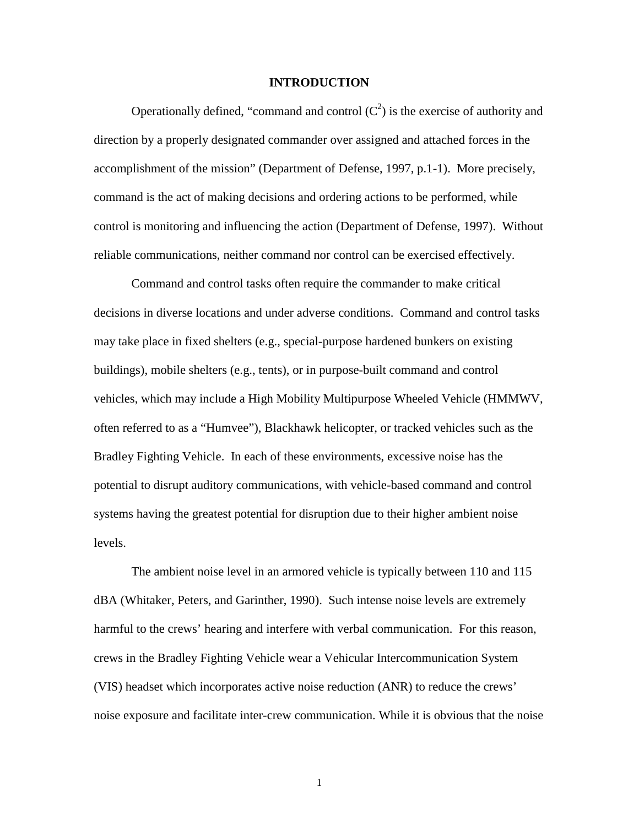# **INTRODUCTION**

Operationally defined, "command and control  $(C^2)$  is the exercise of authority and direction by a properly designated commander over assigned and attached forces in the accomplishment of the mission" (Department of Defense, 1997, p.1-1). More precisely, command is the act of making decisions and ordering actions to be performed, while control is monitoring and influencing the action (Department of Defense, 1997). Without reliable communications, neither command nor control can be exercised effectively.

Command and control tasks often require the commander to make critical decisions in diverse locations and under adverse conditions. Command and control tasks may take place in fixed shelters (e.g., special-purpose hardened bunkers on existing buildings), mobile shelters (e.g., tents), or in purpose-built command and control vehicles, which may include a High Mobility Multipurpose Wheeled Vehicle (HMMWV, often referred to as a "Humvee"), Blackhawk helicopter, or tracked vehicles such as the Bradley Fighting Vehicle. In each of these environments, excessive noise has the potential to disrupt auditory communications, with vehicle-based command and control systems having the greatest potential for disruption due to their higher ambient noise levels.

The ambient noise level in an armored vehicle is typically between 110 and 115 dBA (Whitaker, Peters, and Garinther, 1990). Such intense noise levels are extremely harmful to the crews' hearing and interfere with verbal communication. For this reason, crews in the Bradley Fighting Vehicle wear a Vehicular Intercommunication System (VIS) headset which incorporates active noise reduction (ANR) to reduce the crews' noise exposure and facilitate inter-crew communication. While it is obvious that the noise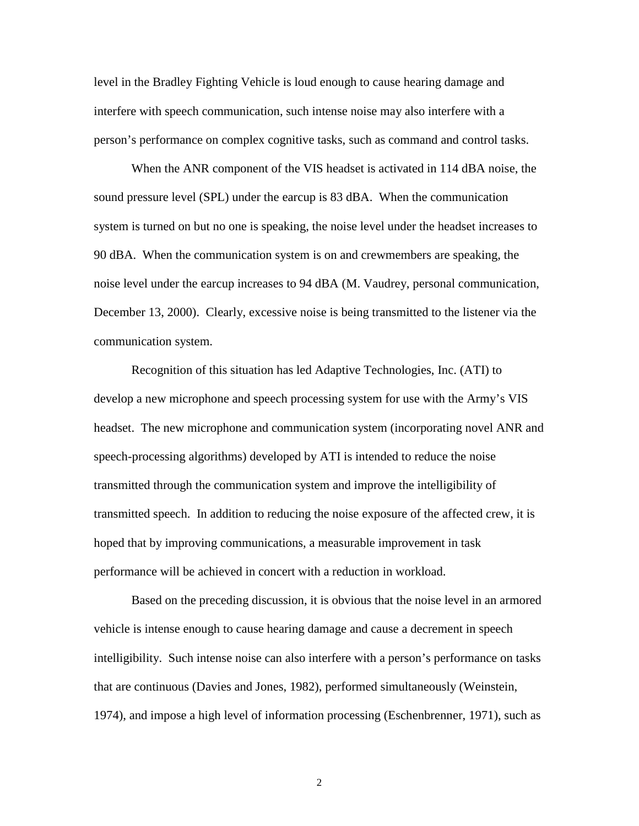level in the Bradley Fighting Vehicle is loud enough to cause hearing damage and interfere with speech communication, such intense noise may also interfere with a person's performance on complex cognitive tasks, such as command and control tasks.

When the ANR component of the VIS headset is activated in 114 dBA noise, the sound pressure level (SPL) under the earcup is 83 dBA. When the communication system is turned on but no one is speaking, the noise level under the headset increases to 90 dBA. When the communication system is on and crewmembers are speaking, the noise level under the earcup increases to 94 dBA (M. Vaudrey, personal communication, December 13, 2000). Clearly, excessive noise is being transmitted to the listener via the communication system.

Recognition of this situation has led Adaptive Technologies, Inc. (ATI) to develop a new microphone and speech processing system for use with the Army's VIS headset. The new microphone and communication system (incorporating novel ANR and speech-processing algorithms) developed by ATI is intended to reduce the noise transmitted through the communication system and improve the intelligibility of transmitted speech. In addition to reducing the noise exposure of the affected crew, it is hoped that by improving communications, a measurable improvement in task performance will be achieved in concert with a reduction in workload.

Based on the preceding discussion, it is obvious that the noise level in an armored vehicle is intense enough to cause hearing damage and cause a decrement in speech intelligibility. Such intense noise can also interfere with a person's performance on tasks that are continuous (Davies and Jones, 1982), performed simultaneously (Weinstein, 1974), and impose a high level of information processing (Eschenbrenner, 1971), such as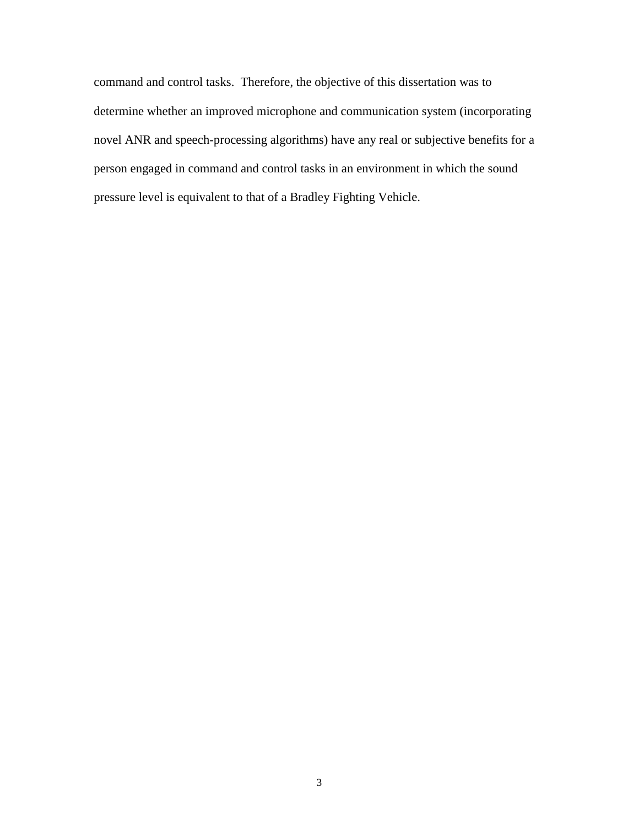command and control tasks. Therefore, the objective of this dissertation was to determine whether an improved microphone and communication system (incorporating novel ANR and speech-processing algorithms) have any real or subjective benefits for a person engaged in command and control tasks in an environment in which the sound pressure level is equivalent to that of a Bradley Fighting Vehicle.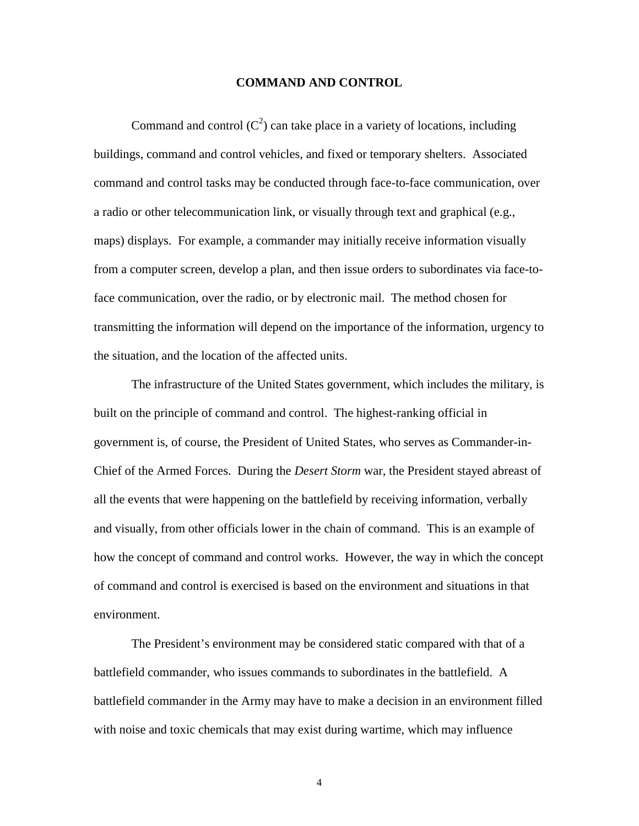# **COMMAND AND CONTROL**

Command and control  $(C^2)$  can take place in a variety of locations, including buildings, command and control vehicles, and fixed or temporary shelters. Associated command and control tasks may be conducted through face-to-face communication, over a radio or other telecommunication link, or visually through text and graphical (e.g., maps) displays. For example, a commander may initially receive information visually from a computer screen, develop a plan, and then issue orders to subordinates via face-toface communication, over the radio, or by electronic mail. The method chosen for transmitting the information will depend on the importance of the information, urgency to the situation, and the location of the affected units.

The infrastructure of the United States government, which includes the military, is built on the principle of command and control. The highest-ranking official in government is, of course, the President of United States, who serves as Commander-in-Chief of the Armed Forces. During the *Desert Storm* war, the President stayed abreast of all the events that were happening on the battlefield by receiving information, verbally and visually, from other officials lower in the chain of command. This is an example of how the concept of command and control works. However, the way in which the concept of command and control is exercised is based on the environment and situations in that environment.

The President's environment may be considered static compared with that of a battlefield commander, who issues commands to subordinates in the battlefield. A battlefield commander in the Army may have to make a decision in an environment filled with noise and toxic chemicals that may exist during wartime, which may influence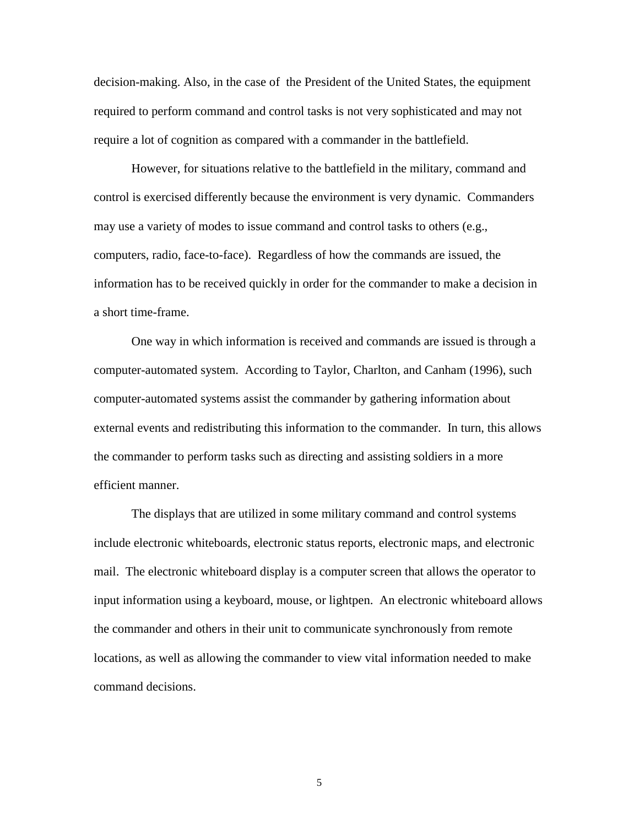decision-making. Also, in the case of the President of the United States, the equipment required to perform command and control tasks is not very sophisticated and may not require a lot of cognition as compared with a commander in the battlefield.

However, for situations relative to the battlefield in the military, command and control is exercised differently because the environment is very dynamic. Commanders may use a variety of modes to issue command and control tasks to others (e.g., computers, radio, face-to-face). Regardless of how the commands are issued, the information has to be received quickly in order for the commander to make a decision in a short time-frame.

One way in which information is received and commands are issued is through a computer-automated system. According to Taylor, Charlton, and Canham (1996), such computer-automated systems assist the commander by gathering information about external events and redistributing this information to the commander. In turn, this allows the commander to perform tasks such as directing and assisting soldiers in a more efficient manner.

The displays that are utilized in some military command and control systems include electronic whiteboards, electronic status reports, electronic maps, and electronic mail. The electronic whiteboard display is a computer screen that allows the operator to input information using a keyboard, mouse, or lightpen. An electronic whiteboard allows the commander and others in their unit to communicate synchronously from remote locations, as well as allowing the commander to view vital information needed to make command decisions.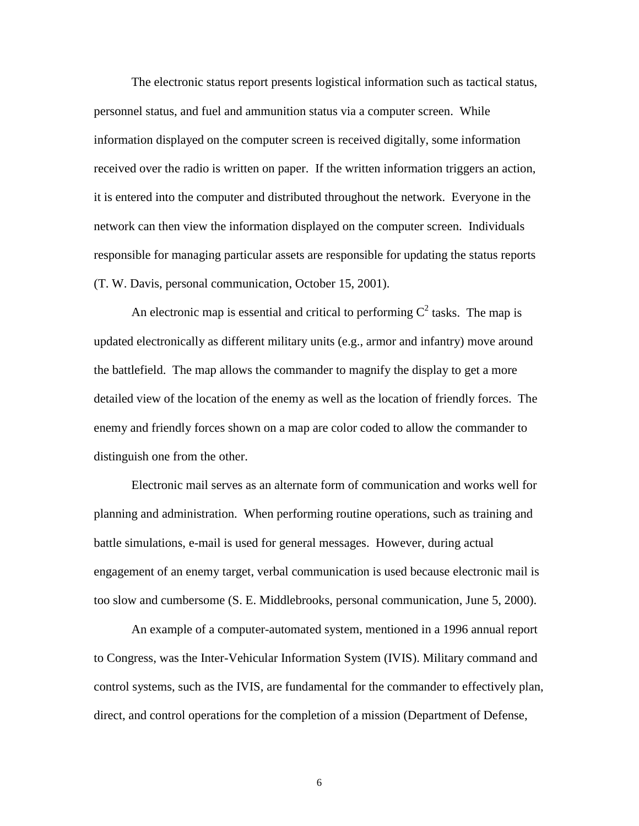The electronic status report presents logistical information such as tactical status, personnel status, and fuel and ammunition status via a computer screen. While information displayed on the computer screen is received digitally, some information received over the radio is written on paper. If the written information triggers an action, it is entered into the computer and distributed throughout the network. Everyone in the network can then view the information displayed on the computer screen. Individuals responsible for managing particular assets are responsible for updating the status reports (T. W. Davis, personal communication, October 15, 2001).

An electronic map is essential and critical to performing  $C^2$  tasks. The map is updated electronically as different military units (e.g., armor and infantry) move around the battlefield. The map allows the commander to magnify the display to get a more detailed view of the location of the enemy as well as the location of friendly forces. The enemy and friendly forces shown on a map are color coded to allow the commander to distinguish one from the other.

Electronic mail serves as an alternate form of communication and works well for planning and administration. When performing routine operations, such as training and battle simulations, e-mail is used for general messages. However, during actual engagement of an enemy target, verbal communication is used because electronic mail is too slow and cumbersome (S. E. Middlebrooks, personal communication, June 5, 2000).

An example of a computer-automated system, mentioned in a 1996 annual report to Congress, was the Inter-Vehicular Information System (IVIS). Military command and control systems, such as the IVIS, are fundamental for the commander to effectively plan, direct, and control operations for the completion of a mission (Department of Defense,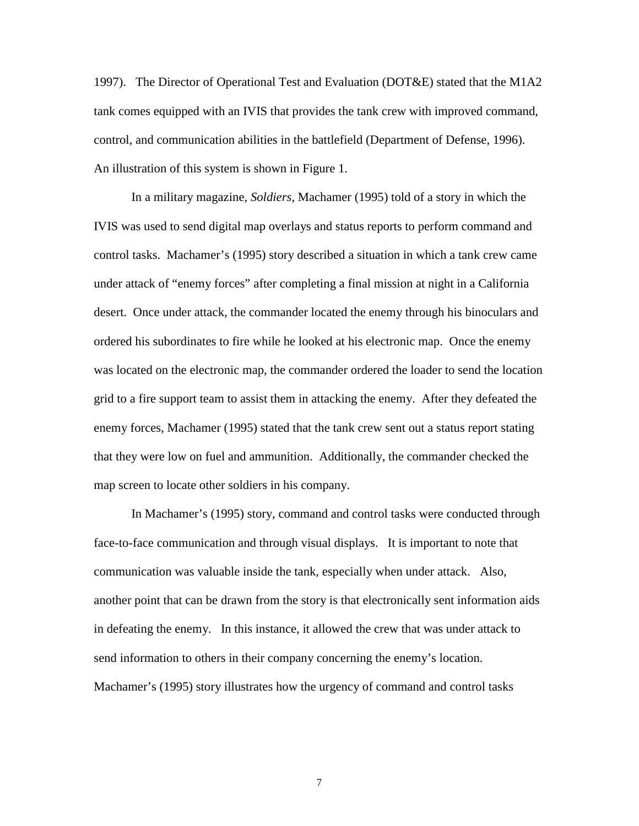1997). The Director of Operational Test and Evaluation (DOT&E) stated that the M1A2 tank comes equipped with an IVIS that provides the tank crew with improved command, control, and communication abilities in the battlefield (Department of Defense, 1996). An illustration of this system is shown in Figure 1.

In a military magazine, *Soldiers*, Machamer (1995) told of a story in which the IVIS was used to send digital map overlays and status reports to perform command and control tasks. Machamer's (1995) story described a situation in which a tank crew came under attack of "enemy forces" after completing a final mission at night in a California desert. Once under attack, the commander located the enemy through his binoculars and ordered his subordinates to fire while he looked at his electronic map. Once the enemy was located on the electronic map, the commander ordered the loader to send the location grid to a fire support team to assist them in attacking the enemy. After they defeated the enemy forces, Machamer (1995) stated that the tank crew sent out a status report stating that they were low on fuel and ammunition. Additionally, the commander checked the map screen to locate other soldiers in his company.

In Machamer's (1995) story, command and control tasks were conducted through face-to-face communication and through visual displays. It is important to note that communication was valuable inside the tank, especially when under attack. Also, another point that can be drawn from the story is that electronically sent information aids in defeating the enemy. In this instance, it allowed the crew that was under attack to send information to others in their company concerning the enemy's location. Machamer's (1995) story illustrates how the urgency of command and control tasks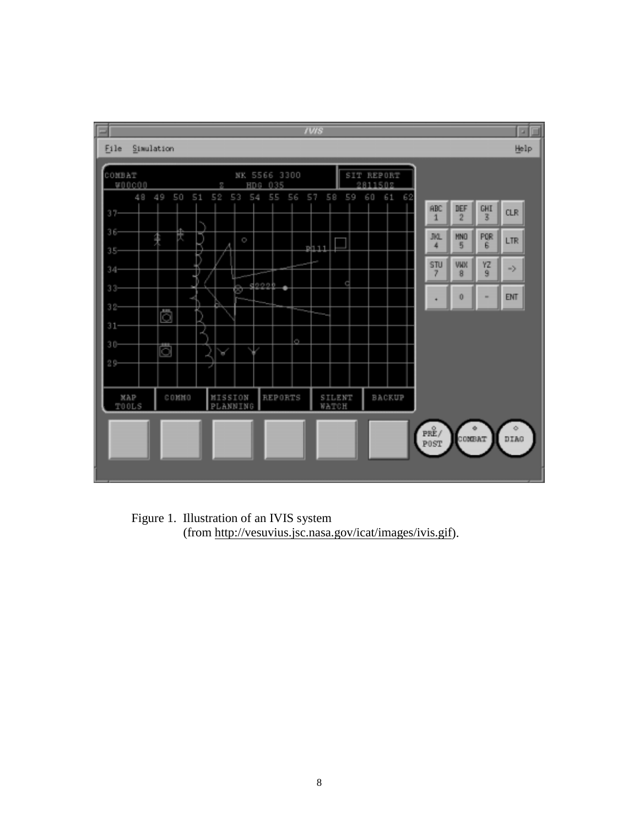

Figure 1. Illustration of an IVIS system (from http://vesuvius.jsc.nasa.gov/icat/images/ivis.gif).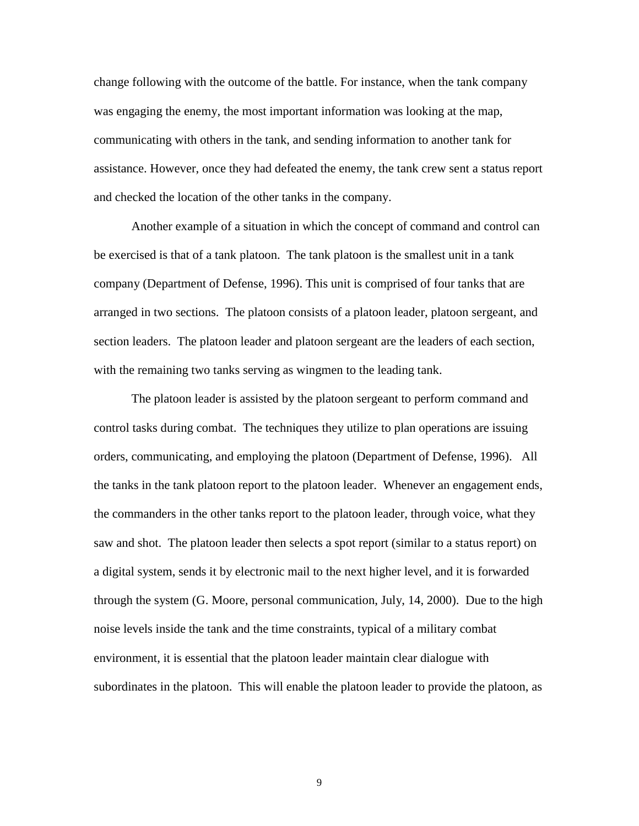change following with the outcome of the battle. For instance, when the tank company was engaging the enemy, the most important information was looking at the map, communicating with others in the tank, and sending information to another tank for assistance. However, once they had defeated the enemy, the tank crew sent a status report and checked the location of the other tanks in the company.

Another example of a situation in which the concept of command and control can be exercised is that of a tank platoon. The tank platoon is the smallest unit in a tank company (Department of Defense, 1996). This unit is comprised of four tanks that are arranged in two sections. The platoon consists of a platoon leader, platoon sergeant, and section leaders. The platoon leader and platoon sergeant are the leaders of each section, with the remaining two tanks serving as wingmen to the leading tank.

The platoon leader is assisted by the platoon sergeant to perform command and control tasks during combat. The techniques they utilize to plan operations are issuing orders, communicating, and employing the platoon (Department of Defense, 1996). All the tanks in the tank platoon report to the platoon leader. Whenever an engagement ends, the commanders in the other tanks report to the platoon leader, through voice, what they saw and shot. The platoon leader then selects a spot report (similar to a status report) on a digital system, sends it by electronic mail to the next higher level, and it is forwarded through the system (G. Moore, personal communication, July, 14, 2000). Due to the high noise levels inside the tank and the time constraints, typical of a military combat environment, it is essential that the platoon leader maintain clear dialogue with subordinates in the platoon. This will enable the platoon leader to provide the platoon, as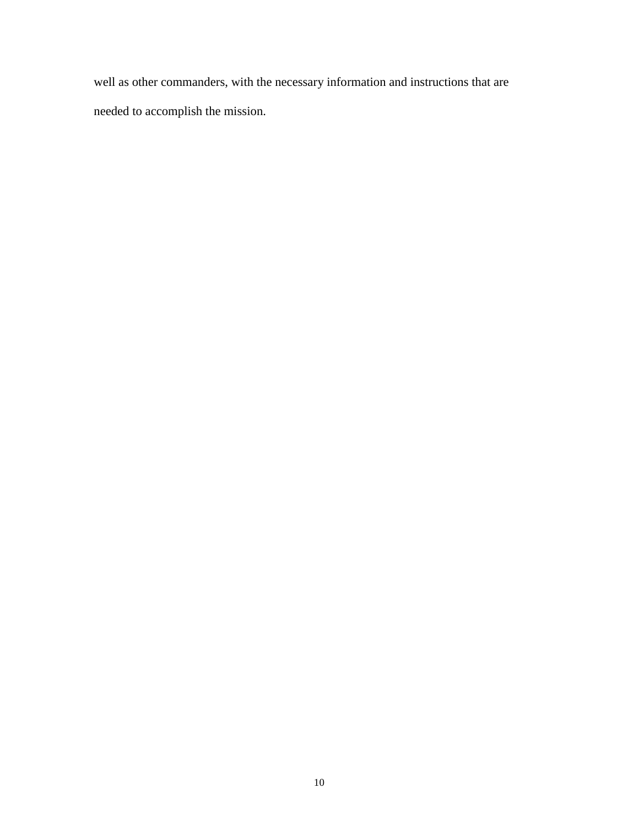well as other commanders, with the necessary information and instructions that are needed to accomplish the mission.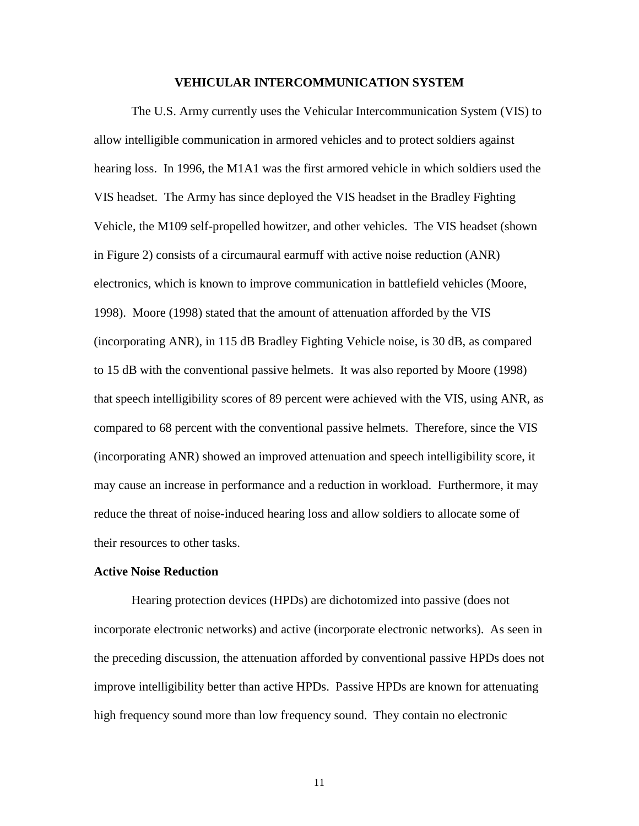## **VEHICULAR INTERCOMMUNICATION SYSTEM**

The U.S. Army currently uses the Vehicular Intercommunication System (VIS) to allow intelligible communication in armored vehicles and to protect soldiers against hearing loss. In 1996, the M1A1 was the first armored vehicle in which soldiers used the VIS headset. The Army has since deployed the VIS headset in the Bradley Fighting Vehicle, the M109 self-propelled howitzer, and other vehicles. The VIS headset (shown in Figure 2) consists of a circumaural earmuff with active noise reduction (ANR) electronics, which is known to improve communication in battlefield vehicles (Moore, 1998). Moore (1998) stated that the amount of attenuation afforded by the VIS (incorporating ANR), in 115 dB Bradley Fighting Vehicle noise, is 30 dB, as compared to 15 dB with the conventional passive helmets. It was also reported by Moore (1998) that speech intelligibility scores of 89 percent were achieved with the VIS, using ANR, as compared to 68 percent with the conventional passive helmets. Therefore, since the VIS (incorporating ANR) showed an improved attenuation and speech intelligibility score, it may cause an increase in performance and a reduction in workload. Furthermore, it may reduce the threat of noise-induced hearing loss and allow soldiers to allocate some of their resources to other tasks.

# **Active Noise Reduction**

Hearing protection devices (HPDs) are dichotomized into passive (does not incorporate electronic networks) and active (incorporate electronic networks). As seen in the preceding discussion, the attenuation afforded by conventional passive HPDs does not improve intelligibility better than active HPDs. Passive HPDs are known for attenuating high frequency sound more than low frequency sound. They contain no electronic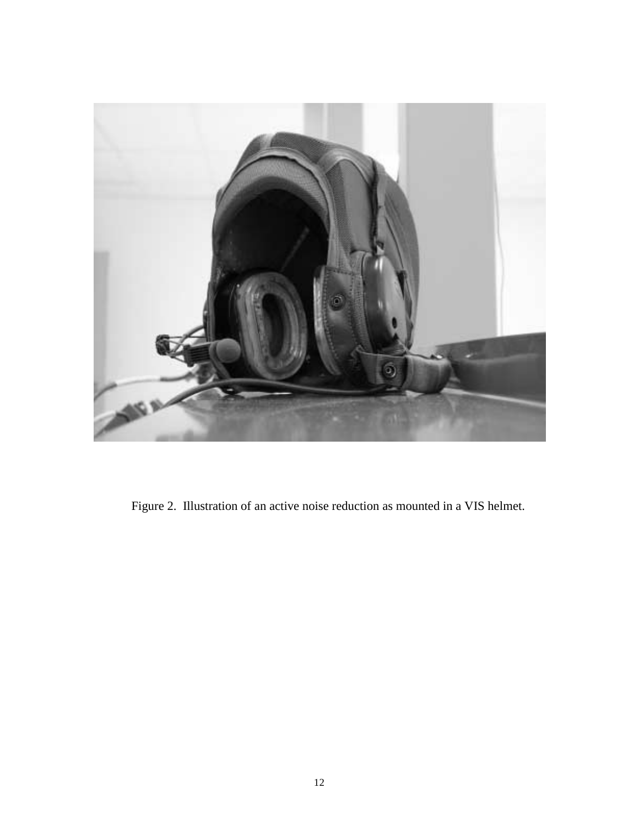

Figure 2. Illustration of an active noise reduction as mounted in a VIS helmet.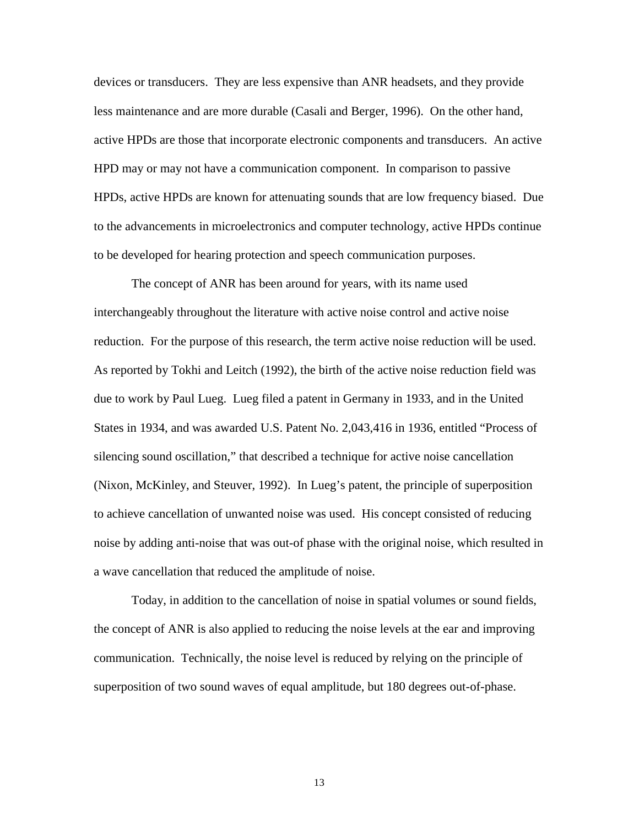devices or transducers. They are less expensive than ANR headsets, and they provide less maintenance and are more durable (Casali and Berger, 1996). On the other hand, active HPDs are those that incorporate electronic components and transducers. An active HPD may or may not have a communication component. In comparison to passive HPDs, active HPDs are known for attenuating sounds that are low frequency biased. Due to the advancements in microelectronics and computer technology, active HPDs continue to be developed for hearing protection and speech communication purposes.

The concept of ANR has been around for years, with its name used interchangeably throughout the literature with active noise control and active noise reduction. For the purpose of this research, the term active noise reduction will be used. As reported by Tokhi and Leitch (1992), the birth of the active noise reduction field was due to work by Paul Lueg. Lueg filed a patent in Germany in 1933, and in the United States in 1934, and was awarded U.S. Patent No. 2,043,416 in 1936, entitled "Process of silencing sound oscillation," that described a technique for active noise cancellation (Nixon, McKinley, and Steuver, 1992). In Lueg's patent, the principle of superposition to achieve cancellation of unwanted noise was used. His concept consisted of reducing noise by adding anti-noise that was out-of phase with the original noise, which resulted in a wave cancellation that reduced the amplitude of noise.

Today, in addition to the cancellation of noise in spatial volumes or sound fields, the concept of ANR is also applied to reducing the noise levels at the ear and improving communication. Technically, the noise level is reduced by relying on the principle of superposition of two sound waves of equal amplitude, but 180 degrees out-of-phase.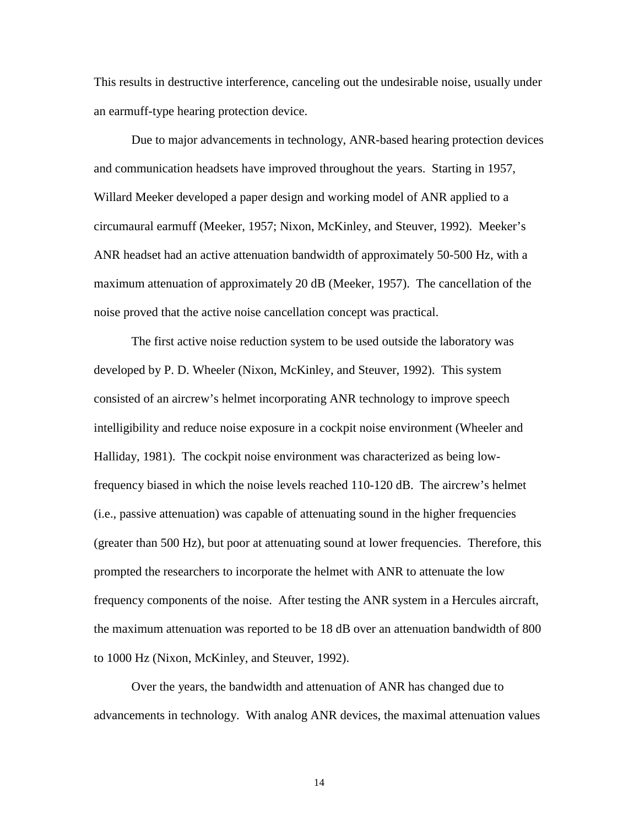This results in destructive interference, canceling out the undesirable noise, usually under an earmuff-type hearing protection device.

Due to major advancements in technology, ANR-based hearing protection devices and communication headsets have improved throughout the years. Starting in 1957, Willard Meeker developed a paper design and working model of ANR applied to a circumaural earmuff (Meeker, 1957; Nixon, McKinley, and Steuver, 1992). Meeker's ANR headset had an active attenuation bandwidth of approximately 50-500 Hz, with a maximum attenuation of approximately 20 dB (Meeker, 1957). The cancellation of the noise proved that the active noise cancellation concept was practical.

The first active noise reduction system to be used outside the laboratory was developed by P. D. Wheeler (Nixon, McKinley, and Steuver, 1992). This system consisted of an aircrew's helmet incorporating ANR technology to improve speech intelligibility and reduce noise exposure in a cockpit noise environment (Wheeler and Halliday, 1981). The cockpit noise environment was characterized as being lowfrequency biased in which the noise levels reached 110-120 dB. The aircrew's helmet (i.e., passive attenuation) was capable of attenuating sound in the higher frequencies (greater than 500 Hz), but poor at attenuating sound at lower frequencies. Therefore, this prompted the researchers to incorporate the helmet with ANR to attenuate the low frequency components of the noise. After testing the ANR system in a Hercules aircraft, the maximum attenuation was reported to be 18 dB over an attenuation bandwidth of 800 to 1000 Hz (Nixon, McKinley, and Steuver, 1992).

Over the years, the bandwidth and attenuation of ANR has changed due to advancements in technology. With analog ANR devices, the maximal attenuation values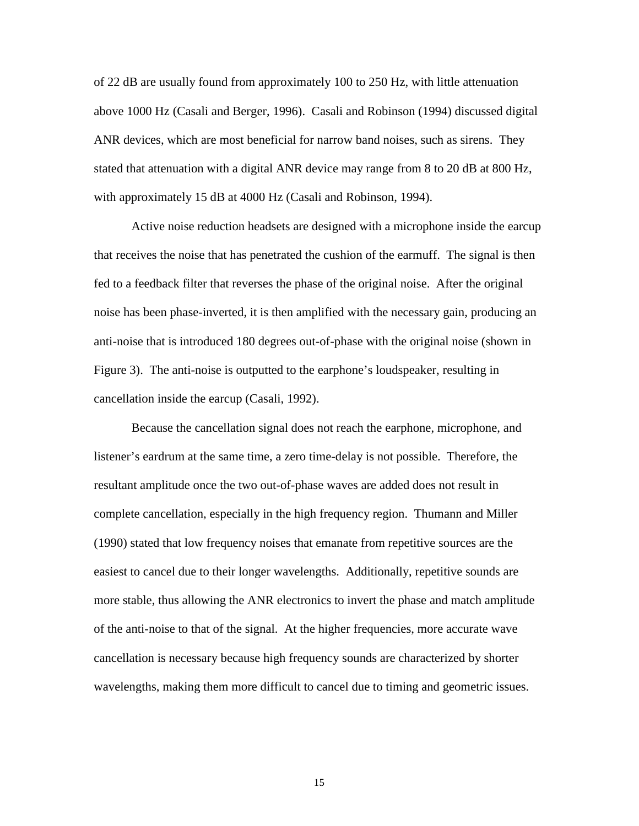of 22 dB are usually found from approximately 100 to 250 Hz, with little attenuation above 1000 Hz (Casali and Berger, 1996). Casali and Robinson (1994) discussed digital ANR devices, which are most beneficial for narrow band noises, such as sirens. They stated that attenuation with a digital ANR device may range from 8 to 20 dB at 800 Hz, with approximately 15 dB at 4000 Hz (Casali and Robinson, 1994).

Active noise reduction headsets are designed with a microphone inside the earcup that receives the noise that has penetrated the cushion of the earmuff. The signal is then fed to a feedback filter that reverses the phase of the original noise. After the original noise has been phase-inverted, it is then amplified with the necessary gain, producing an anti-noise that is introduced 180 degrees out-of-phase with the original noise (shown in Figure 3). The anti-noise is outputted to the earphone's loudspeaker, resulting in cancellation inside the earcup (Casali, 1992).

Because the cancellation signal does not reach the earphone, microphone, and listener's eardrum at the same time, a zero time-delay is not possible. Therefore, the resultant amplitude once the two out-of-phase waves are added does not result in complete cancellation, especially in the high frequency region. Thumann and Miller (1990) stated that low frequency noises that emanate from repetitive sources are the easiest to cancel due to their longer wavelengths. Additionally, repetitive sounds are more stable, thus allowing the ANR electronics to invert the phase and match amplitude of the anti-noise to that of the signal. At the higher frequencies, more accurate wave cancellation is necessary because high frequency sounds are characterized by shorter wavelengths, making them more difficult to cancel due to timing and geometric issues.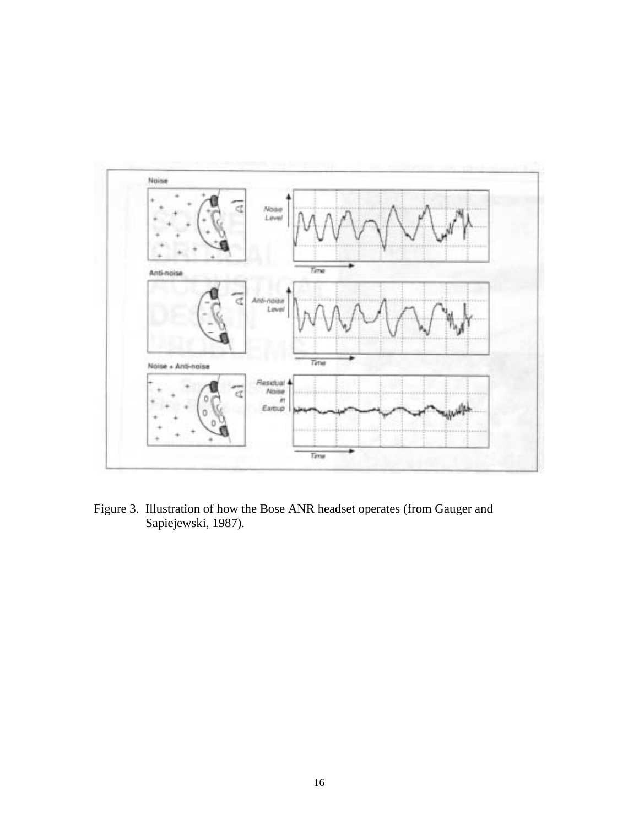

Figure 3. Illustration of how the Bose ANR headset operates (from Gauger and Sapiejewski, 1987).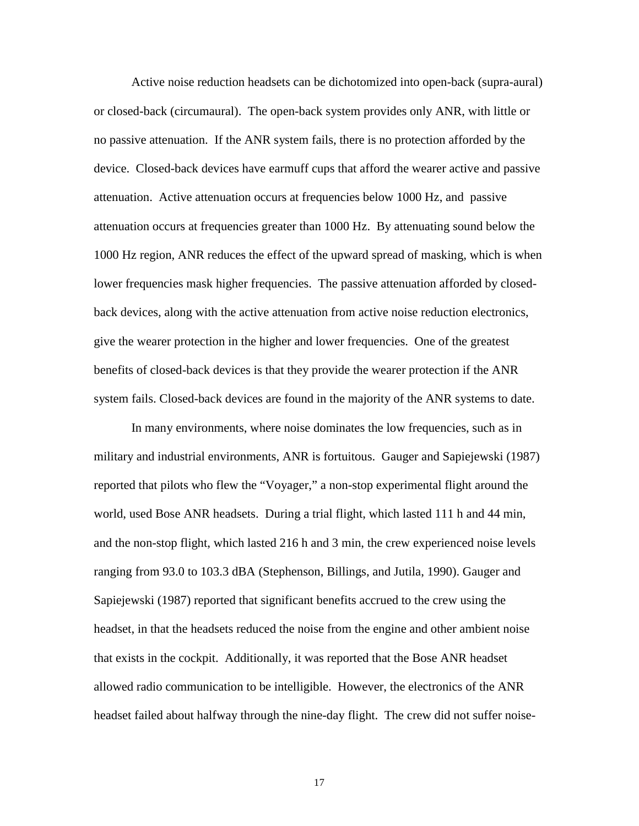Active noise reduction headsets can be dichotomized into open-back (supra-aural) or closed-back (circumaural). The open-back system provides only ANR, with little or no passive attenuation. If the ANR system fails, there is no protection afforded by the device. Closed-back devices have earmuff cups that afford the wearer active and passive attenuation. Active attenuation occurs at frequencies below 1000 Hz, and passive attenuation occurs at frequencies greater than 1000 Hz. By attenuating sound below the 1000 Hz region, ANR reduces the effect of the upward spread of masking, which is when lower frequencies mask higher frequencies. The passive attenuation afforded by closedback devices, along with the active attenuation from active noise reduction electronics, give the wearer protection in the higher and lower frequencies. One of the greatest benefits of closed-back devices is that they provide the wearer protection if the ANR system fails. Closed-back devices are found in the majority of the ANR systems to date.

In many environments, where noise dominates the low frequencies, such as in military and industrial environments, ANR is fortuitous. Gauger and Sapiejewski (1987) reported that pilots who flew the "Voyager," a non-stop experimental flight around the world, used Bose ANR headsets. During a trial flight, which lasted 111 h and 44 min, and the non-stop flight, which lasted 216 h and 3 min, the crew experienced noise levels ranging from 93.0 to 103.3 dBA (Stephenson, Billings, and Jutila, 1990). Gauger and Sapiejewski (1987) reported that significant benefits accrued to the crew using the headset, in that the headsets reduced the noise from the engine and other ambient noise that exists in the cockpit. Additionally, it was reported that the Bose ANR headset allowed radio communication to be intelligible. However, the electronics of the ANR headset failed about halfway through the nine-day flight. The crew did not suffer noise-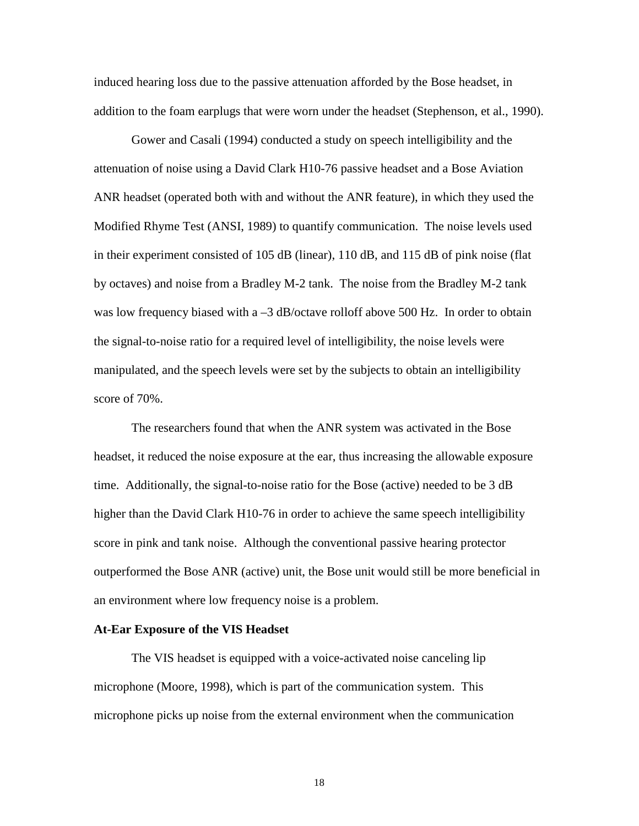induced hearing loss due to the passive attenuation afforded by the Bose headset, in addition to the foam earplugs that were worn under the headset (Stephenson, et al., 1990).

 Gower and Casali (1994) conducted a study on speech intelligibility and the attenuation of noise using a David Clark H10-76 passive headset and a Bose Aviation ANR headset (operated both with and without the ANR feature), in which they used the Modified Rhyme Test (ANSI, 1989) to quantify communication. The noise levels used in their experiment consisted of 105 dB (linear), 110 dB, and 115 dB of pink noise (flat by octaves) and noise from a Bradley M-2 tank. The noise from the Bradley M-2 tank was low frequency biased with a -3 dB/octave rolloff above 500 Hz. In order to obtain the signal-to-noise ratio for a required level of intelligibility, the noise levels were manipulated, and the speech levels were set by the subjects to obtain an intelligibility score of 70%.

 The researchers found that when the ANR system was activated in the Bose headset, it reduced the noise exposure at the ear, thus increasing the allowable exposure time. Additionally, the signal-to-noise ratio for the Bose (active) needed to be 3 dB higher than the David Clark H10-76 in order to achieve the same speech intelligibility score in pink and tank noise. Although the conventional passive hearing protector outperformed the Bose ANR (active) unit, the Bose unit would still be more beneficial in an environment where low frequency noise is a problem.

### **At-Ear Exposure of the VIS Headset**

The VIS headset is equipped with a voice-activated noise canceling lip microphone (Moore, 1998), which is part of the communication system. This microphone picks up noise from the external environment when the communication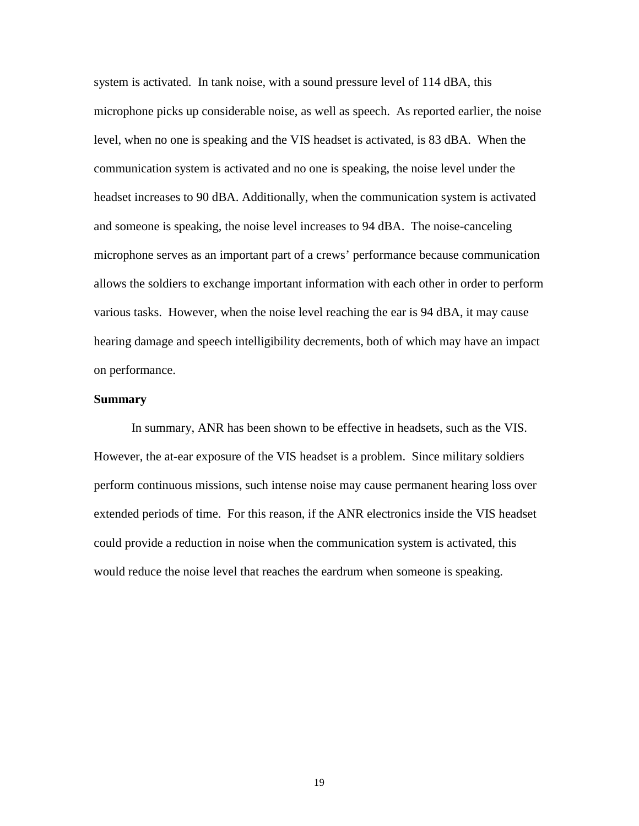system is activated. In tank noise, with a sound pressure level of 114 dBA, this microphone picks up considerable noise, as well as speech. As reported earlier, the noise level, when no one is speaking and the VIS headset is activated, is 83 dBA. When the communication system is activated and no one is speaking, the noise level under the headset increases to 90 dBA. Additionally, when the communication system is activated and someone is speaking, the noise level increases to 94 dBA. The noise-canceling microphone serves as an important part of a crews' performance because communication allows the soldiers to exchange important information with each other in order to perform various tasks. However, when the noise level reaching the ear is 94 dBA, it may cause hearing damage and speech intelligibility decrements, both of which may have an impact on performance.

# **Summary**

In summary, ANR has been shown to be effective in headsets, such as the VIS. However, the at-ear exposure of the VIS headset is a problem. Since military soldiers perform continuous missions, such intense noise may cause permanent hearing loss over extended periods of time. For this reason, if the ANR electronics inside the VIS headset could provide a reduction in noise when the communication system is activated, this would reduce the noise level that reaches the eardrum when someone is speaking.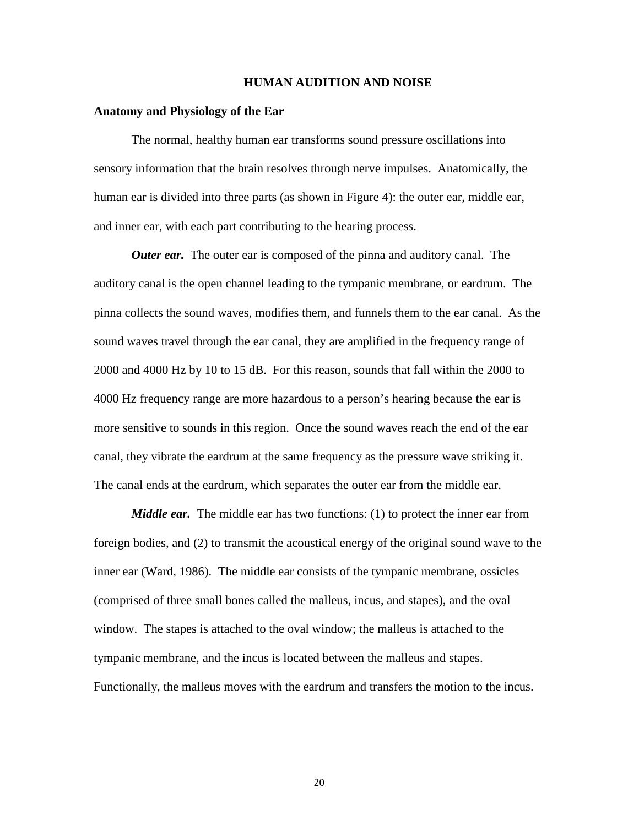### **HUMAN AUDITION AND NOISE**

#### **Anatomy and Physiology of the Ear**

The normal, healthy human ear transforms sound pressure oscillations into sensory information that the brain resolves through nerve impulses. Anatomically, the human ear is divided into three parts (as shown in Figure 4): the outer ear, middle ear, and inner ear, with each part contributing to the hearing process.

*Outer ear.* The outer ear is composed of the pinna and auditory canal. The auditory canal is the open channel leading to the tympanic membrane, or eardrum. The pinna collects the sound waves, modifies them, and funnels them to the ear canal. As the sound waves travel through the ear canal, they are amplified in the frequency range of 2000 and 4000 Hz by 10 to 15 dB. For this reason, sounds that fall within the 2000 to 4000 Hz frequency range are more hazardous to a person's hearing because the ear is more sensitive to sounds in this region. Once the sound waves reach the end of the ear canal, they vibrate the eardrum at the same frequency as the pressure wave striking it. The canal ends at the eardrum, which separates the outer ear from the middle ear.

*Middle ear.* The middle ear has two functions: (1) to protect the inner ear from foreign bodies, and (2) to transmit the acoustical energy of the original sound wave to the inner ear (Ward, 1986). The middle ear consists of the tympanic membrane, ossicles (comprised of three small bones called the malleus, incus, and stapes), and the oval window. The stapes is attached to the oval window; the malleus is attached to the tympanic membrane, and the incus is located between the malleus and stapes. Functionally, the malleus moves with the eardrum and transfers the motion to the incus.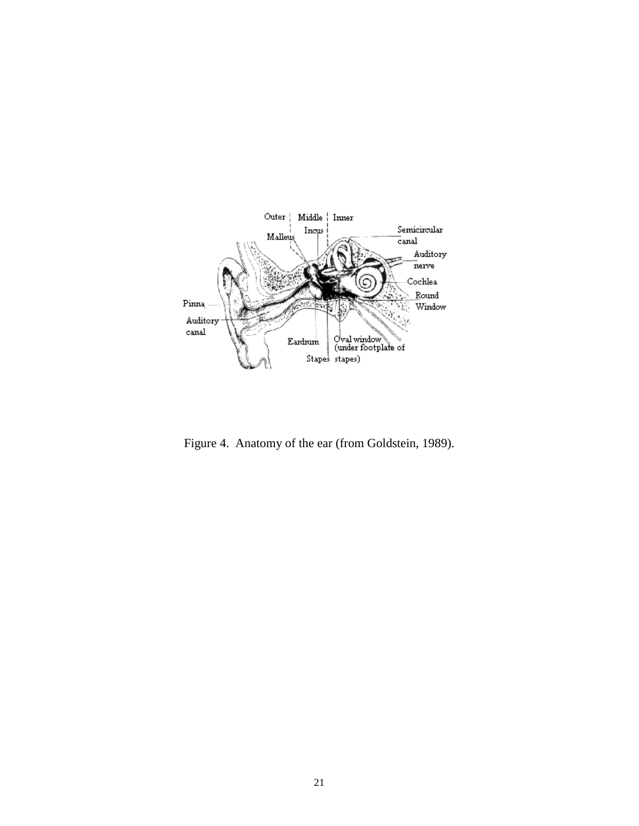

Figure 4. Anatomy of the ear (from Goldstein, 1989).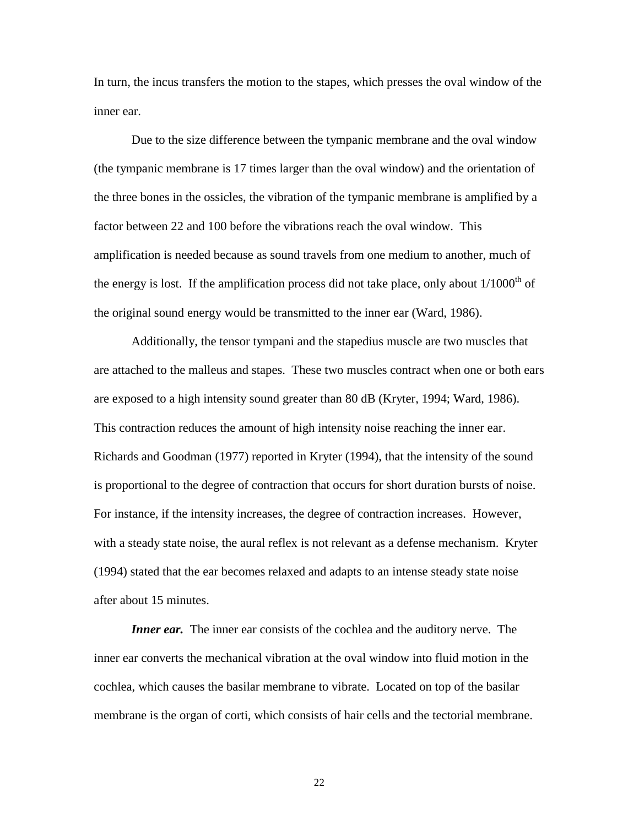In turn, the incus transfers the motion to the stapes, which presses the oval window of the inner ear.

Due to the size difference between the tympanic membrane and the oval window (the tympanic membrane is 17 times larger than the oval window) and the orientation of the three bones in the ossicles, the vibration of the tympanic membrane is amplified by a factor between 22 and 100 before the vibrations reach the oval window. This amplification is needed because as sound travels from one medium to another, much of the energy is lost. If the amplification process did not take place, only about  $1/1000<sup>th</sup>$  of the original sound energy would be transmitted to the inner ear (Ward, 1986).

Additionally, the tensor tympani and the stapedius muscle are two muscles that are attached to the malleus and stapes. These two muscles contract when one or both ears are exposed to a high intensity sound greater than 80 dB (Kryter, 1994; Ward, 1986). This contraction reduces the amount of high intensity noise reaching the inner ear. Richards and Goodman (1977) reported in Kryter (1994), that the intensity of the sound is proportional to the degree of contraction that occurs for short duration bursts of noise. For instance, if the intensity increases, the degree of contraction increases. However, with a steady state noise, the aural reflex is not relevant as a defense mechanism. Kryter (1994) stated that the ear becomes relaxed and adapts to an intense steady state noise after about 15 minutes.

*Inner ear.* The inner ear consists of the cochlea and the auditory nerve. The inner ear converts the mechanical vibration at the oval window into fluid motion in the cochlea, which causes the basilar membrane to vibrate. Located on top of the basilar membrane is the organ of corti, which consists of hair cells and the tectorial membrane.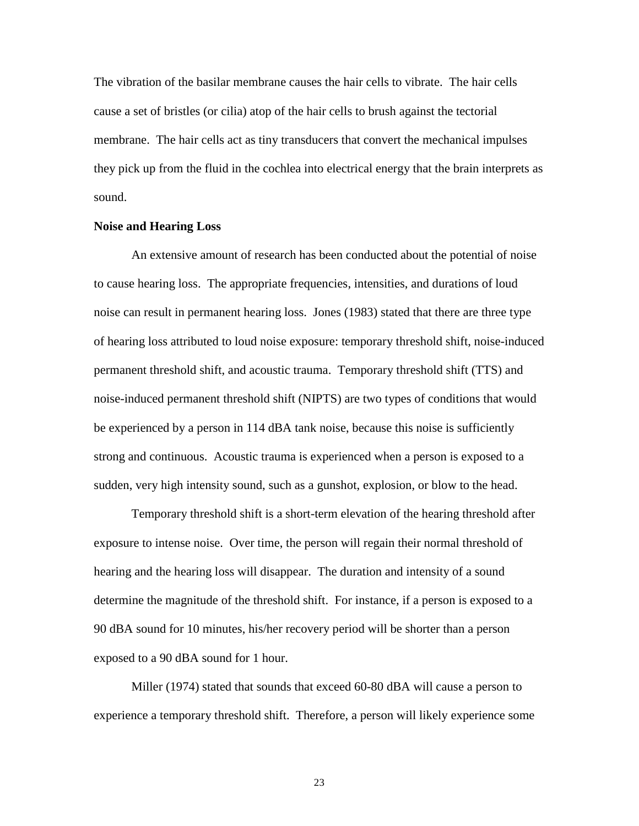The vibration of the basilar membrane causes the hair cells to vibrate. The hair cells cause a set of bristles (or cilia) atop of the hair cells to brush against the tectorial membrane. The hair cells act as tiny transducers that convert the mechanical impulses they pick up from the fluid in the cochlea into electrical energy that the brain interprets as sound.

# **Noise and Hearing Loss**

An extensive amount of research has been conducted about the potential of noise to cause hearing loss. The appropriate frequencies, intensities, and durations of loud noise can result in permanent hearing loss. Jones (1983) stated that there are three type of hearing loss attributed to loud noise exposure: temporary threshold shift, noise-induced permanent threshold shift, and acoustic trauma. Temporary threshold shift (TTS) and noise-induced permanent threshold shift (NIPTS) are two types of conditions that would be experienced by a person in 114 dBA tank noise, because this noise is sufficiently strong and continuous. Acoustic trauma is experienced when a person is exposed to a sudden, very high intensity sound, such as a gunshot, explosion, or blow to the head.

Temporary threshold shift is a short-term elevation of the hearing threshold after exposure to intense noise. Over time, the person will regain their normal threshold of hearing and the hearing loss will disappear. The duration and intensity of a sound determine the magnitude of the threshold shift. For instance, if a person is exposed to a 90 dBA sound for 10 minutes, his/her recovery period will be shorter than a person exposed to a 90 dBA sound for 1 hour.

Miller (1974) stated that sounds that exceed 60-80 dBA will cause a person to experience a temporary threshold shift. Therefore, a person will likely experience some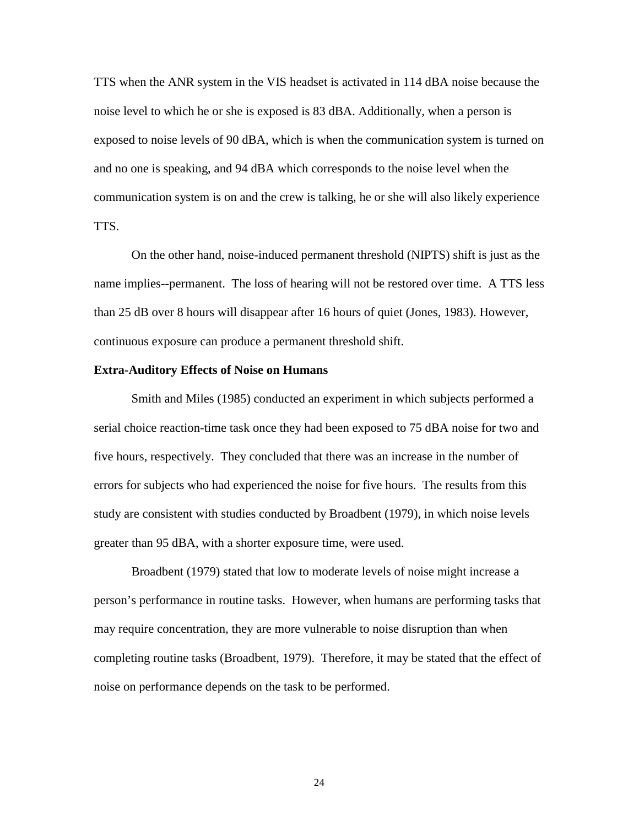TTS when the ANR system in the VIS headset is activated in 114 dBA noise because the noise level to which he or she is exposed is 83 dBA. Additionally, when a person is exposed to noise levels of 90 dBA, which is when the communication system is turned on and no one is speaking, and 94 dBA which corresponds to the noise level when the communication system is on and the crew is talking, he or she will also likely experience TTS.

On the other hand, noise-induced permanent threshold (NIPTS) shift is just as the name implies--permanent. The loss of hearing will not be restored over time. A TTS less than 25 dB over 8 hours will disappear after 16 hours of quiet (Jones, 1983). However, continuous exposure can produce a permanent threshold shift.

#### **Extra-Auditory Effects of Noise on Humans**

Smith and Miles (1985) conducted an experiment in which subjects performed a serial choice reaction-time task once they had been exposed to 75 dBA noise for two and five hours, respectively. They concluded that there was an increase in the number of errors for subjects who had experienced the noise for five hours. The results from this study are consistent with studies conducted by Broadbent (1979), in which noise levels greater than 95 dBA, with a shorter exposure time, were used.

Broadbent (1979) stated that low to moderate levels of noise might increase a person's performance in routine tasks. However, when humans are performing tasks that may require concentration, they are more vulnerable to noise disruption than when completing routine tasks (Broadbent, 1979). Therefore, it may be stated that the effect of noise on performance depends on the task to be performed.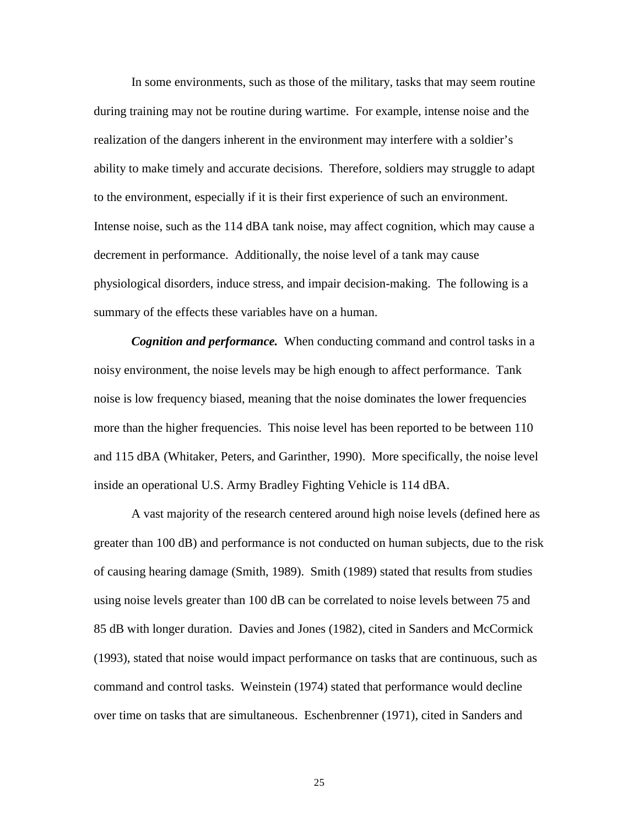In some environments, such as those of the military, tasks that may seem routine during training may not be routine during wartime. For example, intense noise and the realization of the dangers inherent in the environment may interfere with a soldier's ability to make timely and accurate decisions. Therefore, soldiers may struggle to adapt to the environment, especially if it is their first experience of such an environment. Intense noise, such as the 114 dBA tank noise, may affect cognition, which may cause a decrement in performance. Additionally, the noise level of a tank may cause physiological disorders, induce stress, and impair decision-making. The following is a summary of the effects these variables have on a human.

*Cognition and performance.* When conducting command and control tasks in a noisy environment, the noise levels may be high enough to affect performance. Tank noise is low frequency biased, meaning that the noise dominates the lower frequencies more than the higher frequencies. This noise level has been reported to be between 110 and 115 dBA (Whitaker, Peters, and Garinther, 1990). More specifically, the noise level inside an operational U.S. Army Bradley Fighting Vehicle is 114 dBA.

A vast majority of the research centered around high noise levels (defined here as greater than 100 dB) and performance is not conducted on human subjects, due to the risk of causing hearing damage (Smith, 1989). Smith (1989) stated that results from studies using noise levels greater than 100 dB can be correlated to noise levels between 75 and 85 dB with longer duration. Davies and Jones (1982), cited in Sanders and McCormick (1993), stated that noise would impact performance on tasks that are continuous, such as command and control tasks. Weinstein (1974) stated that performance would decline over time on tasks that are simultaneous. Eschenbrenner (1971), cited in Sanders and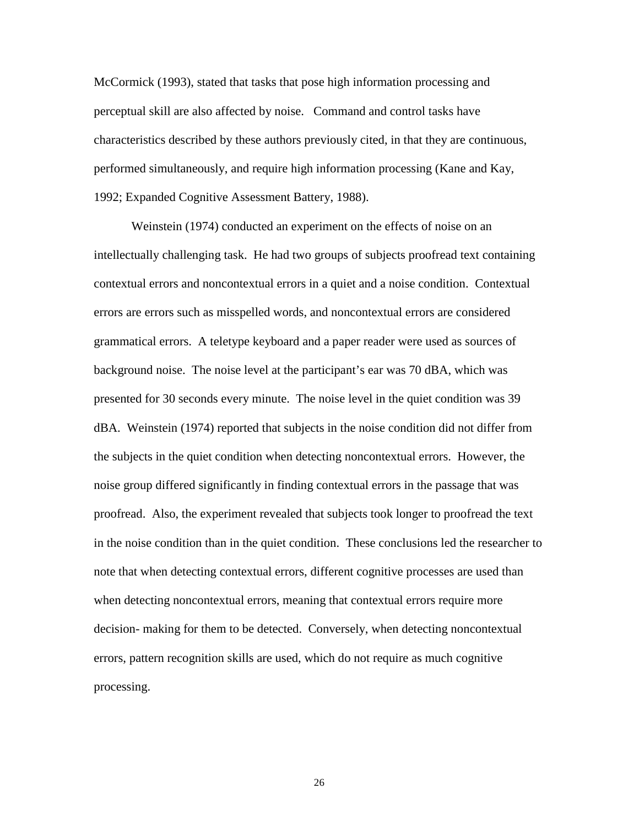McCormick (1993), stated that tasks that pose high information processing and perceptual skill are also affected by noise. Command and control tasks have characteristics described by these authors previously cited, in that they are continuous, performed simultaneously, and require high information processing (Kane and Kay, 1992; Expanded Cognitive Assessment Battery, 1988).

Weinstein (1974) conducted an experiment on the effects of noise on an intellectually challenging task. He had two groups of subjects proofread text containing contextual errors and noncontextual errors in a quiet and a noise condition. Contextual errors are errors such as misspelled words, and noncontextual errors are considered grammatical errors. A teletype keyboard and a paper reader were used as sources of background noise. The noise level at the participant's ear was 70 dBA, which was presented for 30 seconds every minute. The noise level in the quiet condition was 39 dBA. Weinstein (1974) reported that subjects in the noise condition did not differ from the subjects in the quiet condition when detecting noncontextual errors. However, the noise group differed significantly in finding contextual errors in the passage that was proofread. Also, the experiment revealed that subjects took longer to proofread the text in the noise condition than in the quiet condition. These conclusions led the researcher to note that when detecting contextual errors, different cognitive processes are used than when detecting noncontextual errors, meaning that contextual errors require more decision- making for them to be detected. Conversely, when detecting noncontextual errors, pattern recognition skills are used, which do not require as much cognitive processing.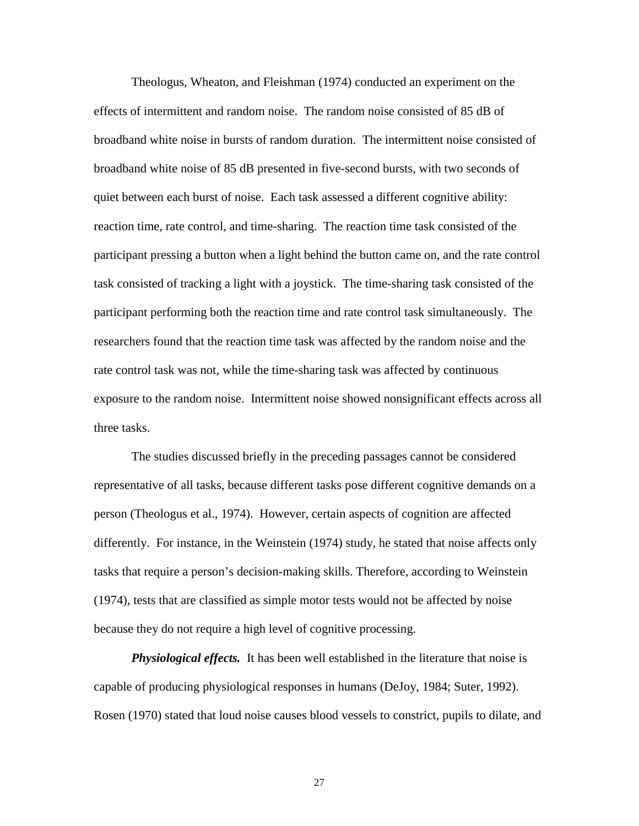Theologus, Wheaton, and Fleishman (1974) conducted an experiment on the effects of intermittent and random noise. The random noise consisted of 85 dB of broadband white noise in bursts of random duration. The intermittent noise consisted of broadband white noise of 85 dB presented in five-second bursts, with two seconds of quiet between each burst of noise. Each task assessed a different cognitive ability: reaction time, rate control, and time-sharing. The reaction time task consisted of the participant pressing a button when a light behind the button came on, and the rate control task consisted of tracking a light with a joystick. The time-sharing task consisted of the participant performing both the reaction time and rate control task simultaneously. The researchers found that the reaction time task was affected by the random noise and the rate control task was not, while the time-sharing task was affected by continuous exposure to the random noise. Intermittent noise showed nonsignificant effects across all three tasks.

The studies discussed briefly in the preceding passages cannot be considered representative of all tasks, because different tasks pose different cognitive demands on a person (Theologus et al., 1974). However, certain aspects of cognition are affected differently. For instance, in the Weinstein (1974) study, he stated that noise affects only tasks that require a person's decision-making skills. Therefore, according to Weinstein (1974), tests that are classified as simple motor tests would not be affected by noise because they do not require a high level of cognitive processing.

*Physiological effects.*It has been well established in the literature that noise is capable of producing physiological responses in humans (DeJoy, 1984; Suter, 1992). Rosen (1970) stated that loud noise causes blood vessels to constrict, pupils to dilate, and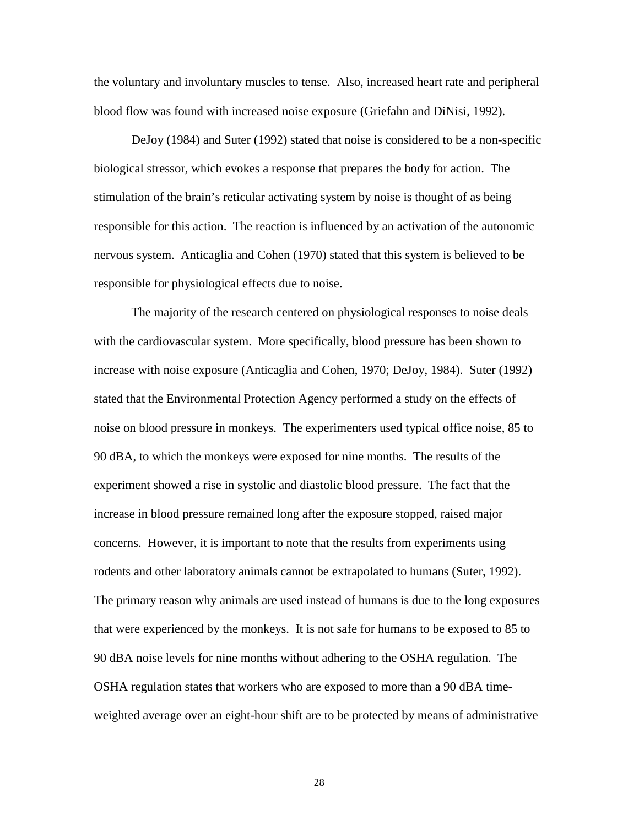the voluntary and involuntary muscles to tense. Also, increased heart rate and peripheral blood flow was found with increased noise exposure (Griefahn and DiNisi, 1992).

DeJoy (1984) and Suter (1992) stated that noise is considered to be a non-specific biological stressor, which evokes a response that prepares the body for action. The stimulation of the brain's reticular activating system by noise is thought of as being responsible for this action. The reaction is influenced by an activation of the autonomic nervous system. Anticaglia and Cohen (1970) stated that this system is believed to be responsible for physiological effects due to noise.

The majority of the research centered on physiological responses to noise deals with the cardiovascular system. More specifically, blood pressure has been shown to increase with noise exposure (Anticaglia and Cohen, 1970; DeJoy, 1984). Suter (1992) stated that the Environmental Protection Agency performed a study on the effects of noise on blood pressure in monkeys. The experimenters used typical office noise, 85 to 90 dBA, to which the monkeys were exposed for nine months. The results of the experiment showed a rise in systolic and diastolic blood pressure. The fact that the increase in blood pressure remained long after the exposure stopped, raised major concerns. However, it is important to note that the results from experiments using rodents and other laboratory animals cannot be extrapolated to humans (Suter, 1992). The primary reason why animals are used instead of humans is due to the long exposures that were experienced by the monkeys. It is not safe for humans to be exposed to 85 to 90 dBA noise levels for nine months without adhering to the OSHA regulation. The OSHA regulation states that workers who are exposed to more than a 90 dBA timeweighted average over an eight-hour shift are to be protected by means of administrative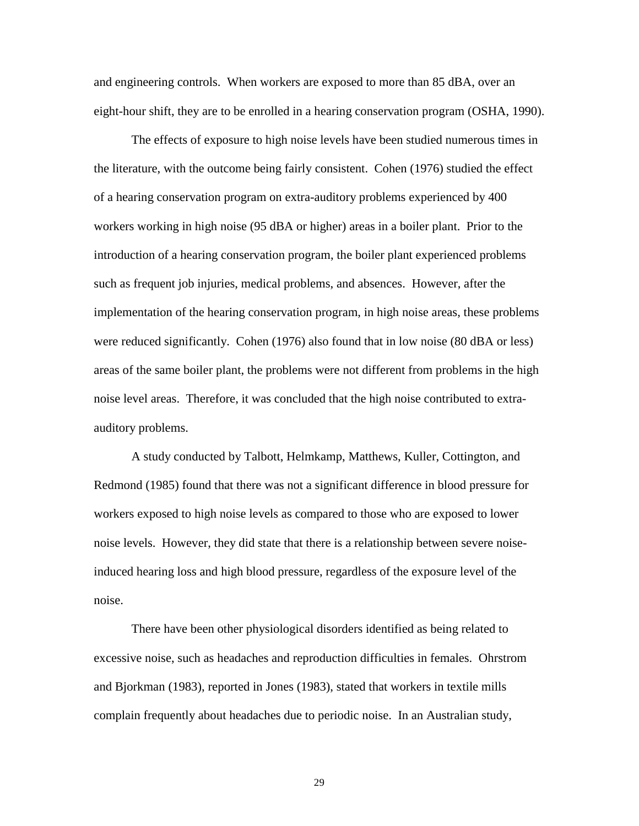and engineering controls. When workers are exposed to more than 85 dBA, over an eight-hour shift, they are to be enrolled in a hearing conservation program (OSHA, 1990).

The effects of exposure to high noise levels have been studied numerous times in the literature, with the outcome being fairly consistent. Cohen (1976) studied the effect of a hearing conservation program on extra-auditory problems experienced by 400 workers working in high noise (95 dBA or higher) areas in a boiler plant. Prior to the introduction of a hearing conservation program, the boiler plant experienced problems such as frequent job injuries, medical problems, and absences. However, after the implementation of the hearing conservation program, in high noise areas, these problems were reduced significantly. Cohen (1976) also found that in low noise (80 dBA or less) areas of the same boiler plant, the problems were not different from problems in the high noise level areas. Therefore, it was concluded that the high noise contributed to extraauditory problems.

A study conducted by Talbott, Helmkamp, Matthews, Kuller, Cottington, and Redmond (1985) found that there was not a significant difference in blood pressure for workers exposed to high noise levels as compared to those who are exposed to lower noise levels. However, they did state that there is a relationship between severe noiseinduced hearing loss and high blood pressure, regardless of the exposure level of the noise.

There have been other physiological disorders identified as being related to excessive noise, such as headaches and reproduction difficulties in females. Ohrstrom and Bjorkman (1983), reported in Jones (1983), stated that workers in textile mills complain frequently about headaches due to periodic noise. In an Australian study,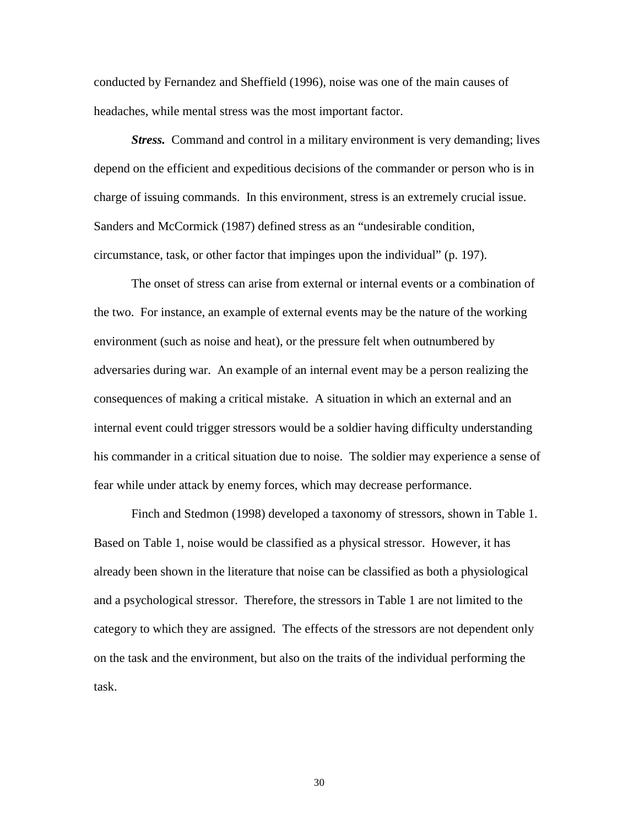conducted by Fernandez and Sheffield (1996), noise was one of the main causes of headaches, while mental stress was the most important factor.

*Stress.* Command and control in a military environment is very demanding; lives depend on the efficient and expeditious decisions of the commander or person who is in charge of issuing commands. In this environment, stress is an extremely crucial issue. Sanders and McCormick (1987) defined stress as an "undesirable condition, circumstance, task, or other factor that impinges upon the individual" (p. 197).

The onset of stress can arise from external or internal events or a combination of the two. For instance, an example of external events may be the nature of the working environment (such as noise and heat), or the pressure felt when outnumbered by adversaries during war. An example of an internal event may be a person realizing the consequences of making a critical mistake. A situation in which an external and an internal event could trigger stressors would be a soldier having difficulty understanding his commander in a critical situation due to noise. The soldier may experience a sense of fear while under attack by enemy forces, which may decrease performance.

Finch and Stedmon (1998) developed a taxonomy of stressors, shown in Table 1. Based on Table 1, noise would be classified as a physical stressor. However, it has already been shown in the literature that noise can be classified as both a physiological and a psychological stressor. Therefore, the stressors in Table 1 are not limited to the category to which they are assigned. The effects of the stressors are not dependent only on the task and the environment, but also on the traits of the individual performing the task.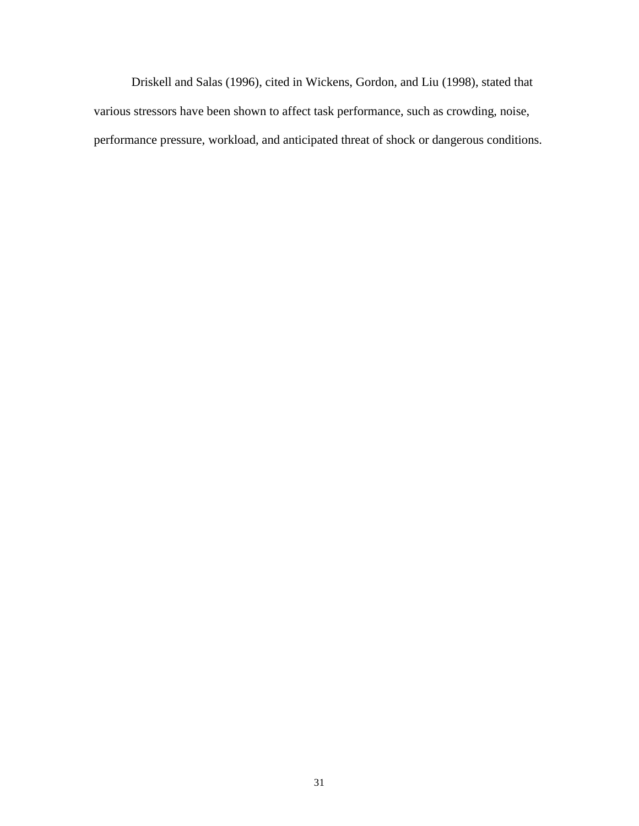Driskell and Salas (1996), cited in Wickens, Gordon, and Liu (1998), stated that various stressors have been shown to affect task performance, such as crowding, noise, performance pressure, workload, and anticipated threat of shock or dangerous conditions.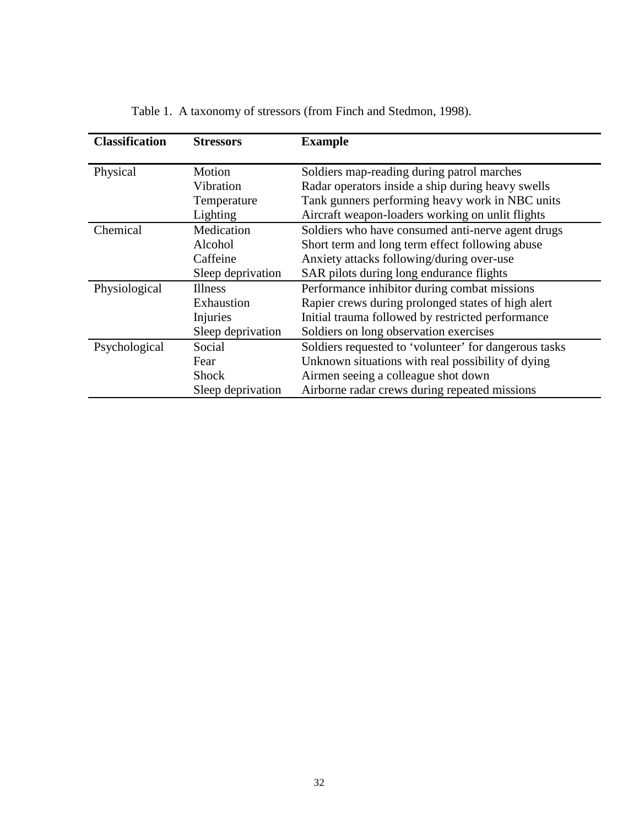| <b>Classification</b> | <b>Stressors</b>  | <b>Example</b>                                        |
|-----------------------|-------------------|-------------------------------------------------------|
| Physical              | Motion            | Soldiers map-reading during patrol marches            |
|                       | Vibration         | Radar operators inside a ship during heavy swells     |
|                       | Temperature       | Tank gunners performing heavy work in NBC units       |
|                       | Lighting          | Aircraft weapon-loaders working on unlit flights      |
| Chemical              | Medication        | Soldiers who have consumed anti-nerve agent drugs     |
|                       | Alcohol           | Short term and long term effect following abuse       |
|                       | Caffeine          | Anxiety attacks following/during over-use             |
|                       | Sleep deprivation | SAR pilots during long endurance flights              |
| Physiological         | <b>Illness</b>    | Performance inhibitor during combat missions          |
|                       | Exhaustion        | Rapier crews during prolonged states of high alert    |
|                       | Injuries          | Initial trauma followed by restricted performance     |
|                       | Sleep deprivation | Soldiers on long observation exercises                |
| Psychological         | Social            | Soldiers requested to 'volunteer' for dangerous tasks |
|                       | Fear              | Unknown situations with real possibility of dying     |
|                       | <b>Shock</b>      | Airmen seeing a colleague shot down                   |
|                       | Sleep deprivation | Airborne radar crews during repeated missions         |

Table 1. A taxonomy of stressors (from Finch and Stedmon, 1998).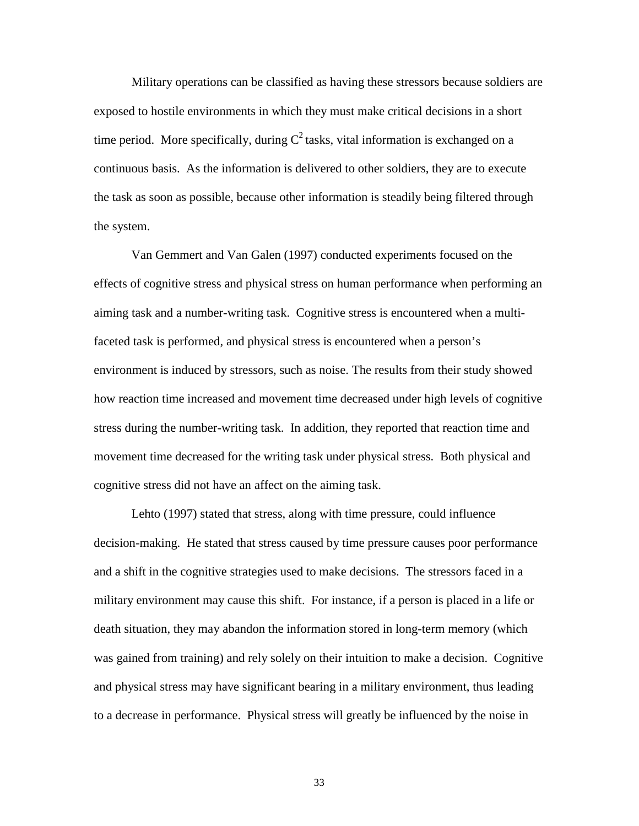Military operations can be classified as having these stressors because soldiers are exposed to hostile environments in which they must make critical decisions in a short time period. More specifically, during  $C^2$  tasks, vital information is exchanged on a continuous basis. As the information is delivered to other soldiers, they are to execute the task as soon as possible, because other information is steadily being filtered through the system.

Van Gemmert and Van Galen (1997) conducted experiments focused on the effects of cognitive stress and physical stress on human performance when performing an aiming task and a number-writing task. Cognitive stress is encountered when a multifaceted task is performed, and physical stress is encountered when a person's environment is induced by stressors, such as noise. The results from their study showed how reaction time increased and movement time decreased under high levels of cognitive stress during the number-writing task. In addition, they reported that reaction time and movement time decreased for the writing task under physical stress. Both physical and cognitive stress did not have an affect on the aiming task.

Lehto (1997) stated that stress, along with time pressure, could influence decision-making. He stated that stress caused by time pressure causes poor performance and a shift in the cognitive strategies used to make decisions. The stressors faced in a military environment may cause this shift. For instance, if a person is placed in a life or death situation, they may abandon the information stored in long-term memory (which was gained from training) and rely solely on their intuition to make a decision. Cognitive and physical stress may have significant bearing in a military environment, thus leading to a decrease in performance. Physical stress will greatly be influenced by the noise in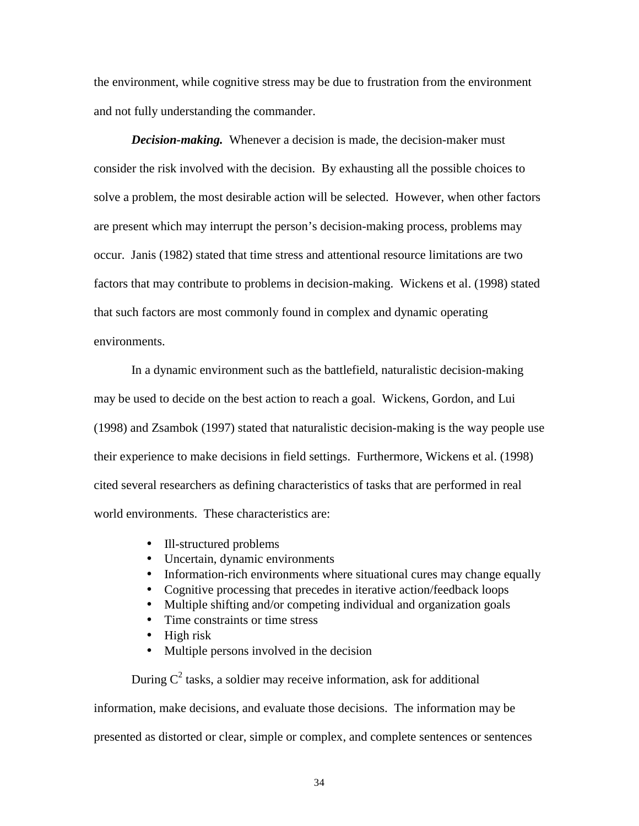the environment, while cognitive stress may be due to frustration from the environment and not fully understanding the commander.

*Decision-making.* Whenever a decision is made, the decision-maker must consider the risk involved with the decision. By exhausting all the possible choices to solve a problem, the most desirable action will be selected. However, when other factors are present which may interrupt the person's decision-making process, problems may occur. Janis (1982) stated that time stress and attentional resource limitations are two factors that may contribute to problems in decision-making. Wickens et al. (1998) stated that such factors are most commonly found in complex and dynamic operating environments.

In a dynamic environment such as the battlefield, naturalistic decision-making may be used to decide on the best action to reach a goal. Wickens, Gordon, and Lui (1998) and Zsambok (1997) stated that naturalistic decision-making is the way people use their experience to make decisions in field settings. Furthermore, Wickens et al. (1998) cited several researchers as defining characteristics of tasks that are performed in real world environments. These characteristics are:

- Ill-structured problems
- Uncertain, dynamic environments
- Information-rich environments where situational cures may change equally
- Cognitive processing that precedes in iterative action/feedback loops
- Multiple shifting and/or competing individual and organization goals
- Time constraints or time stress
- High risk
- Multiple persons involved in the decision

During  $C^2$  tasks, a soldier may receive information, ask for additional information, make decisions, and evaluate those decisions. The information may be presented as distorted or clear, simple or complex, and complete sentences or sentences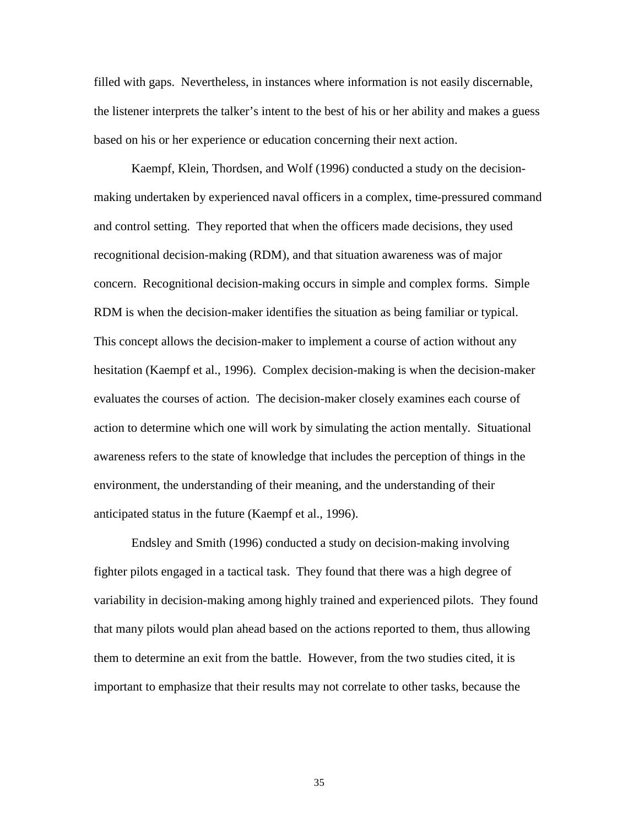filled with gaps. Nevertheless, in instances where information is not easily discernable, the listener interprets the talker's intent to the best of his or her ability and makes a guess based on his or her experience or education concerning their next action.

Kaempf, Klein, Thordsen, and Wolf (1996) conducted a study on the decisionmaking undertaken by experienced naval officers in a complex, time-pressured command and control setting. They reported that when the officers made decisions, they used recognitional decision-making (RDM), and that situation awareness was of major concern. Recognitional decision-making occurs in simple and complex forms. Simple RDM is when the decision-maker identifies the situation as being familiar or typical. This concept allows the decision-maker to implement a course of action without any hesitation (Kaempf et al., 1996). Complex decision-making is when the decision-maker evaluates the courses of action. The decision-maker closely examines each course of action to determine which one will work by simulating the action mentally. Situational awareness refers to the state of knowledge that includes the perception of things in the environment, the understanding of their meaning, and the understanding of their anticipated status in the future (Kaempf et al., 1996).

Endsley and Smith (1996) conducted a study on decision-making involving fighter pilots engaged in a tactical task. They found that there was a high degree of variability in decision-making among highly trained and experienced pilots. They found that many pilots would plan ahead based on the actions reported to them, thus allowing them to determine an exit from the battle. However, from the two studies cited, it is important to emphasize that their results may not correlate to other tasks, because the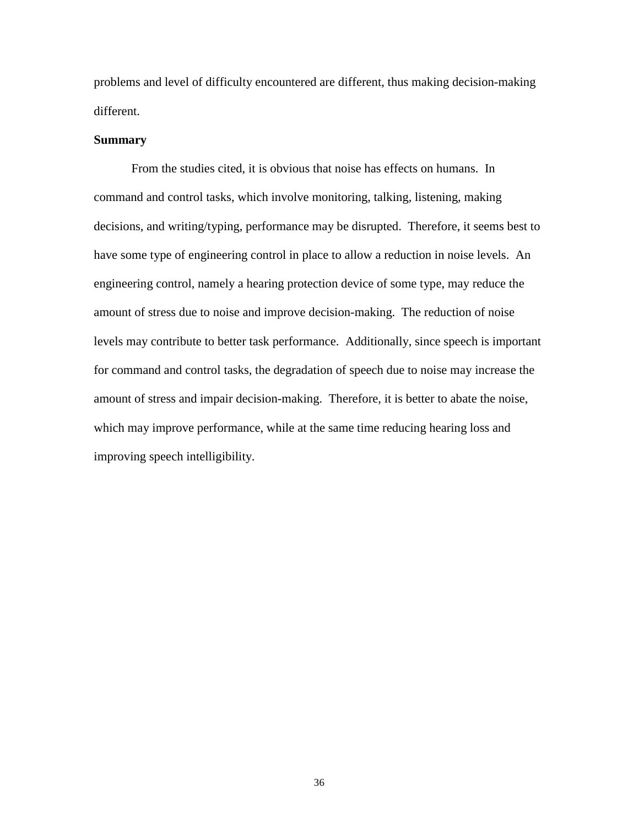problems and level of difficulty encountered are different, thus making decision-making different.

# **Summary**

 From the studies cited, it is obvious that noise has effects on humans. In command and control tasks, which involve monitoring, talking, listening, making decisions, and writing/typing, performance may be disrupted. Therefore, it seems best to have some type of engineering control in place to allow a reduction in noise levels. An engineering control, namely a hearing protection device of some type, may reduce the amount of stress due to noise and improve decision-making. The reduction of noise levels may contribute to better task performance. Additionally, since speech is important for command and control tasks, the degradation of speech due to noise may increase the amount of stress and impair decision-making. Therefore, it is better to abate the noise, which may improve performance, while at the same time reducing hearing loss and improving speech intelligibility.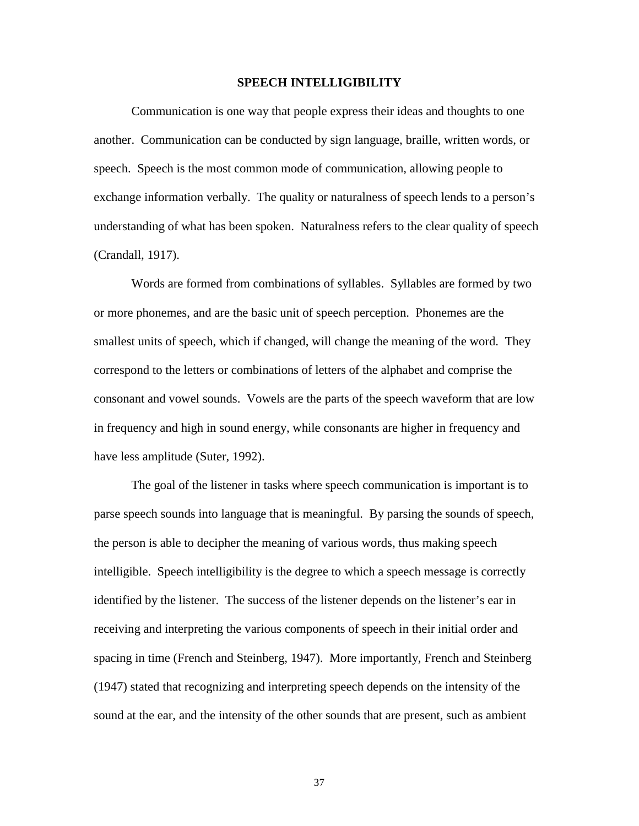#### **SPEECH INTELLIGIBILITY**

Communication is one way that people express their ideas and thoughts to one another. Communication can be conducted by sign language, braille, written words, or speech. Speech is the most common mode of communication, allowing people to exchange information verbally. The quality or naturalness of speech lends to a person's understanding of what has been spoken. Naturalness refers to the clear quality of speech (Crandall, 1917).

Words are formed from combinations of syllables. Syllables are formed by two or more phonemes, and are the basic unit of speech perception. Phonemes are the smallest units of speech, which if changed, will change the meaning of the word. They correspond to the letters or combinations of letters of the alphabet and comprise the consonant and vowel sounds. Vowels are the parts of the speech waveform that are low in frequency and high in sound energy, while consonants are higher in frequency and have less amplitude (Suter, 1992).

The goal of the listener in tasks where speech communication is important is to parse speech sounds into language that is meaningful. By parsing the sounds of speech, the person is able to decipher the meaning of various words, thus making speech intelligible. Speech intelligibility is the degree to which a speech message is correctly identified by the listener. The success of the listener depends on the listener's ear in receiving and interpreting the various components of speech in their initial order and spacing in time (French and Steinberg, 1947). More importantly, French and Steinberg (1947) stated that recognizing and interpreting speech depends on the intensity of the sound at the ear, and the intensity of the other sounds that are present, such as ambient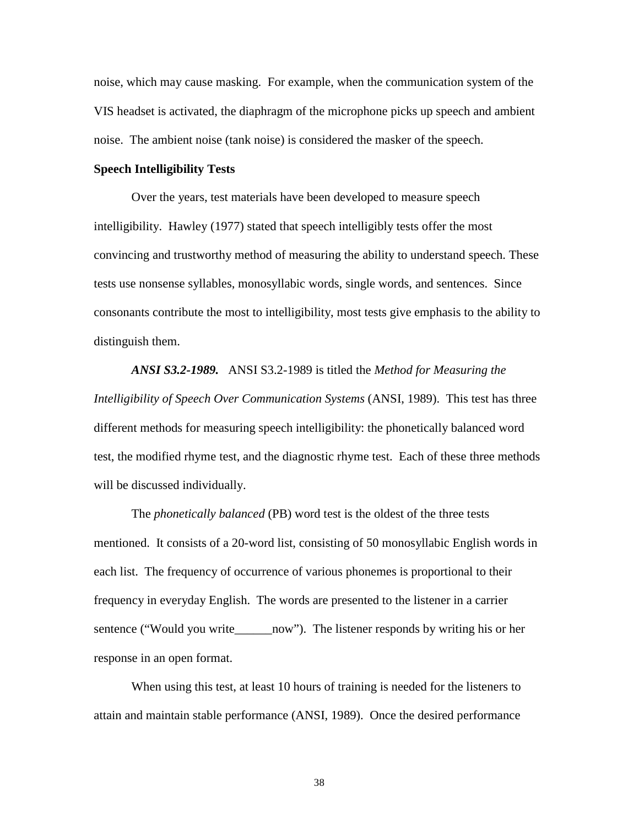noise, which may cause masking. For example, when the communication system of the VIS headset is activated, the diaphragm of the microphone picks up speech and ambient noise. The ambient noise (tank noise) is considered the masker of the speech.

#### **Speech Intelligibility Tests**

Over the years, test materials have been developed to measure speech intelligibility. Hawley (1977) stated that speech intelligibly tests offer the most convincing and trustworthy method of measuring the ability to understand speech. These tests use nonsense syllables, monosyllabic words, single words, and sentences. Since consonants contribute the most to intelligibility, most tests give emphasis to the ability to distinguish them.

*ANSI S3.2-1989.* ANSI S3.2-1989 is titled the *Method for Measuring the Intelligibility of Speech Over Communication Systems* (ANSI, 1989). This test has three different methods for measuring speech intelligibility: the phonetically balanced word test, the modified rhyme test, and the diagnostic rhyme test. Each of these three methods will be discussed individually.

The *phonetically balanced* (PB) word test is the oldest of the three tests mentioned. It consists of a 20-word list, consisting of 50 monosyllabic English words in each list. The frequency of occurrence of various phonemes is proportional to their frequency in everyday English. The words are presented to the listener in a carrier sentence ("Would you write\_\_\_\_\_\_now"). The listener responds by writing his or her response in an open format.

When using this test, at least 10 hours of training is needed for the listeners to attain and maintain stable performance (ANSI, 1989). Once the desired performance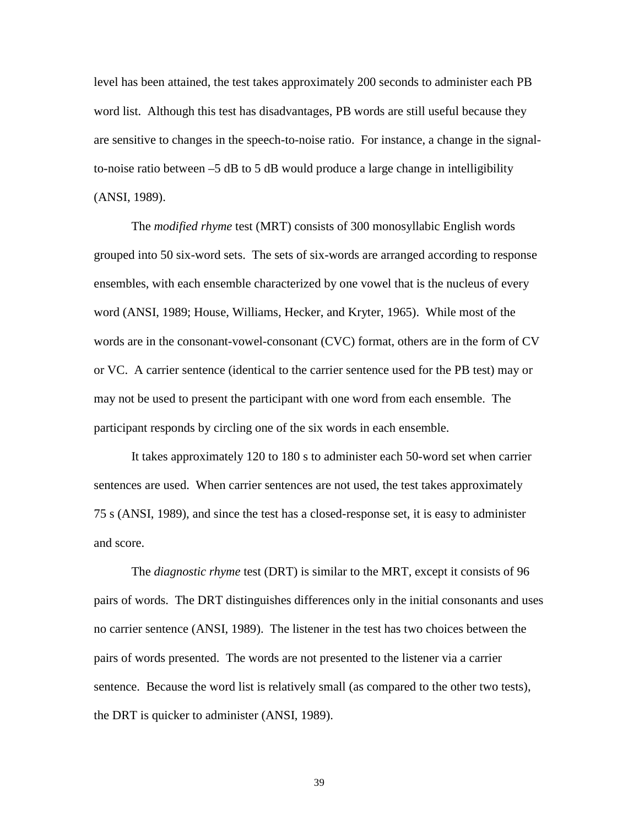level has been attained, the test takes approximately 200 seconds to administer each PB word list. Although this test has disadvantages, PB words are still useful because they are sensitive to changes in the speech-to-noise ratio. For instance, a change in the signalto-noise ratio between  $-5$  dB to 5 dB would produce a large change in intelligibility (ANSI, 1989).

The *modified rhyme* test (MRT) consists of 300 monosyllabic English words grouped into 50 six-word sets. The sets of six-words are arranged according to response ensembles, with each ensemble characterized by one vowel that is the nucleus of every word (ANSI, 1989; House, Williams, Hecker, and Kryter, 1965). While most of the words are in the consonant-vowel-consonant (CVC) format, others are in the form of CV or VC. A carrier sentence (identical to the carrier sentence used for the PB test) may or may not be used to present the participant with one word from each ensemble. The participant responds by circling one of the six words in each ensemble.

It takes approximately 120 to 180 s to administer each 50-word set when carrier sentences are used. When carrier sentences are not used, the test takes approximately 75 s (ANSI, 1989), and since the test has a closed-response set, it is easy to administer and score.

The *diagnostic rhyme* test (DRT) is similar to the MRT, except it consists of 96 pairs of words. The DRT distinguishes differences only in the initial consonants and uses no carrier sentence (ANSI, 1989). The listener in the test has two choices between the pairs of words presented. The words are not presented to the listener via a carrier sentence. Because the word list is relatively small (as compared to the other two tests), the DRT is quicker to administer (ANSI, 1989).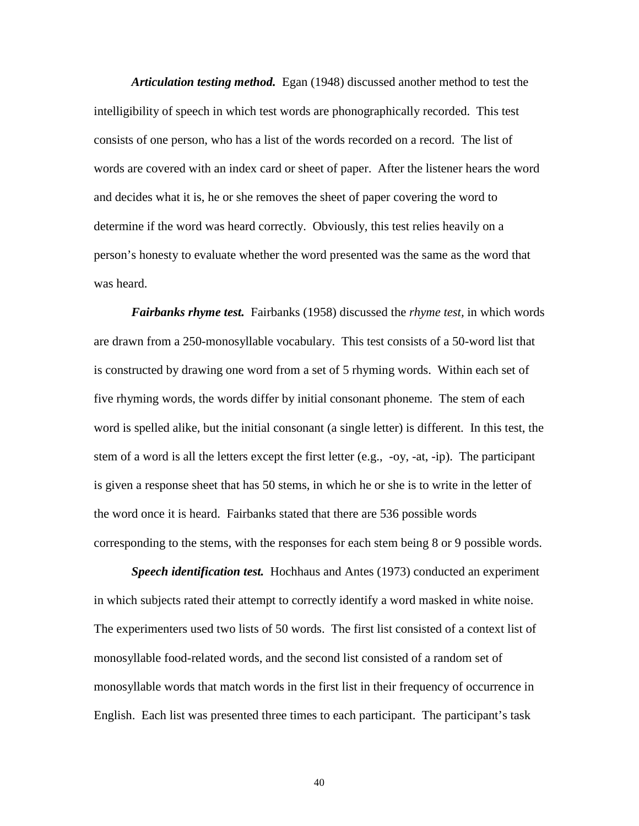*Articulation testing method.* Egan (1948) discussed another method to test the intelligibility of speech in which test words are phonographically recorded. This test consists of one person, who has a list of the words recorded on a record. The list of words are covered with an index card or sheet of paper. After the listener hears the word and decides what it is, he or she removes the sheet of paper covering the word to determine if the word was heard correctly. Obviously, this test relies heavily on a person's honesty to evaluate whether the word presented was the same as the word that was heard.

*Fairbanks rhyme test.* Fairbanks (1958) discussed the *rhyme test,* in which words are drawn from a 250-monosyllable vocabulary. This test consists of a 50-word list that is constructed by drawing one word from a set of 5 rhyming words. Within each set of five rhyming words, the words differ by initial consonant phoneme. The stem of each word is spelled alike, but the initial consonant (a single letter) is different. In this test, the stem of a word is all the letters except the first letter (e.g.,  $-\text{oy}, -\text{at}, -\text{ip}$ ). The participant is given a response sheet that has 50 stems, in which he or she is to write in the letter of the word once it is heard. Fairbanks stated that there are 536 possible words corresponding to the stems, with the responses for each stem being 8 or 9 possible words.

*Speech identification test.* Hochhaus and Antes (1973) conducted an experiment in which subjects rated their attempt to correctly identify a word masked in white noise. The experimenters used two lists of 50 words. The first list consisted of a context list of monosyllable food-related words, and the second list consisted of a random set of monosyllable words that match words in the first list in their frequency of occurrence in English. Each list was presented three times to each participant. The participant's task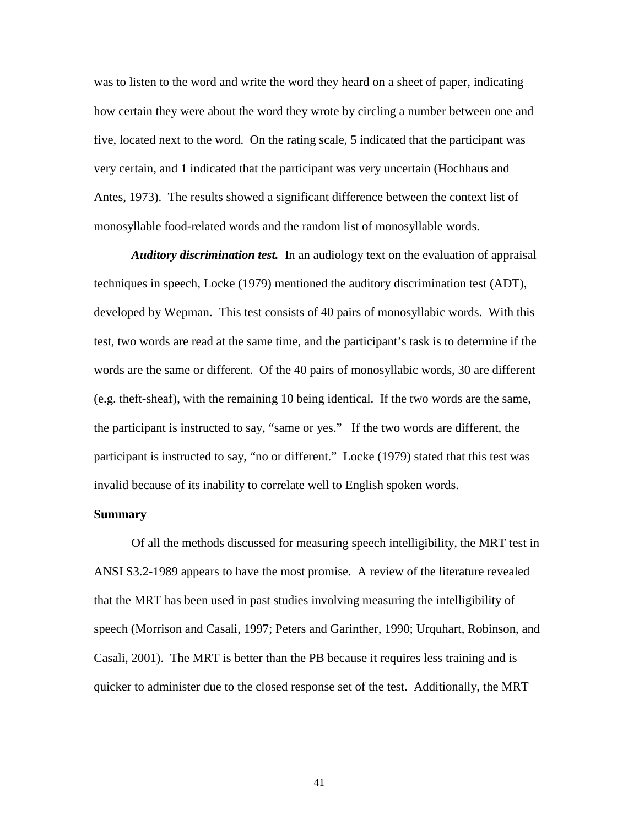was to listen to the word and write the word they heard on a sheet of paper, indicating how certain they were about the word they wrote by circling a number between one and five, located next to the word. On the rating scale, 5 indicated that the participant was very certain, and 1 indicated that the participant was very uncertain (Hochhaus and Antes, 1973). The results showed a significant difference between the context list of monosyllable food-related words and the random list of monosyllable words.

*Auditory discrimination test.* In an audiology text on the evaluation of appraisal techniques in speech, Locke (1979) mentioned the auditory discrimination test (ADT), developed by Wepman. This test consists of 40 pairs of monosyllabic words. With this test, two words are read at the same time, and the participant's task is to determine if the words are the same or different. Of the 40 pairs of monosyllabic words, 30 are different (e.g. theft-sheaf), with the remaining 10 being identical. If the two words are the same, the participant is instructed to say, "same or yes." If the two words are different, the participant is instructed to say, "no or different." Locke (1979) stated that this test was invalid because of its inability to correlate well to English spoken words.

## **Summary**

Of all the methods discussed for measuring speech intelligibility, the MRT test in ANSI S3.2-1989 appears to have the most promise. A review of the literature revealed that the MRT has been used in past studies involving measuring the intelligibility of speech (Morrison and Casali, 1997; Peters and Garinther, 1990; Urquhart, Robinson, and Casali, 2001). The MRT is better than the PB because it requires less training and is quicker to administer due to the closed response set of the test. Additionally, the MRT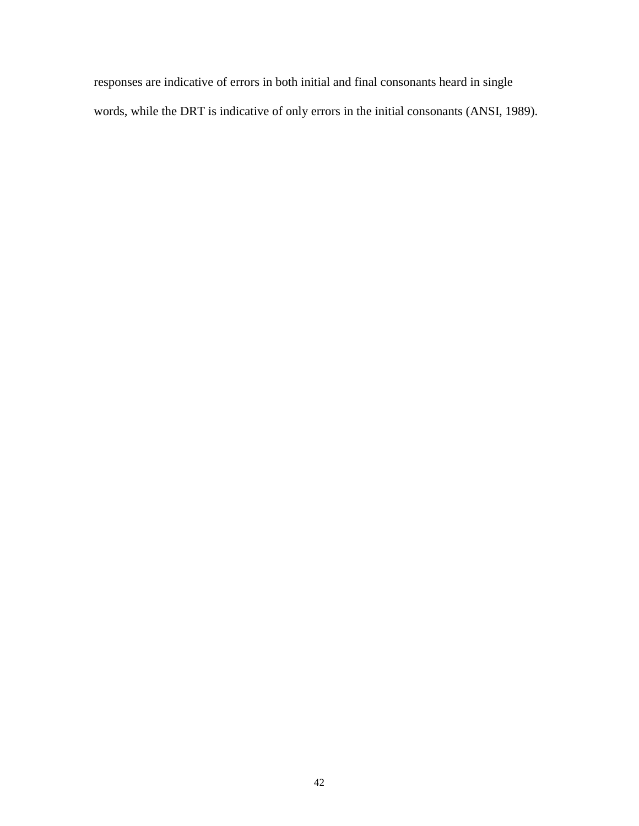responses are indicative of errors in both initial and final consonants heard in single words, while the DRT is indicative of only errors in the initial consonants (ANSI, 1989).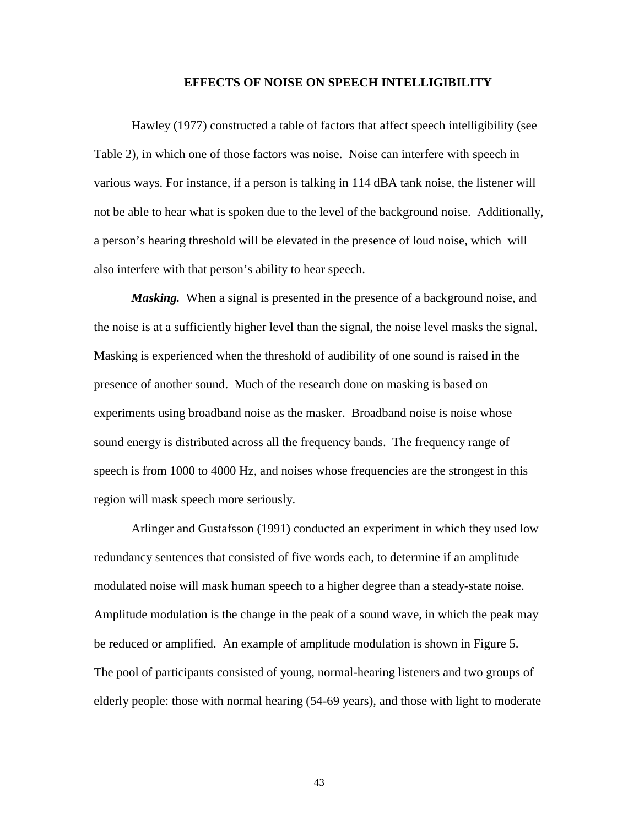#### **EFFECTS OF NOISE ON SPEECH INTELLIGIBILITY**

 Hawley (1977) constructed a table of factors that affect speech intelligibility (see Table 2), in which one of those factors was noise. Noise can interfere with speech in various ways. For instance, if a person is talking in 114 dBA tank noise, the listener will not be able to hear what is spoken due to the level of the background noise. Additionally, a person's hearing threshold will be elevated in the presence of loud noise, which will also interfere with that person's ability to hear speech.

*Masking.* When a signal is presented in the presence of a background noise, and the noise is at a sufficiently higher level than the signal, the noise level masks the signal. Masking is experienced when the threshold of audibility of one sound is raised in the presence of another sound. Much of the research done on masking is based on experiments using broadband noise as the masker. Broadband noise is noise whose sound energy is distributed across all the frequency bands. The frequency range of speech is from 1000 to 4000 Hz, and noises whose frequencies are the strongest in this region will mask speech more seriously.

Arlinger and Gustafsson (1991) conducted an experiment in which they used low redundancy sentences that consisted of five words each, to determine if an amplitude modulated noise will mask human speech to a higher degree than a steady-state noise. Amplitude modulation is the change in the peak of a sound wave, in which the peak may be reduced or amplified. An example of amplitude modulation is shown in Figure 5. The pool of participants consisted of young, normal-hearing listeners and two groups of elderly people: those with normal hearing (54-69 years), and those with light to moderate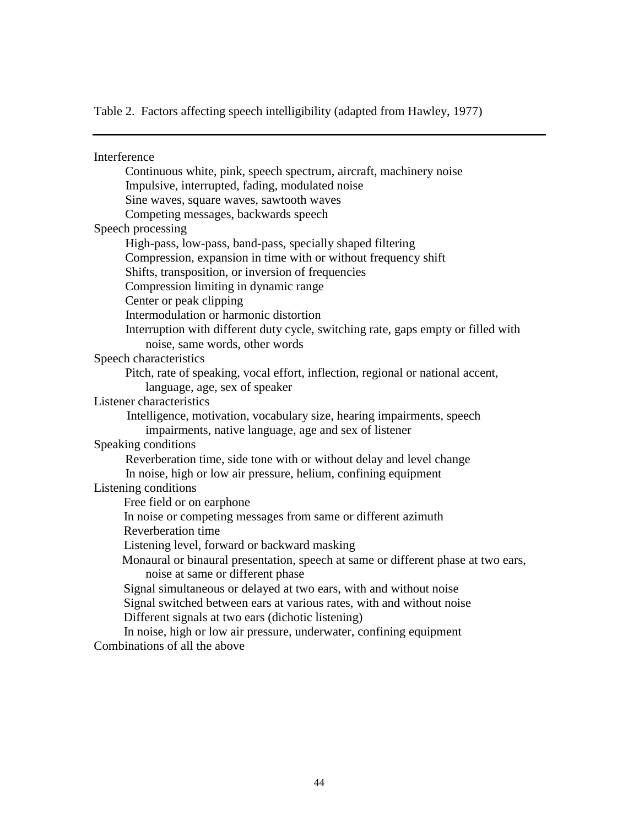Table 2. Factors affecting speech intelligibility (adapted from Hawley, 1977)

**Interference**  Continuous white, pink, speech spectrum, aircraft, machinery noise Impulsive, interrupted, fading, modulated noise Sine waves, square waves, sawtooth waves Competing messages, backwards speech Speech processing High-pass, low-pass, band-pass, specially shaped filtering Compression, expansion in time with or without frequency shift Shifts, transposition, or inversion of frequencies Compression limiting in dynamic range Center or peak clipping Intermodulation or harmonic distortion Interruption with different duty cycle, switching rate, gaps empty or filled with noise, same words, other words Speech characteristics Pitch, rate of speaking, vocal effort, inflection, regional or national accent, language, age, sex of speaker Listener characteristics Intelligence, motivation, vocabulary size, hearing impairments, speech impairments, native language, age and sex of listener Speaking conditions Reverberation time, side tone with or without delay and level change In noise, high or low air pressure, helium, confining equipment Listening conditions Free field or on earphone In noise or competing messages from same or different azimuth Reverberation time Listening level, forward or backward masking Monaural or binaural presentation, speech at same or different phase at two ears, noise at same or different phase Signal simultaneous or delayed at two ears, with and without noise Signal switched between ears at various rates, with and without noise Different signals at two ears (dichotic listening) In noise, high or low air pressure, underwater, confining equipment Combinations of all the above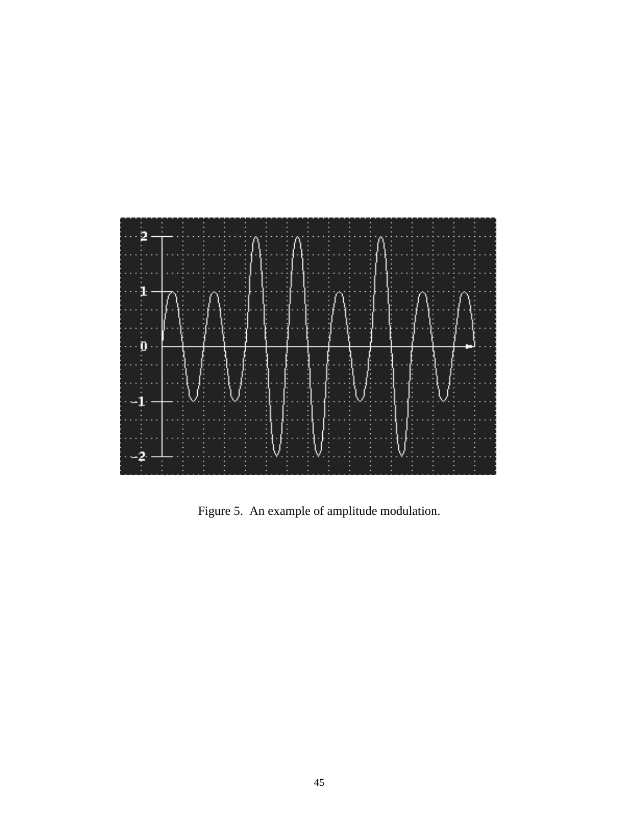

Figure 5. An example of amplitude modulation.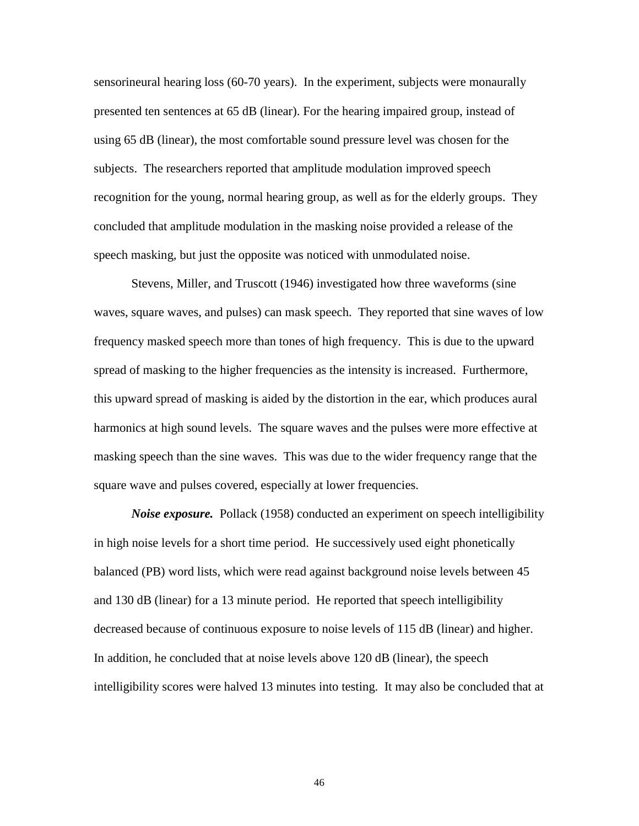sensorineural hearing loss (60-70 years). In the experiment, subjects were monaurally presented ten sentences at 65 dB (linear). For the hearing impaired group, instead of using 65 dB (linear), the most comfortable sound pressure level was chosen for the subjects. The researchers reported that amplitude modulation improved speech recognition for the young, normal hearing group, as well as for the elderly groups. They concluded that amplitude modulation in the masking noise provided a release of the speech masking, but just the opposite was noticed with unmodulated noise.

Stevens, Miller, and Truscott (1946) investigated how three waveforms (sine waves, square waves, and pulses) can mask speech. They reported that sine waves of low frequency masked speech more than tones of high frequency. This is due to the upward spread of masking to the higher frequencies as the intensity is increased. Furthermore, this upward spread of masking is aided by the distortion in the ear, which produces aural harmonics at high sound levels. The square waves and the pulses were more effective at masking speech than the sine waves. This was due to the wider frequency range that the square wave and pulses covered, especially at lower frequencies.

*Noise exposure.* Pollack (1958) conducted an experiment on speech intelligibility in high noise levels for a short time period. He successively used eight phonetically balanced (PB) word lists, which were read against background noise levels between 45 and 130 dB (linear) for a 13 minute period. He reported that speech intelligibility decreased because of continuous exposure to noise levels of 115 dB (linear) and higher. In addition, he concluded that at noise levels above 120 dB (linear), the speech intelligibility scores were halved 13 minutes into testing. It may also be concluded that at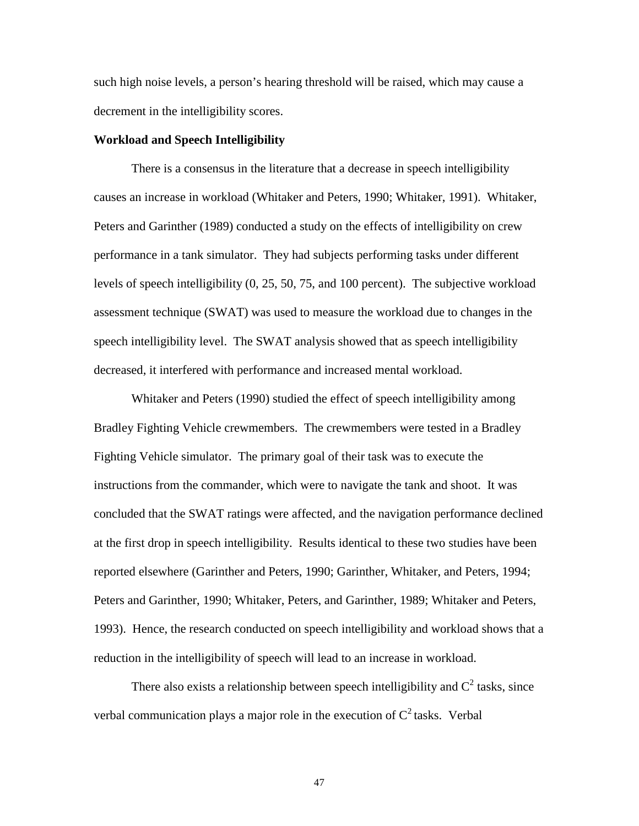such high noise levels, a person's hearing threshold will be raised, which may cause a decrement in the intelligibility scores.

## **Workload and Speech Intelligibility**

 There is a consensus in the literature that a decrease in speech intelligibility causes an increase in workload (Whitaker and Peters, 1990; Whitaker, 1991). Whitaker, Peters and Garinther (1989) conducted a study on the effects of intelligibility on crew performance in a tank simulator. They had subjects performing tasks under different levels of speech intelligibility (0, 25, 50, 75, and 100 percent). The subjective workload assessment technique (SWAT) was used to measure the workload due to changes in the speech intelligibility level. The SWAT analysis showed that as speech intelligibility decreased, it interfered with performance and increased mental workload.

Whitaker and Peters (1990) studied the effect of speech intelligibility among Bradley Fighting Vehicle crewmembers. The crewmembers were tested in a Bradley Fighting Vehicle simulator. The primary goal of their task was to execute the instructions from the commander, which were to navigate the tank and shoot. It was concluded that the SWAT ratings were affected, and the navigation performance declined at the first drop in speech intelligibility. Results identical to these two studies have been reported elsewhere (Garinther and Peters, 1990; Garinther, Whitaker, and Peters, 1994; Peters and Garinther, 1990; Whitaker, Peters, and Garinther, 1989; Whitaker and Peters, 1993). Hence, the research conducted on speech intelligibility and workload shows that a reduction in the intelligibility of speech will lead to an increase in workload.

There also exists a relationship between speech intelligibility and  $C^2$  tasks, since verbal communication plays a major role in the execution of  $C^2$  tasks. Verbal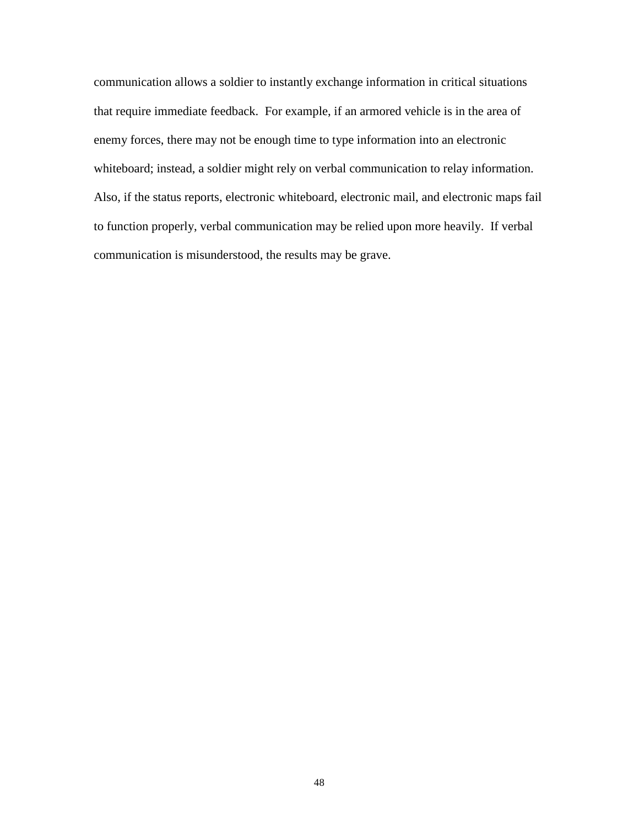communication allows a soldier to instantly exchange information in critical situations that require immediate feedback. For example, if an armored vehicle is in the area of enemy forces, there may not be enough time to type information into an electronic whiteboard; instead, a soldier might rely on verbal communication to relay information. Also, if the status reports, electronic whiteboard, electronic mail, and electronic maps fail to function properly, verbal communication may be relied upon more heavily. If verbal communication is misunderstood, the results may be grave.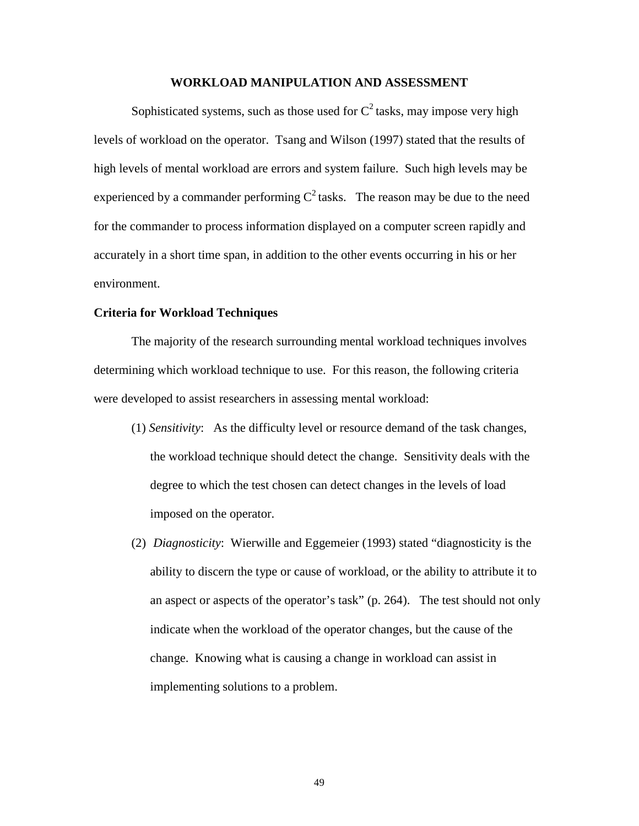#### **WORKLOAD MANIPULATION AND ASSESSMENT**

Sophisticated systems, such as those used for  $C^2$  tasks, may impose very high levels of workload on the operator. Tsang and Wilson (1997) stated that the results of high levels of mental workload are errors and system failure. Such high levels may be experienced by a commander performing  $C^2$  tasks. The reason may be due to the need for the commander to process information displayed on a computer screen rapidly and accurately in a short time span, in addition to the other events occurring in his or her environment.

## **Criteria for Workload Techniques**

The majority of the research surrounding mental workload techniques involves determining which workload technique to use. For this reason, the following criteria were developed to assist researchers in assessing mental workload:

- (1) *Sensitivity*: As the difficulty level or resource demand of the task changes, the workload technique should detect the change. Sensitivity deals with the degree to which the test chosen can detect changes in the levels of load imposed on the operator.
- (2) *Diagnosticity*: Wierwille and Eggemeier (1993) stated "diagnosticity is the ability to discern the type or cause of workload, or the ability to attribute it to an aspect or aspects of the operator's task" (p. 264). The test should not only indicate when the workload of the operator changes, but the cause of the change. Knowing what is causing a change in workload can assist in implementing solutions to a problem.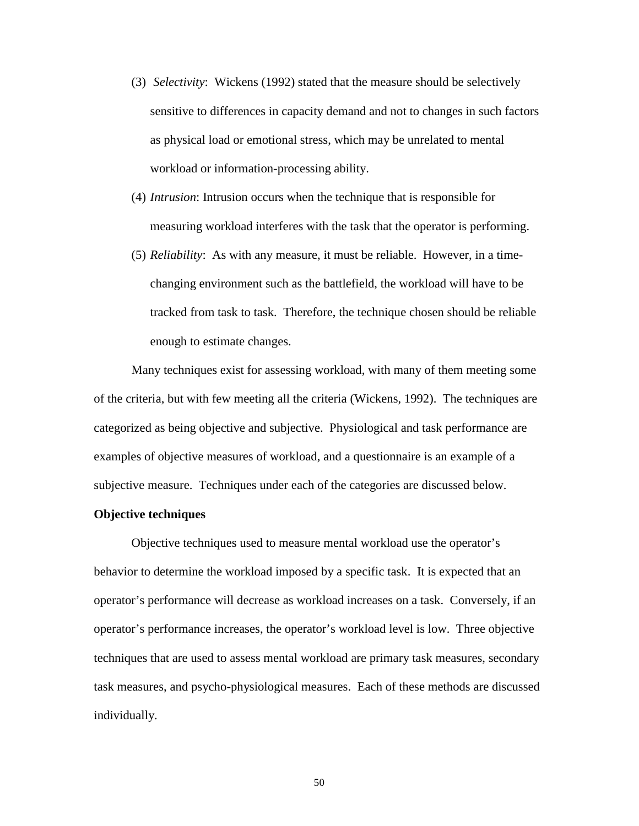- (3) *Selectivity*: Wickens (1992) stated that the measure should be selectively sensitive to differences in capacity demand and not to changes in such factors as physical load or emotional stress, which may be unrelated to mental workload or information-processing ability.
- (4) *Intrusion*: Intrusion occurs when the technique that is responsible for measuring workload interferes with the task that the operator is performing.
- (5) *Reliability*: As with any measure, it must be reliable. However, in a timechanging environment such as the battlefield, the workload will have to be tracked from task to task. Therefore, the technique chosen should be reliable enough to estimate changes.

Many techniques exist for assessing workload, with many of them meeting some of the criteria, but with few meeting all the criteria (Wickens, 1992). The techniques are categorized as being objective and subjective. Physiological and task performance are examples of objective measures of workload, and a questionnaire is an example of a subjective measure. Techniques under each of the categories are discussed below.

## **Objective techniques**

Objective techniques used to measure mental workload use the operator's behavior to determine the workload imposed by a specific task. It is expected that an operator's performance will decrease as workload increases on a task. Conversely, if an operator's performance increases, the operator's workload level is low. Three objective techniques that are used to assess mental workload are primary task measures, secondary task measures, and psycho-physiological measures. Each of these methods are discussed individually.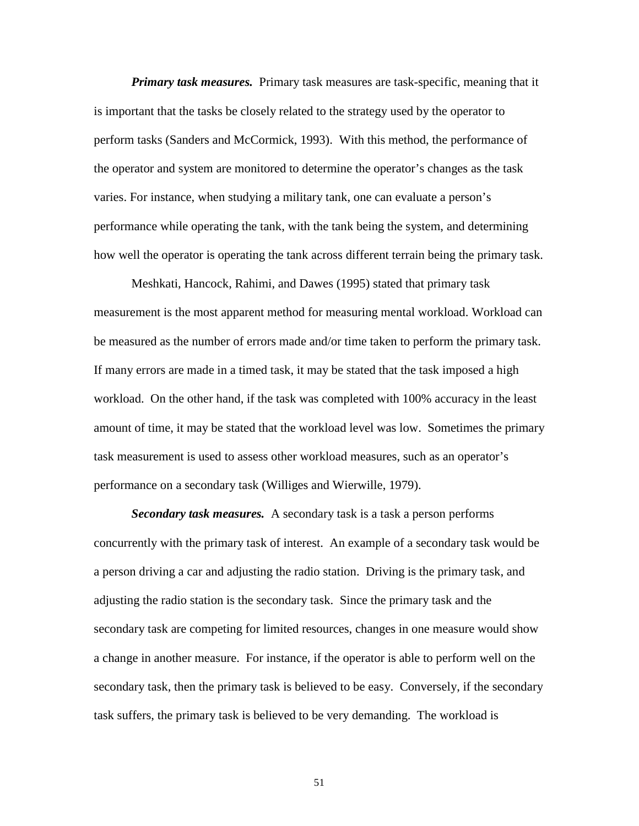*Primary task measures.* Primary task measures are task-specific, meaning that it is important that the tasks be closely related to the strategy used by the operator to perform tasks (Sanders and McCormick, 1993). With this method, the performance of the operator and system are monitored to determine the operator's changes as the task varies. For instance, when studying a military tank, one can evaluate a person's performance while operating the tank, with the tank being the system, and determining how well the operator is operating the tank across different terrain being the primary task.

Meshkati, Hancock, Rahimi, and Dawes (1995) stated that primary task measurement is the most apparent method for measuring mental workload. Workload can be measured as the number of errors made and/or time taken to perform the primary task. If many errors are made in a timed task, it may be stated that the task imposed a high workload. On the other hand, if the task was completed with 100% accuracy in the least amount of time, it may be stated that the workload level was low. Sometimes the primary task measurement is used to assess other workload measures, such as an operator's performance on a secondary task (Williges and Wierwille, 1979).

*Secondary task measures.* A secondary task is a task a person performs concurrently with the primary task of interest. An example of a secondary task would be a person driving a car and adjusting the radio station. Driving is the primary task, and adjusting the radio station is the secondary task. Since the primary task and the secondary task are competing for limited resources, changes in one measure would show a change in another measure. For instance, if the operator is able to perform well on the secondary task, then the primary task is believed to be easy. Conversely, if the secondary task suffers, the primary task is believed to be very demanding. The workload is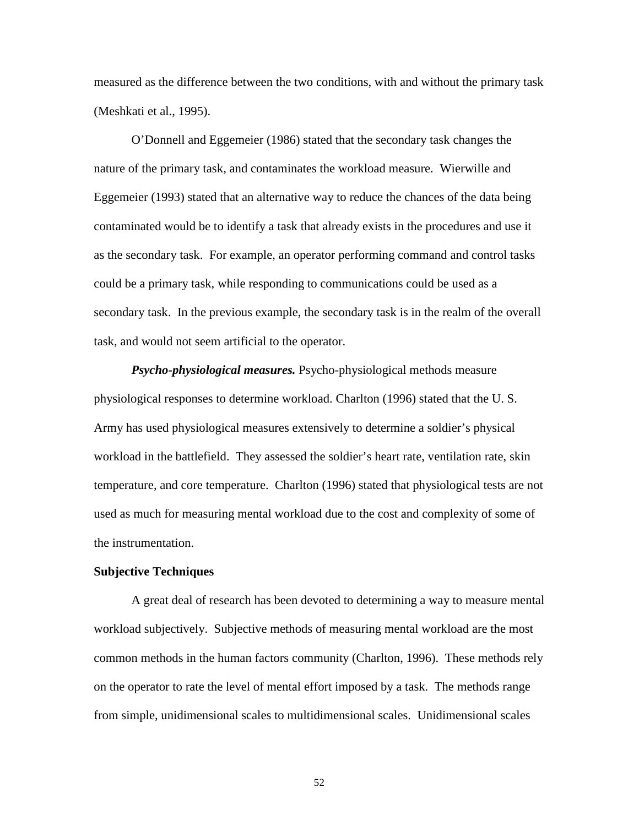measured as the difference between the two conditions, with and without the primary task (Meshkati et al., 1995).

O'Donnell and Eggemeier (1986) stated that the secondary task changes the nature of the primary task, and contaminates the workload measure. Wierwille and Eggemeier (1993) stated that an alternative way to reduce the chances of the data being contaminated would be to identify a task that already exists in the procedures and use it as the secondary task. For example, an operator performing command and control tasks could be a primary task, while responding to communications could be used as a secondary task. In the previous example, the secondary task is in the realm of the overall task, and would not seem artificial to the operator.

*Psycho-physiological measures.* Psycho-physiological methods measure physiological responses to determine workload. Charlton (1996) stated that the U. S. Army has used physiological measures extensively to determine a soldier's physical workload in the battlefield. They assessed the soldier's heart rate, ventilation rate, skin temperature, and core temperature. Charlton (1996) stated that physiological tests are not used as much for measuring mental workload due to the cost and complexity of some of the instrumentation.

#### **Subjective Techniques**

A great deal of research has been devoted to determining a way to measure mental workload subjectively. Subjective methods of measuring mental workload are the most common methods in the human factors community (Charlton, 1996). These methods rely on the operator to rate the level of mental effort imposed by a task. The methods range from simple, unidimensional scales to multidimensional scales. Unidimensional scales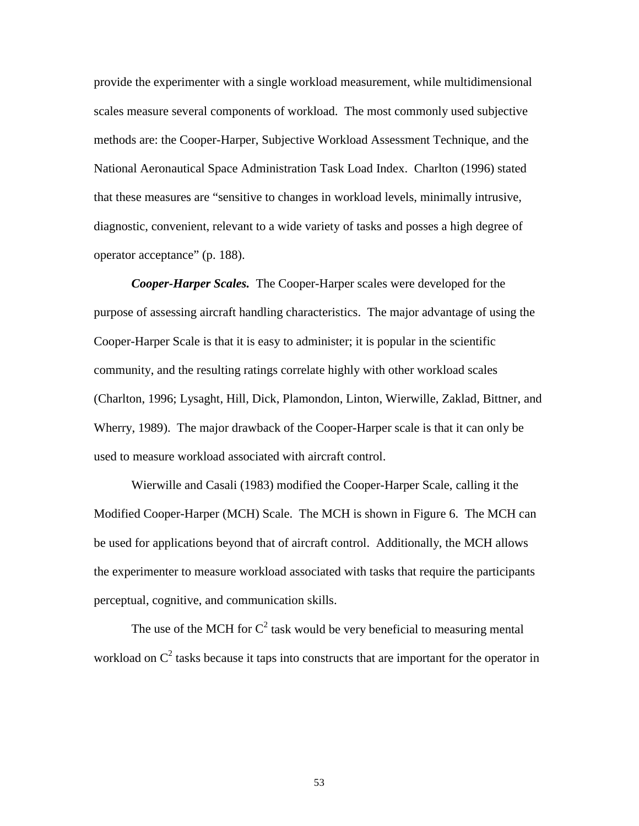provide the experimenter with a single workload measurement, while multidimensional scales measure several components of workload. The most commonly used subjective methods are: the Cooper-Harper, Subjective Workload Assessment Technique, and the National Aeronautical Space Administration Task Load Index. Charlton (1996) stated that these measures are "sensitive to changes in workload levels, minimally intrusive, diagnostic, convenient, relevant to a wide variety of tasks and posses a high degree of operator acceptance" (p. 188).

*Cooper-Harper Scales.* The Cooper-Harper scales were developed for the purpose of assessing aircraft handling characteristics. The major advantage of using the Cooper-Harper Scale is that it is easy to administer; it is popular in the scientific community, and the resulting ratings correlate highly with other workload scales (Charlton, 1996; Lysaght, Hill, Dick, Plamondon, Linton, Wierwille, Zaklad, Bittner, and Wherry, 1989). The major drawback of the Cooper-Harper scale is that it can only be used to measure workload associated with aircraft control.

Wierwille and Casali (1983) modified the Cooper-Harper Scale, calling it the Modified Cooper-Harper (MCH) Scale. The MCH is shown in Figure 6. The MCH can be used for applications beyond that of aircraft control. Additionally, the MCH allows the experimenter to measure workload associated with tasks that require the participants perceptual, cognitive, and communication skills.

The use of the MCH for  $C^2$  task would be very beneficial to measuring mental workload on  $C^2$  tasks because it taps into constructs that are important for the operator in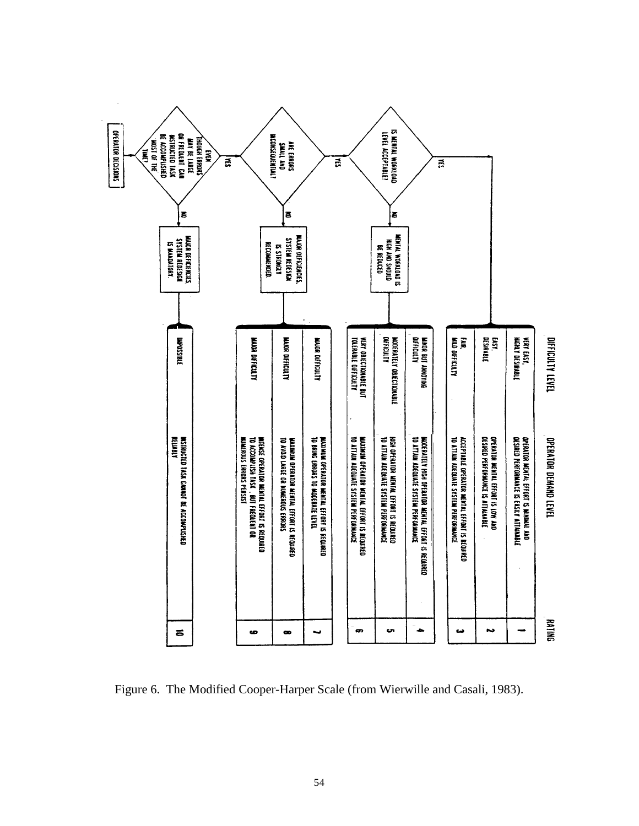

Figure 6. The Modified Cooper-Harper Scale (from Wierwille and Casali, 1983).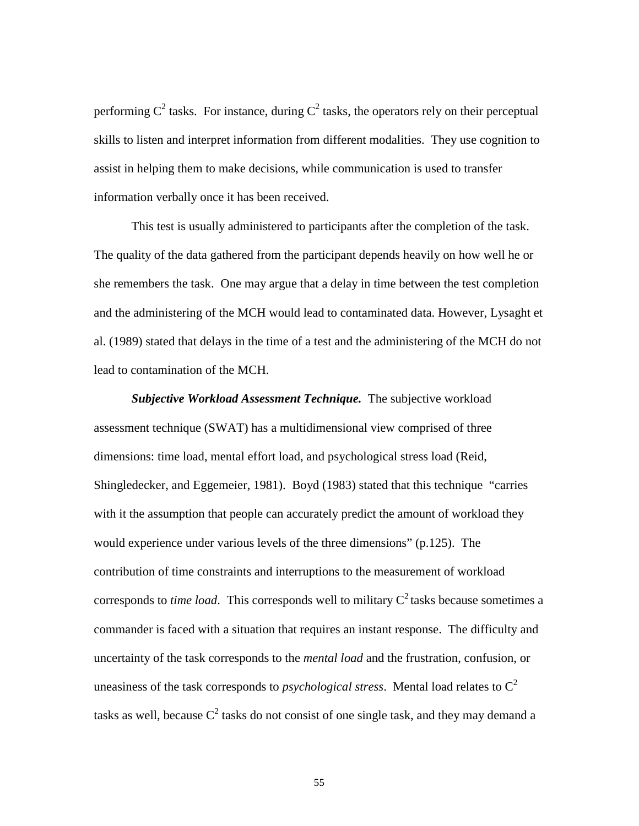performing  $C^2$  tasks. For instance, during  $C^2$  tasks, the operators rely on their perceptual skills to listen and interpret information from different modalities. They use cognition to assist in helping them to make decisions, while communication is used to transfer information verbally once it has been received.

This test is usually administered to participants after the completion of the task. The quality of the data gathered from the participant depends heavily on how well he or she remembers the task. One may argue that a delay in time between the test completion and the administering of the MCH would lead to contaminated data. However, Lysaght et al. (1989) stated that delays in the time of a test and the administering of the MCH do not lead to contamination of the MCH.

*Subjective Workload Assessment Technique.* The subjective workload assessment technique (SWAT) has a multidimensional view comprised of three dimensions: time load, mental effort load, and psychological stress load (Reid, Shingledecker, and Eggemeier, 1981). Boyd (1983) stated that this technique "carries with it the assumption that people can accurately predict the amount of workload they would experience under various levels of the three dimensions" (p.125). The contribution of time constraints and interruptions to the measurement of workload corresponds to *time load*. This corresponds well to military  $C^2$  tasks because sometimes a commander is faced with a situation that requires an instant response. The difficulty and uncertainty of the task corresponds to the *mental load* and the frustration, confusion, or uneasiness of the task corresponds to *psychological stress*. Mental load relates to  $C^2$ tasks as well, because  $C^2$  tasks do not consist of one single task, and they may demand a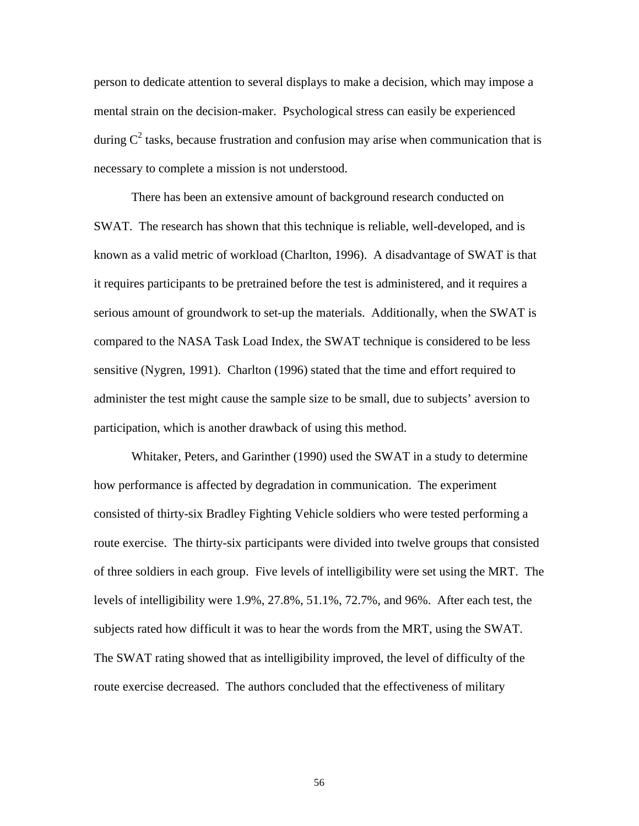person to dedicate attention to several displays to make a decision, which may impose a mental strain on the decision-maker. Psychological stress can easily be experienced during  $C^2$  tasks, because frustration and confusion may arise when communication that is necessary to complete a mission is not understood.

There has been an extensive amount of background research conducted on SWAT. The research has shown that this technique is reliable, well-developed, and is known as a valid metric of workload (Charlton, 1996). A disadvantage of SWAT is that it requires participants to be pretrained before the test is administered, and it requires a serious amount of groundwork to set-up the materials. Additionally, when the SWAT is compared to the NASA Task Load Index, the SWAT technique is considered to be less sensitive (Nygren, 1991). Charlton (1996) stated that the time and effort required to administer the test might cause the sample size to be small, due to subjects' aversion to participation, which is another drawback of using this method.

Whitaker, Peters, and Garinther (1990) used the SWAT in a study to determine how performance is affected by degradation in communication. The experiment consisted of thirty-six Bradley Fighting Vehicle soldiers who were tested performing a route exercise. The thirty-six participants were divided into twelve groups that consisted of three soldiers in each group. Five levels of intelligibility were set using the MRT. The levels of intelligibility were 1.9%, 27.8%, 51.1%, 72.7%, and 96%. After each test, the subjects rated how difficult it was to hear the words from the MRT, using the SWAT. The SWAT rating showed that as intelligibility improved, the level of difficulty of the route exercise decreased. The authors concluded that the effectiveness of military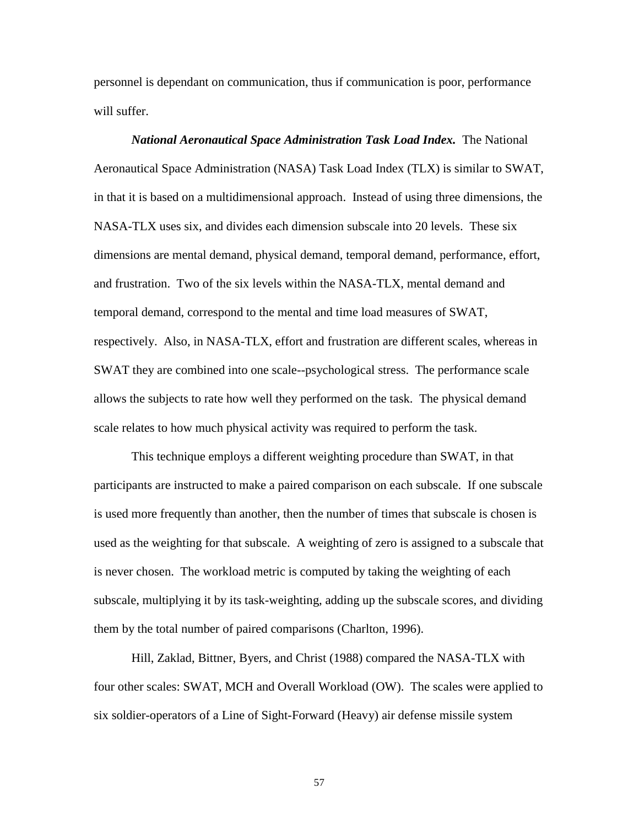personnel is dependant on communication, thus if communication is poor, performance will suffer.

# *National Aeronautical Space Administration Task Load Index.* The National Aeronautical Space Administration (NASA) Task Load Index (TLX) is similar to SWAT, in that it is based on a multidimensional approach. Instead of using three dimensions, the NASA-TLX uses six, and divides each dimension subscale into 20 levels. These six dimensions are mental demand, physical demand, temporal demand, performance, effort, and frustration. Two of the six levels within the NASA-TLX, mental demand and temporal demand, correspond to the mental and time load measures of SWAT, respectively. Also, in NASA-TLX, effort and frustration are different scales, whereas in SWAT they are combined into one scale--psychological stress. The performance scale allows the subjects to rate how well they performed on the task. The physical demand scale relates to how much physical activity was required to perform the task.

This technique employs a different weighting procedure than SWAT, in that participants are instructed to make a paired comparison on each subscale. If one subscale is used more frequently than another, then the number of times that subscale is chosen is used as the weighting for that subscale. A weighting of zero is assigned to a subscale that is never chosen. The workload metric is computed by taking the weighting of each subscale, multiplying it by its task-weighting, adding up the subscale scores, and dividing them by the total number of paired comparisons (Charlton, 1996).

Hill, Zaklad, Bittner, Byers, and Christ (1988) compared the NASA-TLX with four other scales: SWAT, MCH and Overall Workload (OW). The scales were applied to six soldier-operators of a Line of Sight-Forward (Heavy) air defense missile system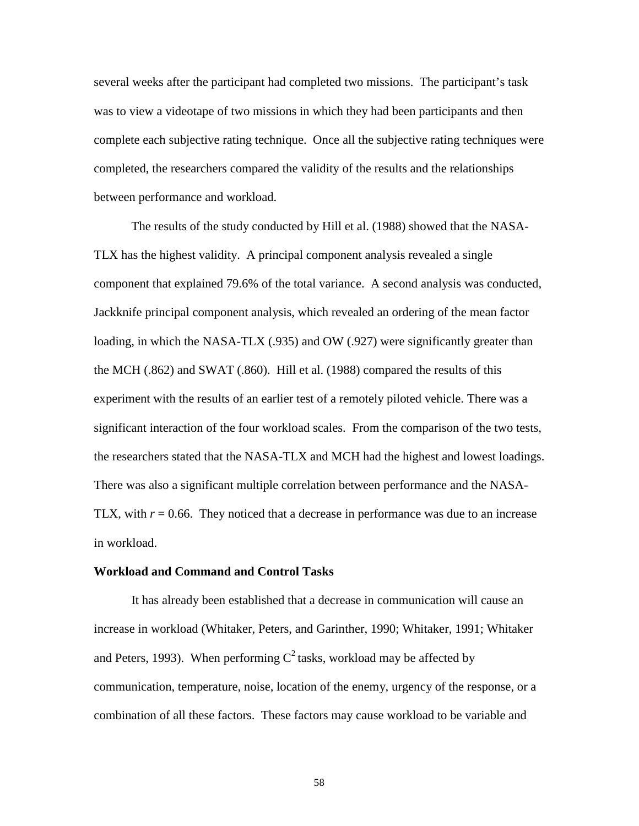several weeks after the participant had completed two missions. The participant's task was to view a videotape of two missions in which they had been participants and then complete each subjective rating technique. Once all the subjective rating techniques were completed, the researchers compared the validity of the results and the relationships between performance and workload.

The results of the study conducted by Hill et al. (1988) showed that the NASA-TLX has the highest validity. A principal component analysis revealed a single component that explained 79.6% of the total variance. A second analysis was conducted, Jackknife principal component analysis, which revealed an ordering of the mean factor loading, in which the NASA-TLX (.935) and OW (.927) were significantly greater than the MCH (.862) and SWAT (.860). Hill et al. (1988) compared the results of this experiment with the results of an earlier test of a remotely piloted vehicle. There was a significant interaction of the four workload scales. From the comparison of the two tests, the researchers stated that the NASA-TLX and MCH had the highest and lowest loadings. There was also a significant multiple correlation between performance and the NASA-TLX, with  $r = 0.66$ . They noticed that a decrease in performance was due to an increase in workload.

#### **Workload and Command and Control Tasks**

It has already been established that a decrease in communication will cause an increase in workload (Whitaker, Peters, and Garinther, 1990; Whitaker, 1991; Whitaker and Peters, 1993). When performing  $C^2$  tasks, workload may be affected by communication, temperature, noise, location of the enemy, urgency of the response, or a combination of all these factors. These factors may cause workload to be variable and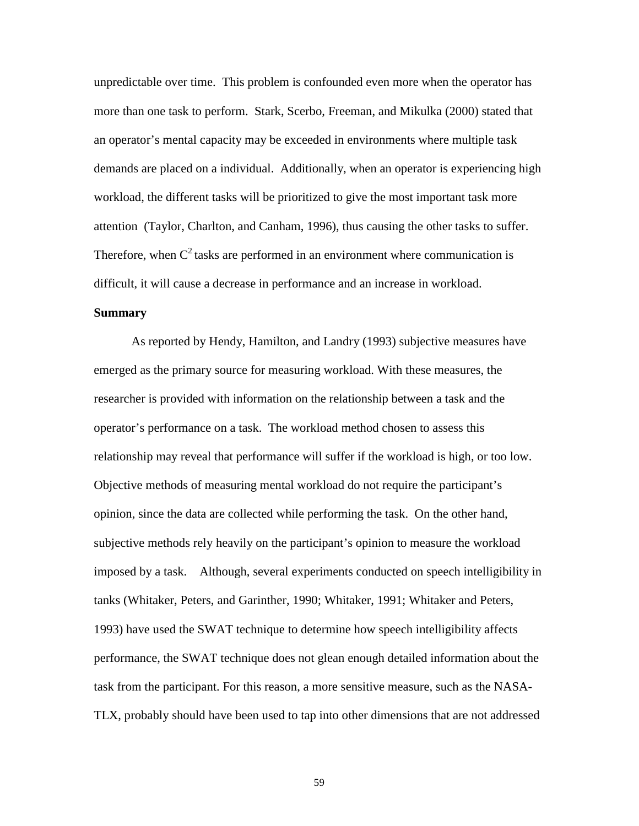unpredictable over time. This problem is confounded even more when the operator has more than one task to perform. Stark, Scerbo, Freeman, and Mikulka (2000) stated that an operator's mental capacity may be exceeded in environments where multiple task demands are placed on a individual. Additionally, when an operator is experiencing high workload, the different tasks will be prioritized to give the most important task more attention (Taylor, Charlton, and Canham, 1996), thus causing the other tasks to suffer. Therefore, when  $C^2$  tasks are performed in an environment where communication is difficult, it will cause a decrease in performance and an increase in workload.

## **Summary**

As reported by Hendy, Hamilton, and Landry (1993) subjective measures have emerged as the primary source for measuring workload. With these measures, the researcher is provided with information on the relationship between a task and the operator's performance on a task. The workload method chosen to assess this relationship may reveal that performance will suffer if the workload is high, or too low. Objective methods of measuring mental workload do not require the participant's opinion, since the data are collected while performing the task. On the other hand, subjective methods rely heavily on the participant's opinion to measure the workload imposed by a task. Although, several experiments conducted on speech intelligibility in tanks (Whitaker, Peters, and Garinther, 1990; Whitaker, 1991; Whitaker and Peters, 1993) have used the SWAT technique to determine how speech intelligibility affects performance, the SWAT technique does not glean enough detailed information about the task from the participant. For this reason, a more sensitive measure, such as the NASA-TLX, probably should have been used to tap into other dimensions that are not addressed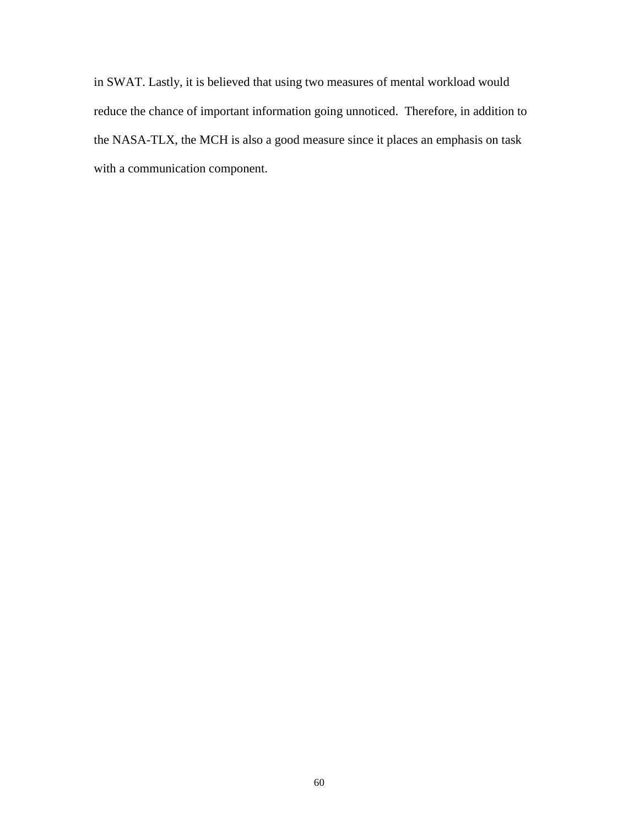in SWAT. Lastly, it is believed that using two measures of mental workload would reduce the chance of important information going unnoticed. Therefore, in addition to the NASA-TLX, the MCH is also a good measure since it places an emphasis on task with a communication component.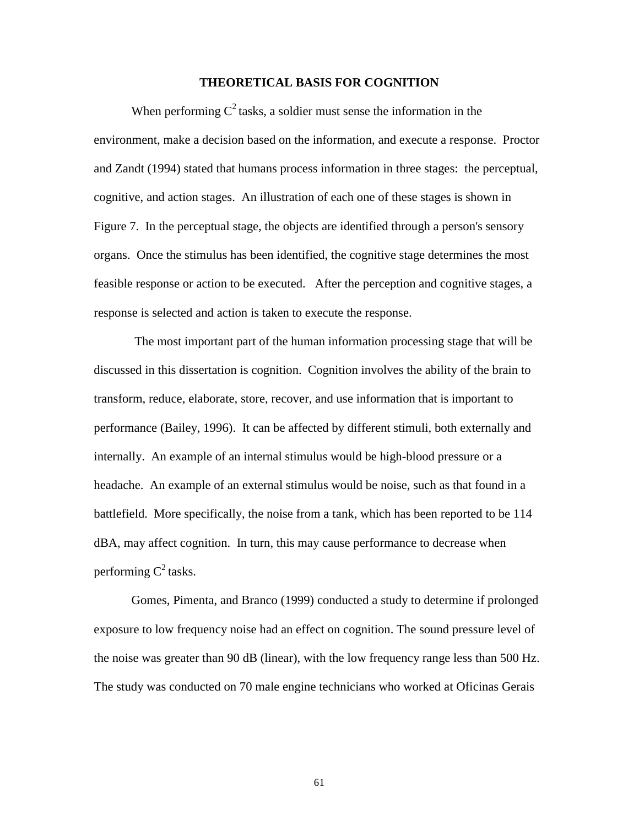#### **THEORETICAL BASIS FOR COGNITION**

When performing  $C^2$  tasks, a soldier must sense the information in the environment, make a decision based on the information, and execute a response. Proctor and Zandt (1994) stated that humans process information in three stages: the perceptual, cognitive, and action stages. An illustration of each one of these stages is shown in Figure 7. In the perceptual stage, the objects are identified through a person's sensory organs. Once the stimulus has been identified, the cognitive stage determines the most feasible response or action to be executed. After the perception and cognitive stages, a response is selected and action is taken to execute the response.

 The most important part of the human information processing stage that will be discussed in this dissertation is cognition. Cognition involves the ability of the brain to transform, reduce, elaborate, store, recover, and use information that is important to performance (Bailey, 1996). It can be affected by different stimuli, both externally and internally. An example of an internal stimulus would be high-blood pressure or a headache. An example of an external stimulus would be noise, such as that found in a battlefield. More specifically, the noise from a tank, which has been reported to be 114 dBA, may affect cognition. In turn, this may cause performance to decrease when performing  $C^2$  tasks.

Gomes, Pimenta, and Branco (1999) conducted a study to determine if prolonged exposure to low frequency noise had an effect on cognition. The sound pressure level of the noise was greater than 90 dB (linear), with the low frequency range less than 500 Hz. The study was conducted on 70 male engine technicians who worked at Oficinas Gerais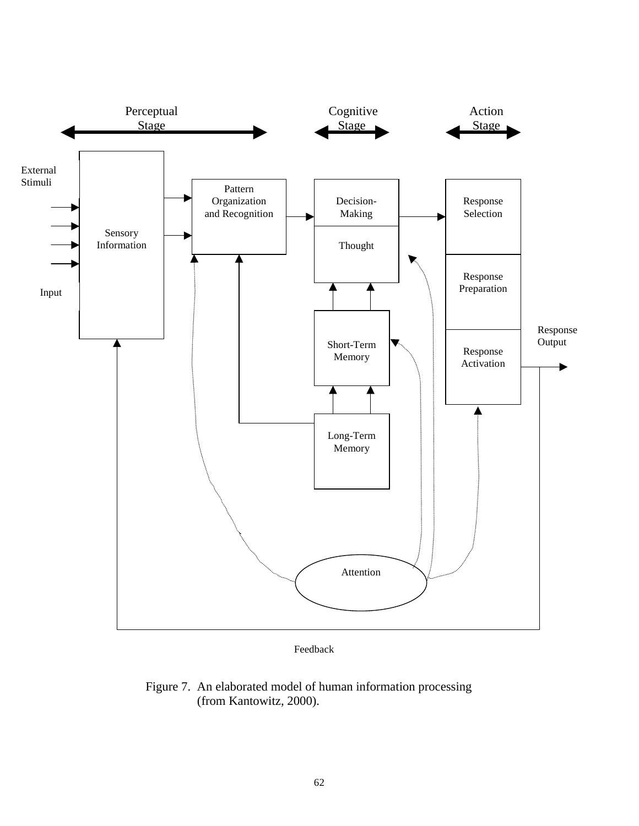

Feedback

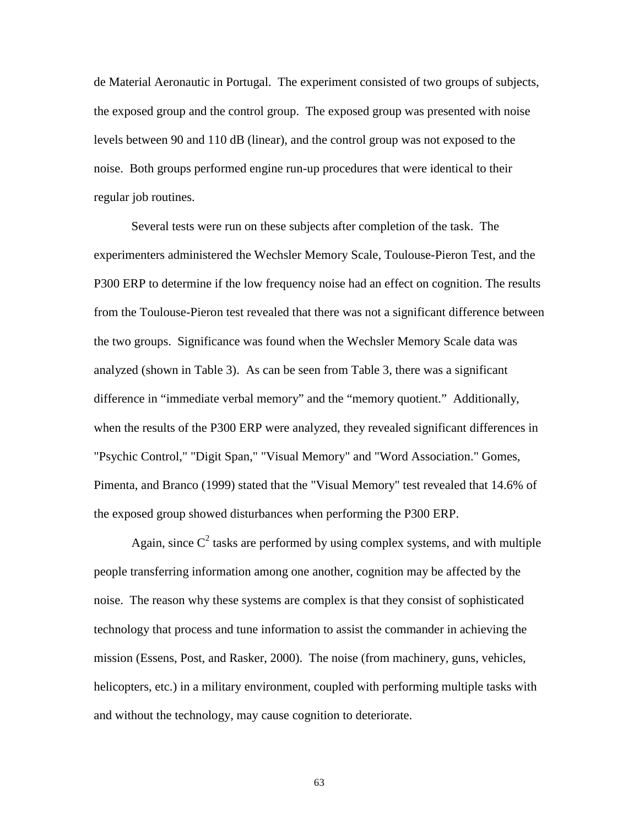de Material Aeronautic in Portugal. The experiment consisted of two groups of subjects, the exposed group and the control group. The exposed group was presented with noise levels between 90 and 110 dB (linear), and the control group was not exposed to the noise. Both groups performed engine run-up procedures that were identical to their regular job routines.

Several tests were run on these subjects after completion of the task. The experimenters administered the Wechsler Memory Scale, Toulouse-Pieron Test, and the P300 ERP to determine if the low frequency noise had an effect on cognition. The results from the Toulouse-Pieron test revealed that there was not a significant difference between the two groups. Significance was found when the Wechsler Memory Scale data was analyzed (shown in Table 3). As can be seen from Table 3, there was a significant difference in "immediate verbal memory" and the "memory quotient." Additionally, when the results of the P300 ERP were analyzed, they revealed significant differences in "Psychic Control," "Digit Span," "Visual Memory" and "Word Association." Gomes, Pimenta, and Branco (1999) stated that the "Visual Memory" test revealed that 14.6% of the exposed group showed disturbances when performing the P300 ERP.

Again, since  $C^2$  tasks are performed by using complex systems, and with multiple people transferring information among one another, cognition may be affected by the noise. The reason why these systems are complex is that they consist of sophisticated technology that process and tune information to assist the commander in achieving the mission (Essens, Post, and Rasker, 2000). The noise (from machinery, guns, vehicles, helicopters, etc.) in a military environment, coupled with performing multiple tasks with and without the technology, may cause cognition to deteriorate.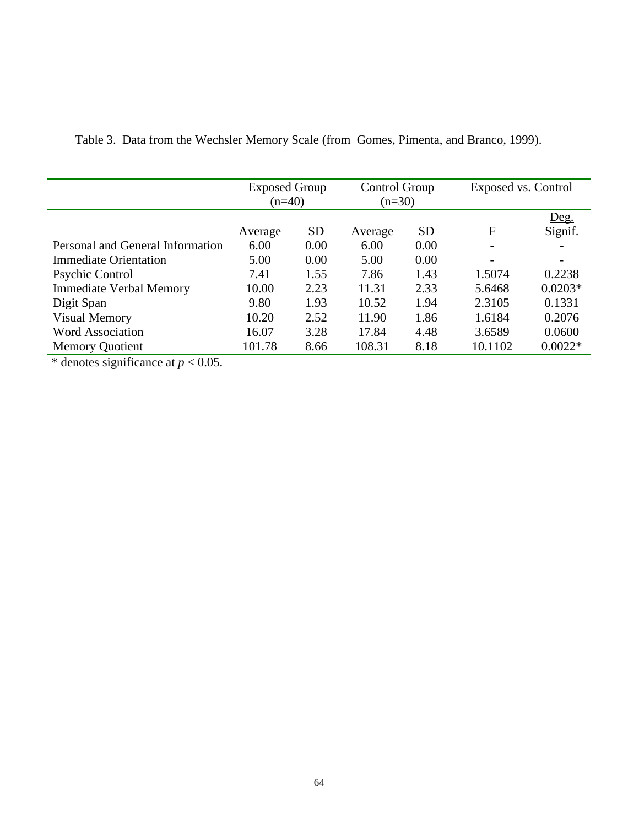|                                  | <b>Exposed Group</b><br>$(n=40)$ |      | Control Group<br>$(n=30)$ |      | Exposed vs. Control |           |
|----------------------------------|----------------------------------|------|---------------------------|------|---------------------|-----------|
|                                  |                                  |      |                           |      |                     | Deg.      |
|                                  | Average                          | SD   | Average                   | SD   | F                   | Signif.   |
| Personal and General Information | 6.00                             | 0.00 | 6.00                      | 0.00 | -                   |           |
| <b>Immediate Orientation</b>     | 5.00                             | 0.00 | 5.00                      | 0.00 |                     |           |
| Psychic Control                  | 7.41                             | 1.55 | 7.86                      | 1.43 | 1.5074              | 0.2238    |
| <b>Immediate Verbal Memory</b>   | 10.00                            | 2.23 | 11.31                     | 2.33 | 5.6468              | $0.0203*$ |
| Digit Span                       | 9.80                             | 1.93 | 10.52                     | 1.94 | 2.3105              | 0.1331    |
| <b>Visual Memory</b>             | 10.20                            | 2.52 | 11.90                     | 1.86 | 1.6184              | 0.2076    |
| <b>Word Association</b>          | 16.07                            | 3.28 | 17.84                     | 4.48 | 3.6589              | 0.0600    |
| <b>Memory Quotient</b>           | 101.78                           | 8.66 | 108.31                    | 8.18 | 10.1102             | $0.0022*$ |

Table 3. Data from the Wechsler Memory Scale (from Gomes, Pimenta, and Branco, 1999).

\* denotes significance at  $p < 0.05$ .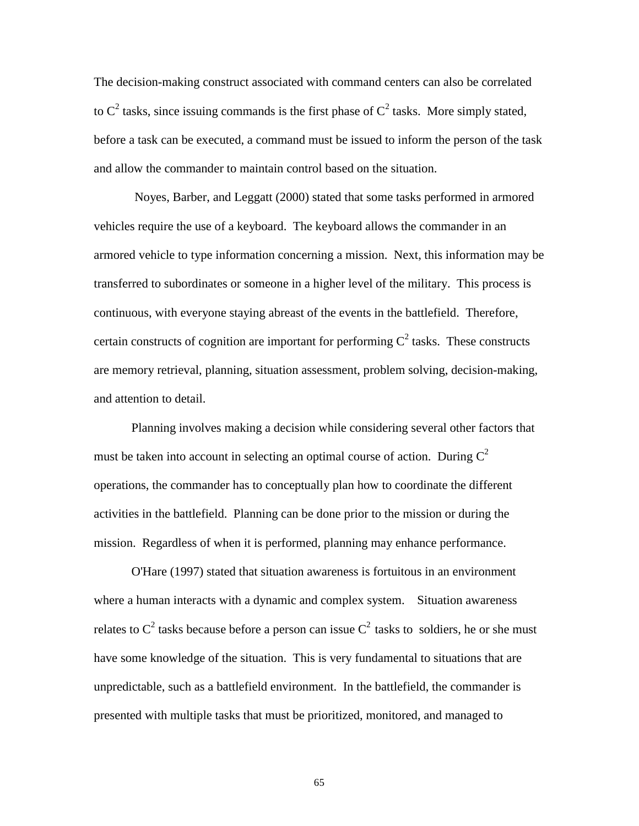The decision-making construct associated with command centers can also be correlated to  $C^2$  tasks, since issuing commands is the first phase of  $C^2$  tasks. More simply stated, before a task can be executed, a command must be issued to inform the person of the task and allow the commander to maintain control based on the situation.

 Noyes, Barber, and Leggatt (2000) stated that some tasks performed in armored vehicles require the use of a keyboard. The keyboard allows the commander in an armored vehicle to type information concerning a mission. Next, this information may be transferred to subordinates or someone in a higher level of the military. This process is continuous, with everyone staying abreast of the events in the battlefield. Therefore, certain constructs of cognition are important for performing  $C^2$  tasks. These constructs are memory retrieval, planning, situation assessment, problem solving, decision-making, and attention to detail.

Planning involves making a decision while considering several other factors that must be taken into account in selecting an optimal course of action. During  $C^2$ operations, the commander has to conceptually plan how to coordinate the different activities in the battlefield. Planning can be done prior to the mission or during the mission. Regardless of when it is performed, planning may enhance performance.

O'Hare (1997) stated that situation awareness is fortuitous in an environment where a human interacts with a dynamic and complex system. Situation awareness relates to  $C^2$  tasks because before a person can issue  $C^2$  tasks to soldiers, he or she must have some knowledge of the situation. This is very fundamental to situations that are unpredictable, such as a battlefield environment. In the battlefield, the commander is presented with multiple tasks that must be prioritized, monitored, and managed to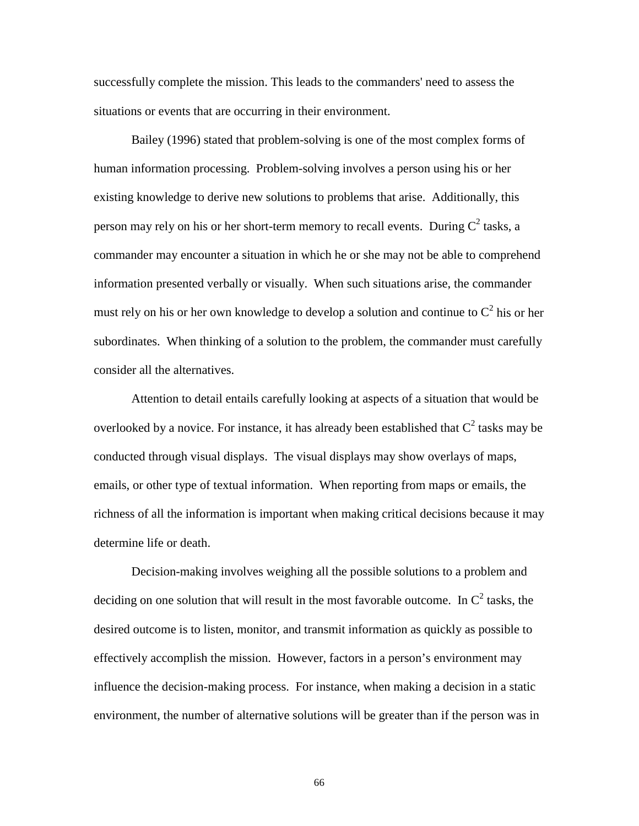successfully complete the mission. This leads to the commanders' need to assess the situations or events that are occurring in their environment.

Bailey (1996) stated that problem-solving is one of the most complex forms of human information processing. Problem-solving involves a person using his or her existing knowledge to derive new solutions to problems that arise. Additionally, this person may rely on his or her short-term memory to recall events. During  $C^2$  tasks, a commander may encounter a situation in which he or she may not be able to comprehend information presented verbally or visually. When such situations arise, the commander must rely on his or her own knowledge to develop a solution and continue to  $C^2$  his or her subordinates. When thinking of a solution to the problem, the commander must carefully consider all the alternatives.

Attention to detail entails carefully looking at aspects of a situation that would be overlooked by a novice. For instance, it has already been established that  $C^2$  tasks may be conducted through visual displays. The visual displays may show overlays of maps, emails, or other type of textual information. When reporting from maps or emails, the richness of all the information is important when making critical decisions because it may determine life or death.

Decision-making involves weighing all the possible solutions to a problem and deciding on one solution that will result in the most favorable outcome. In  $C^2$  tasks, the desired outcome is to listen, monitor, and transmit information as quickly as possible to effectively accomplish the mission. However, factors in a person's environment may influence the decision-making process. For instance, when making a decision in a static environment, the number of alternative solutions will be greater than if the person was in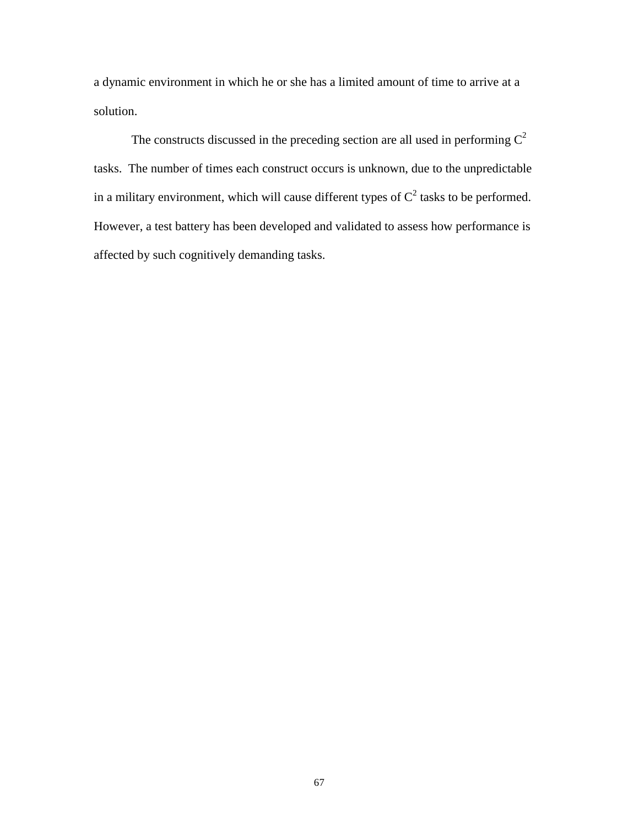a dynamic environment in which he or she has a limited amount of time to arrive at a solution.

The constructs discussed in the preceding section are all used in performing  $C^2$ tasks. The number of times each construct occurs is unknown, due to the unpredictable in a military environment, which will cause different types of  $C^2$  tasks to be performed. However, a test battery has been developed and validated to assess how performance is affected by such cognitively demanding tasks.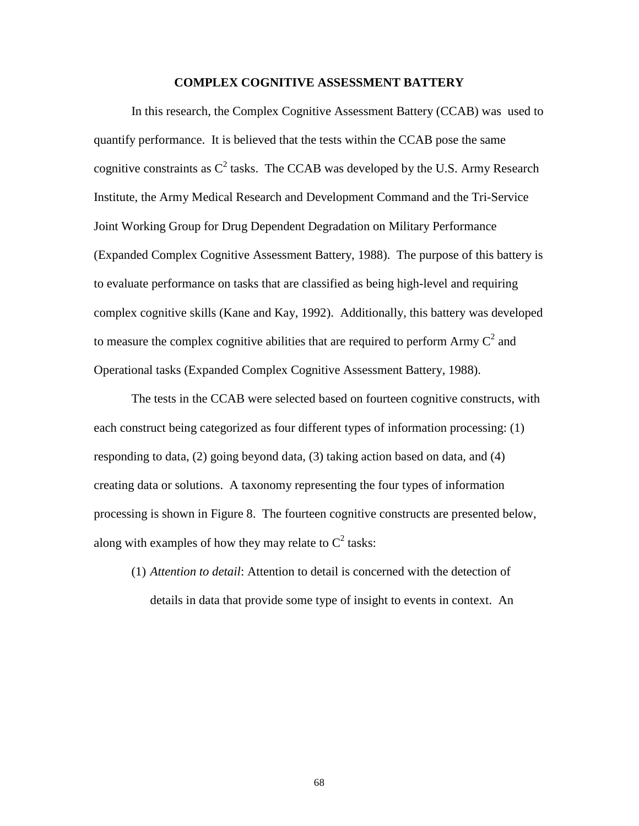## **COMPLEX COGNITIVE ASSESSMENT BATTERY**

 In this research, the Complex Cognitive Assessment Battery (CCAB) was used to quantify performance. It is believed that the tests within the CCAB pose the same cognitive constraints as  $C^2$  tasks. The CCAB was developed by the U.S. Army Research Institute, the Army Medical Research and Development Command and the Tri-Service Joint Working Group for Drug Dependent Degradation on Military Performance (Expanded Complex Cognitive Assessment Battery, 1988). The purpose of this battery is to evaluate performance on tasks that are classified as being high-level and requiring complex cognitive skills (Kane and Kay, 1992). Additionally, this battery was developed to measure the complex cognitive abilities that are required to perform Army  $C^2$  and Operational tasks (Expanded Complex Cognitive Assessment Battery, 1988).

The tests in the CCAB were selected based on fourteen cognitive constructs, with each construct being categorized as four different types of information processing: (1) responding to data, (2) going beyond data, (3) taking action based on data, and (4) creating data or solutions. A taxonomy representing the four types of information processing is shown in Figure 8. The fourteen cognitive constructs are presented below, along with examples of how they may relate to  $C^2$  tasks:

(1) *Attention to detail*: Attention to detail is concerned with the detection of details in data that provide some type of insight to events in context. An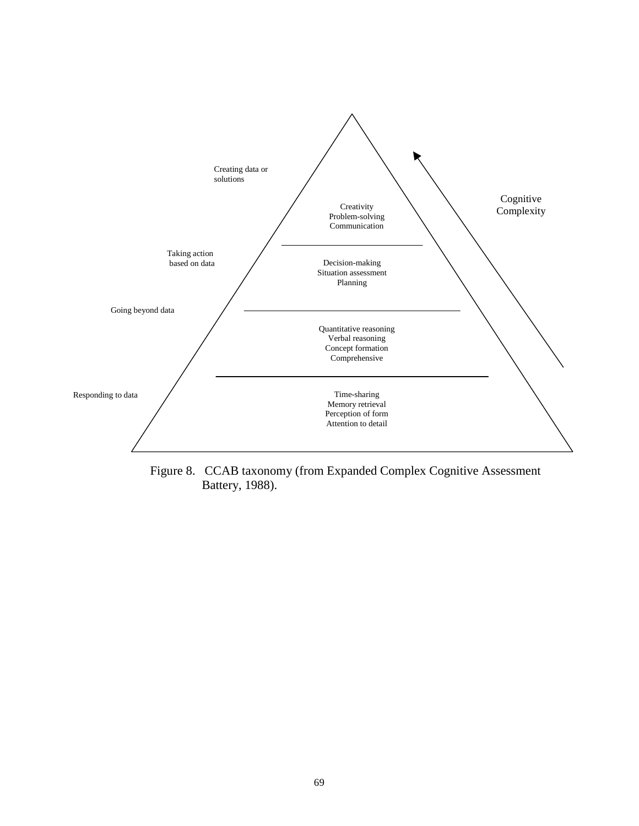

Figure 8. CCAB taxonomy (from Expanded Complex Cognitive Assessment Battery, 1988).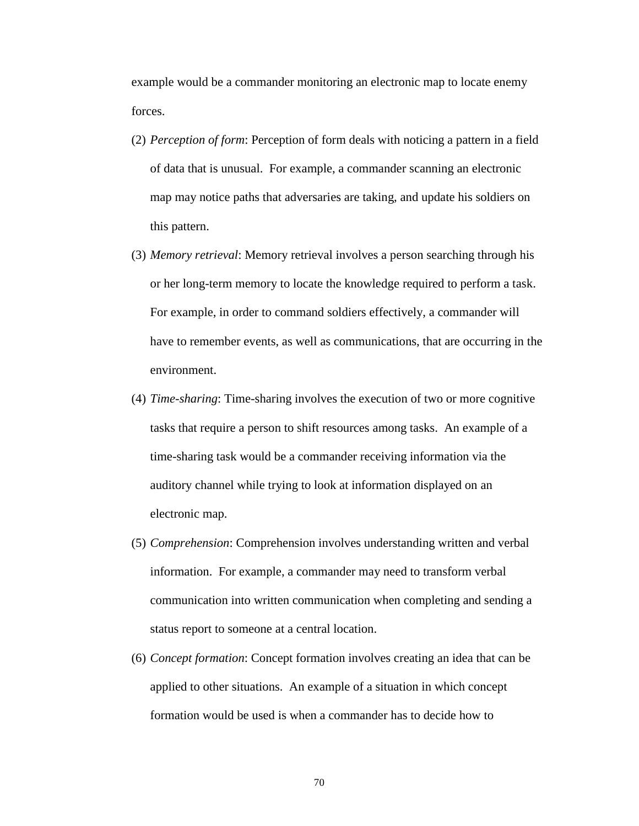example would be a commander monitoring an electronic map to locate enemy forces.

- (2) *Perception of form*: Perception of form deals with noticing a pattern in a field of data that is unusual. For example, a commander scanning an electronic map may notice paths that adversaries are taking, and update his soldiers on this pattern.
- (3) *Memory retrieval*: Memory retrieval involves a person searching through his or her long-term memory to locate the knowledge required to perform a task. For example, in order to command soldiers effectively, a commander will have to remember events, as well as communications, that are occurring in the environment.
- (4) *Time-sharing*: Time-sharing involves the execution of two or more cognitive tasks that require a person to shift resources among tasks. An example of a time-sharing task would be a commander receiving information via the auditory channel while trying to look at information displayed on an electronic map.
- (5) *Comprehension*: Comprehension involves understanding written and verbal information. For example, a commander may need to transform verbal communication into written communication when completing and sending a status report to someone at a central location.
- (6) *Concept formation*: Concept formation involves creating an idea that can be applied to other situations. An example of a situation in which concept formation would be used is when a commander has to decide how to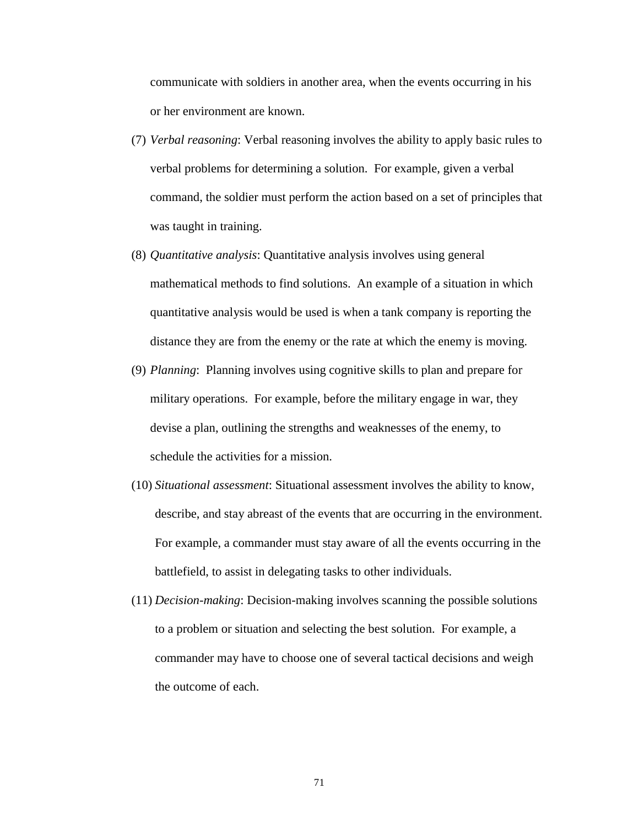communicate with soldiers in another area, when the events occurring in his or her environment are known.

- (7) *Verbal reasoning*: Verbal reasoning involves the ability to apply basic rules to verbal problems for determining a solution. For example, given a verbal command, the soldier must perform the action based on a set of principles that was taught in training.
- (8) *Quantitative analysis*: Quantitative analysis involves using general mathematical methods to find solutions. An example of a situation in which quantitative analysis would be used is when a tank company is reporting the distance they are from the enemy or the rate at which the enemy is moving.
- (9) *Planning*: Planning involves using cognitive skills to plan and prepare for military operations. For example, before the military engage in war, they devise a plan, outlining the strengths and weaknesses of the enemy, to schedule the activities for a mission.
- (10) *Situational assessment*: Situational assessment involves the ability to know, describe, and stay abreast of the events that are occurring in the environment. For example, a commander must stay aware of all the events occurring in the battlefield, to assist in delegating tasks to other individuals.
- (11) *Decision-making*: Decision-making involves scanning the possible solutions to a problem or situation and selecting the best solution. For example, a commander may have to choose one of several tactical decisions and weigh the outcome of each.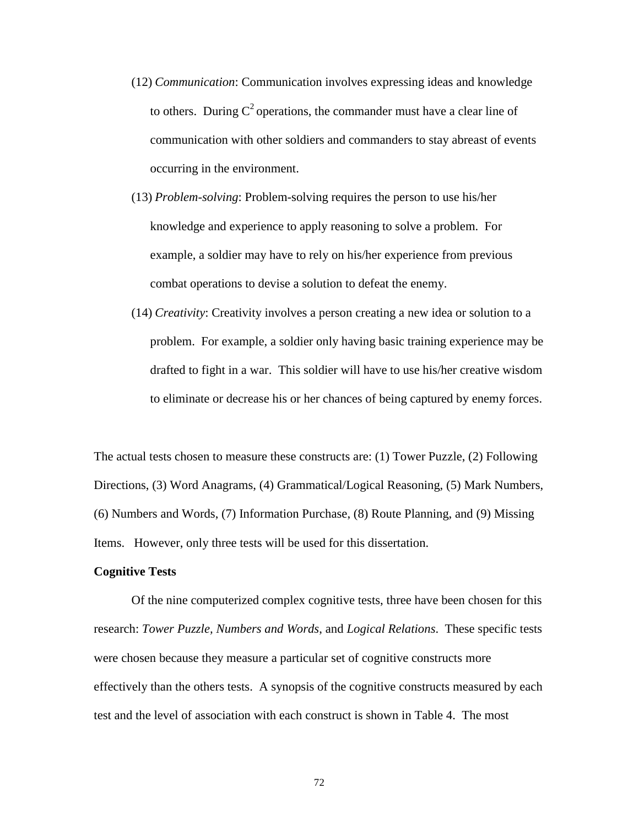- (12) *Communication*: Communication involves expressing ideas and knowledge to others. During  $C^2$  operations, the commander must have a clear line of communication with other soldiers and commanders to stay abreast of events occurring in the environment.
- (13) *Problem-solving*: Problem-solving requires the person to use his/her knowledge and experience to apply reasoning to solve a problem. For example, a soldier may have to rely on his/her experience from previous combat operations to devise a solution to defeat the enemy.
- (14) *Creativity*: Creativity involves a person creating a new idea or solution to a problem. For example, a soldier only having basic training experience may be drafted to fight in a war. This soldier will have to use his/her creative wisdom to eliminate or decrease his or her chances of being captured by enemy forces.

The actual tests chosen to measure these constructs are: (1) Tower Puzzle, (2) Following Directions, (3) Word Anagrams, (4) Grammatical/Logical Reasoning, (5) Mark Numbers, (6) Numbers and Words, (7) Information Purchase, (8) Route Planning, and (9) Missing Items. However, only three tests will be used for this dissertation.

## **Cognitive Tests**

Of the nine computerized complex cognitive tests, three have been chosen for this research: *Tower Puzzle, Numbers and Words*, and *Logical Relations*. These specific tests were chosen because they measure a particular set of cognitive constructs more effectively than the others tests. A synopsis of the cognitive constructs measured by each test and the level of association with each construct is shown in Table 4. The most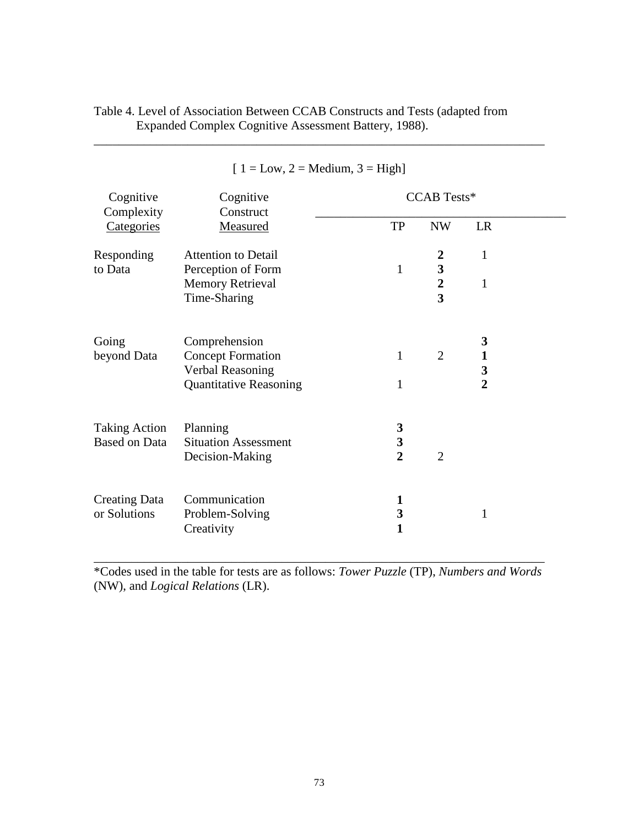| Cognitive<br>Complexity                      | Cognitive<br>Construct                                        | <b>CCAB</b> Tests*                             |                                             |                        |  |
|----------------------------------------------|---------------------------------------------------------------|------------------------------------------------|---------------------------------------------|------------------------|--|
| Categories                                   | Measured                                                      | TP                                             | <b>NW</b>                                   | LR                     |  |
| Responding<br>to Data                        | <b>Attention to Detail</b><br>Perception of Form              | $\mathbf{1}$                                   | $\boldsymbol{2}$<br>$\overline{\mathbf{3}}$ | $\mathbf{1}$           |  |
|                                              | <b>Memory Retrieval</b><br>Time-Sharing                       |                                                | $\overline{2}$<br>$\overline{\mathbf{3}}$   | 1                      |  |
| Going<br>beyond Data                         | Comprehension<br><b>Concept Formation</b><br>Verbal Reasoning | $\mathbf{1}$                                   | $\overline{2}$                              | 3<br>$\mathbf{1}$<br>3 |  |
|                                              | <b>Quantitative Reasoning</b>                                 | $\mathbf{1}$                                   |                                             | $\overline{2}$         |  |
| <b>Taking Action</b><br><b>Based on Data</b> | Planning<br><b>Situation Assessment</b><br>Decision-Making    | 3<br>$\overline{\mathbf{3}}$<br>$\overline{2}$ | $\overline{2}$                              |                        |  |
| <b>Creating Data</b><br>or Solutions         | Communication<br>Problem-Solving<br>Creativity                | 1<br>3<br>$\mathbf{1}$                         |                                             | 1                      |  |

Table 4. Level of Association Between CCAB Constructs and Tests (adapted from Expanded Complex Cognitive Assessment Battery, 1988).

 $[1 = Low, 2 = Medium, 3 = High]$ 

\_\_\_\_\_\_\_\_\_\_\_\_\_\_\_\_\_\_\_\_\_\_\_\_\_\_\_\_\_\_\_\_\_\_\_\_\_\_\_\_\_\_\_\_\_\_\_\_\_\_\_\_\_\_\_\_\_\_\_\_\_\_\_\_\_\_\_\_\_\_\_\_

\*Codes used in the table for tests are as follows: *Tower Puzzle* (TP), *Numbers and Words* (NW), and *Logical Relations* (LR).

\_\_\_\_\_\_\_\_\_\_\_\_\_\_\_\_\_\_\_\_\_\_\_\_\_\_\_\_\_\_\_\_\_\_\_\_\_\_\_\_\_\_\_\_\_\_\_\_\_\_\_\_\_\_\_\_\_\_\_\_\_\_\_\_\_\_\_\_\_\_\_\_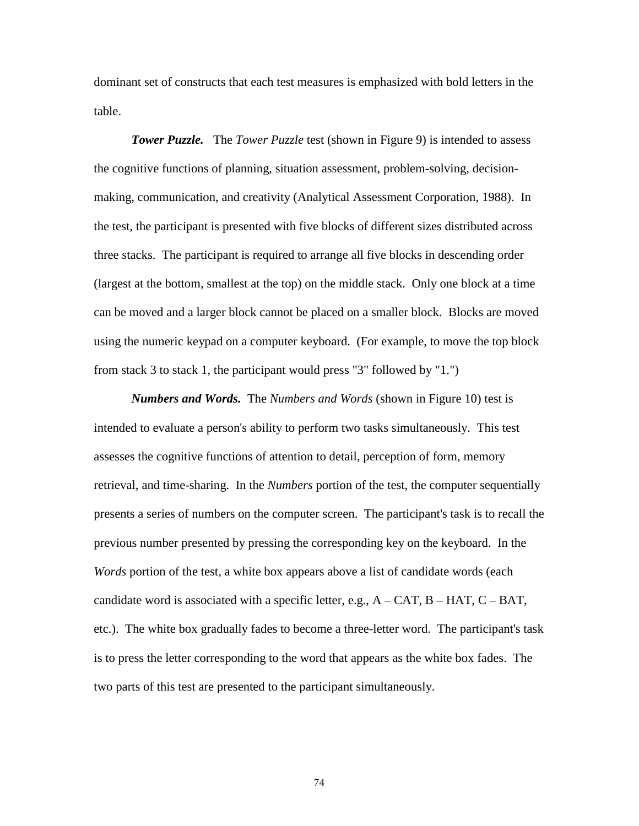dominant set of constructs that each test measures is emphasized with bold letters in the table.

*Tower Puzzle.* The *Tower Puzzle* test (shown in Figure 9) is intended to assess the cognitive functions of planning, situation assessment, problem-solving, decisionmaking, communication, and creativity (Analytical Assessment Corporation, 1988). In the test, the participant is presented with five blocks of different sizes distributed across three stacks. The participant is required to arrange all five blocks in descending order (largest at the bottom, smallest at the top) on the middle stack. Only one block at a time can be moved and a larger block cannot be placed on a smaller block. Blocks are moved using the numeric keypad on a computer keyboard. (For example, to move the top block from stack 3 to stack 1, the participant would press "3" followed by "1.")

*Numbers and Words.* The *Numbers and Words* (shown in Figure 10) test is intended to evaluate a person's ability to perform two tasks simultaneously. This test assesses the cognitive functions of attention to detail, perception of form, memory retrieval, and time-sharing. In the *Numbers* portion of the test, the computer sequentially presents a series of numbers on the computer screen. The participant's task is to recall the previous number presented by pressing the corresponding key on the keyboard. In the *Words* portion of the test, a white box appears above a list of candidate words (each candidate word is associated with a specific letter, e.g.,  $A - CAT$ ,  $B - HAT$ ,  $C - BAT$ , etc.). The white box gradually fades to become a three-letter word. The participant's task is to press the letter corresponding to the word that appears as the white box fades. The two parts of this test are presented to the participant simultaneously.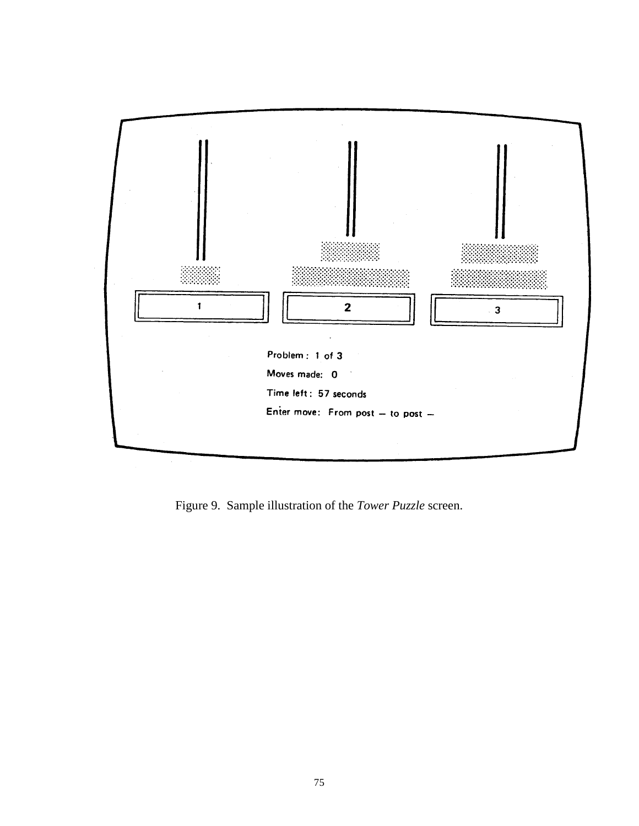

Figure 9. Sample illustration of the *Tower Puzzle* screen.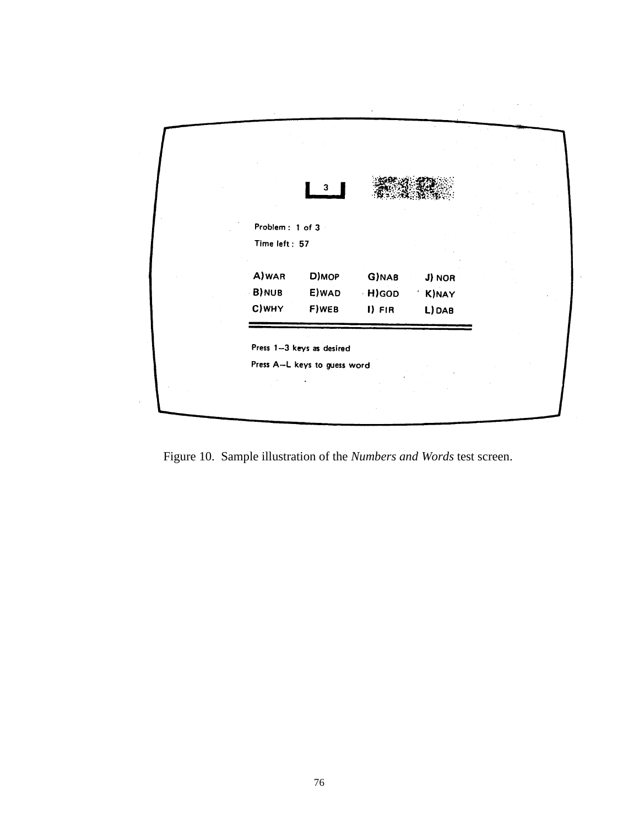| Problem: 1 of 3<br>Time left: 57<br>A) WAR<br>D)MOP<br>G)NAB<br>J) NOR |
|------------------------------------------------------------------------|
|                                                                        |
| B) NUB<br>E) WAD<br>H) GOD<br>K)NAY<br>C) WHY<br>F) WEB                |

 $\label{eq:2.1} \mathcal{L}_{\mathcal{A}}(\mathcal{A}) = \mathcal{L}_{\mathcal{A}}(\mathcal{A}) = \mathcal{L}_{\mathcal{A}}(\mathcal{A})$ 

Figure 10. Sample illustration of the *Numbers and Words* test screen.

 $\hat{\mathcal{L}}$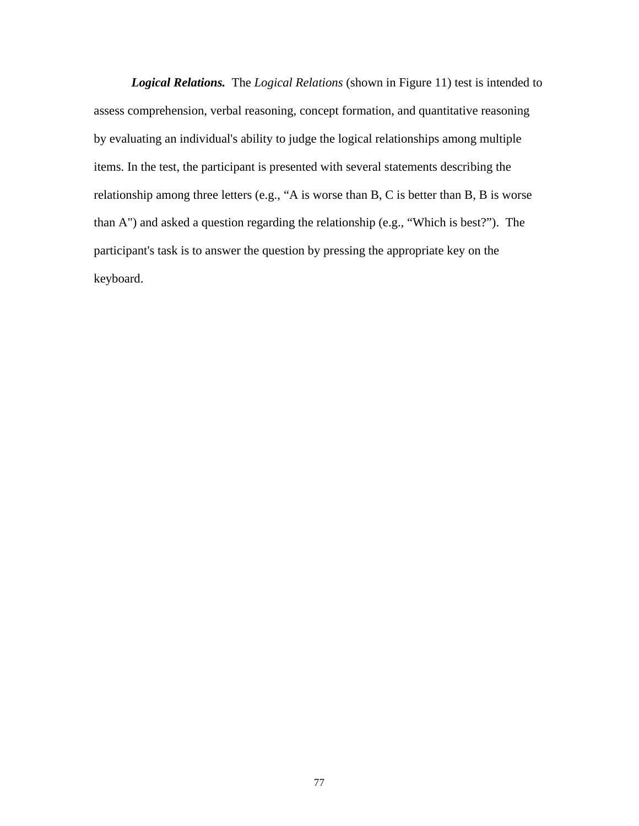*Logical Relations.* The *Logical Relations* (shown in Figure 11) test is intended to assess comprehension, verbal reasoning, concept formation, and quantitative reasoning by evaluating an individual's ability to judge the logical relationships among multiple items. In the test, the participant is presented with several statements describing the relationship among three letters (e.g., "A is worse than B, C is better than B, B is worse than A") and asked a question regarding the relationship (e.g., "Which is best?"). The participant's task is to answer the question by pressing the appropriate key on the keyboard.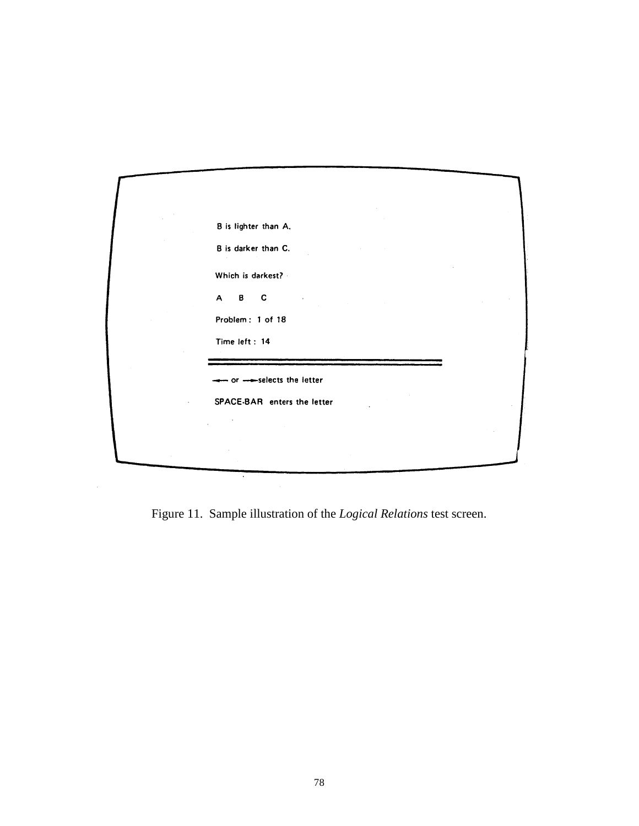| B is lighter than A.              |  |
|-----------------------------------|--|
| B is darker than C.               |  |
| Which is darkest? -               |  |
| $\mathbf{B}$<br>$\mathsf{A}$<br>C |  |
| Problem: 1 of 18                  |  |
| Time left: 14                     |  |
| - or --selects the letter         |  |
| SPACE-BAR enters the letter       |  |
|                                   |  |
|                                   |  |

Figure 11. Sample illustration of the *Logical Relations* test screen.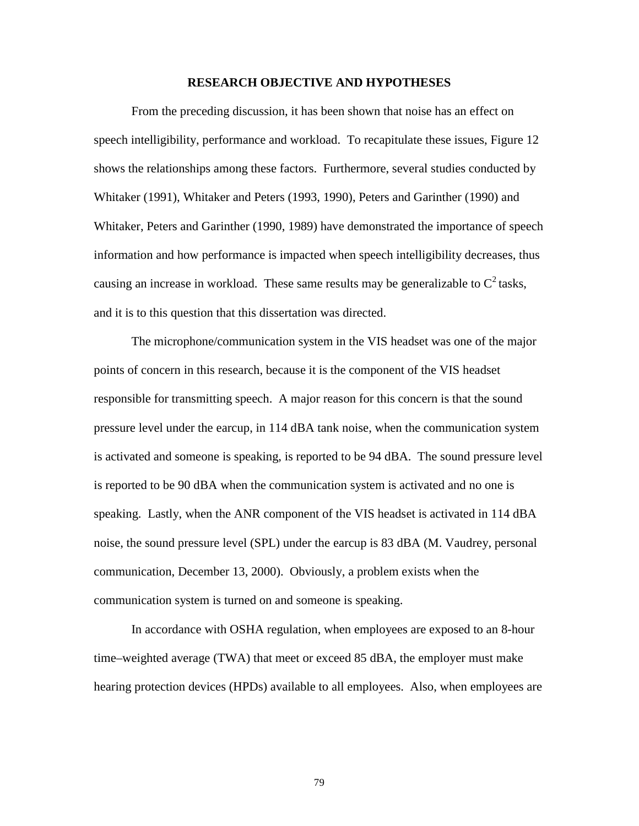#### **RESEARCH OBJECTIVE AND HYPOTHESES**

From the preceding discussion, it has been shown that noise has an effect on speech intelligibility, performance and workload. To recapitulate these issues, Figure 12 shows the relationships among these factors. Furthermore, several studies conducted by Whitaker (1991), Whitaker and Peters (1993, 1990), Peters and Garinther (1990) and Whitaker, Peters and Garinther (1990, 1989) have demonstrated the importance of speech information and how performance is impacted when speech intelligibility decreases, thus causing an increase in workload. These same results may be generalizable to  $C^2$  tasks, and it is to this question that this dissertation was directed.

The microphone/communication system in the VIS headset was one of the major points of concern in this research, because it is the component of the VIS headset responsible for transmitting speech. A major reason for this concern is that the sound pressure level under the earcup, in 114 dBA tank noise, when the communication system is activated and someone is speaking, is reported to be 94 dBA. The sound pressure level is reported to be 90 dBA when the communication system is activated and no one is speaking. Lastly, when the ANR component of the VIS headset is activated in 114 dBA noise, the sound pressure level (SPL) under the earcup is 83 dBA (M. Vaudrey, personal communication, December 13, 2000). Obviously, a problem exists when the communication system is turned on and someone is speaking.

In accordance with OSHA regulation, when employees are exposed to an 8-hour time–weighted average (TWA) that meet or exceed 85 dBA, the employer must make hearing protection devices (HPDs) available to all employees. Also, when employees are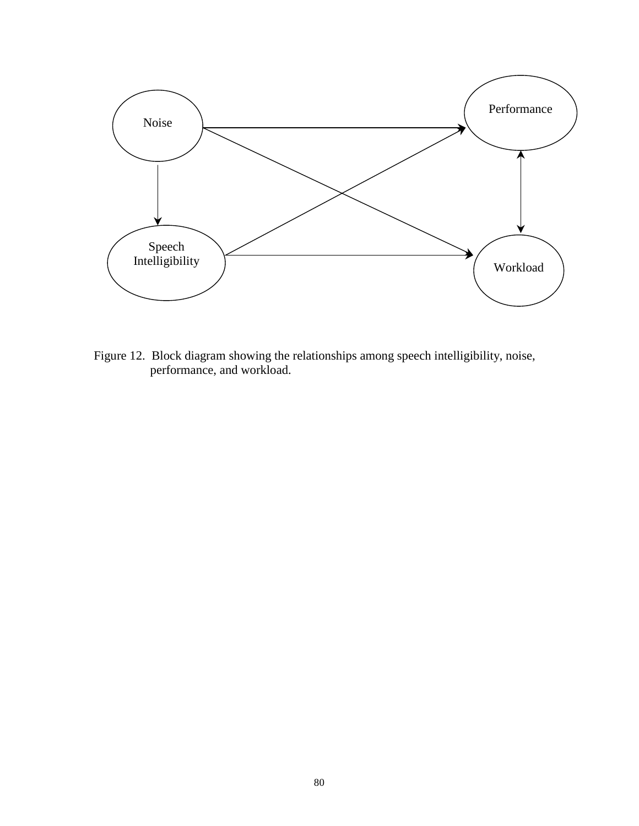

Figure 12. Block diagram showing the relationships among speech intelligibility, noise, performance, and workload.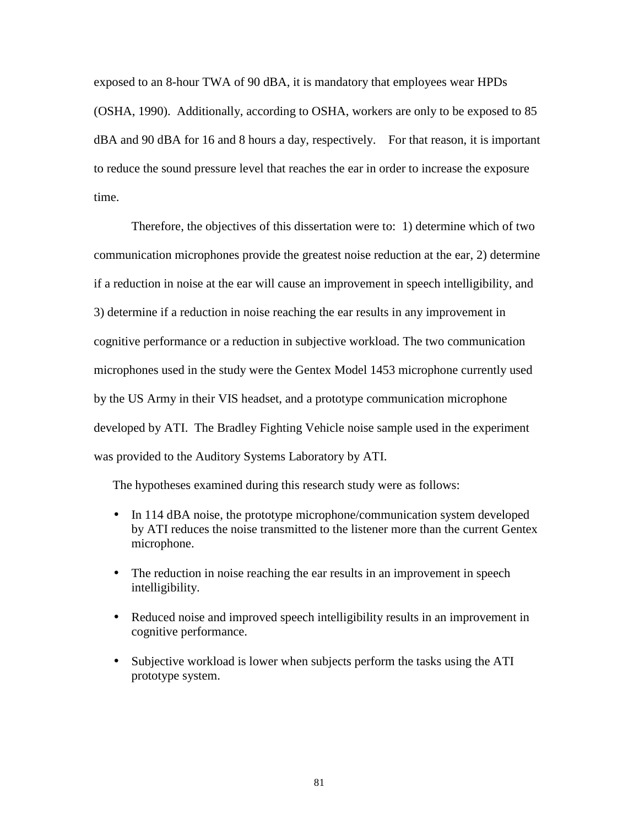exposed to an 8-hour TWA of 90 dBA, it is mandatory that employees wear HPDs (OSHA, 1990). Additionally, according to OSHA, workers are only to be exposed to 85 dBA and 90 dBA for 16 and 8 hours a day, respectively. For that reason, it is important to reduce the sound pressure level that reaches the ear in order to increase the exposure time.

Therefore, the objectives of this dissertation were to: 1) determine which of two communication microphones provide the greatest noise reduction at the ear, 2) determine if a reduction in noise at the ear will cause an improvement in speech intelligibility, and 3) determine if a reduction in noise reaching the ear results in any improvement in cognitive performance or a reduction in subjective workload. The two communication microphones used in the study were the Gentex Model 1453 microphone currently used by the US Army in their VIS headset, and a prototype communication microphone developed by ATI. The Bradley Fighting Vehicle noise sample used in the experiment was provided to the Auditory Systems Laboratory by ATI.

The hypotheses examined during this research study were as follows:

- In 114 dBA noise, the prototype microphone/communication system developed by ATI reduces the noise transmitted to the listener more than the current Gentex microphone.
- The reduction in noise reaching the ear results in an improvement in speech intelligibility.
- Reduced noise and improved speech intelligibility results in an improvement in cognitive performance.
- Subjective workload is lower when subjects perform the tasks using the ATI prototype system.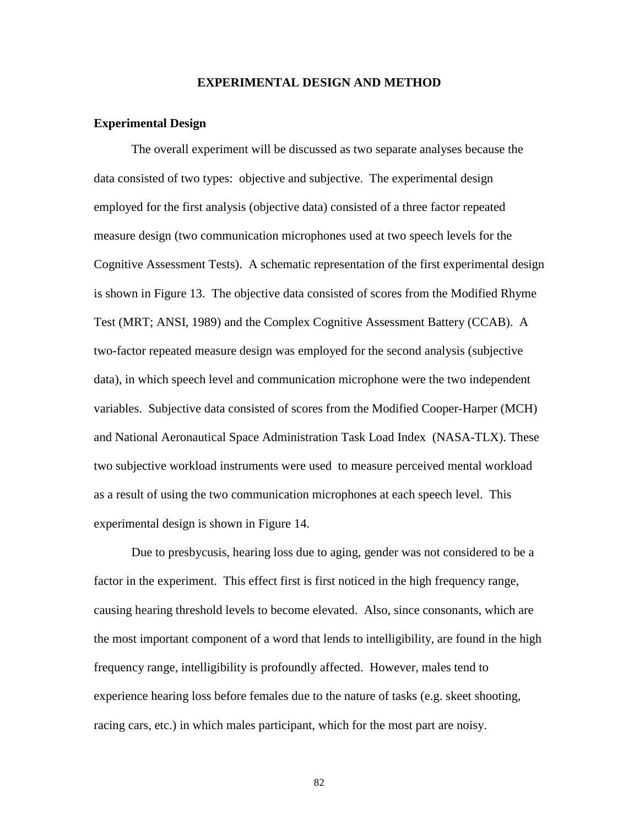## **EXPERIMENTAL DESIGN AND METHOD**

## **Experimental Design**

 The overall experiment will be discussed as two separate analyses because the data consisted of two types: objective and subjective. The experimental design employed for the first analysis (objective data) consisted of a three factor repeated measure design (two communication microphones used at two speech levels for the Cognitive Assessment Tests). A schematic representation of the first experimental design is shown in Figure 13. The objective data consisted of scores from the Modified Rhyme Test (MRT; ANSI, 1989) and the Complex Cognitive Assessment Battery (CCAB). A two-factor repeated measure design was employed for the second analysis (subjective data), in which speech level and communication microphone were the two independent variables. Subjective data consisted of scores from the Modified Cooper-Harper (MCH) and National Aeronautical Space Administration Task Load Index (NASA-TLX). These two subjective workload instruments were used to measure perceived mental workload as a result of using the two communication microphones at each speech level. This experimental design is shown in Figure 14.

Due to presbycusis, hearing loss due to aging, gender was not considered to be a factor in the experiment. This effect first is first noticed in the high frequency range, causing hearing threshold levels to become elevated. Also, since consonants, which are the most important component of a word that lends to intelligibility, are found in the high frequency range, intelligibility is profoundly affected. However, males tend to experience hearing loss before females due to the nature of tasks (e.g. skeet shooting, racing cars, etc.) in which males participant, which for the most part are noisy.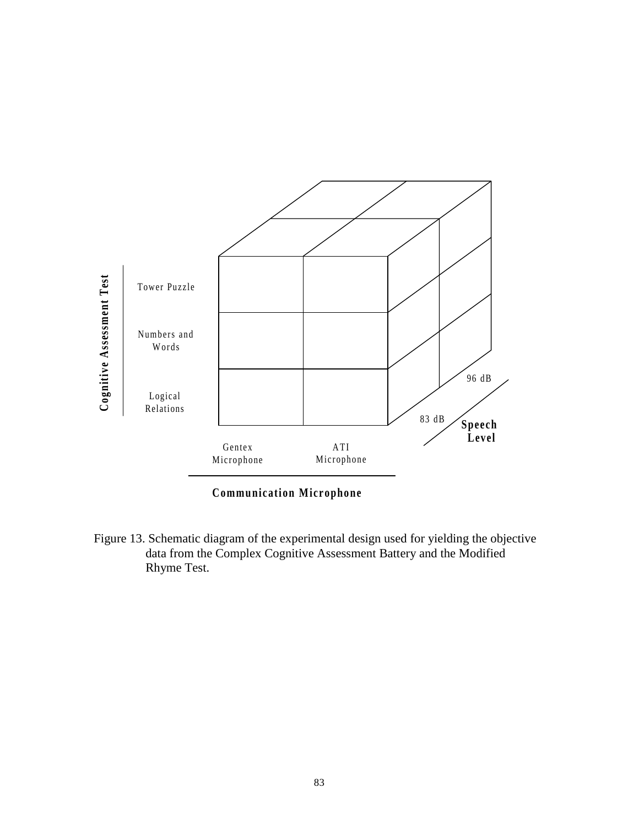

**Communication Microphone**

Figure 13. Schematic diagram of the experimental design used for yielding the objective data from the Complex Cognitive Assessment Battery and the Modified Rhyme Test.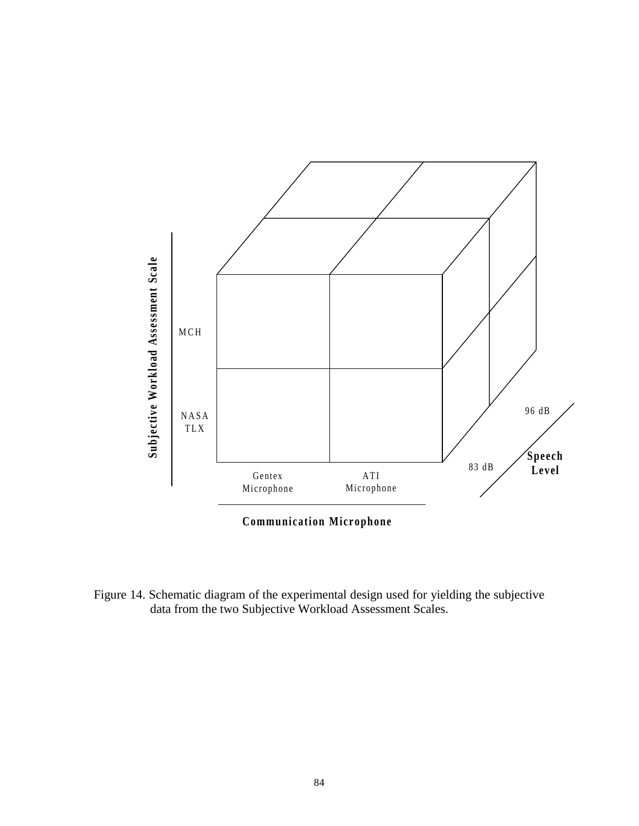

**Communication Microphone**

Figure 14. Schematic diagram of the experimental design used for yielding the subjective data from the two Subjective Workload Assessment Scales.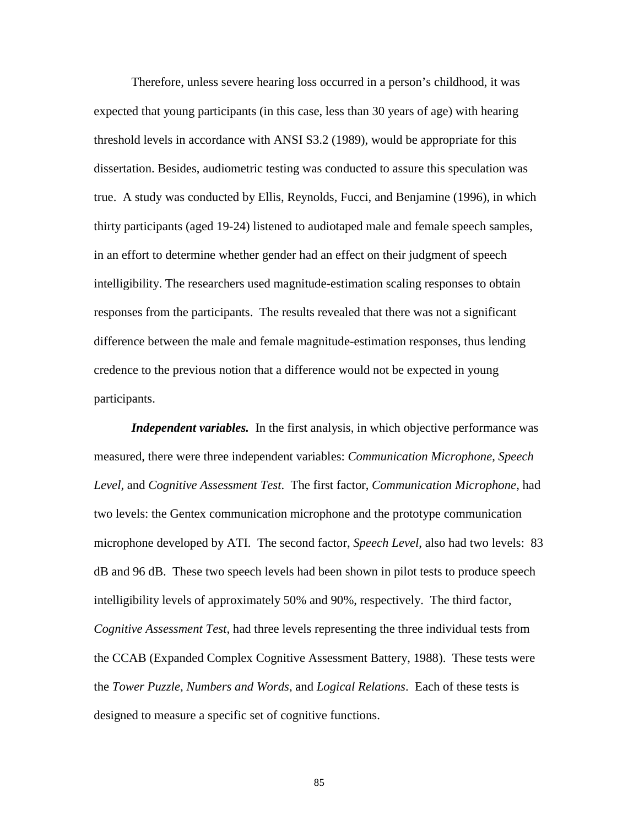Therefore, unless severe hearing loss occurred in a person's childhood, it was expected that young participants (in this case, less than 30 years of age) with hearing threshold levels in accordance with ANSI S3.2 (1989), would be appropriate for this dissertation. Besides, audiometric testing was conducted to assure this speculation was true. A study was conducted by Ellis, Reynolds, Fucci, and Benjamine (1996), in which thirty participants (aged 19-24) listened to audiotaped male and female speech samples, in an effort to determine whether gender had an effect on their judgment of speech intelligibility. The researchers used magnitude-estimation scaling responses to obtain responses from the participants. The results revealed that there was not a significant difference between the male and female magnitude-estimation responses, thus lending credence to the previous notion that a difference would not be expected in young participants.

*Independent variables.* In the first analysis, in which objective performance was measured, there were three independent variables: *Communication Microphone, Speech Level,* and *Cognitive Assessment Test*. The first factor, *Communication Microphone,* had two levels: the Gentex communication microphone and the prototype communication microphone developed by ATI. The second factor, *Speech Level*, also had two levels: 83 dB and 96 dB. These two speech levels had been shown in pilot tests to produce speech intelligibility levels of approximately 50% and 90%, respectively. The third factor, *Cognitive Assessment Test*, had three levels representing the three individual tests from the CCAB (Expanded Complex Cognitive Assessment Battery, 1988). These tests were the *Tower Puzzle*, *Numbers and Words*, and *Logical Relations*. Each of these tests is designed to measure a specific set of cognitive functions.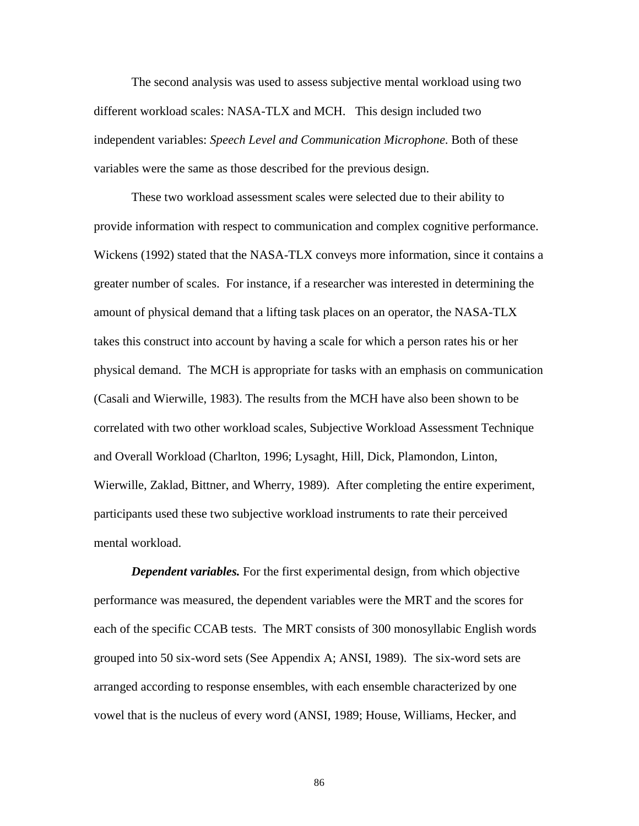The second analysis was used to assess subjective mental workload using two different workload scales: NASA-TLX and MCH. This design included two independent variables: *Speech Level and Communication Microphone*. Both of these variables were the same as those described for the previous design.

These two workload assessment scales were selected due to their ability to provide information with respect to communication and complex cognitive performance. Wickens (1992) stated that the NASA-TLX conveys more information, since it contains a greater number of scales. For instance, if a researcher was interested in determining the amount of physical demand that a lifting task places on an operator, the NASA-TLX takes this construct into account by having a scale for which a person rates his or her physical demand. The MCH is appropriate for tasks with an emphasis on communication (Casali and Wierwille, 1983). The results from the MCH have also been shown to be correlated with two other workload scales, Subjective Workload Assessment Technique and Overall Workload (Charlton, 1996; Lysaght, Hill, Dick, Plamondon, Linton, Wierwille, Zaklad, Bittner, and Wherry, 1989). After completing the entire experiment, participants used these two subjective workload instruments to rate their perceived mental workload.

*Dependent variables.* For the first experimental design, from which objective performance was measured, the dependent variables were the MRT and the scores for each of the specific CCAB tests. The MRT consists of 300 monosyllabic English words grouped into 50 six-word sets (See Appendix A; ANSI, 1989). The six-word sets are arranged according to response ensembles, with each ensemble characterized by one vowel that is the nucleus of every word (ANSI, 1989; House, Williams, Hecker, and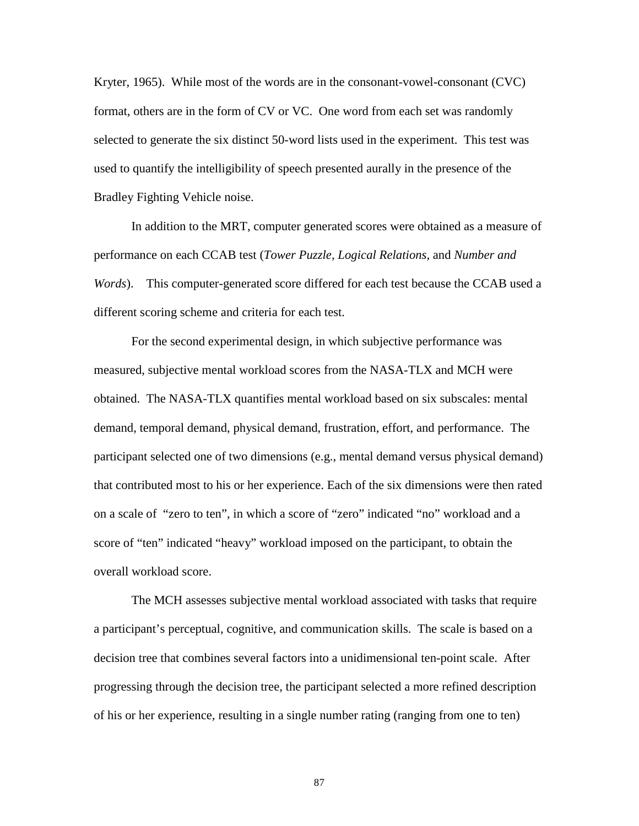Kryter, 1965). While most of the words are in the consonant-vowel-consonant (CVC) format, others are in the form of CV or VC. One word from each set was randomly selected to generate the six distinct 50-word lists used in the experiment. This test was used to quantify the intelligibility of speech presented aurally in the presence of the Bradley Fighting Vehicle noise.

In addition to the MRT, computer generated scores were obtained as a measure of performance on each CCAB test (*Tower Puzzle, Logical Relations,* and *Number and Words*). This computer-generated score differed for each test because the CCAB used a different scoring scheme and criteria for each test.

For the second experimental design, in which subjective performance was measured, subjective mental workload scores from the NASA-TLX and MCH were obtained. The NASA-TLX quantifies mental workload based on six subscales: mental demand, temporal demand, physical demand, frustration, effort, and performance. The participant selected one of two dimensions (e.g., mental demand versus physical demand) that contributed most to his or her experience. Each of the six dimensions were then rated on a scale of "zero to ten", in which a score of "zero" indicated "no" workload and a score of "ten" indicated "heavy" workload imposed on the participant, to obtain the overall workload score.

The MCH assesses subjective mental workload associated with tasks that require a participant's perceptual, cognitive, and communication skills. The scale is based on a decision tree that combines several factors into a unidimensional ten-point scale. After progressing through the decision tree, the participant selected a more refined description of his or her experience, resulting in a single number rating (ranging from one to ten)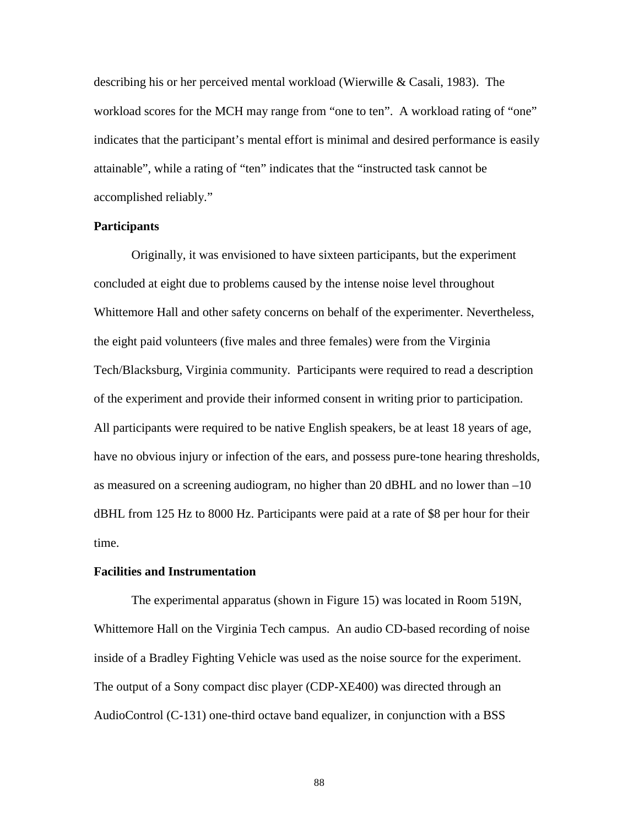describing his or her perceived mental workload (Wierwille & Casali, 1983). The workload scores for the MCH may range from "one to ten". A workload rating of "one" indicates that the participant's mental effort is minimal and desired performance is easily attainable", while a rating of "ten" indicates that the "instructed task cannot be accomplished reliably."

# **Participants**

Originally, it was envisioned to have sixteen participants, but the experiment concluded at eight due to problems caused by the intense noise level throughout Whittemore Hall and other safety concerns on behalf of the experimenter. Nevertheless, the eight paid volunteers (five males and three females) were from the Virginia Tech/Blacksburg, Virginia community. Participants were required to read a description of the experiment and provide their informed consent in writing prior to participation. All participants were required to be native English speakers, be at least 18 years of age, have no obvious injury or infection of the ears, and possess pure-tone hearing thresholds, as measured on a screening audiogram, no higher than 20 dBHL and no lower than –10 dBHL from 125 Hz to 8000 Hz. Participants were paid at a rate of \$8 per hour for their time.

#### **Facilities and Instrumentation**

The experimental apparatus (shown in Figure 15) was located in Room 519N, Whittemore Hall on the Virginia Tech campus. An audio CD-based recording of noise inside of a Bradley Fighting Vehicle was used as the noise source for the experiment. The output of a Sony compact disc player (CDP-XE400) was directed through an AudioControl (C-131) one-third octave band equalizer, in conjunction with a BSS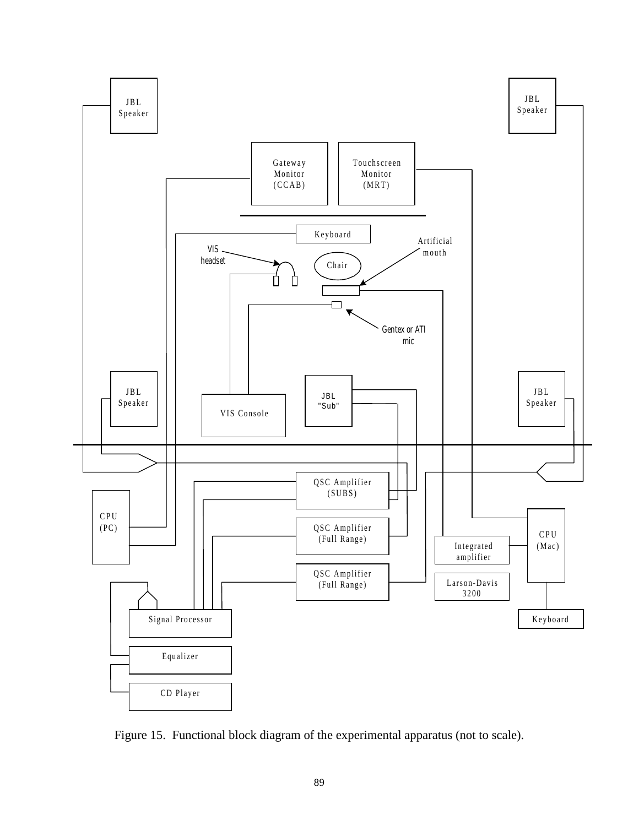

Figure 15. Functional block diagram of the experimental apparatus (not to scale).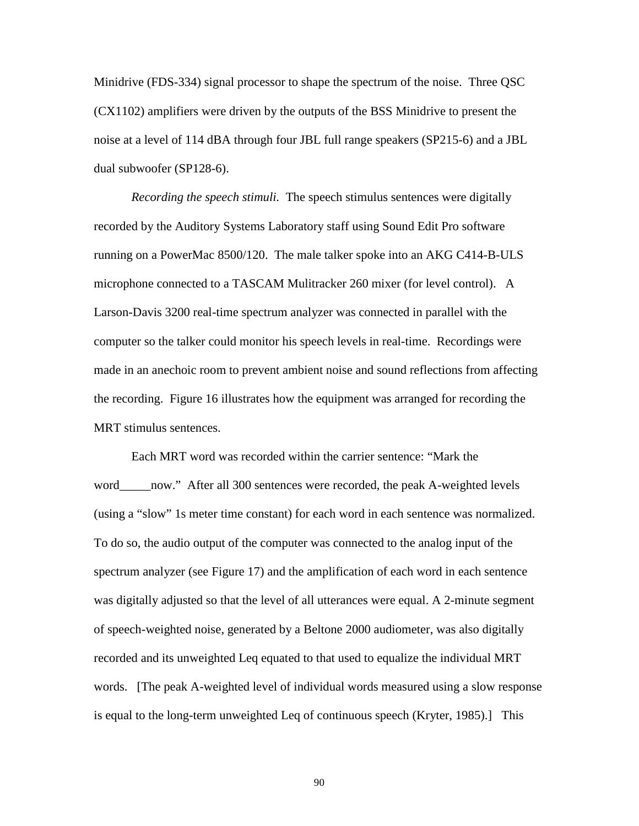Minidrive (FDS-334) signal processor to shape the spectrum of the noise. Three QSC (CX1102) amplifiers were driven by the outputs of the BSS Minidrive to present the noise at a level of 114 dBA through four JBL full range speakers (SP215-6) and a JBL dual subwoofer (SP128-6).

*Recording the speech stimuli.* The speech stimulus sentences were digitally recorded by the Auditory Systems Laboratory staff using Sound Edit Pro software running on a PowerMac 8500/120. The male talker spoke into an AKG C414-B-ULS microphone connected to a TASCAM Mulitracker 260 mixer (for level control). A Larson-Davis 3200 real-time spectrum analyzer was connected in parallel with the computer so the talker could monitor his speech levels in real-time. Recordings were made in an anechoic room to prevent ambient noise and sound reflections from affecting the recording. Figure 16 illustrates how the equipment was arranged for recording the MRT stimulus sentences.

Each MRT word was recorded within the carrier sentence: "Mark the word\_\_\_\_\_now." After all 300 sentences were recorded, the peak A-weighted levels (using a "slow" 1s meter time constant) for each word in each sentence was normalized. To do so, the audio output of the computer was connected to the analog input of the spectrum analyzer (see Figure 17) and the amplification of each word in each sentence was digitally adjusted so that the level of all utterances were equal. A 2-minute segment of speech-weighted noise, generated by a Beltone 2000 audiometer, was also digitally recorded and its unweighted Leq equated to that used to equalize the individual MRT words. [The peak A-weighted level of individual words measured using a slow response is equal to the long-term unweighted Leq of continuous speech (Kryter, 1985).] This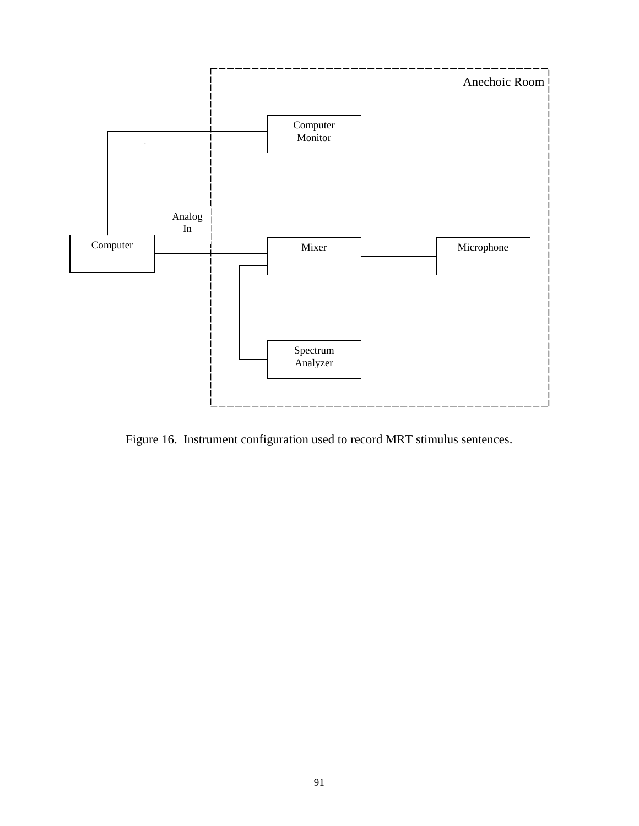

Figure 16. Instrument configuration used to record MRT stimulus sentences.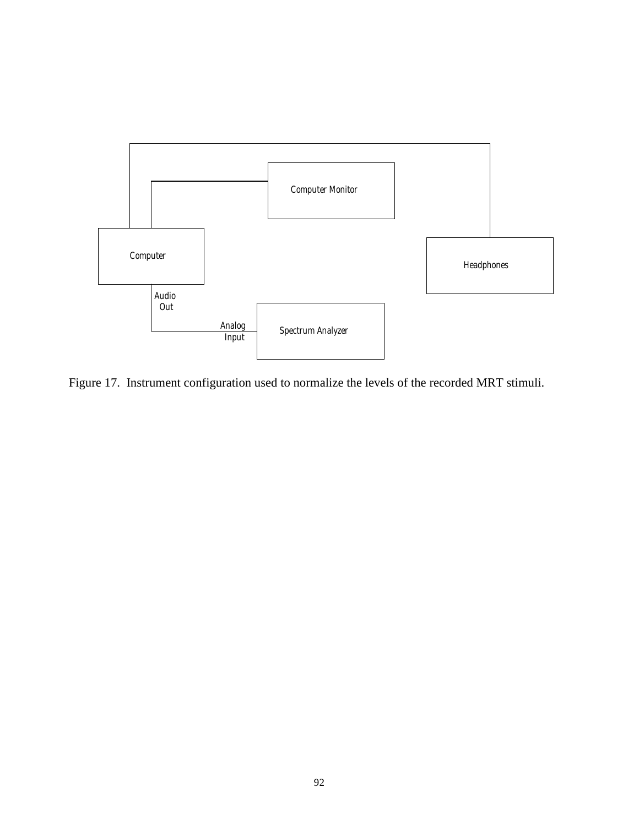

Figure 17. Instrument configuration used to normalize the levels of the recorded MRT stimuli.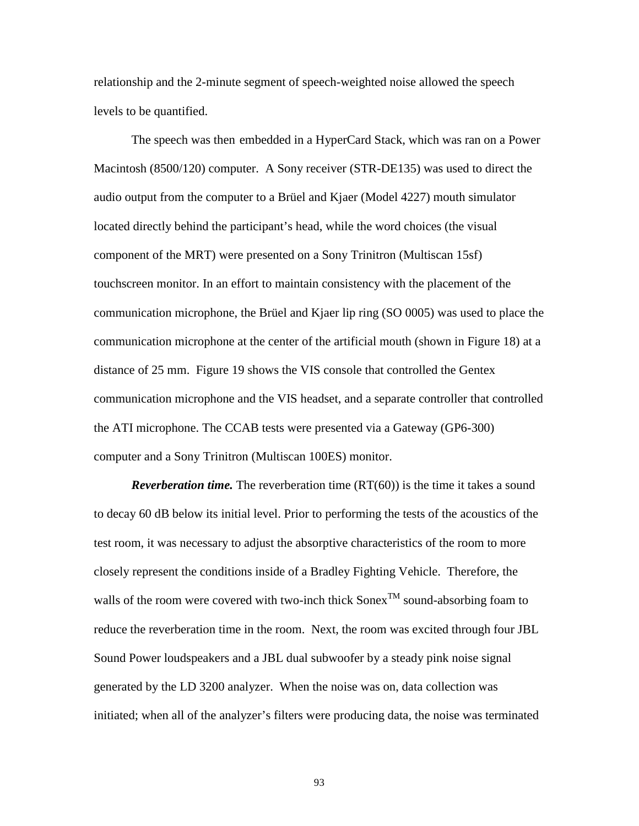relationship and the 2-minute segment of speech-weighted noise allowed the speech levels to be quantified.

The speech was then embedded in a HyperCard Stack, which was ran on a Power Macintosh (8500/120) computer. A Sony receiver (STR-DE135) was used to direct the audio output from the computer to a Brüel and Kjaer (Model 4227) mouth simulator located directly behind the participant's head, while the word choices (the visual component of the MRT) were presented on a Sony Trinitron (Multiscan 15sf) touchscreen monitor. In an effort to maintain consistency with the placement of the communication microphone, the Brüel and Kjaer lip ring (SO 0005) was used to place the communication microphone at the center of the artificial mouth (shown in Figure 18) at a distance of 25 mm. Figure 19 shows the VIS console that controlled the Gentex communication microphone and the VIS headset, and a separate controller that controlled the ATI microphone. The CCAB tests were presented via a Gateway (GP6-300) computer and a Sony Trinitron (Multiscan 100ES) monitor.

*Reverberation time.* The reverberation time (RT(60)) is the time it takes a sound to decay 60 dB below its initial level. Prior to performing the tests of the acoustics of the test room, it was necessary to adjust the absorptive characteristics of the room to more closely represent the conditions inside of a Bradley Fighting Vehicle. Therefore, the walls of the room were covered with two-inch thick  $Sonex^{TM}$  sound-absorbing foam to reduce the reverberation time in the room. Next, the room was excited through four JBL Sound Power loudspeakers and a JBL dual subwoofer by a steady pink noise signal generated by the LD 3200 analyzer. When the noise was on, data collection was initiated; when all of the analyzer's filters were producing data, the noise was terminated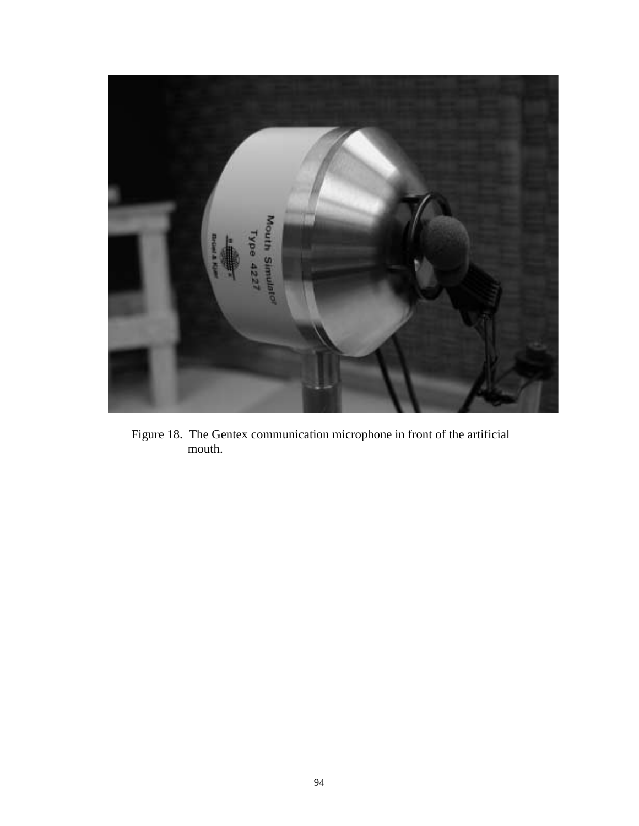

Figure 18. The Gentex communication microphone in front of the artificial mouth.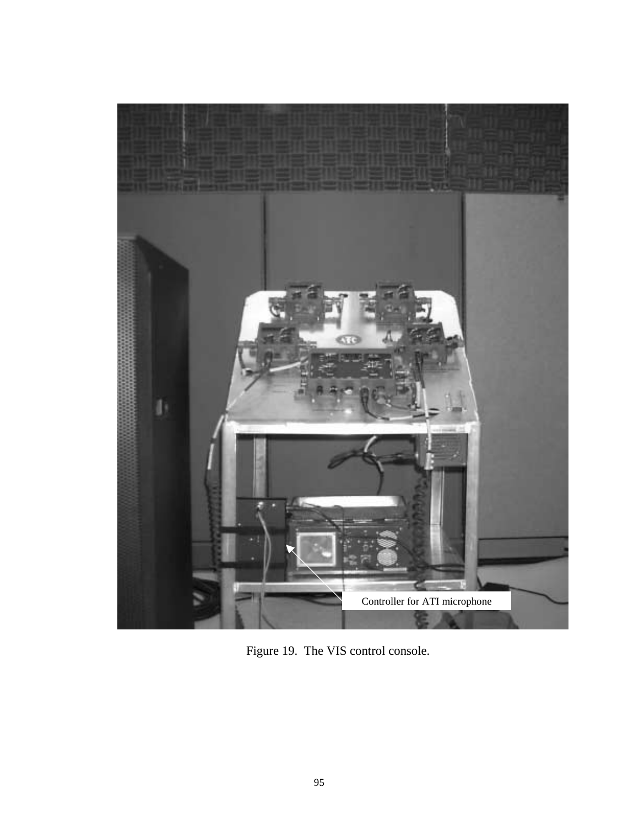

Figure 19. The VIS control console.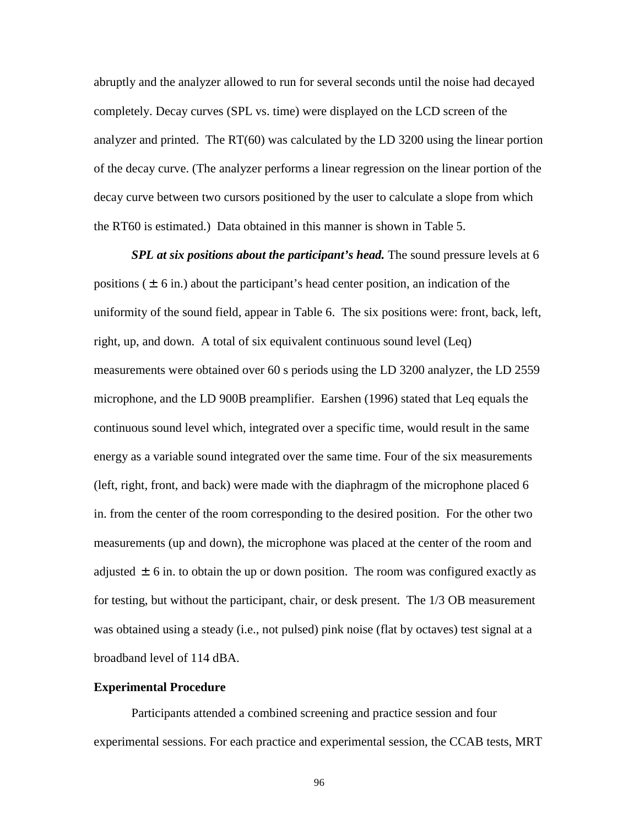abruptly and the analyzer allowed to run for several seconds until the noise had decayed completely. Decay curves (SPL vs. time) were displayed on the LCD screen of the analyzer and printed. The RT(60) was calculated by the LD 3200 using the linear portion of the decay curve. (The analyzer performs a linear regression on the linear portion of the decay curve between two cursors positioned by the user to calculate a slope from which the RT60 is estimated.) Data obtained in this manner is shown in Table 5.

*SPL at six positions about the participant's head.* The sound pressure levels at 6 positions  $(\pm 6 \text{ in.})$  about the participant's head center position, an indication of the uniformity of the sound field, appear in Table 6. The six positions were: front, back, left, right, up, and down. A total of six equivalent continuous sound level (Leq) measurements were obtained over 60 s periods using the LD 3200 analyzer, the LD 2559 microphone, and the LD 900B preamplifier. Earshen (1996) stated that Leq equals the continuous sound level which, integrated over a specific time, would result in the same energy as a variable sound integrated over the same time. Four of the six measurements (left, right, front, and back) were made with the diaphragm of the microphone placed 6 in. from the center of the room corresponding to the desired position. For the other two measurements (up and down), the microphone was placed at the center of the room and adjusted  $\pm$  6 in. to obtain the up or down position. The room was configured exactly as for testing, but without the participant, chair, or desk present. The 1/3 OB measurement was obtained using a steady (i.e., not pulsed) pink noise (flat by octaves) test signal at a broadband level of 114 dBA.

# **Experimental Procedure**

Participants attended a combined screening and practice session and four experimental sessions. For each practice and experimental session, the CCAB tests, MRT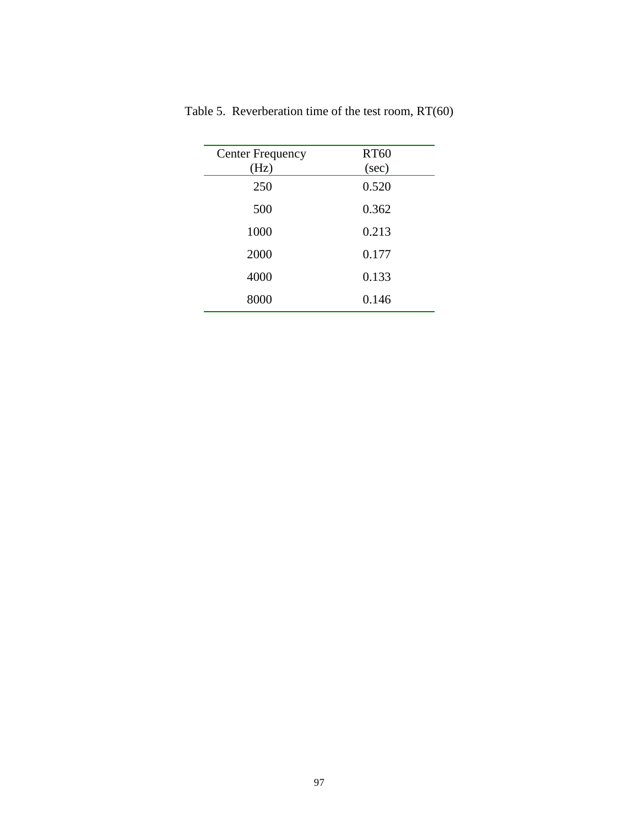| <b>Center Frequency</b><br>(Hz) | <b>RT60</b><br>(sec) |
|---------------------------------|----------------------|
| 250                             | 0.520                |
| 500                             | 0.362                |
| 1000                            | 0.213                |
| 2000                            | 0.177                |
| 4000                            | 0.133                |
| 8000                            | 0.146                |

Table 5. Reverberation time of the test room, RT(60)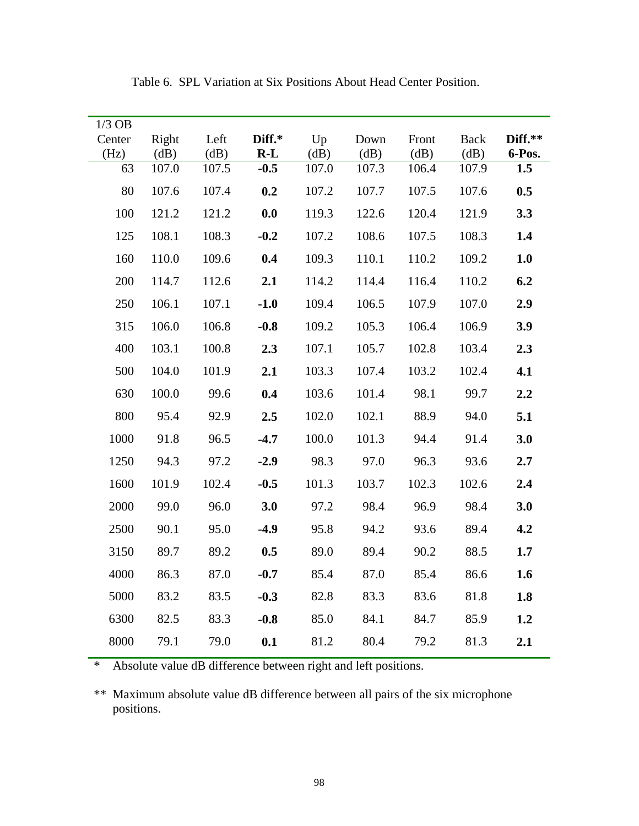| $1/3$ OB<br>Center | Right         | Left          | Diff.*          | Up            | Down          | Front         | <b>Back</b>   | Diff.**       |
|--------------------|---------------|---------------|-----------------|---------------|---------------|---------------|---------------|---------------|
| (Hz)<br>63         | (dB)<br>107.0 | (dB)<br>107.5 | $R-L$<br>$-0.5$ | (dB)<br>107.0 | (dB)<br>107.3 | (dB)<br>106.4 | (dB)<br>107.9 | 6-Pos.<br>1.5 |
|                    |               |               |                 |               |               |               |               |               |
| 80                 | 107.6         | 107.4         | 0.2             | 107.2         | 107.7         | 107.5         | 107.6         | 0.5           |
| 100                | 121.2         | 121.2         | 0.0             | 119.3         | 122.6         | 120.4         | 121.9         | 3.3           |
| 125                | 108.1         | 108.3         | $-0.2$          | 107.2         | 108.6         | 107.5         | 108.3         | 1.4           |
| 160                | 110.0         | 109.6         | 0.4             | 109.3         | 110.1         | 110.2         | 109.2         | 1.0           |
| 200                | 114.7         | 112.6         | 2.1             | 114.2         | 114.4         | 116.4         | 110.2         | 6.2           |
| 250                | 106.1         | 107.1         | $-1.0$          | 109.4         | 106.5         | 107.9         | 107.0         | 2.9           |
| 315                | 106.0         | 106.8         | $-0.8$          | 109.2         | 105.3         | 106.4         | 106.9         | 3.9           |
| 400                | 103.1         | 100.8         | 2.3             | 107.1         | 105.7         | 102.8         | 103.4         | 2.3           |
| 500                | 104.0         | 101.9         | 2.1             | 103.3         | 107.4         | 103.2         | 102.4         | 4.1           |
| 630                | 100.0         | 99.6          | 0.4             | 103.6         | 101.4         | 98.1          | 99.7          | 2.2           |
| 800                | 95.4          | 92.9          | 2.5             | 102.0         | 102.1         | 88.9          | 94.0          | 5.1           |
| 1000               | 91.8          | 96.5          | $-4.7$          | 100.0         | 101.3         | 94.4          | 91.4          | 3.0           |
| 1250               | 94.3          | 97.2          | $-2.9$          | 98.3          | 97.0          | 96.3          | 93.6          | 2.7           |
| 1600               | 101.9         | 102.4         | $-0.5$          | 101.3         | 103.7         | 102.3         | 102.6         | 2.4           |
| 2000               | 99.0          | 96.0          | 3.0             | 97.2          | 98.4          | 96.9          | 98.4          | 3.0           |
| 2500               | 90.1          | 95.0          | $-4.9$          | 95.8          | 94.2          | 93.6          | 89.4          | 4.2           |
| 3150               | 89.7          | 89.2          | 0.5             | 89.0          | 89.4          | 90.2          | 88.5          | 1.7           |
| 4000               | 86.3          | 87.0          | $-0.7$          | 85.4          | 87.0          | 85.4          | 86.6          | 1.6           |
| 5000               | 83.2          | 83.5          | $-0.3$          | 82.8          | 83.3          | 83.6          | 81.8          | 1.8           |
| 6300               | 82.5          | 83.3          | $-0.8$          | 85.0          | 84.1          | 84.7          | 85.9          | 1.2           |
| 8000               | 79.1          | 79.0          | 0.1             | 81.2          | 80.4          | 79.2          | 81.3          | 2.1           |

Table 6. SPL Variation at Six Positions About Head Center Position.

\* Absolute value dB difference between right and left positions.

\*\* Maximum absolute value dB difference between all pairs of the six microphone positions.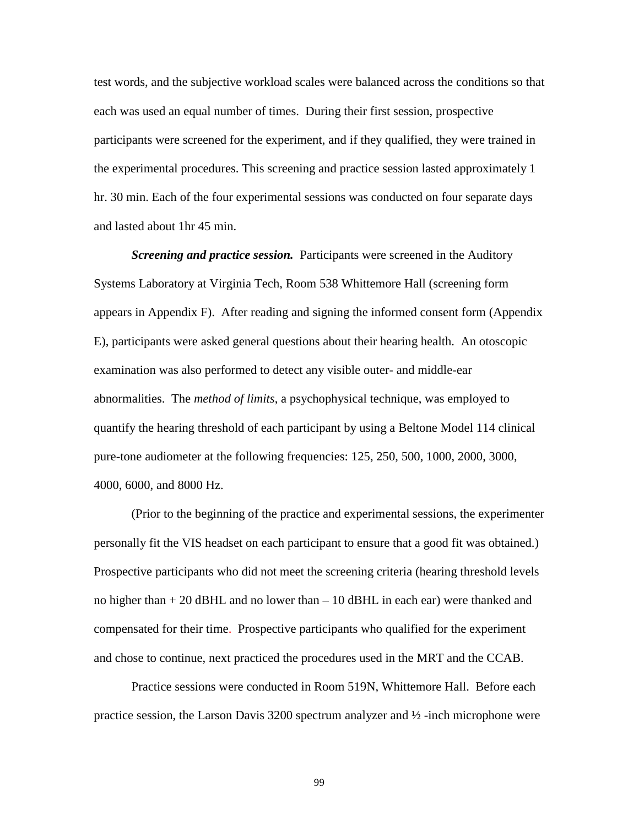test words, and the subjective workload scales were balanced across the conditions so that each was used an equal number of times. During their first session, prospective participants were screened for the experiment, and if they qualified, they were trained in the experimental procedures. This screening and practice session lasted approximately 1 hr. 30 min. Each of the four experimental sessions was conducted on four separate days and lasted about 1hr 45 min.

*Screening and practice session.* Participants were screened in the Auditory Systems Laboratory at Virginia Tech, Room 538 Whittemore Hall (screening form appears in Appendix F). After reading and signing the informed consent form (Appendix E), participants were asked general questions about their hearing health. An otoscopic examination was also performed to detect any visible outer- and middle-ear abnormalities. The *method of limits*, a psychophysical technique, was employed to quantify the hearing threshold of each participant by using a Beltone Model 114 clinical pure-tone audiometer at the following frequencies: 125, 250, 500, 1000, 2000, 3000, 4000, 6000, and 8000 Hz.

(Prior to the beginning of the practice and experimental sessions, the experimenter personally fit the VIS headset on each participant to ensure that a good fit was obtained.) Prospective participants who did not meet the screening criteria (hearing threshold levels no higher than + 20 dBHL and no lower than – 10 dBHL in each ear) were thanked and compensated for their time. Prospective participants who qualified for the experiment and chose to continue, next practiced the procedures used in the MRT and the CCAB.

Practice sessions were conducted in Room 519N, Whittemore Hall. Before each practice session, the Larson Davis 3200 spectrum analyzer and ½ -inch microphone were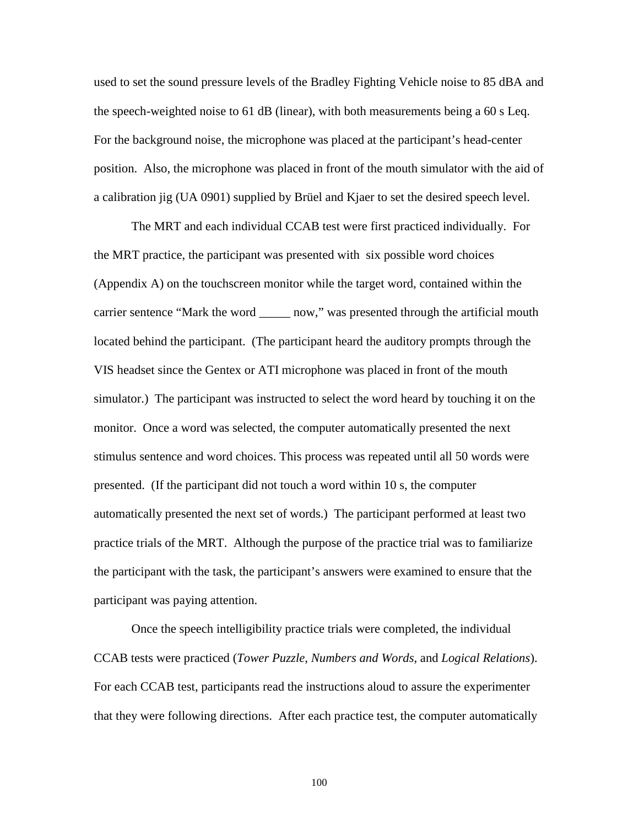used to set the sound pressure levels of the Bradley Fighting Vehicle noise to 85 dBA and the speech-weighted noise to 61 dB (linear), with both measurements being a 60 s Leq. For the background noise, the microphone was placed at the participant's head-center position. Also, the microphone was placed in front of the mouth simulator with the aid of a calibration jig (UA 0901) supplied by Brüel and Kjaer to set the desired speech level.

The MRT and each individual CCAB test were first practiced individually. For the MRT practice, the participant was presented with six possible word choices (Appendix A) on the touchscreen monitor while the target word, contained within the carrier sentence "Mark the word now," was presented through the artificial mouth located behind the participant. (The participant heard the auditory prompts through the VIS headset since the Gentex or ATI microphone was placed in front of the mouth simulator.) The participant was instructed to select the word heard by touching it on the monitor. Once a word was selected, the computer automatically presented the next stimulus sentence and word choices. This process was repeated until all 50 words were presented. (If the participant did not touch a word within 10 s, the computer automatically presented the next set of words.) The participant performed at least two practice trials of the MRT. Although the purpose of the practice trial was to familiarize the participant with the task, the participant's answers were examined to ensure that the participant was paying attention.

Once the speech intelligibility practice trials were completed, the individual CCAB tests were practiced (*Tower Puzzle*, *Numbers and Words,* and *Logical Relations*). For each CCAB test, participants read the instructions aloud to assure the experimenter that they were following directions. After each practice test, the computer automatically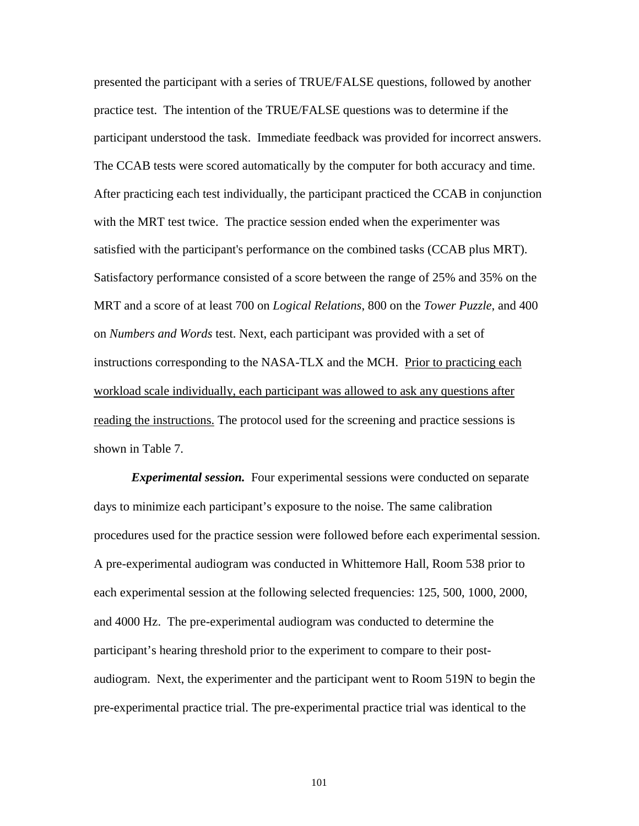presented the participant with a series of TRUE/FALSE questions, followed by another practice test. The intention of the TRUE/FALSE questions was to determine if the participant understood the task. Immediate feedback was provided for incorrect answers. The CCAB tests were scored automatically by the computer for both accuracy and time. After practicing each test individually, the participant practiced the CCAB in conjunction with the MRT test twice. The practice session ended when the experimenter was satisfied with the participant's performance on the combined tasks (CCAB plus MRT). Satisfactory performance consisted of a score between the range of 25% and 35% on the MRT and a score of at least 700 on *Logical Relations*, 800 on the *Tower Puzzle*, and 400 on *Numbers and Words* test. Next, each participant was provided with a set of instructions corresponding to the NASA-TLX and the MCH. Prior to practicing each workload scale individually, each participant was allowed to ask any questions after reading the instructions. The protocol used for the screening and practice sessions is shown in Table 7.

*Experimental session.* Four experimental sessions were conducted on separate days to minimize each participant's exposure to the noise. The same calibration procedures used for the practice session were followed before each experimental session. A pre-experimental audiogram was conducted in Whittemore Hall, Room 538 prior to each experimental session at the following selected frequencies: 125, 500, 1000, 2000, and 4000 Hz. The pre-experimental audiogram was conducted to determine the participant's hearing threshold prior to the experiment to compare to their postaudiogram. Next, the experimenter and the participant went to Room 519N to begin the pre-experimental practice trial. The pre-experimental practice trial was identical to the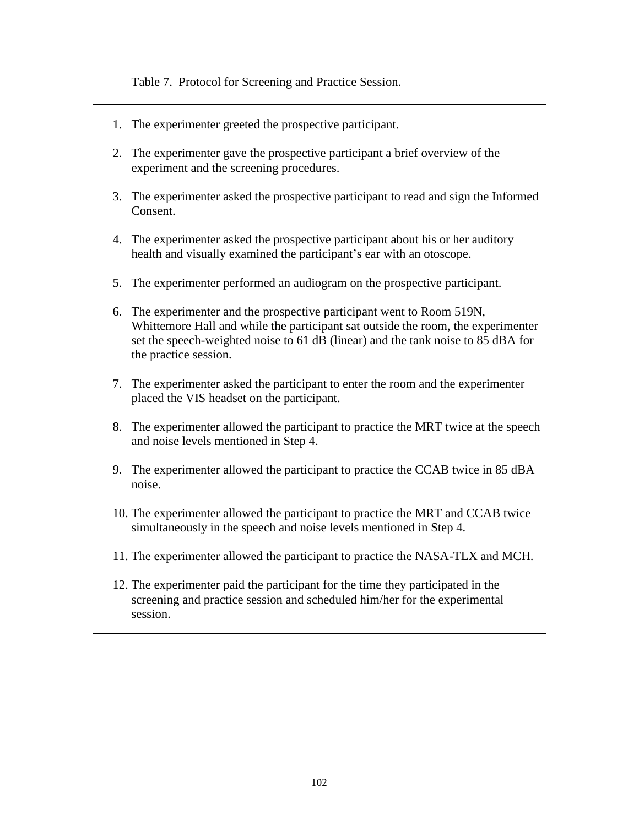Table 7. Protocol for Screening and Practice Session.

- 1. The experimenter greeted the prospective participant.
- 2. The experimenter gave the prospective participant a brief overview of the experiment and the screening procedures.
- 3. The experimenter asked the prospective participant to read and sign the Informed Consent.
- 4. The experimenter asked the prospective participant about his or her auditory health and visually examined the participant's ear with an otoscope.
- 5. The experimenter performed an audiogram on the prospective participant.
- 6. The experimenter and the prospective participant went to Room 519N, Whittemore Hall and while the participant sat outside the room, the experimenter set the speech-weighted noise to 61 dB (linear) and the tank noise to 85 dBA for the practice session.
- 7. The experimenter asked the participant to enter the room and the experimenter placed the VIS headset on the participant.
- 8. The experimenter allowed the participant to practice the MRT twice at the speech and noise levels mentioned in Step 4.
- 9. The experimenter allowed the participant to practice the CCAB twice in 85 dBA noise.
- 10. The experimenter allowed the participant to practice the MRT and CCAB twice simultaneously in the speech and noise levels mentioned in Step 4.
- 11. The experimenter allowed the participant to practice the NASA-TLX and MCH.
- 12. The experimenter paid the participant for the time they participated in the screening and practice session and scheduled him/her for the experimental session.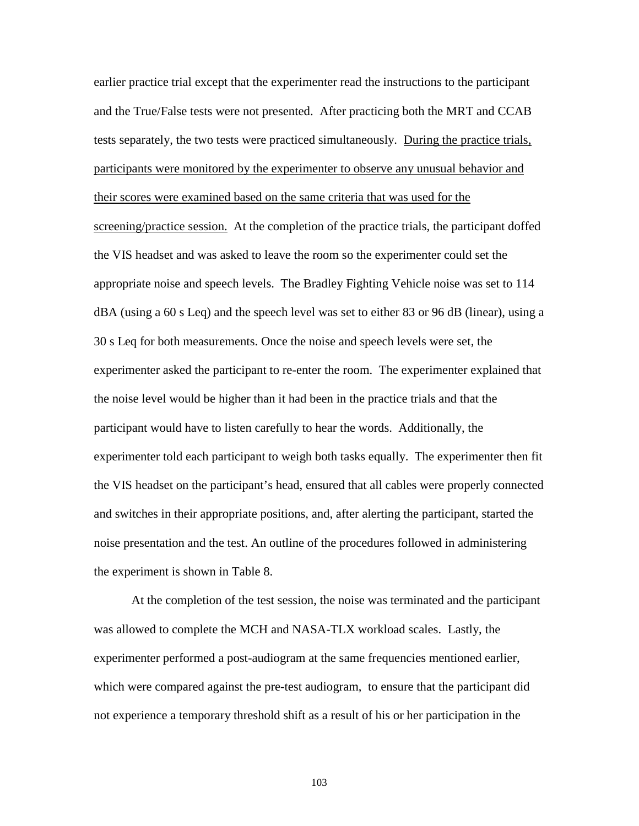earlier practice trial except that the experimenter read the instructions to the participant and the True/False tests were not presented. After practicing both the MRT and CCAB tests separately, the two tests were practiced simultaneously. During the practice trials, participants were monitored by the experimenter to observe any unusual behavior and their scores were examined based on the same criteria that was used for the screening/practice session. At the completion of the practice trials, the participant doffed the VIS headset and was asked to leave the room so the experimenter could set the appropriate noise and speech levels. The Bradley Fighting Vehicle noise was set to 114 dBA (using a 60 s Leq) and the speech level was set to either 83 or 96 dB (linear), using a 30 s Leq for both measurements. Once the noise and speech levels were set, the experimenter asked the participant to re-enter the room. The experimenter explained that the noise level would be higher than it had been in the practice trials and that the participant would have to listen carefully to hear the words. Additionally, the experimenter told each participant to weigh both tasks equally. The experimenter then fit the VIS headset on the participant's head, ensured that all cables were properly connected and switches in their appropriate positions, and, after alerting the participant, started the noise presentation and the test. An outline of the procedures followed in administering the experiment is shown in Table 8.

At the completion of the test session, the noise was terminated and the participant was allowed to complete the MCH and NASA-TLX workload scales. Lastly, the experimenter performed a post-audiogram at the same frequencies mentioned earlier, which were compared against the pre-test audiogram, to ensure that the participant did not experience a temporary threshold shift as a result of his or her participation in the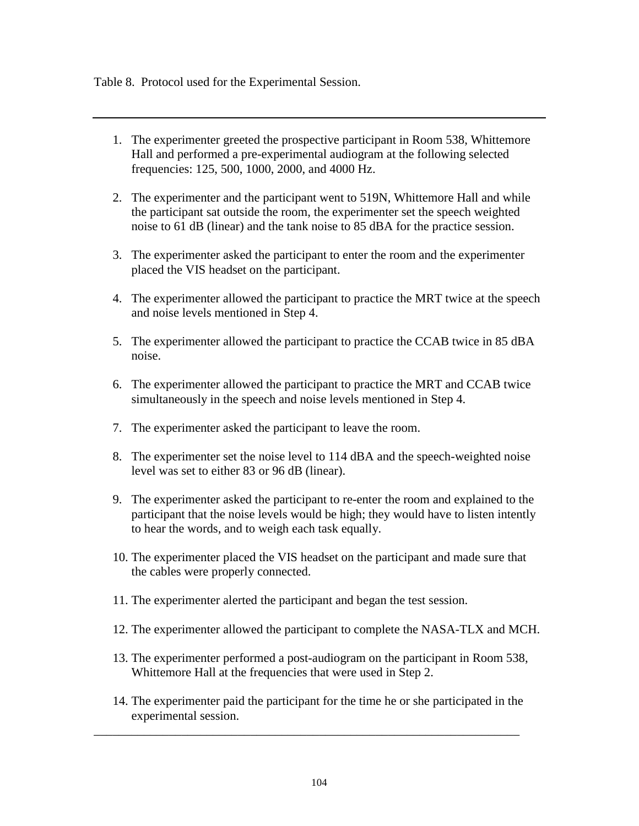Table 8. Protocol used for the Experimental Session.

- 1. The experimenter greeted the prospective participant in Room 538, Whittemore Hall and performed a pre-experimental audiogram at the following selected frequencies: 125, 500, 1000, 2000, and 4000 Hz.
- 2. The experimenter and the participant went to 519N, Whittemore Hall and while the participant sat outside the room, the experimenter set the speech weighted noise to 61 dB (linear) and the tank noise to 85 dBA for the practice session.
- 3. The experimenter asked the participant to enter the room and the experimenter placed the VIS headset on the participant.
- 4. The experimenter allowed the participant to practice the MRT twice at the speech and noise levels mentioned in Step 4.
- 5. The experimenter allowed the participant to practice the CCAB twice in 85 dBA noise.
- 6. The experimenter allowed the participant to practice the MRT and CCAB twice simultaneously in the speech and noise levels mentioned in Step 4.
- 7. The experimenter asked the participant to leave the room.
- 8. The experimenter set the noise level to 114 dBA and the speech-weighted noise level was set to either 83 or 96 dB (linear).
- 9. The experimenter asked the participant to re-enter the room and explained to the participant that the noise levels would be high; they would have to listen intently to hear the words, and to weigh each task equally.
- 10. The experimenter placed the VIS headset on the participant and made sure that the cables were properly connected.
- 11. The experimenter alerted the participant and began the test session.
- 12. The experimenter allowed the participant to complete the NASA-TLX and MCH.
- 13. The experimenter performed a post-audiogram on the participant in Room 538, Whittemore Hall at the frequencies that were used in Step 2.
- 14. The experimenter paid the participant for the time he or she participated in the experimental session.

\_\_\_\_\_\_\_\_\_\_\_\_\_\_\_\_\_\_\_\_\_\_\_\_\_\_\_\_\_\_\_\_\_\_\_\_\_\_\_\_\_\_\_\_\_\_\_\_\_\_\_\_\_\_\_\_\_\_\_\_\_\_\_\_\_\_\_\_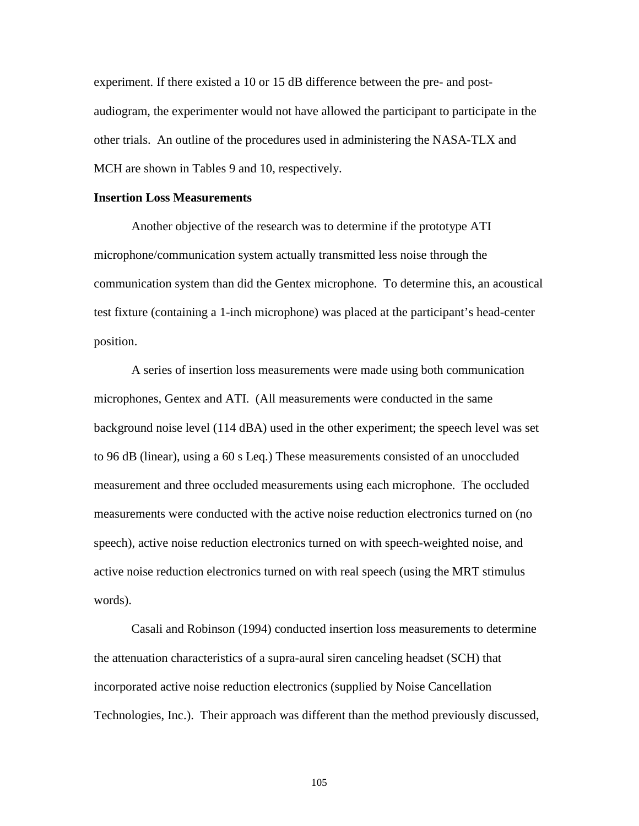experiment. If there existed a 10 or 15 dB difference between the pre- and postaudiogram, the experimenter would not have allowed the participant to participate in the other trials. An outline of the procedures used in administering the NASA-TLX and MCH are shown in Tables 9 and 10, respectively.

# **Insertion Loss Measurements**

Another objective of the research was to determine if the prototype ATI microphone/communication system actually transmitted less noise through the communication system than did the Gentex microphone. To determine this, an acoustical test fixture (containing a 1-inch microphone) was placed at the participant's head-center position.

A series of insertion loss measurements were made using both communication microphones, Gentex and ATI. (All measurements were conducted in the same background noise level (114 dBA) used in the other experiment; the speech level was set to 96 dB (linear), using a 60 s Leq.) These measurements consisted of an unoccluded measurement and three occluded measurements using each microphone. The occluded measurements were conducted with the active noise reduction electronics turned on (no speech), active noise reduction electronics turned on with speech-weighted noise, and active noise reduction electronics turned on with real speech (using the MRT stimulus words).

Casali and Robinson (1994) conducted insertion loss measurements to determine the attenuation characteristics of a supra-aural siren canceling headset (SCH) that incorporated active noise reduction electronics (supplied by Noise Cancellation Technologies, Inc.). Their approach was different than the method previously discussed,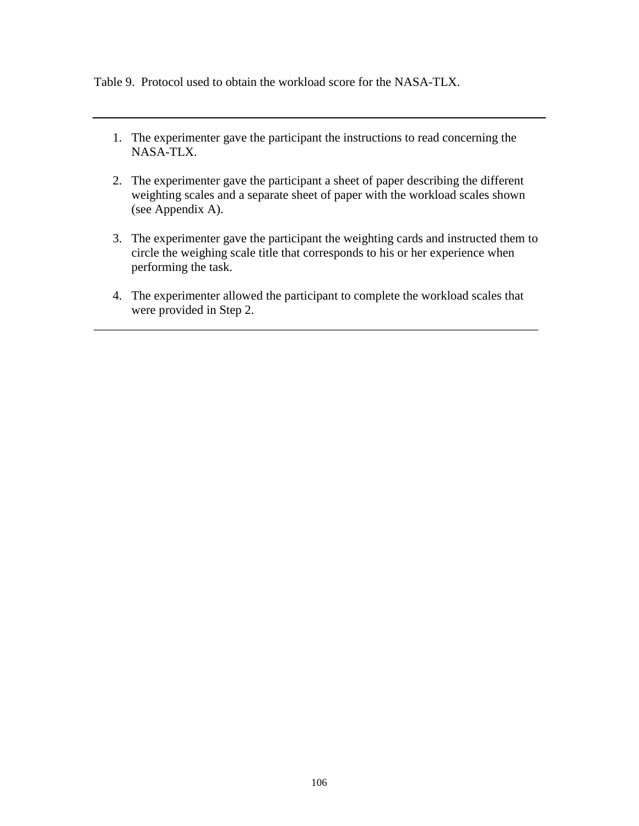Table 9. Protocol used to obtain the workload score for the NASA-TLX.

- 1. The experimenter gave the participant the instructions to read concerning the NASA-TLX.
- 2. The experimenter gave the participant a sheet of paper describing the different weighting scales and a separate sheet of paper with the workload scales shown (see Appendix A).
- 3. The experimenter gave the participant the weighting cards and instructed them to circle the weighing scale title that corresponds to his or her experience when performing the task.
- 4. The experimenter allowed the participant to complete the workload scales that were provided in Step 2.

\_\_\_\_\_\_\_\_\_\_\_\_\_\_\_\_\_\_\_\_\_\_\_\_\_\_\_\_\_\_\_\_\_\_\_\_\_\_\_\_\_\_\_\_\_\_\_\_\_\_\_\_\_\_\_\_\_\_\_\_\_\_\_\_\_\_\_\_\_\_\_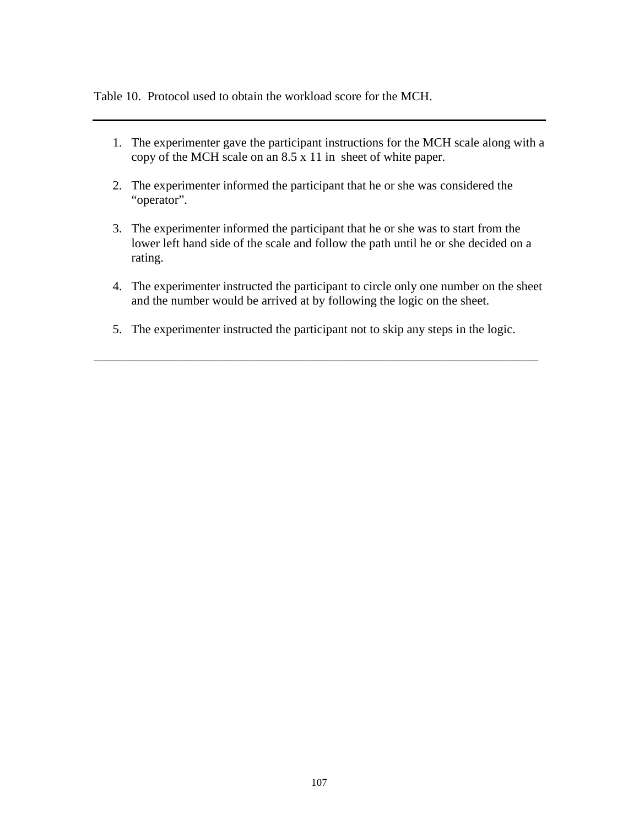Table 10. Protocol used to obtain the workload score for the MCH.

- 1. The experimenter gave the participant instructions for the MCH scale along with a copy of the MCH scale on an 8.5 x 11 in sheet of white paper.
- 2. The experimenter informed the participant that he or she was considered the "operator".
- 3. The experimenter informed the participant that he or she was to start from the lower left hand side of the scale and follow the path until he or she decided on a rating.
- 4. The experimenter instructed the participant to circle only one number on the sheet and the number would be arrived at by following the logic on the sheet.
- 5. The experimenter instructed the participant not to skip any steps in the logic.

\_\_\_\_\_\_\_\_\_\_\_\_\_\_\_\_\_\_\_\_\_\_\_\_\_\_\_\_\_\_\_\_\_\_\_\_\_\_\_\_\_\_\_\_\_\_\_\_\_\_\_\_\_\_\_\_\_\_\_\_\_\_\_\_\_\_\_\_\_\_\_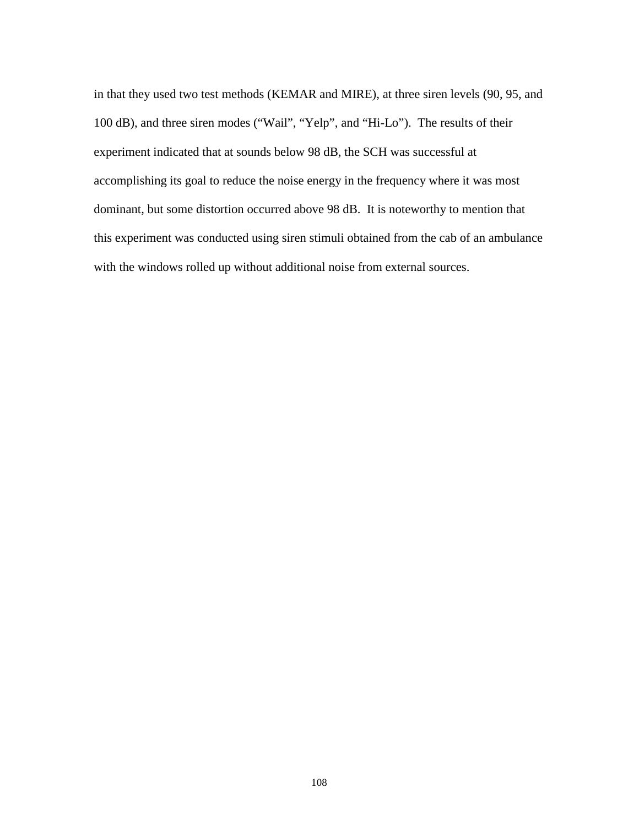in that they used two test methods (KEMAR and MIRE), at three siren levels (90, 95, and 100 dB), and three siren modes ("Wail", "Yelp", and "Hi-Lo"). The results of their experiment indicated that at sounds below 98 dB, the SCH was successful at accomplishing its goal to reduce the noise energy in the frequency where it was most dominant, but some distortion occurred above 98 dB. It is noteworthy to mention that this experiment was conducted using siren stimuli obtained from the cab of an ambulance with the windows rolled up without additional noise from external sources.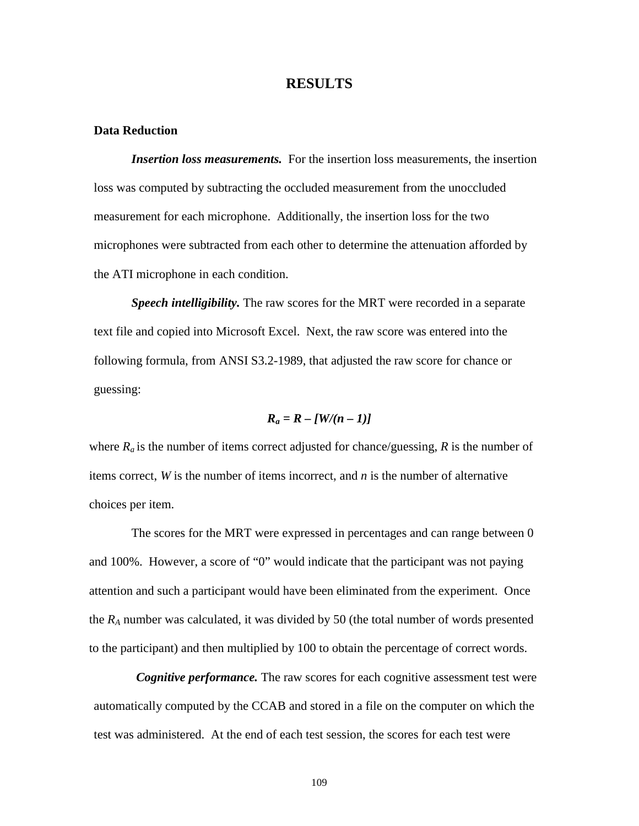# **RESULTS**

### **Data Reduction**

*Insertion loss measurements.* For the insertion loss measurements, the insertion loss was computed by subtracting the occluded measurement from the unoccluded measurement for each microphone. Additionally, the insertion loss for the two microphones were subtracted from each other to determine the attenuation afforded by the ATI microphone in each condition.

*Speech intelligibility.* The raw scores for the MRT were recorded in a separate text file and copied into Microsoft Excel. Next, the raw score was entered into the following formula, from ANSI S3.2-1989, that adjusted the raw score for chance or guessing:

$$
R_a = R - [W/(n-1)]
$$

where  $R_a$  is the number of items correct adjusted for chance/guessing,  $R$  is the number of items correct, *W* is the number of items incorrect, and *n* is the number of alternative choices per item.

The scores for the MRT were expressed in percentages and can range between 0 and 100%. However, a score of "0" would indicate that the participant was not paying attention and such a participant would have been eliminated from the experiment. Once the *RA* number was calculated, it was divided by 50 (the total number of words presented to the participant) and then multiplied by 100 to obtain the percentage of correct words.

*Cognitive performance.* The raw scores for each cognitive assessment test were automatically computed by the CCAB and stored in a file on the computer on which the test was administered. At the end of each test session, the scores for each test were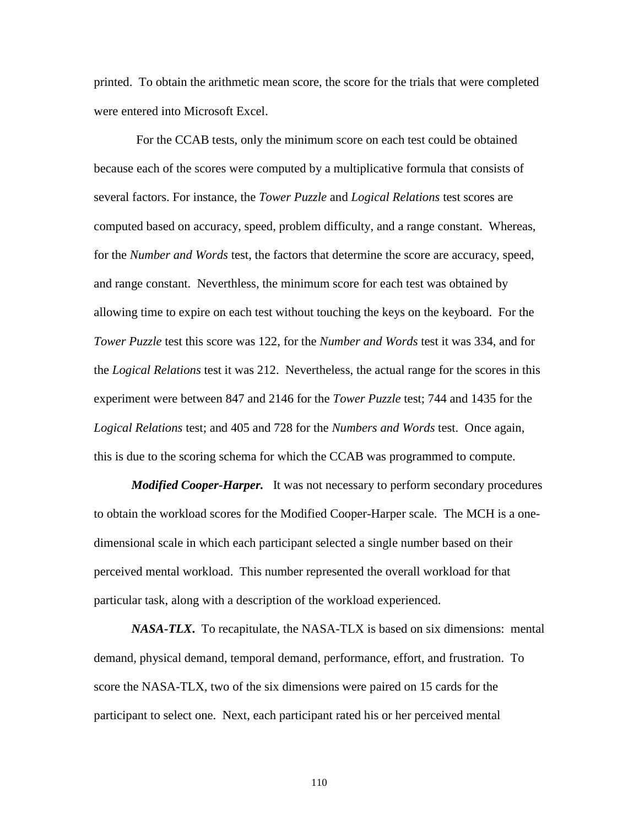printed. To obtain the arithmetic mean score, the score for the trials that were completed were entered into Microsoft Excel.

For the CCAB tests, only the minimum score on each test could be obtained because each of the scores were computed by a multiplicative formula that consists of several factors. For instance, the *Tower Puzzle* and *Logical Relations* test scores are computed based on accuracy, speed, problem difficulty, and a range constant. Whereas, for the *Number and Words* test, the factors that determine the score are accuracy, speed, and range constant. Neverthless, the minimum score for each test was obtained by allowing time to expire on each test without touching the keys on the keyboard. For the *Tower Puzzle* test this score was 122, for the *Number and Words* test it was 334, and for the *Logical Relations* test it was 212. Nevertheless, the actual range for the scores in this experiment were between 847 and 2146 for the *Tower Puzzle* test; 744 and 1435 for the *Logical Relations* test; and 405 and 728 for the *Numbers and Words* test. Once again, this is due to the scoring schema for which the CCAB was programmed to compute.

*Modified Cooper-Harper.* It was not necessary to perform secondary procedures to obtain the workload scores for the Modified Cooper-Harper scale. The MCH is a onedimensional scale in which each participant selected a single number based on their perceived mental workload. This number represented the overall workload for that particular task, along with a description of the workload experienced.

*NASA-TLX***.** To recapitulate, the NASA-TLX is based on six dimensions: mental demand, physical demand, temporal demand, performance, effort, and frustration. To score the NASA-TLX, two of the six dimensions were paired on 15 cards for the participant to select one. Next, each participant rated his or her perceived mental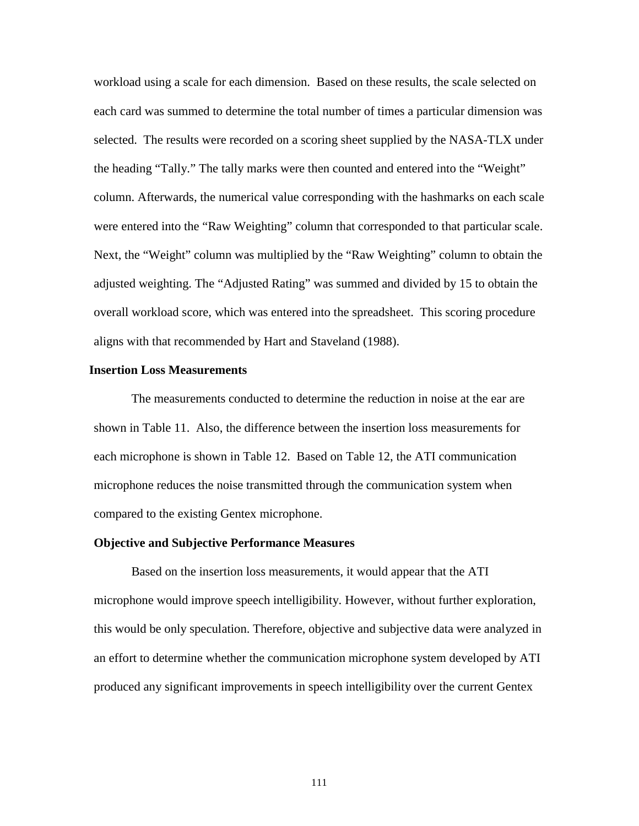workload using a scale for each dimension. Based on these results, the scale selected on each card was summed to determine the total number of times a particular dimension was selected. The results were recorded on a scoring sheet supplied by the NASA-TLX under the heading "Tally." The tally marks were then counted and entered into the "Weight" column. Afterwards, the numerical value corresponding with the hashmarks on each scale were entered into the "Raw Weighting" column that corresponded to that particular scale. Next, the "Weight" column was multiplied by the "Raw Weighting" column to obtain the adjusted weighting. The "Adjusted Rating" was summed and divided by 15 to obtain the overall workload score, which was entered into the spreadsheet. This scoring procedure aligns with that recommended by Hart and Staveland (1988).

#### **Insertion Loss Measurements**

The measurements conducted to determine the reduction in noise at the ear are shown in Table 11. Also, the difference between the insertion loss measurements for each microphone is shown in Table 12. Based on Table 12, the ATI communication microphone reduces the noise transmitted through the communication system when compared to the existing Gentex microphone.

# **Objective and Subjective Performance Measures**

Based on the insertion loss measurements, it would appear that the ATI microphone would improve speech intelligibility. However, without further exploration, this would be only speculation. Therefore, objective and subjective data were analyzed in an effort to determine whether the communication microphone system developed by ATI produced any significant improvements in speech intelligibility over the current Gentex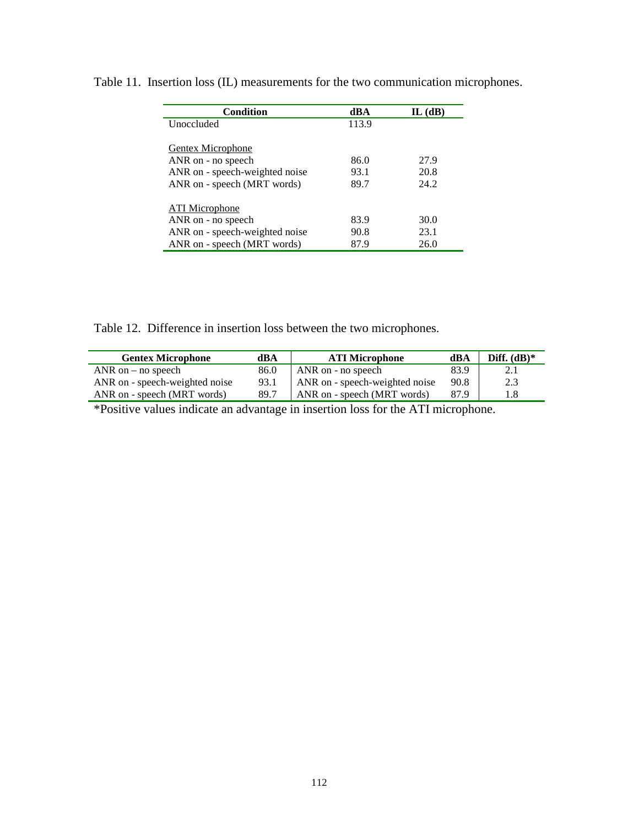| Condition                      | dBA   | $IL$ ( $dB$ ) |
|--------------------------------|-------|---------------|
| <b>Unoccluded</b>              | 113.9 |               |
| Gentex Microphone              |       |               |
| ANR on - no speech             | 86.0  | 27.9          |
| ANR on - speech-weighted noise | 93.1  | 20.8          |
| ANR on - speech (MRT words)    | 89.7  | 24.2          |
| ATI Microphone                 |       |               |
| ANR on - no speech             | 83.9  | 30.0          |
| ANR on - speech-weighted noise | 90.8  | 23.1          |
| ANR on - speech (MRT words)    | 87.9  | 26.0          |

Table 11. Insertion loss (IL) measurements for the two communication microphones.

Table 12. Difference in insertion loss between the two microphones.

| <b>Gentex Microphone</b>       | dBA  | <b>ATI Microphone</b>          | dBA  | Diff. $(dB)*$ |
|--------------------------------|------|--------------------------------|------|---------------|
| ANR on $-$ no speech           | 86.0 | ANR on - no speech             | 83.9 | 2.1           |
| ANR on - speech-weighted noise | 93.1 | ANR on - speech-weighted noise | 90.8 | 2.3           |
| ANR on - speech (MRT words)    | 89.7 | ANR on - speech (MRT words)    | 87.9 | 1.8           |

\*Positive values indicate an advantage in insertion loss for the ATI microphone.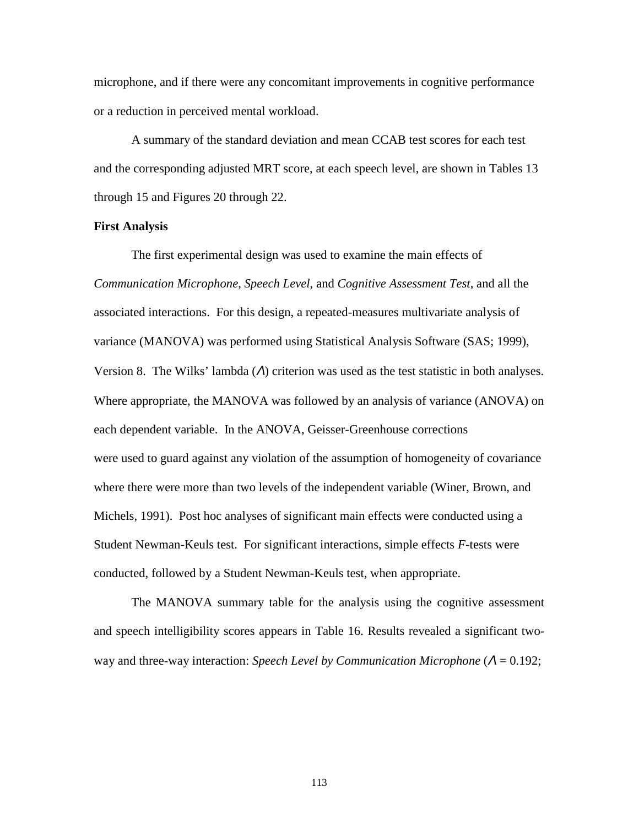microphone, and if there were any concomitant improvements in cognitive performance or a reduction in perceived mental workload.

A summary of the standard deviation and mean CCAB test scores for each test and the corresponding adjusted MRT score, at each speech level, are shown in Tables 13 through 15 and Figures 20 through 22.

## **First Analysis**

The first experimental design was used to examine the main effects of *Communication Microphone*, *Speech Level*, and *Cognitive Assessment Test*, and all the associated interactions. For this design, a repeated-measures multivariate analysis of variance (MANOVA) was performed using Statistical Analysis Software (SAS; 1999), Version 8. The Wilks' lambda  $(\Lambda)$  criterion was used as the test statistic in both analyses. Where appropriate, the MANOVA was followed by an analysis of variance (ANOVA) on each dependent variable. In the ANOVA, Geisser-Greenhouse corrections were used to guard against any violation of the assumption of homogeneity of covariance where there were more than two levels of the independent variable (Winer, Brown, and Michels, 1991). Post hoc analyses of significant main effects were conducted using a Student Newman-Keuls test. For significant interactions, simple effects *F*-tests were conducted, followed by a Student Newman-Keuls test, when appropriate.

The MANOVA summary table for the analysis using the cognitive assessment and speech intelligibility scores appears in Table 16. Results revealed a significant twoway and three-way interaction: *Speech Level by Communication Microphone* (<sup>Λ</sup> = 0.192;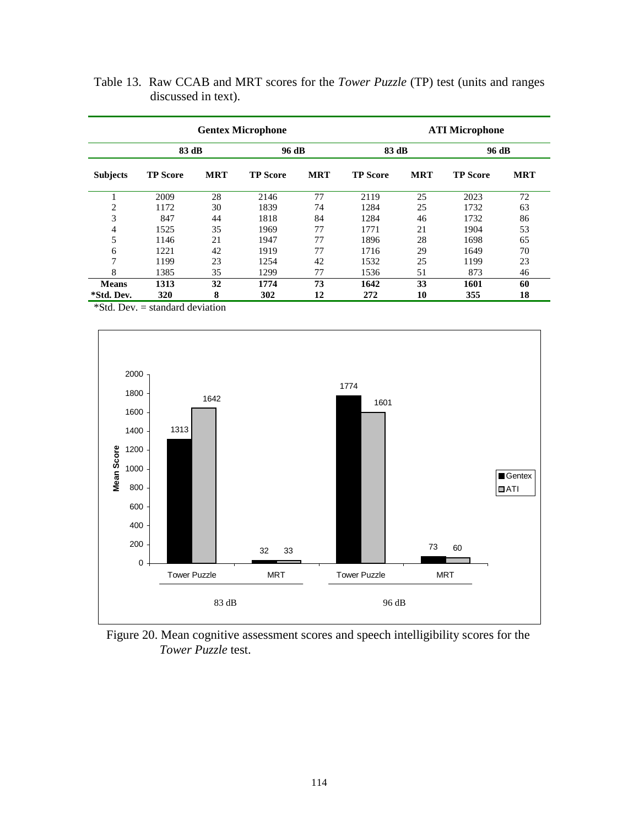|                 | <b>Gentex Microphone</b> |            |                 |            |                 |            | <b>ATI Microphone</b> |            |
|-----------------|--------------------------|------------|-----------------|------------|-----------------|------------|-----------------------|------------|
|                 | 83 dB                    |            | 96 dB           |            | 83 dB           |            | 96 dB                 |            |
| <b>Subjects</b> | <b>TP Score</b>          | <b>MRT</b> | <b>TP Score</b> | <b>MRT</b> | <b>TP Score</b> | <b>MRT</b> | <b>TP Score</b>       | <b>MRT</b> |
| $\bf{1}$        | 2009                     | 28         | 2146            | 77         | 2119            | 25         | 2023                  | 72         |
| 2               | 1172                     | 30         | 1839            | 74         | 1284            | 25         | 1732                  | 63         |
| 3               | 847                      | 44         | 1818            | 84         | 1284            | 46         | 1732                  | 86         |
| 4               | 1525                     | 35         | 1969            | 77         | 1771            | 21         | 1904                  | 53         |
| 5               | 1146                     | 21         | 1947            | 77         | 1896            | 28         | 1698                  | 65         |
| 6               | 1221                     | 42         | 1919            | 77         | 1716            | 29         | 1649                  | 70         |
| $\overline{7}$  | 1199                     | 23         | 1254            | 42         | 1532            | 25         | 1199                  | 23         |
| 8               | 1385                     | 35         | 1299            | 77         | 1536            | 51         | 873                   | 46         |
| <b>Means</b>    | 1313                     | 32         | 1774            | 73         | 1642            | 33         | 1601                  | 60         |
| *Std. Dev.      | 320                      | 8          | 302             | 12         | 272             | 10         | 355                   | 18         |

Table 13. Raw CCAB and MRT scores for the *Tower Puzzle* (TP) test (units and ranges discussed in text).

\*Std. Dev. = standard deviation



 Figure 20. Mean cognitive assessment scores and speech intelligibility scores for the *Tower Puzzle* test.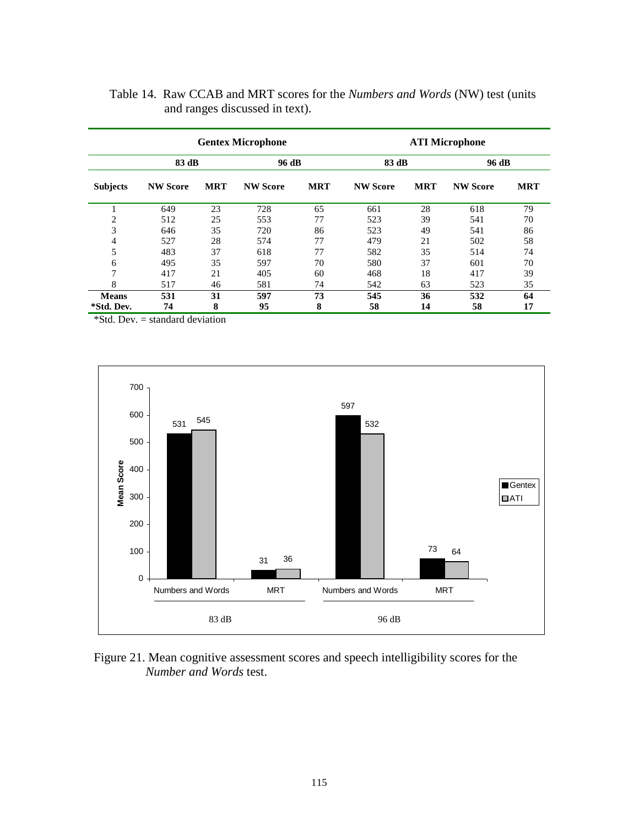|                 |                 | <b>Gentex Microphone</b> |                 |            | <b>ATI Microphone</b> |            |                 |            |
|-----------------|-----------------|--------------------------|-----------------|------------|-----------------------|------------|-----------------|------------|
|                 | 83 dB           |                          | 96 dB           |            | 83 dB                 |            | 96 dB           |            |
| <b>Subjects</b> | <b>NW Score</b> | <b>MRT</b>               | <b>NW Score</b> | <b>MRT</b> | <b>NW Score</b>       | <b>MRT</b> | <b>NW Score</b> | <b>MRT</b> |
| 1               | 649             | 23                       | 728             | 65         | 661                   | 28         | 618             | 79         |
| $\overline{2}$  | 512             | 25                       | 553             | 77         | 523                   | 39         | 541             | 70         |
| 3               | 646             | 35                       | 720             | 86         | 523                   | 49         | 541             | 86         |
| 4               | 527             | 28                       | 574             | 77         | 479                   | 21         | 502             | 58         |
| 5               | 483             | 37                       | 618             | 77         | 582                   | 35         | 514             | 74         |
| 6               | 495             | 35                       | 597             | 70         | 580                   | 37         | 601             | 70         |
| 7               | 417             | 21                       | 405             | 60         | 468                   | 18         | 417             | 39         |
| 8               | 517             | 46                       | 581             | 74         | 542                   | 63         | 523             | 35         |
| <b>Means</b>    | 531             | 31                       | 597             | 73         | 545                   | 36         | 532             | 64         |
| *Std. Dev.      | 74              | 8                        | 95              | 8          | 58                    | 14         | 58              | 17         |

| Table 14. Raw CCAB and MRT scores for the <i>Numbers and Words</i> (NW) test (units |  |
|-------------------------------------------------------------------------------------|--|
| and ranges discussed in text).                                                      |  |

\*Std. Dev. = standard deviation



Figure 21. Mean cognitive assessment scores and speech intelligibility scores for the *Number and Words* test.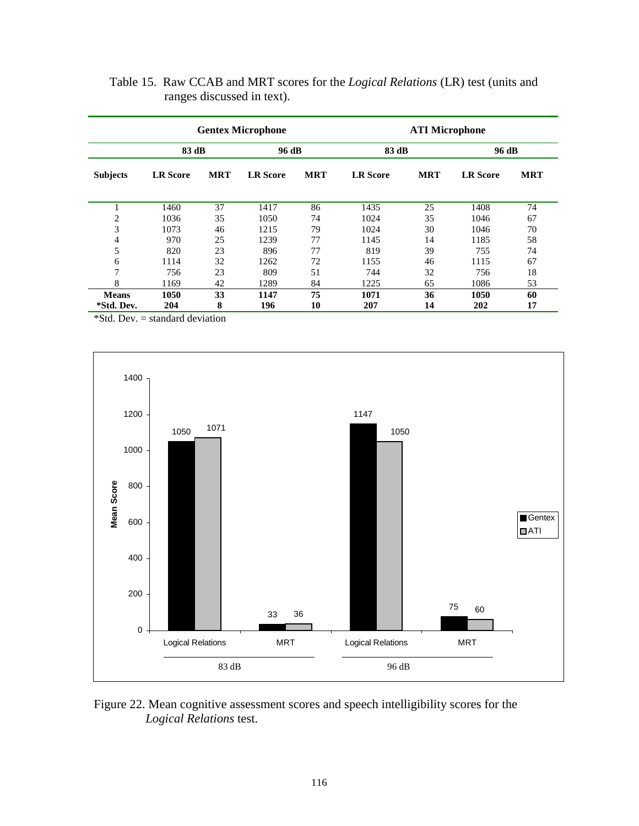|                            | <b>Gentex Microphone</b> |            |                 |            |                 | <b>ATI Microphone</b> |                 |            |
|----------------------------|--------------------------|------------|-----------------|------------|-----------------|-----------------------|-----------------|------------|
|                            | 83 dB                    |            | 96 dB           |            | 83 dB           |                       | 96 dB           |            |
| <b>Subjects</b>            | <b>LR</b> Score          | <b>MRT</b> | <b>LR</b> Score | <b>MRT</b> | <b>LR</b> Score | <b>MRT</b>            | <b>LR</b> Score | <b>MRT</b> |
| 1                          | 1460                     | 37         | 1417            | 86         | 1435            | 25                    | 1408            | 74         |
| $\overline{2}$             | 1036                     | 35         | 1050            | 74         | 1024            | 35                    | 1046            | 67         |
| 3                          | 1073                     | 46         | 1215            | 79         | 1024            | 30                    | 1046            | 70         |
| 4                          | 970                      | 25         | 1239            | 77         | 1145            | 14                    | 1185            | 58         |
| 5                          | 820                      | 23         | 896             | 77         | 819             | 39                    | 755             | 74         |
| 6                          | 1114                     | 32         | 1262            | 72         | 1155            | 46                    | 1115            | 67         |
| 7                          | 756                      | 23         | 809             | 51         | 744             | 32                    | 756             | 18         |
| 8                          | 1169                     | 42         | 1289            | 84         | 1225            | 65                    | 1086            | 53         |
| <b>Means</b><br>*Std. Dev. | 1050<br>204              | 33<br>8    | 1147<br>196     | 75<br>10   | 1071<br>207     | 36<br>14              | 1050<br>202     | 60<br>17   |

 Table 15. Raw CCAB and MRT scores for the *Logical Relations* (LR) test (units and ranges discussed in text).

\*Std. Dev. = standard deviation



Figure 22. Mean cognitive assessment scores and speech intelligibility scores for the *Logical Relations* test.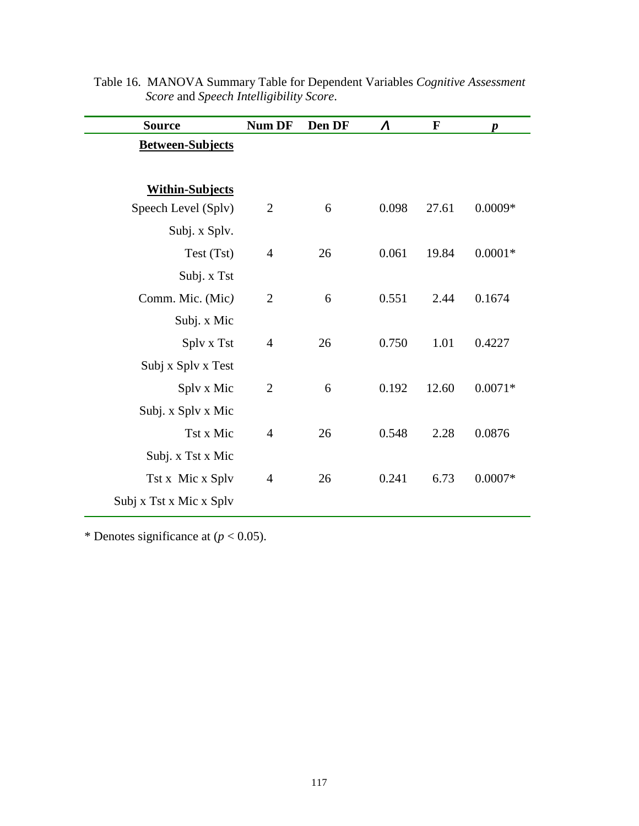| <b>Source</b>           | <b>Num DF</b>  | Den DF | $\boldsymbol{\Lambda}$ | $\mathbf{F}$ | $\boldsymbol{p}$ |
|-------------------------|----------------|--------|------------------------|--------------|------------------|
| <b>Between-Subjects</b> |                |        |                        |              |                  |
|                         |                |        |                        |              |                  |
| <b>Within-Subjects</b>  |                |        |                        |              |                  |
| Speech Level (Splv)     | $\overline{2}$ | 6      | 0.098                  | 27.61        | $0.0009*$        |
| Subj. x Splv.           |                |        |                        |              |                  |
| Test (Tst)              | $\overline{4}$ | 26     | 0.061                  | 19.84        | $0.0001*$        |
| Subj. x Tst             |                |        |                        |              |                  |
| Comm. Mic. (Mic)        | $\overline{2}$ | 6      | 0.551                  | 2.44         | 0.1674           |
| Subj. x Mic             |                |        |                        |              |                  |
| Splv x Tst              | $\overline{4}$ | 26     | 0.750                  | 1.01         | 0.4227           |
| Subj x Splv x Test      |                |        |                        |              |                  |
| Splv x Mic              | $\overline{2}$ | 6      | 0.192                  | 12.60        | $0.0071*$        |
| Subj. x Splv x Mic      |                |        |                        |              |                  |
| Tst x Mic               | $\overline{4}$ | 26     | 0.548                  | 2.28         | 0.0876           |
| Subj. x Tst x Mic       |                |        |                        |              |                  |
| Tst x Mic x Splv        | $\overline{4}$ | 26     | 0.241                  | 6.73         | $0.0007*$        |
| Subj x Tst x Mic x Splv |                |        |                        |              |                  |

Table 16. MANOVA Summary Table for Dependent Variables *Cognitive Assessment Score* and *Speech Intelligibility Score*.

\* Denotes significance at  $(p < 0.05)$ .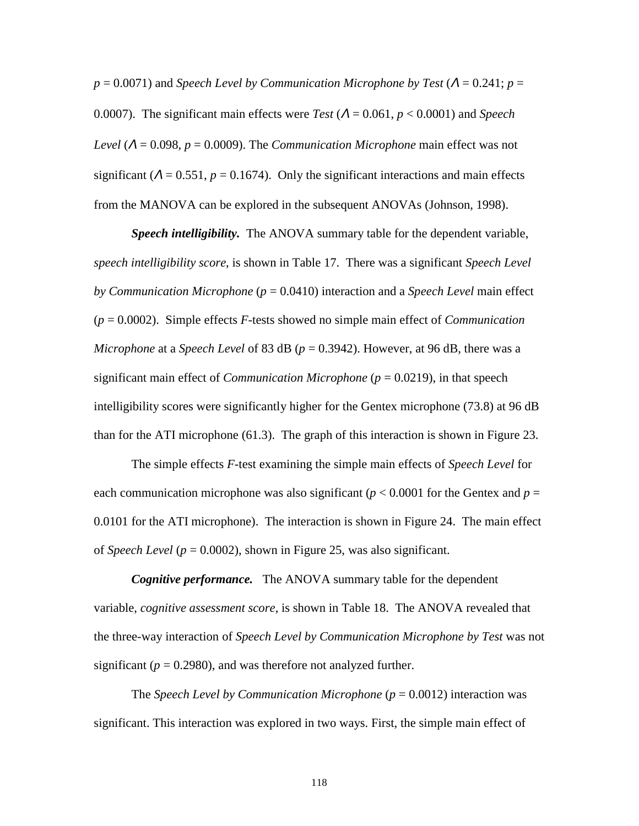$p = 0.0071$ ) and *Speech Level by Communication Microphone by Test* ( $\Lambda = 0.241$ ;  $p =$ 0.0007). The significant main effects were *Test* (Λ = 0.061, *p* < 0.0001) and *Speech Level* (Λ = 0.098, *p* = 0.0009). The *Communication Microphone* main effect was not significant ( $\Lambda = 0.551$ ,  $p = 0.1674$ ). Only the significant interactions and main effects from the MANOVA can be explored in the subsequent ANOVAs (Johnson, 1998).

*Speech intelligibility.* The ANOVA summary table for the dependent variable, *speech intelligibility score*, is shown in Table 17. There was a significant *Speech Level by Communication Microphone* (*p* = 0.0410) interaction and a *Speech Level* main effect (*p* = 0.0002). Simple effects *F*-tests showed no simple main effect of *Communication Microphone* at a *Speech Level* of 83 dB (*p* = 0.3942). However, at 96 dB, there was a significant main effect of *Communication Microphone* (*p* = 0.0219), in that speech intelligibility scores were significantly higher for the Gentex microphone (73.8) at 96 dB than for the ATI microphone (61.3). The graph of this interaction is shown in Figure 23.

The simple effects *F*-test examining the simple main effects of *Speech Level* for each communication microphone was also significant ( $p < 0.0001$  for the Gentex and  $p =$ 0.0101 for the ATI microphone). The interaction is shown in Figure 24. The main effect of *Speech Level* (*p* = 0.0002), shown in Figure 25, was also significant.

*Cognitive performance.* The ANOVA summary table for the dependent variable, *cognitive assessment score*, is shown in Table 18. The ANOVA revealed that the three-way interaction of *Speech Level by Communication Microphone by Test* was not significant ( $p = 0.2980$ ), and was therefore not analyzed further.

The *Speech Level by Communication Microphone* ( $p = 0.0012$ ) interaction was significant. This interaction was explored in two ways. First, the simple main effect of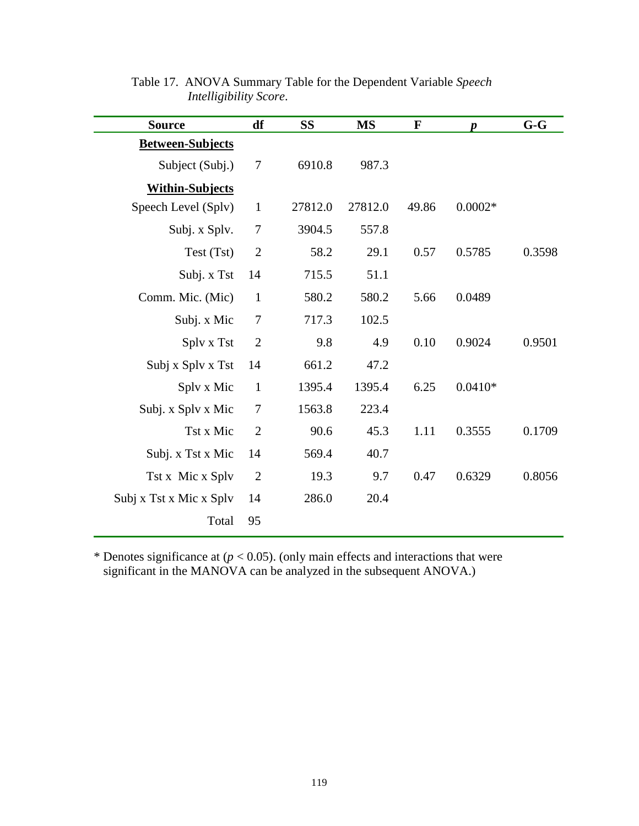| <b>Source</b>           | df             | <b>SS</b> | <b>MS</b> | $\mathbf F$ | $\boldsymbol{p}$ | $G-G$  |
|-------------------------|----------------|-----------|-----------|-------------|------------------|--------|
| <b>Between-Subjects</b> |                |           |           |             |                  |        |
| Subject (Subj.)         | 7              | 6910.8    | 987.3     |             |                  |        |
| <b>Within-Subjects</b>  |                |           |           |             |                  |        |
| Speech Level (Splv)     | $\mathbf{1}$   | 27812.0   | 27812.0   | 49.86       | $0.0002*$        |        |
| Subj. x Splv.           | $\tau$         | 3904.5    | 557.8     |             |                  |        |
| Test (Tst)              | $\overline{2}$ | 58.2      | 29.1      | 0.57        | 0.5785           | 0.3598 |
| Subj. x Tst             | 14             | 715.5     | 51.1      |             |                  |        |
| Comm. Mic. (Mic)        | $\mathbf{1}$   | 580.2     | 580.2     | 5.66        | 0.0489           |        |
| Subj. x Mic             | 7              | 717.3     | 102.5     |             |                  |        |
| Splv x Tst              | $\overline{2}$ | 9.8       | 4.9       | 0.10        | 0.9024           | 0.9501 |
| Subj x Splv x Tst       | 14             | 661.2     | 47.2      |             |                  |        |
| Splv x Mic              | $\mathbf{1}$   | 1395.4    | 1395.4    | 6.25        | $0.0410*$        |        |
| Subj. x Splv x Mic      | 7              | 1563.8    | 223.4     |             |                  |        |
| Tst x Mic               | $\overline{2}$ | 90.6      | 45.3      | 1.11        | 0.3555           | 0.1709 |
| Subj. x Tst x Mic       | 14             | 569.4     | 40.7      |             |                  |        |
| Tst x Mic x Splv        | $\overline{2}$ | 19.3      | 9.7       | 0.47        | 0.6329           | 0.8056 |
| Subj x Tst x Mic x Splv | 14             | 286.0     | 20.4      |             |                  |        |
| Total                   | 95             |           |           |             |                  |        |

Table 17. ANOVA Summary Table for the Dependent Variable *Speech Intelligibility Score*.

\* Denotes significance at  $(p < 0.05)$ . (only main effects and interactions that were significant in the MANOVA can be analyzed in the subsequent ANOVA.)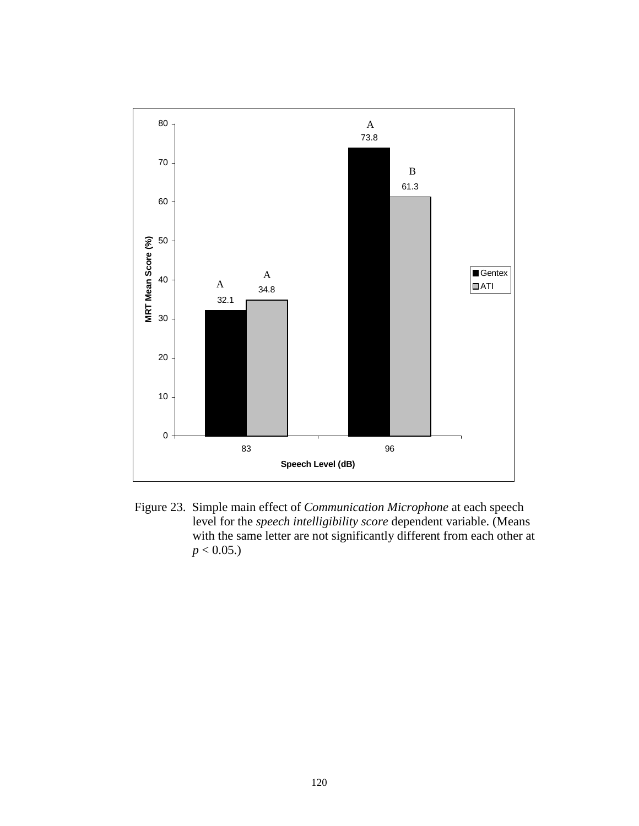

 Figure 23. Simple main effect of *Communication Microphone* at each speech level for the *speech intelligibility score* dependent variable. (Means with the same letter are not significantly different from each other at  $p < 0.05$ .)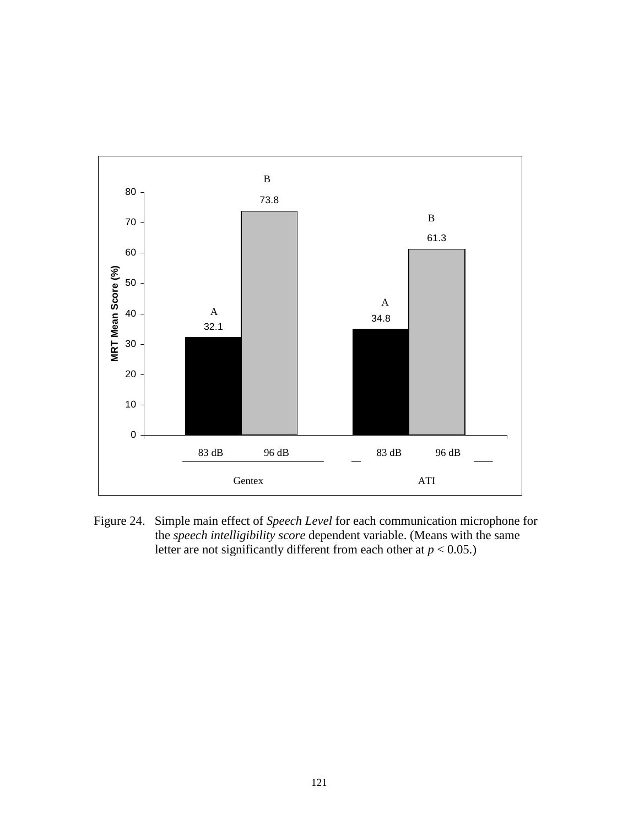

Figure 24. Simple main effect of *Speech Level* for each communication microphone for the *speech intelligibility score* dependent variable. (Means with the same letter are not significantly different from each other at  $p < 0.05$ .)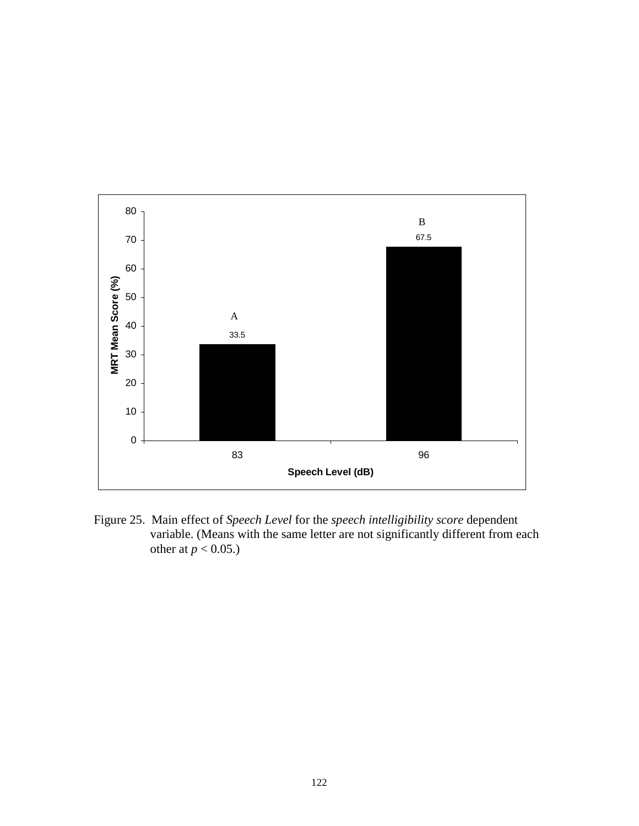

Figure 25. Main effect of *Speech Level* for the *speech intelligibility score* dependent variable. (Means with the same letter are not significantly different from each other at  $p < 0.05$ .)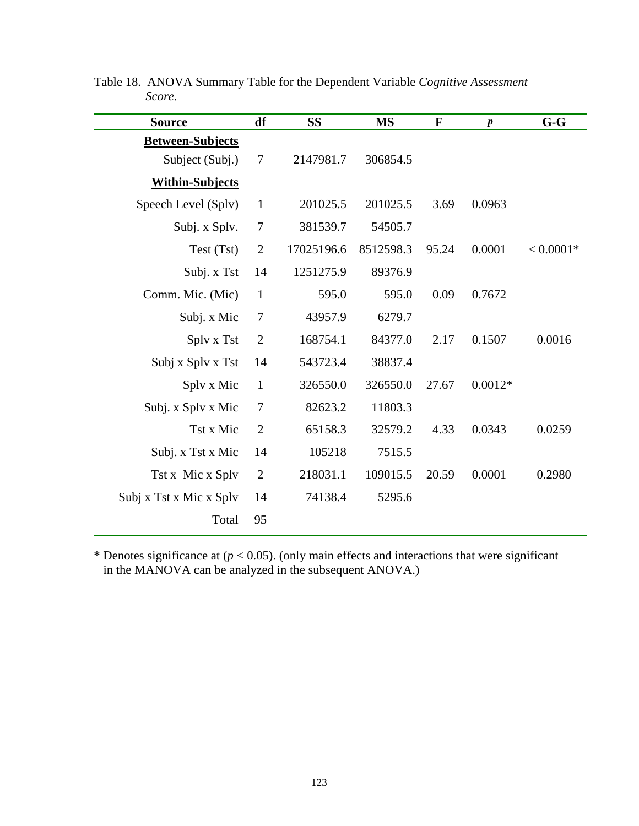| <b>Source</b>           | df             | <b>SS</b>  | <b>MS</b> | F     | $\boldsymbol{p}$ | $G-G$       |
|-------------------------|----------------|------------|-----------|-------|------------------|-------------|
| <b>Between-Subjects</b> |                |            |           |       |                  |             |
| Subject (Subj.)         | $\tau$         | 2147981.7  | 306854.5  |       |                  |             |
| <b>Within-Subjects</b>  |                |            |           |       |                  |             |
| Speech Level (Splv)     | $\mathbf{1}$   | 201025.5   | 201025.5  | 3.69  | 0.0963           |             |
| Subj. x Splv.           | $\tau$         | 381539.7   | 54505.7   |       |                  |             |
| Test (Tst)              | $\overline{2}$ | 17025196.6 | 8512598.3 | 95.24 | 0.0001           | $< 0.0001*$ |
| Subj. x Tst             | 14             | 1251275.9  | 89376.9   |       |                  |             |
| Comm. Mic. (Mic)        | $\mathbf{1}$   | 595.0      | 595.0     | 0.09  | 0.7672           |             |
| Subj. x Mic             | $\tau$         | 43957.9    | 6279.7    |       |                  |             |
| Splv x Tst              | $\overline{2}$ | 168754.1   | 84377.0   | 2.17  | 0.1507           | 0.0016      |
| Subj x Splv x Tst       | 14             | 543723.4   | 38837.4   |       |                  |             |
| Splv x Mic              | $\mathbf{1}$   | 326550.0   | 326550.0  | 27.67 | $0.0012*$        |             |
| Subj. x Splv x Mic      | $\tau$         | 82623.2    | 11803.3   |       |                  |             |
| Tst x Mic               | $\overline{2}$ | 65158.3    | 32579.2   | 4.33  | 0.0343           | 0.0259      |
| Subj. x Tst x Mic       | 14             | 105218     | 7515.5    |       |                  |             |
| Tst x Mic x Splv        | $\overline{2}$ | 218031.1   | 109015.5  | 20.59 | 0.0001           | 0.2980      |
| Subj x Tst x Mic x Splv | 14             | 74138.4    | 5295.6    |       |                  |             |
| Total                   | 95             |            |           |       |                  |             |

Table 18. ANOVA Summary Table for the Dependent Variable *Cognitive Assessment Score*.

\* Denotes significance at  $(p < 0.05)$ . (only main effects and interactions that were significant in the MANOVA can be analyzed in the subsequent ANOVA.)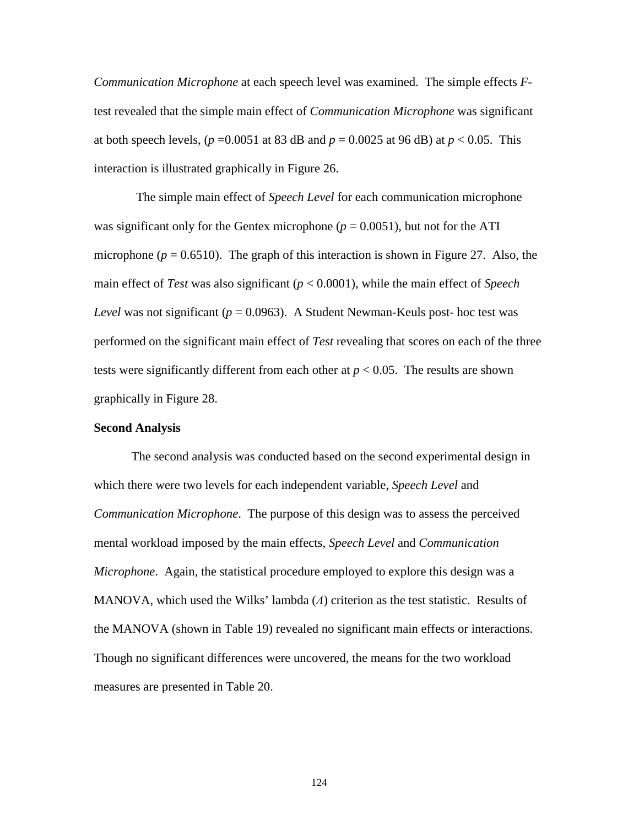*Communication Microphone* at each speech level was examined. The simple effects *F*test revealed that the simple main effect of *Communication Microphone* was significant at both speech levels,  $(p=0.0051$  at 83 dB and  $p=0.0025$  at 96 dB) at  $p < 0.05$ . This interaction is illustrated graphically in Figure 26.

The simple main effect of *Speech Level* for each communication microphone was significant only for the Gentex microphone ( $p = 0.0051$ ), but not for the ATI microphone ( $p = 0.6510$ ). The graph of this interaction is shown in Figure 27. Also, the main effect of *Test* was also significant (*p* < 0.0001), while the main effect of *Speech Level* was not significant ( $p = 0.0963$ ). A Student Newman-Keuls post- hoc test was performed on the significant main effect of *Test* revealing that scores on each of the three tests were significantly different from each other at  $p < 0.05$ . The results are shown graphically in Figure 28.

# **Second Analysis**

The second analysis was conducted based on the second experimental design in which there were two levels for each independent variable, *Speech Level* and *Communication Microphone*. The purpose of this design was to assess the perceived mental workload imposed by the main effects, *Speech Level* and *Communication Microphone*. Again, the statistical procedure employed to explore this design was a MANOVA, which used the Wilks' lambda (*Λ*) criterion as the test statistic. Results of the MANOVA (shown in Table 19) revealed no significant main effects or interactions. Though no significant differences were uncovered, the means for the two workload measures are presented in Table 20.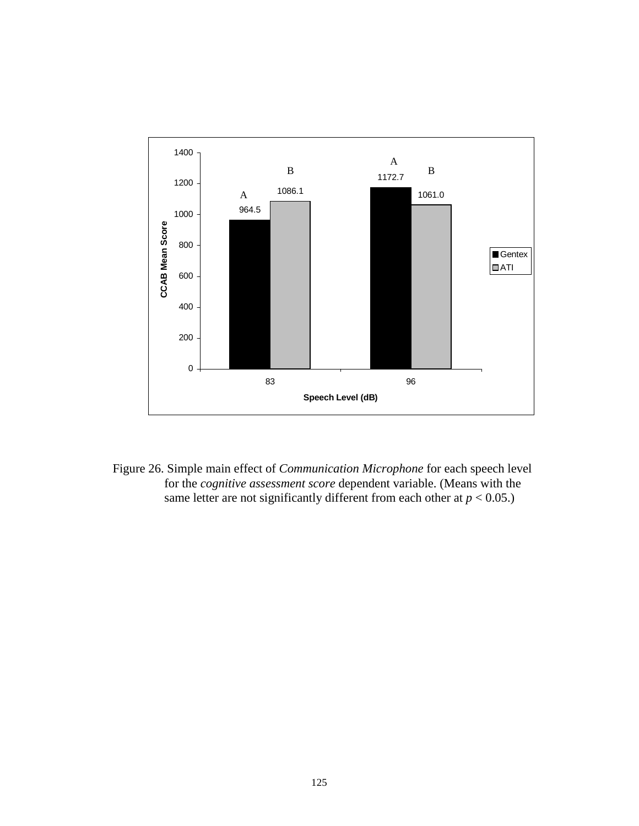

Figure 26. Simple main effect of *Communication Microphone* for each speech level for the *cognitive assessment score* dependent variable. (Means with the same letter are not significantly different from each other at  $p < 0.05$ .)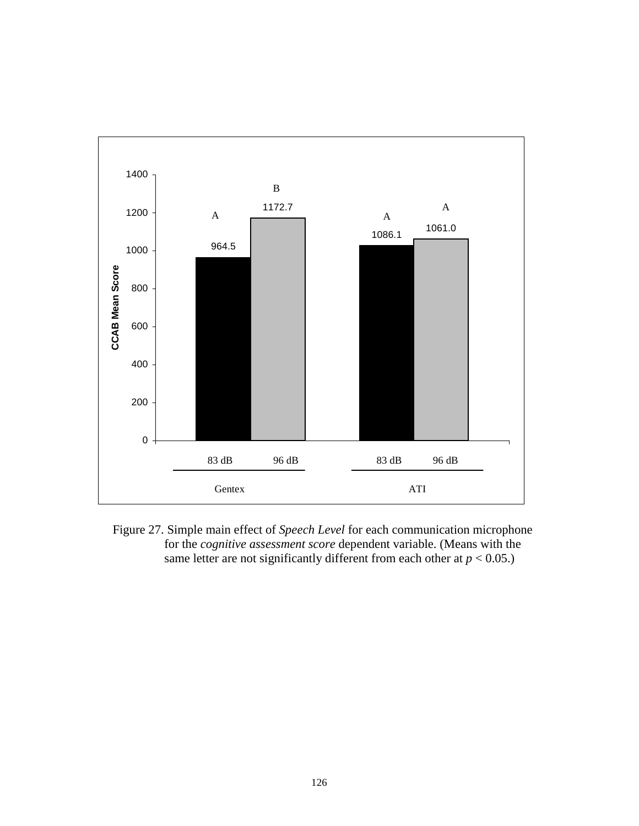

Figure 27. Simple main effect of *Speech Level* for each communication microphone for the *cognitive assessment score* dependent variable. (Means with the same letter are not significantly different from each other at  $p < 0.05$ .)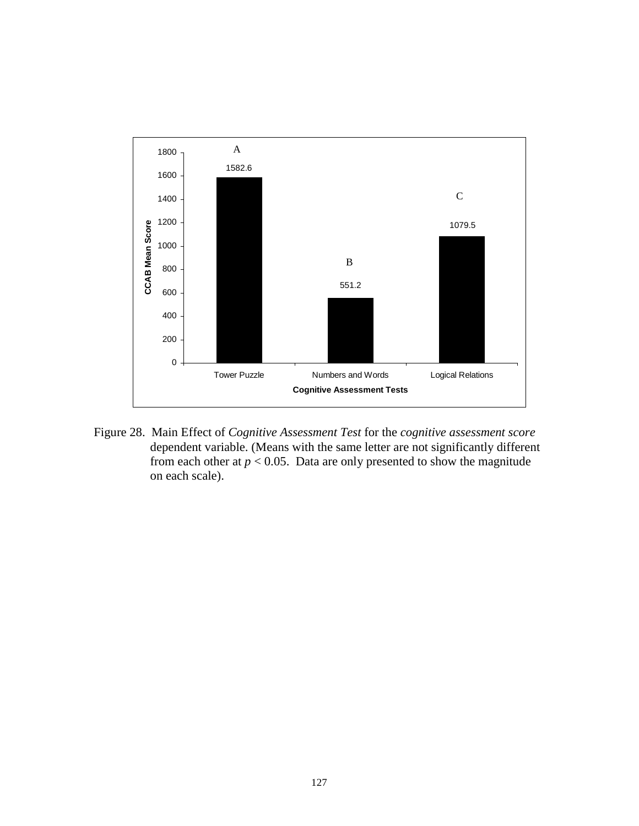

Figure 28. Main Effect of *Cognitive Assessment Test* for the *cognitive assessment score* dependent variable. (Means with the same letter are not significantly different from each other at  $p < 0.05$ . Data are only presented to show the magnitude on each scale).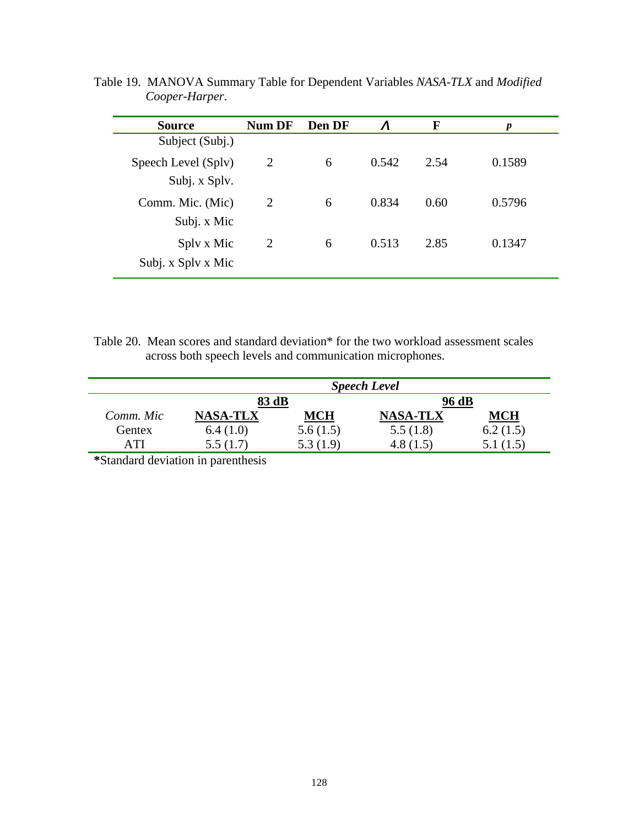| <b>Source</b>                        | Num DF | Den DF | $\boldsymbol{\Lambda}$ | F    | p      |
|--------------------------------------|--------|--------|------------------------|------|--------|
| Subject (Subj.)                      |        |        |                        |      |        |
| Speech Level (Splv)<br>Subj. x Splv. | 2      | 6      | 0.542                  | 2.54 | 0.1589 |
| Comm. Mic. (Mic)<br>Subj. x Mic      | 2      | 6      | 0.834                  | 0.60 | 0.5796 |
| Sply x Mic<br>Subj. x Splv x Mic     | 2      | 6      | 0.513                  | 2.85 | 0.1347 |

Table 19. MANOVA Summary Table for Dependent Variables *NASA-TLX* and *Modified Cooper-Harper*.

Table 20. Mean scores and standard deviation\* for the two workload assessment scales across both speech levels and communication microphones.

|           | <b>Speech Level</b> |            |                 |          |  |  |
|-----------|---------------------|------------|-----------------|----------|--|--|
|           | 83 dB               |            | 96 dB           |          |  |  |
| Comm. Mic | <b>NASA-TLX</b>     | <b>MCH</b> | <b>NASA-TLX</b> | MCH      |  |  |
| Gentex    | 6.4(1.0)            | 5.6(1.5)   | 5.5(1.8)        | 6.2(1.5) |  |  |
| A TI      | 5.5(1.7)            | 5.3(1.9)   | 4.8(1.5)        | 5.1(1.5) |  |  |

**\***Standard deviation in parenthesis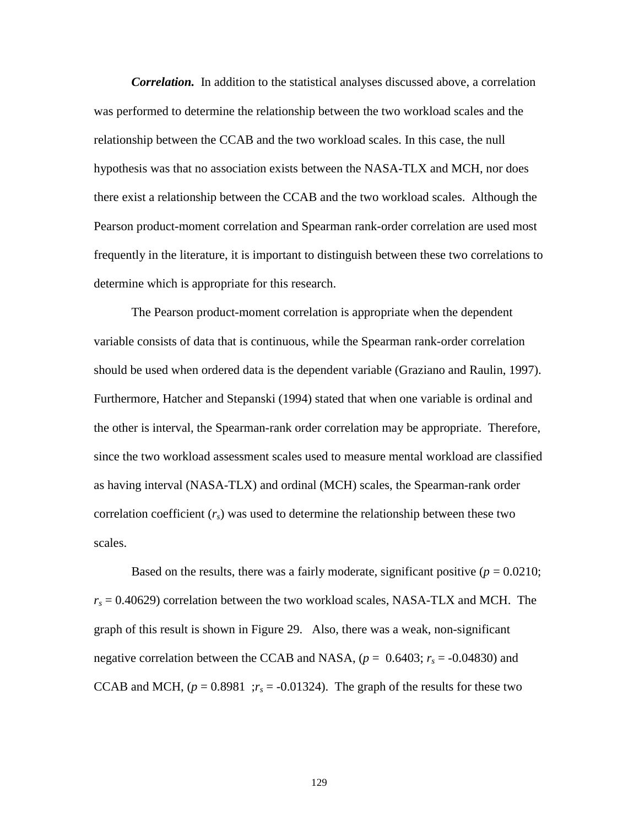*Correlation.* In addition to the statistical analyses discussed above, a correlation was performed to determine the relationship between the two workload scales and the relationship between the CCAB and the two workload scales. In this case, the null hypothesis was that no association exists between the NASA-TLX and MCH, nor does there exist a relationship between the CCAB and the two workload scales. Although the Pearson product-moment correlation and Spearman rank-order correlation are used most frequently in the literature, it is important to distinguish between these two correlations to determine which is appropriate for this research.

The Pearson product-moment correlation is appropriate when the dependent variable consists of data that is continuous, while the Spearman rank-order correlation should be used when ordered data is the dependent variable (Graziano and Raulin, 1997). Furthermore, Hatcher and Stepanski (1994) stated that when one variable is ordinal and the other is interval, the Spearman-rank order correlation may be appropriate. Therefore, since the two workload assessment scales used to measure mental workload are classified as having interval (NASA-TLX) and ordinal (MCH) scales, the Spearman-rank order correlation coefficient  $(r<sub>s</sub>)$  was used to determine the relationship between these two scales.

Based on the results, there was a fairly moderate, significant positive  $(p = 0.0210;$  $r_s = 0.40629$ ) correlation between the two workload scales, NASA-TLX and MCH. The graph of this result is shown in Figure 29. Also, there was a weak, non-significant negative correlation between the CCAB and NASA,  $(p = 0.6403; r_s = -0.04830)$  and CCAB and MCH,  $(p = 0.8981; r_s = -0.01324)$ . The graph of the results for these two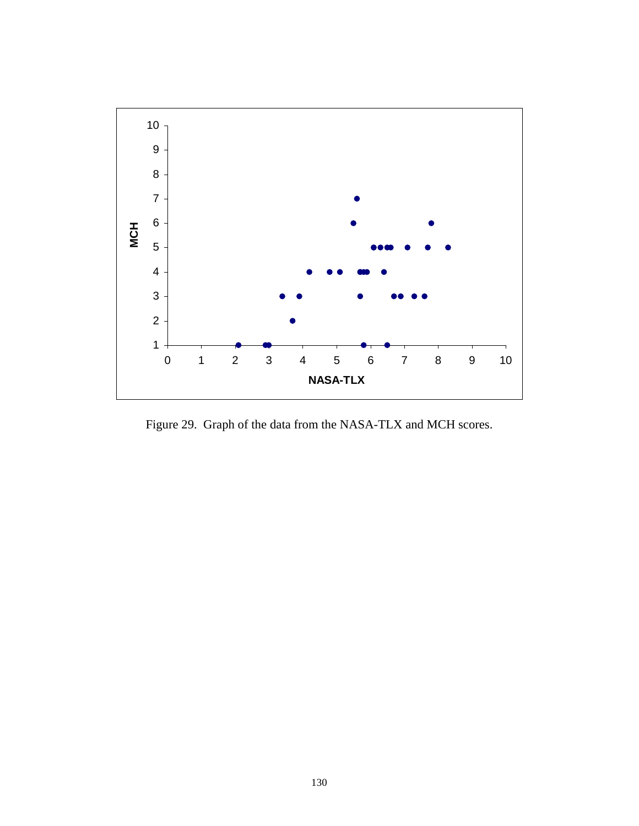

Figure 29. Graph of the data from the NASA-TLX and MCH scores.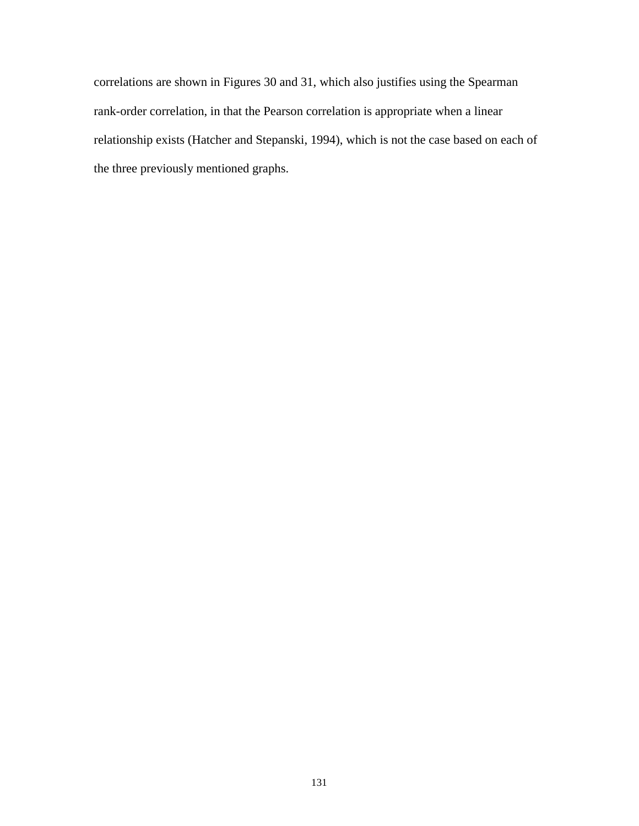correlations are shown in Figures 30 and 31, which also justifies using the Spearman rank-order correlation, in that the Pearson correlation is appropriate when a linear relationship exists (Hatcher and Stepanski, 1994), which is not the case based on each of the three previously mentioned graphs.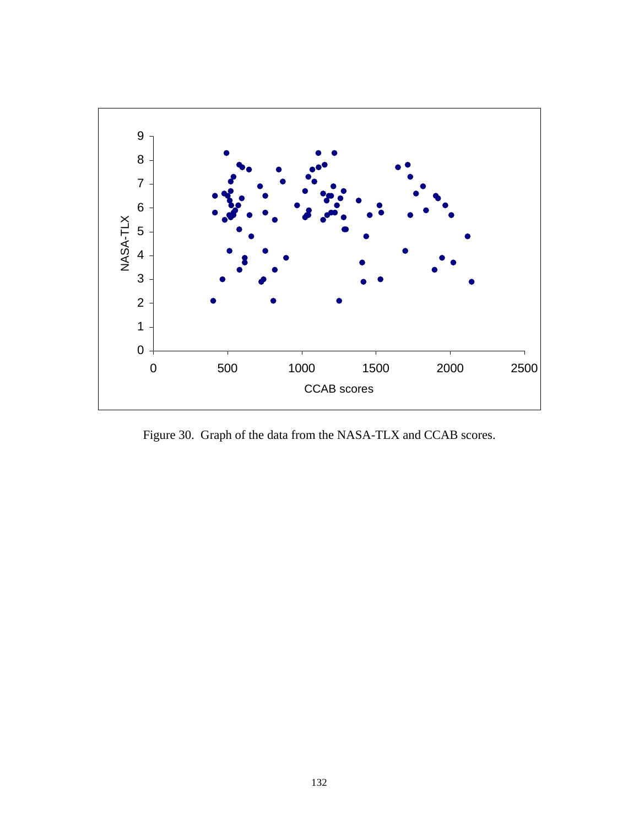

Figure 30. Graph of the data from the NASA-TLX and CCAB scores.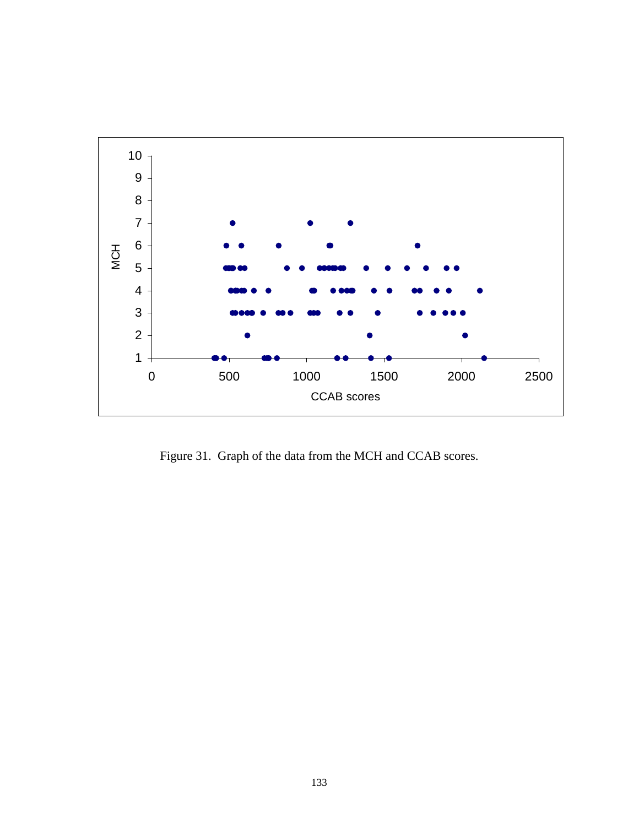

Figure 31. Graph of the data from the MCH and CCAB scores.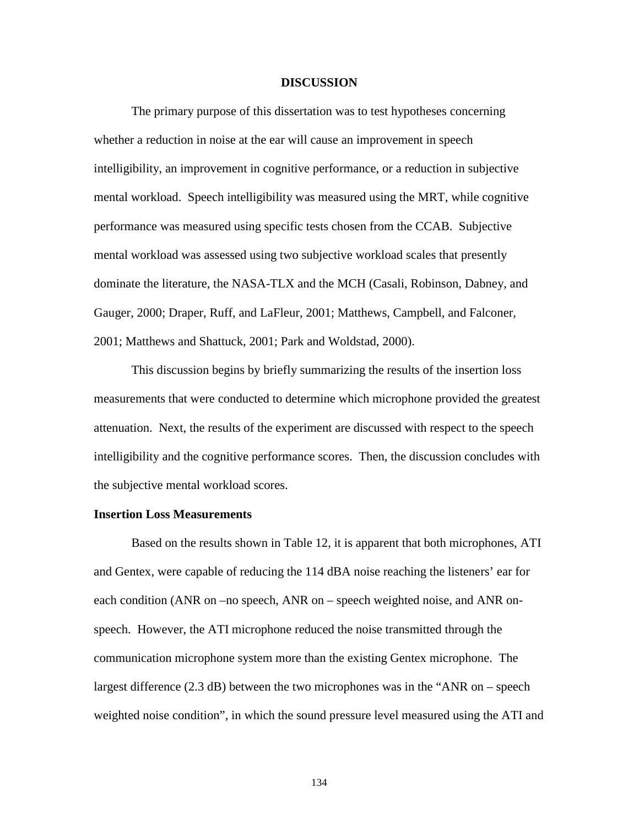### **DISCUSSION**

The primary purpose of this dissertation was to test hypotheses concerning whether a reduction in noise at the ear will cause an improvement in speech intelligibility, an improvement in cognitive performance, or a reduction in subjective mental workload. Speech intelligibility was measured using the MRT, while cognitive performance was measured using specific tests chosen from the CCAB. Subjective mental workload was assessed using two subjective workload scales that presently dominate the literature, the NASA-TLX and the MCH (Casali, Robinson, Dabney, and Gauger, 2000; Draper, Ruff, and LaFleur, 2001; Matthews, Campbell, and Falconer, 2001; Matthews and Shattuck, 2001; Park and Woldstad, 2000).

This discussion begins by briefly summarizing the results of the insertion loss measurements that were conducted to determine which microphone provided the greatest attenuation. Next, the results of the experiment are discussed with respect to the speech intelligibility and the cognitive performance scores. Then, the discussion concludes with the subjective mental workload scores.

### **Insertion Loss Measurements**

Based on the results shown in Table 12, it is apparent that both microphones, ATI and Gentex, were capable of reducing the 114 dBA noise reaching the listeners' ear for each condition (ANR on –no speech, ANR on – speech weighted noise, and ANR onspeech. However, the ATI microphone reduced the noise transmitted through the communication microphone system more than the existing Gentex microphone. The largest difference (2.3 dB) between the two microphones was in the "ANR on – speech weighted noise condition", in which the sound pressure level measured using the ATI and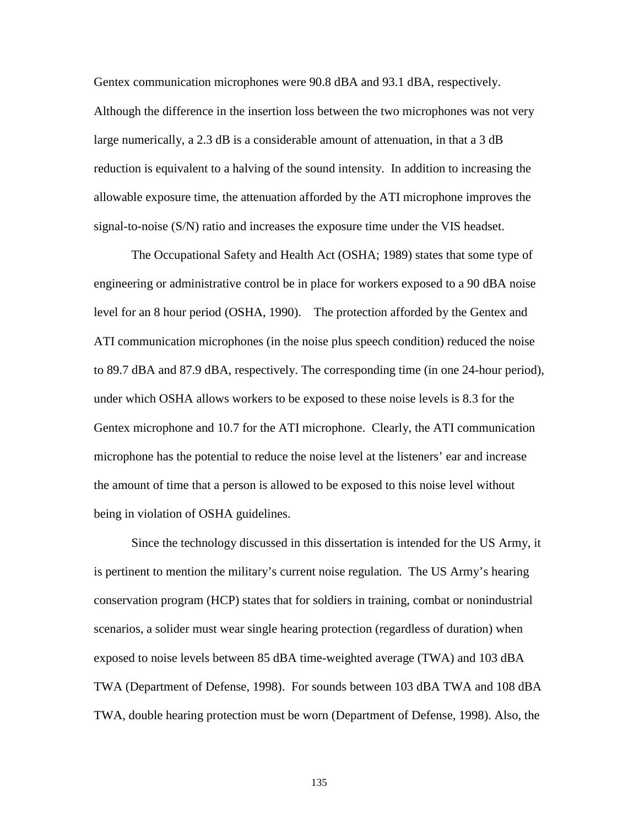Gentex communication microphones were 90.8 dBA and 93.1 dBA, respectively. Although the difference in the insertion loss between the two microphones was not very large numerically, a 2.3 dB is a considerable amount of attenuation, in that a 3 dB reduction is equivalent to a halving of the sound intensity. In addition to increasing the allowable exposure time, the attenuation afforded by the ATI microphone improves the signal-to-noise (S/N) ratio and increases the exposure time under the VIS headset.

The Occupational Safety and Health Act (OSHA; 1989) states that some type of engineering or administrative control be in place for workers exposed to a 90 dBA noise level for an 8 hour period (OSHA, 1990). The protection afforded by the Gentex and ATI communication microphones (in the noise plus speech condition) reduced the noise to 89.7 dBA and 87.9 dBA, respectively. The corresponding time (in one 24-hour period), under which OSHA allows workers to be exposed to these noise levels is 8.3 for the Gentex microphone and 10.7 for the ATI microphone. Clearly, the ATI communication microphone has the potential to reduce the noise level at the listeners' ear and increase the amount of time that a person is allowed to be exposed to this noise level without being in violation of OSHA guidelines.

Since the technology discussed in this dissertation is intended for the US Army, it is pertinent to mention the military's current noise regulation. The US Army's hearing conservation program (HCP) states that for soldiers in training, combat or nonindustrial scenarios, a solider must wear single hearing protection (regardless of duration) when exposed to noise levels between 85 dBA time-weighted average (TWA) and 103 dBA TWA (Department of Defense, 1998). For sounds between 103 dBA TWA and 108 dBA TWA, double hearing protection must be worn (Department of Defense, 1998). Also, the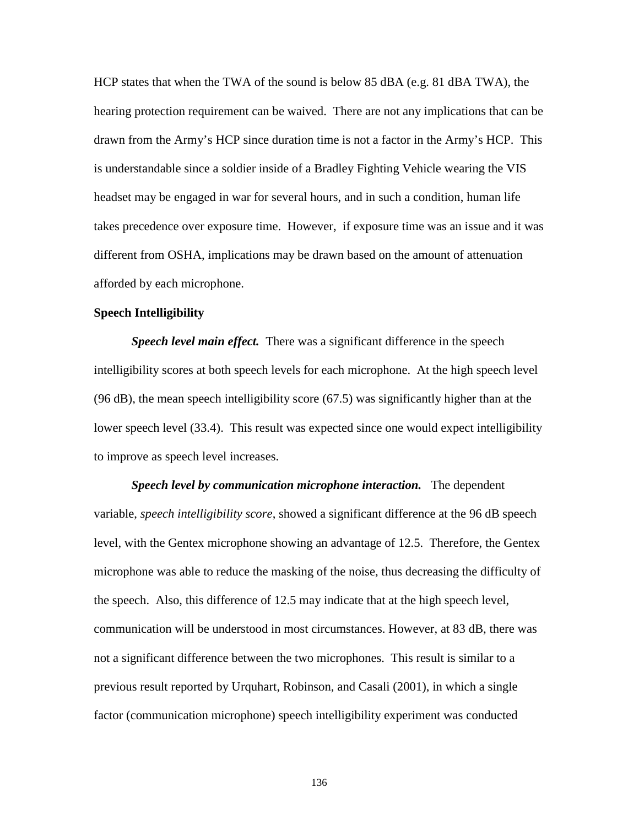HCP states that when the TWA of the sound is below 85 dBA (e.g. 81 dBA TWA), the hearing protection requirement can be waived. There are not any implications that can be drawn from the Army's HCP since duration time is not a factor in the Army's HCP. This is understandable since a soldier inside of a Bradley Fighting Vehicle wearing the VIS headset may be engaged in war for several hours, and in such a condition, human life takes precedence over exposure time. However, if exposure time was an issue and it was different from OSHA, implications may be drawn based on the amount of attenuation afforded by each microphone.

# **Speech Intelligibility**

*Speech level main effect.* There was a significant difference in the speech intelligibility scores at both speech levels for each microphone. At the high speech level (96 dB), the mean speech intelligibility score (67.5) was significantly higher than at the lower speech level (33.4). This result was expected since one would expect intelligibility to improve as speech level increases.

*Speech level by communication microphone interaction.* The dependent variable, *speech intelligibility score*, showed a significant difference at the 96 dB speech level, with the Gentex microphone showing an advantage of 12.5. Therefore, the Gentex microphone was able to reduce the masking of the noise, thus decreasing the difficulty of the speech. Also, this difference of 12.5 may indicate that at the high speech level, communication will be understood in most circumstances. However, at 83 dB, there was not a significant difference between the two microphones. This result is similar to a previous result reported by Urquhart, Robinson, and Casali (2001), in which a single factor (communication microphone) speech intelligibility experiment was conducted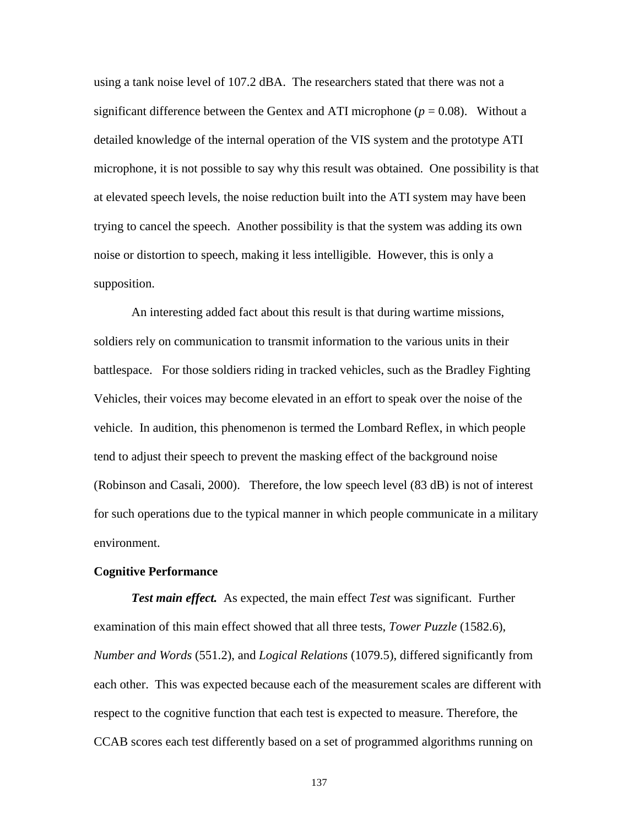using a tank noise level of 107.2 dBA. The researchers stated that there was not a significant difference between the Gentex and ATI microphone  $(p = 0.08)$ . Without a detailed knowledge of the internal operation of the VIS system and the prototype ATI microphone, it is not possible to say why this result was obtained. One possibility is that at elevated speech levels, the noise reduction built into the ATI system may have been trying to cancel the speech. Another possibility is that the system was adding its own noise or distortion to speech, making it less intelligible. However, this is only a supposition.

An interesting added fact about this result is that during wartime missions, soldiers rely on communication to transmit information to the various units in their battlespace. For those soldiers riding in tracked vehicles, such as the Bradley Fighting Vehicles, their voices may become elevated in an effort to speak over the noise of the vehicle. In audition, this phenomenon is termed the Lombard Reflex, in which people tend to adjust their speech to prevent the masking effect of the background noise (Robinson and Casali, 2000). Therefore, the low speech level (83 dB) is not of interest for such operations due to the typical manner in which people communicate in a military environment.

## **Cognitive Performance**

*Test main effect.* As expected, the main effect *Test* was significant. Further examination of this main effect showed that all three tests, *Tower Puzzle* (1582.6), *Number and Words* (551.2), and *Logical Relations* (1079.5), differed significantly from each other. This was expected because each of the measurement scales are different with respect to the cognitive function that each test is expected to measure. Therefore, the CCAB scores each test differently based on a set of programmed algorithms running on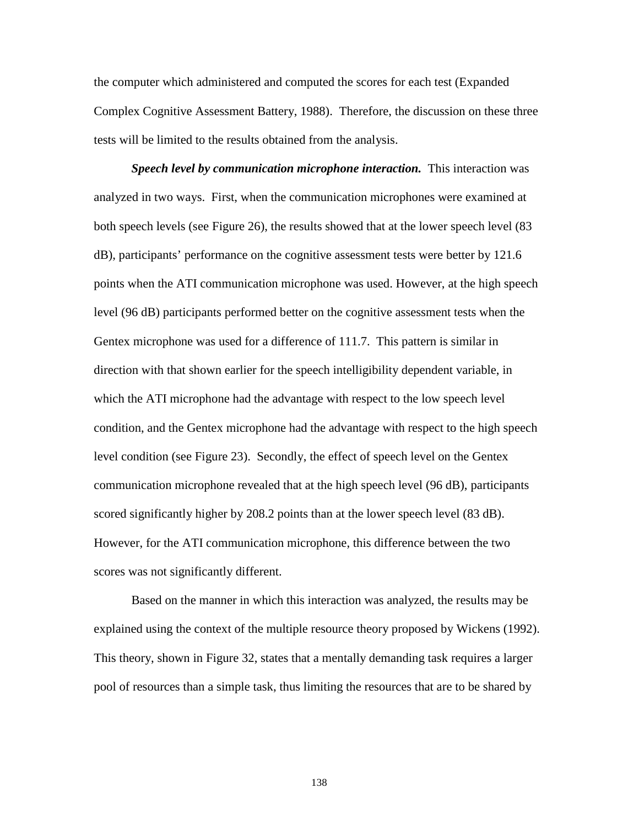the computer which administered and computed the scores for each test (Expanded Complex Cognitive Assessment Battery, 1988). Therefore, the discussion on these three tests will be limited to the results obtained from the analysis.

*Speech level by communication microphone interaction.* This interaction was analyzed in two ways. First, when the communication microphones were examined at both speech levels (see Figure 26), the results showed that at the lower speech level (83 dB), participants' performance on the cognitive assessment tests were better by 121.6 points when the ATI communication microphone was used. However, at the high speech level (96 dB) participants performed better on the cognitive assessment tests when the Gentex microphone was used for a difference of 111.7. This pattern is similar in direction with that shown earlier for the speech intelligibility dependent variable, in which the ATI microphone had the advantage with respect to the low speech level condition, and the Gentex microphone had the advantage with respect to the high speech level condition (see Figure 23). Secondly, the effect of speech level on the Gentex communication microphone revealed that at the high speech level (96 dB), participants scored significantly higher by 208.2 points than at the lower speech level (83 dB). However, for the ATI communication microphone, this difference between the two scores was not significantly different.

Based on the manner in which this interaction was analyzed, the results may be explained using the context of the multiple resource theory proposed by Wickens (1992). This theory, shown in Figure 32, states that a mentally demanding task requires a larger pool of resources than a simple task, thus limiting the resources that are to be shared by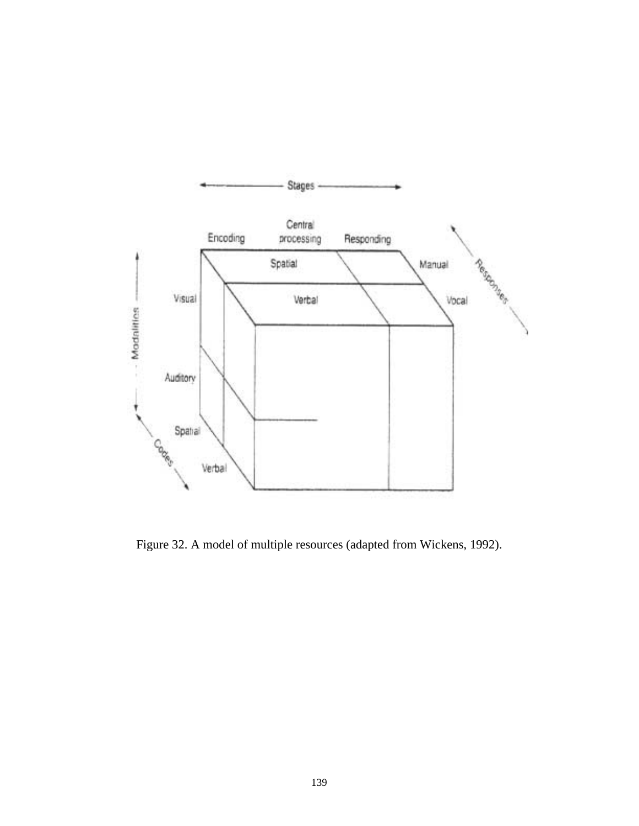

Figure 32. A model of multiple resources (adapted from Wickens, 1992).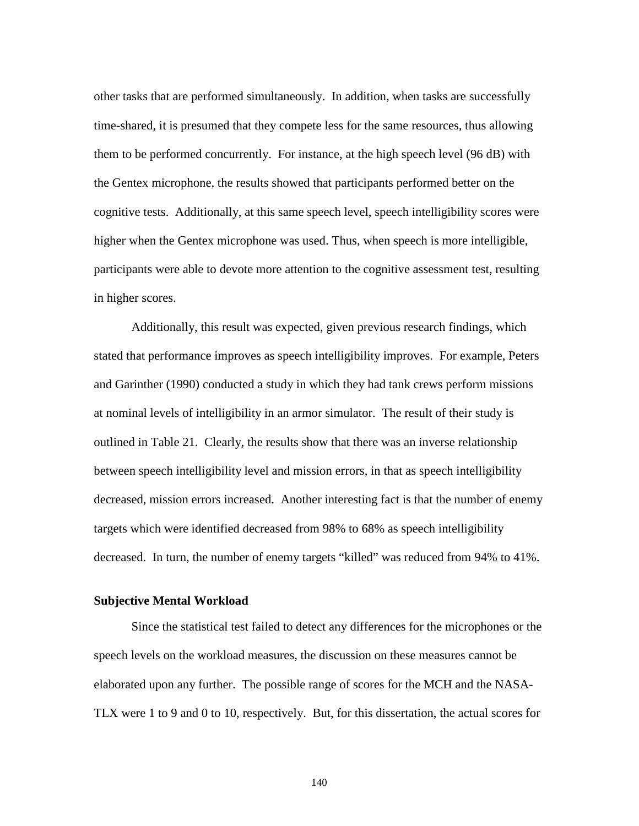other tasks that are performed simultaneously. In addition, when tasks are successfully time-shared, it is presumed that they compete less for the same resources, thus allowing them to be performed concurrently. For instance, at the high speech level (96 dB) with the Gentex microphone, the results showed that participants performed better on the cognitive tests. Additionally, at this same speech level, speech intelligibility scores were higher when the Gentex microphone was used. Thus, when speech is more intelligible, participants were able to devote more attention to the cognitive assessment test, resulting in higher scores.

Additionally, this result was expected, given previous research findings, which stated that performance improves as speech intelligibility improves. For example, Peters and Garinther (1990) conducted a study in which they had tank crews perform missions at nominal levels of intelligibility in an armor simulator. The result of their study is outlined in Table 21. Clearly, the results show that there was an inverse relationship between speech intelligibility level and mission errors, in that as speech intelligibility decreased, mission errors increased. Another interesting fact is that the number of enemy targets which were identified decreased from 98% to 68% as speech intelligibility decreased. In turn, the number of enemy targets "killed" was reduced from 94% to 41%.

## **Subjective Mental Workload**

 Since the statistical test failed to detect any differences for the microphones or the speech levels on the workload measures, the discussion on these measures cannot be elaborated upon any further. The possible range of scores for the MCH and the NASA-TLX were 1 to 9 and 0 to 10, respectively. But, for this dissertation, the actual scores for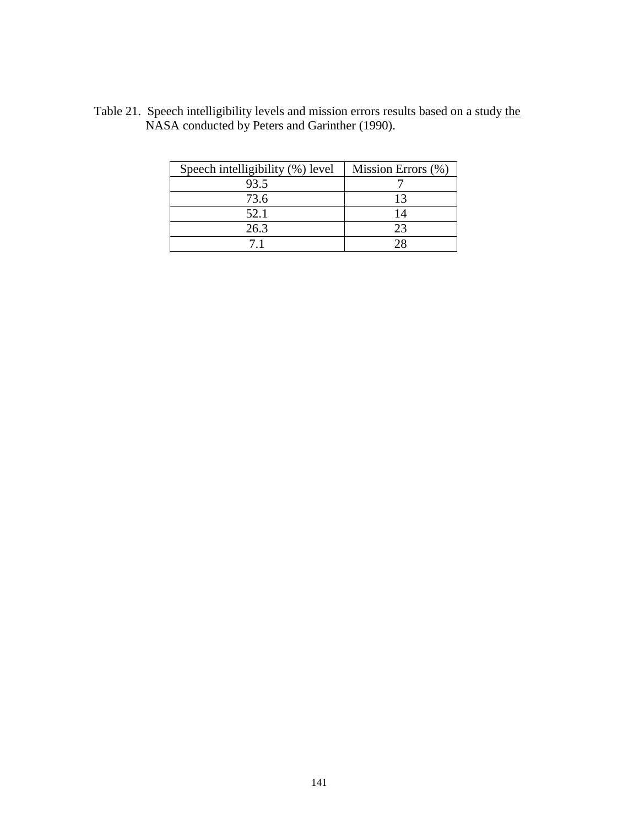| Speech intelligibility (%) level | Mission Errors (%) |
|----------------------------------|--------------------|
| 93.5                             |                    |
| 73.6                             | 13                 |
| 52.1                             | 14                 |
| 26.3                             | 23                 |
|                                  |                    |

Table 21. Speech intelligibility levels and mission errors results based on a study the NASA conducted by Peters and Garinther (1990).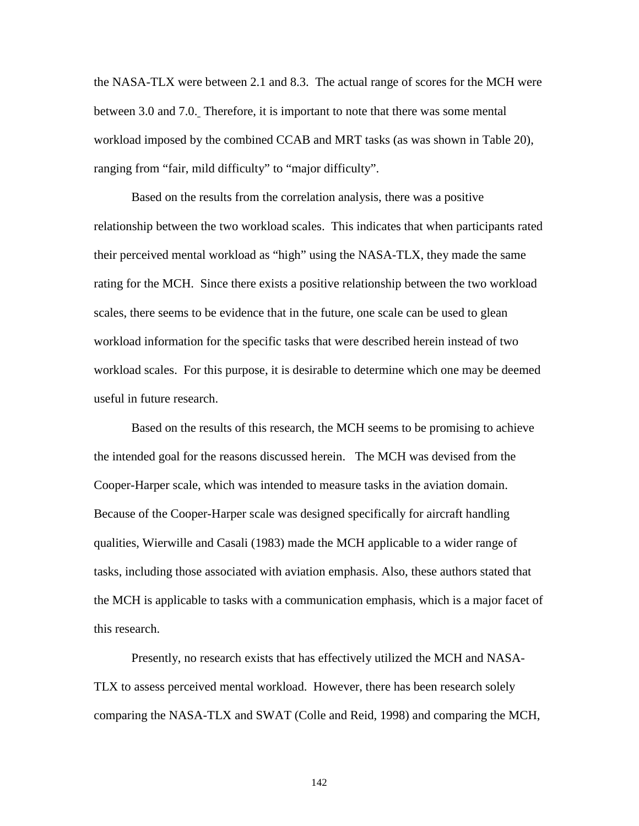the NASA-TLX were between 2.1 and 8.3. The actual range of scores for the MCH were between 3.0 and 7.0. Therefore, it is important to note that there was some mental workload imposed by the combined CCAB and MRT tasks (as was shown in Table 20), ranging from "fair, mild difficulty" to "major difficulty".

Based on the results from the correlation analysis, there was a positive relationship between the two workload scales. This indicates that when participants rated their perceived mental workload as "high" using the NASA-TLX, they made the same rating for the MCH. Since there exists a positive relationship between the two workload scales, there seems to be evidence that in the future, one scale can be used to glean workload information for the specific tasks that were described herein instead of two workload scales. For this purpose, it is desirable to determine which one may be deemed useful in future research.

Based on the results of this research, the MCH seems to be promising to achieve the intended goal for the reasons discussed herein. The MCH was devised from the Cooper-Harper scale, which was intended to measure tasks in the aviation domain. Because of the Cooper-Harper scale was designed specifically for aircraft handling qualities, Wierwille and Casali (1983) made the MCH applicable to a wider range of tasks, including those associated with aviation emphasis. Also, these authors stated that the MCH is applicable to tasks with a communication emphasis, which is a major facet of this research.

Presently, no research exists that has effectively utilized the MCH and NASA-TLX to assess perceived mental workload. However, there has been research solely comparing the NASA-TLX and SWAT (Colle and Reid, 1998) and comparing the MCH,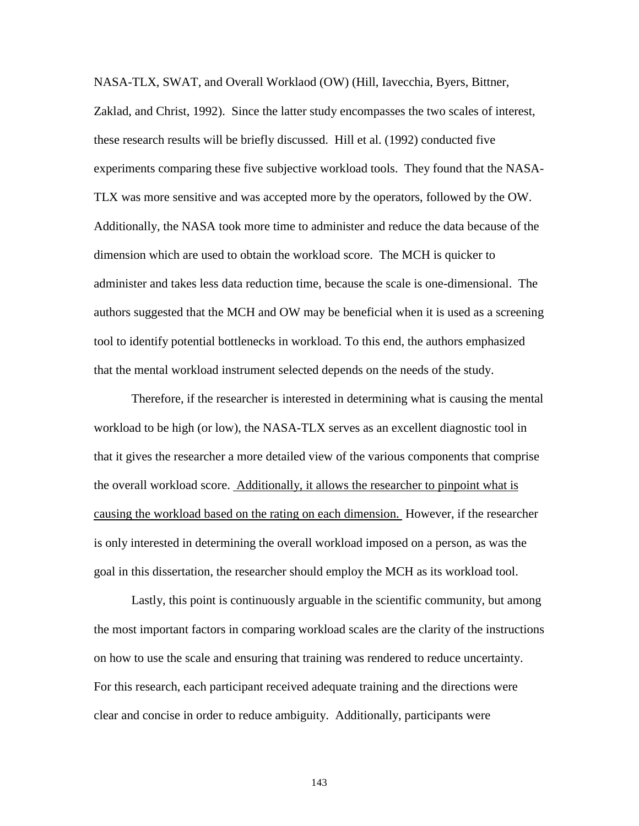NASA-TLX, SWAT, and Overall Worklaod (OW) (Hill, Iavecchia, Byers, Bittner, Zaklad, and Christ, 1992). Since the latter study encompasses the two scales of interest, these research results will be briefly discussed. Hill et al. (1992) conducted five experiments comparing these five subjective workload tools. They found that the NASA-TLX was more sensitive and was accepted more by the operators, followed by the OW. Additionally, the NASA took more time to administer and reduce the data because of the dimension which are used to obtain the workload score. The MCH is quicker to administer and takes less data reduction time, because the scale is one-dimensional. The authors suggested that the MCH and OW may be beneficial when it is used as a screening tool to identify potential bottlenecks in workload. To this end, the authors emphasized that the mental workload instrument selected depends on the needs of the study.

 Therefore, if the researcher is interested in determining what is causing the mental workload to be high (or low), the NASA-TLX serves as an excellent diagnostic tool in that it gives the researcher a more detailed view of the various components that comprise the overall workload score. Additionally, it allows the researcher to pinpoint what is causing the workload based on the rating on each dimension. However, if the researcher is only interested in determining the overall workload imposed on a person, as was the goal in this dissertation, the researcher should employ the MCH as its workload tool.

Lastly, this point is continuously arguable in the scientific community, but among the most important factors in comparing workload scales are the clarity of the instructions on how to use the scale and ensuring that training was rendered to reduce uncertainty. For this research, each participant received adequate training and the directions were clear and concise in order to reduce ambiguity. Additionally, participants were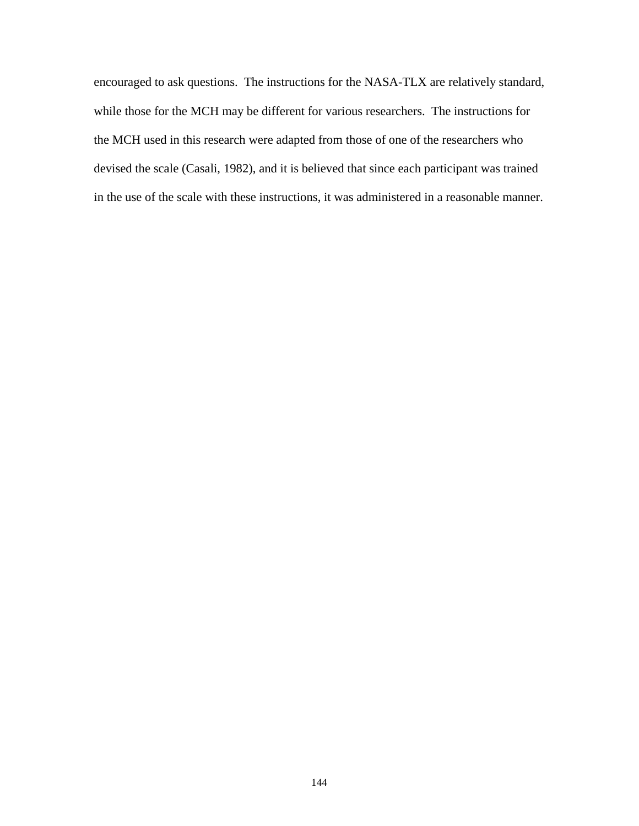encouraged to ask questions. The instructions for the NASA-TLX are relatively standard, while those for the MCH may be different for various researchers. The instructions for the MCH used in this research were adapted from those of one of the researchers who devised the scale (Casali, 1982), and it is believed that since each participant was trained in the use of the scale with these instructions, it was administered in a reasonable manner.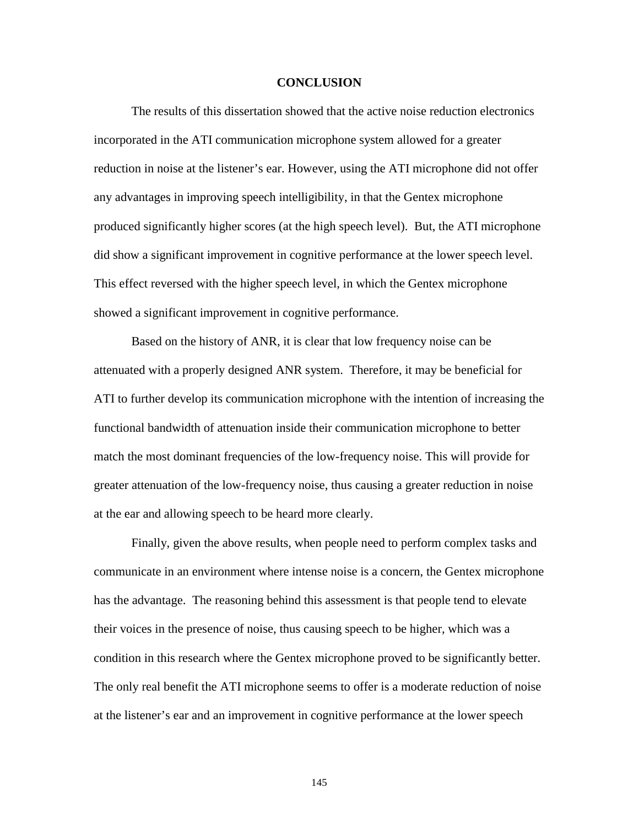#### **CONCLUSION**

The results of this dissertation showed that the active noise reduction electronics incorporated in the ATI communication microphone system allowed for a greater reduction in noise at the listener's ear. However, using the ATI microphone did not offer any advantages in improving speech intelligibility, in that the Gentex microphone produced significantly higher scores (at the high speech level). But, the ATI microphone did show a significant improvement in cognitive performance at the lower speech level. This effect reversed with the higher speech level, in which the Gentex microphone showed a significant improvement in cognitive performance.

Based on the history of ANR, it is clear that low frequency noise can be attenuated with a properly designed ANR system. Therefore, it may be beneficial for ATI to further develop its communication microphone with the intention of increasing the functional bandwidth of attenuation inside their communication microphone to better match the most dominant frequencies of the low-frequency noise. This will provide for greater attenuation of the low-frequency noise, thus causing a greater reduction in noise at the ear and allowing speech to be heard more clearly.

Finally, given the above results, when people need to perform complex tasks and communicate in an environment where intense noise is a concern, the Gentex microphone has the advantage. The reasoning behind this assessment is that people tend to elevate their voices in the presence of noise, thus causing speech to be higher, which was a condition in this research where the Gentex microphone proved to be significantly better. The only real benefit the ATI microphone seems to offer is a moderate reduction of noise at the listener's ear and an improvement in cognitive performance at the lower speech

145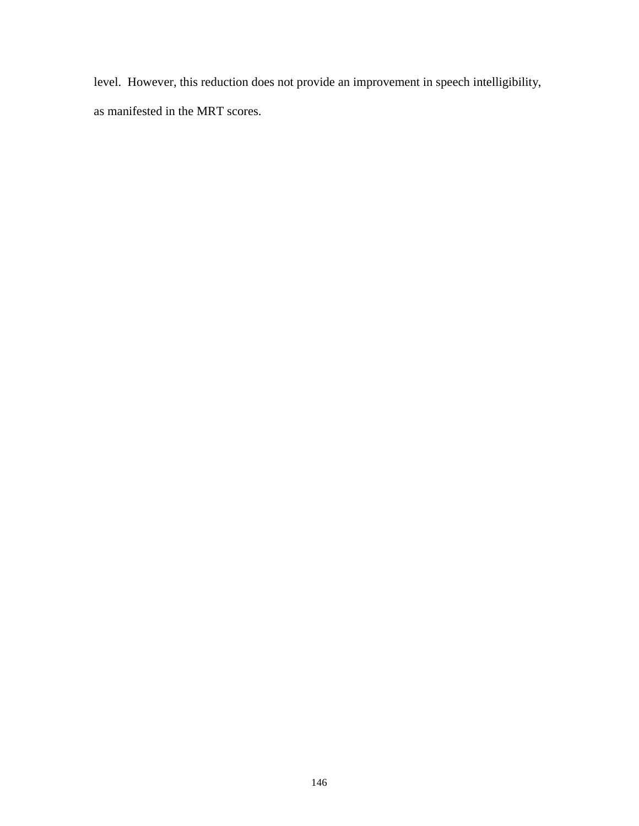level. However, this reduction does not provide an improvement in speech intelligibility, as manifested in the MRT scores.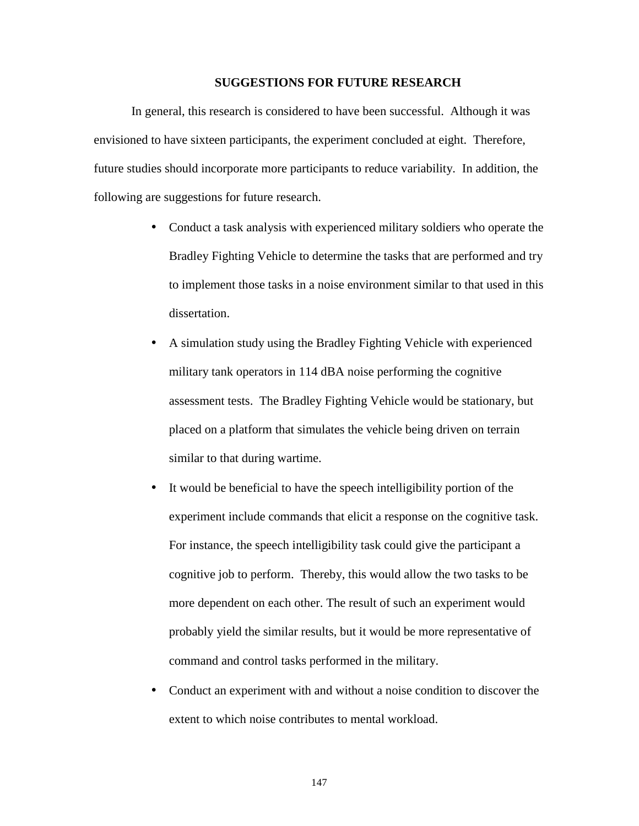#### **SUGGESTIONS FOR FUTURE RESEARCH**

In general, this research is considered to have been successful. Although it was envisioned to have sixteen participants, the experiment concluded at eight. Therefore, future studies should incorporate more participants to reduce variability. In addition, the following are suggestions for future research.

- Conduct a task analysis with experienced military soldiers who operate the Bradley Fighting Vehicle to determine the tasks that are performed and try to implement those tasks in a noise environment similar to that used in this dissertation.
- A simulation study using the Bradley Fighting Vehicle with experienced military tank operators in 114 dBA noise performing the cognitive assessment tests. The Bradley Fighting Vehicle would be stationary, but placed on a platform that simulates the vehicle being driven on terrain similar to that during wartime.
- It would be beneficial to have the speech intelligibility portion of the experiment include commands that elicit a response on the cognitive task. For instance, the speech intelligibility task could give the participant a cognitive job to perform. Thereby, this would allow the two tasks to be more dependent on each other. The result of such an experiment would probably yield the similar results, but it would be more representative of command and control tasks performed in the military.
- Conduct an experiment with and without a noise condition to discover the extent to which noise contributes to mental workload.

147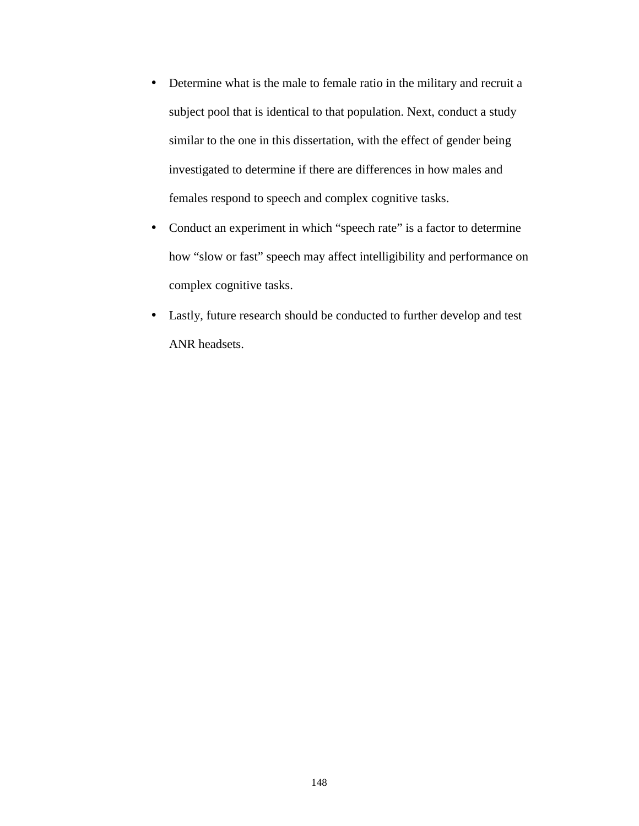- Determine what is the male to female ratio in the military and recruit a subject pool that is identical to that population. Next, conduct a study similar to the one in this dissertation, with the effect of gender being investigated to determine if there are differences in how males and females respond to speech and complex cognitive tasks.
- Conduct an experiment in which "speech rate" is a factor to determine how "slow or fast" speech may affect intelligibility and performance on complex cognitive tasks.
- Lastly, future research should be conducted to further develop and test ANR headsets.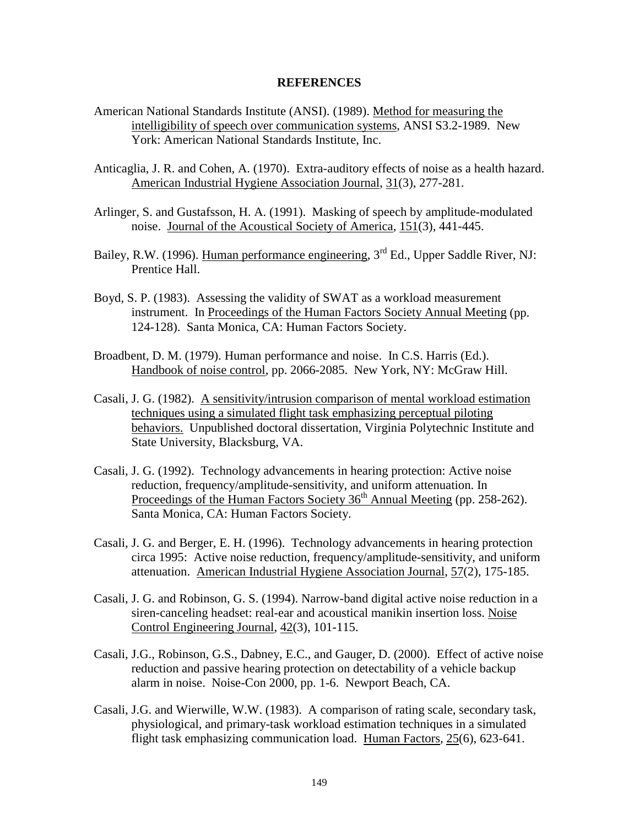### **REFERENCES**

- American National Standards Institute (ANSI). (1989). Method for measuring the intelligibility of speech over communication systems, ANSI S3.2-1989. New York: American National Standards Institute, Inc.
- Anticaglia, J. R. and Cohen, A. (1970). Extra-auditory effects of noise as a health hazard. American Industrial Hygiene Association Journal, 31(3), 277-281.
- Arlinger, S. and Gustafsson, H. A. (1991). Masking of speech by amplitude-modulated noise. Journal of the Acoustical Society of America, 151(3), 441-445.
- Bailey, R.W. (1996). Human performance engineering, 3<sup>rd</sup> Ed., Upper Saddle River, NJ: Prentice Hall.
- Boyd, S. P. (1983). Assessing the validity of SWAT as a workload measurement instrument. In Proceedings of the Human Factors Society Annual Meeting (pp. 124-128). Santa Monica, CA: Human Factors Society.
- Broadbent, D. M. (1979). Human performance and noise. In C.S. Harris (Ed.). Handbook of noise control, pp. 2066-2085. New York, NY: McGraw Hill.
- Casali, J. G. (1982). A sensitivity/intrusion comparison of mental workload estimation techniques using a simulated flight task emphasizing perceptual piloting behaviors. Unpublished doctoral dissertation, Virginia Polytechnic Institute and State University, Blacksburg, VA.
- Casali, J. G. (1992). Technology advancements in hearing protection: Active noise reduction, frequency/amplitude-sensitivity, and uniform attenuation. In Proceedings of the Human Factors Society 36<sup>th</sup> Annual Meeting (pp. 258-262). Santa Monica, CA: Human Factors Society.
- Casali, J. G. and Berger, E. H. (1996). Technology advancements in hearing protection circa 1995: Active noise reduction, frequency/amplitude-sensitivity, and uniform attenuation. American Industrial Hygiene Association Journal, 57(2), 175-185.
- Casali, J. G. and Robinson, G. S. (1994). Narrow-band digital active noise reduction in a siren-canceling headset: real-ear and acoustical manikin insertion loss. Noise Control Engineering Journal, 42(3), 101-115.
- Casali, J.G., Robinson, G.S., Dabney, E.C., and Gauger, D. (2000). Effect of active noise reduction and passive hearing protection on detectability of a vehicle backup alarm in noise. Noise-Con 2000, pp. 1-6. Newport Beach, CA.
- Casali, J.G. and Wierwille, W.W. (1983). A comparison of rating scale, secondary task, physiological, and primary-task workload estimation techniques in a simulated flight task emphasizing communication load. Human Factors, 25(6), 623-641.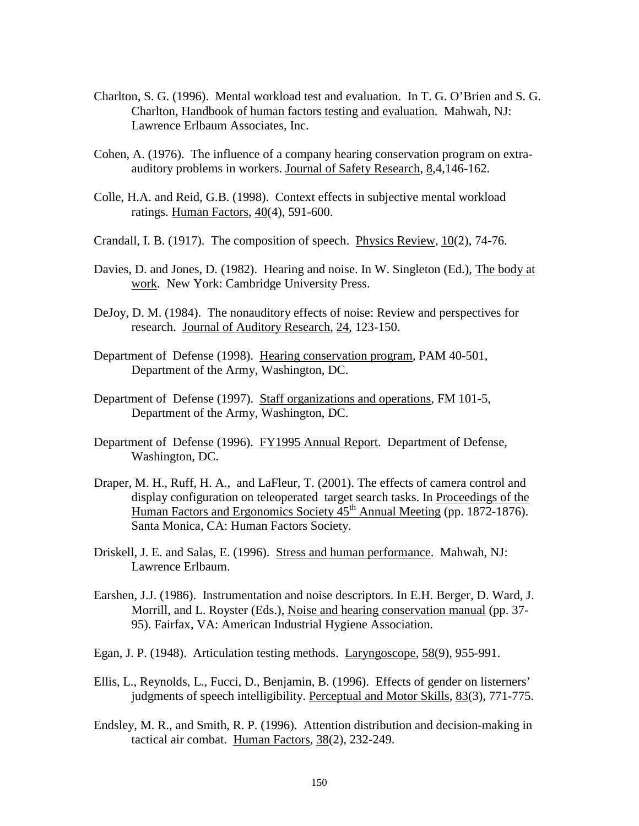- Charlton, S. G. (1996). Mental workload test and evaluation. In T. G. O'Brien and S. G. Charlton, Handbook of human factors testing and evaluation. Mahwah, NJ: Lawrence Erlbaum Associates, Inc.
- Cohen, A. (1976). The influence of a company hearing conservation program on extraauditory problems in workers. Journal of Safety Research, 8,4,146-162.
- Colle, H.A. and Reid, G.B. (1998). Context effects in subjective mental workload ratings. Human Factors, 40(4), 591-600.
- Crandall, I. B. (1917). The composition of speech. Physics Review,  $10(2)$ , 74-76.
- Davies, D. and Jones, D. (1982). Hearing and noise. In W. Singleton (Ed.), The body at work. New York: Cambridge University Press.
- DeJoy, D. M. (1984). The nonauditory effects of noise: Review and perspectives for research. Journal of Auditory Research, 24, 123-150.
- Department of Defense (1998). Hearing conservation program, PAM 40-501, Department of the Army, Washington, DC.
- Department of Defense (1997). Staff organizations and operations, FM 101-5, Department of the Army, Washington, DC.
- Department of Defense (1996). FY1995 Annual Report. Department of Defense, Washington, DC.
- Draper, M. H., Ruff, H. A., and LaFleur, T. (2001). The effects of camera control and display configuration on teleoperated target search tasks. In Proceedings of the Human Factors and Ergonomics Society 45<sup>th</sup> Annual Meeting (pp. 1872-1876). Santa Monica, CA: Human Factors Society.
- Driskell, J. E. and Salas, E. (1996). Stress and human performance. Mahwah, NJ: Lawrence Erlbaum.
- Earshen, J.J. (1986). Instrumentation and noise descriptors. In E.H. Berger, D. Ward, J. Morrill, and L. Royster (Eds.), Noise and hearing conservation manual (pp. 37- 95). Fairfax, VA: American Industrial Hygiene Association.
- Egan, J. P. (1948). Articulation testing methods. Laryngoscope, 58(9), 955-991.
- Ellis, L., Reynolds, L., Fucci, D., Benjamin, B. (1996). Effects of gender on listerners' judgments of speech intelligibility. Perceptual and Motor Skills, 83(3), 771-775.
- Endsley, M. R., and Smith, R. P. (1996). Attention distribution and decision-making in tactical air combat. Human Factors, 38(2), 232-249.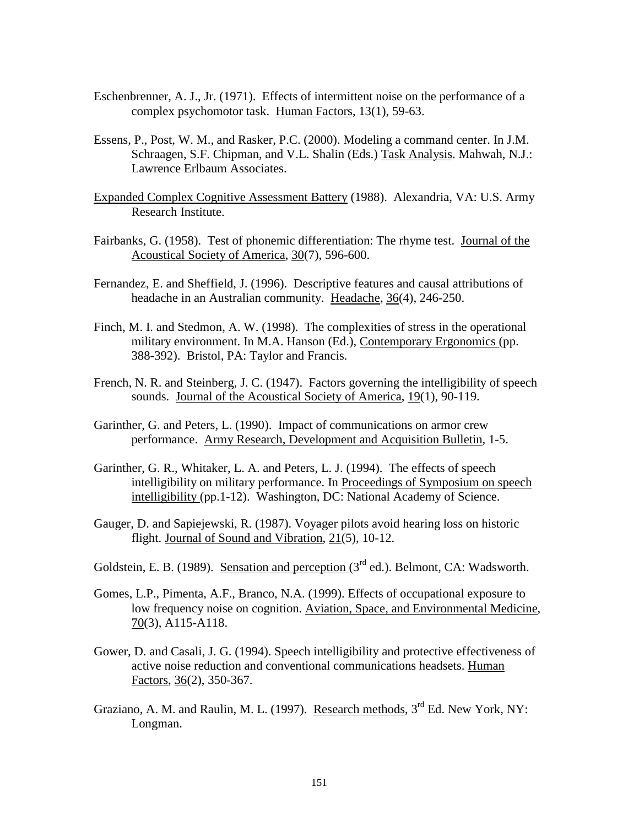- Eschenbrenner, A. J., Jr. (1971). Effects of intermittent noise on the performance of a complex psychomotor task. Human Factors, 13(1), 59-63.
- Essens, P., Post, W. M., and Rasker, P.C. (2000). Modeling a command center. In J.M. Schraagen, S.F. Chipman, and V.L. Shalin (Eds.) Task Analysis. Mahwah, N.J.: Lawrence Erlbaum Associates.
- Expanded Complex Cognitive Assessment Battery (1988). Alexandria, VA: U.S. Army Research Institute.
- Fairbanks, G. (1958). Test of phonemic differentiation: The rhyme test. Journal of the Acoustical Society of America, 30(7), 596-600.
- Fernandez, E. and Sheffield, J. (1996). Descriptive features and causal attributions of headache in an Australian community. Headache, 36(4), 246-250.
- Finch, M. I. and Stedmon, A. W. (1998). The complexities of stress in the operational military environment. In M.A. Hanson (Ed.), Contemporary Ergonomics (pp. 388-392). Bristol, PA: Taylor and Francis.
- French, N. R. and Steinberg, J. C. (1947). Factors governing the intelligibility of speech sounds. Journal of the Acoustical Society of America, 19(1), 90-119.
- Garinther, G. and Peters, L. (1990). Impact of communications on armor crew performance. Army Research, Development and Acquisition Bulletin, 1-5.
- Garinther, G. R., Whitaker, L. A. and Peters, L. J. (1994). The effects of speech intelligibility on military performance. In Proceedings of Symposium on speech intelligibility (pp.1-12). Washington, DC: National Academy of Science.
- Gauger, D. and Sapiejewski, R. (1987). Voyager pilots avoid hearing loss on historic flight. Journal of Sound and Vibration, 21(5), 10-12.
- Goldstein, E. B. (1989). Sensation and perception  $3<sup>rd</sup>$  ed.). Belmont, CA: Wadsworth.
- Gomes, L.P., Pimenta, A.F., Branco, N.A. (1999). Effects of occupational exposure to low frequency noise on cognition. Aviation, Space, and Environmental Medicine, 70(3), A115-A118.
- Gower, D. and Casali, J. G. (1994). Speech intelligibility and protective effectiveness of active noise reduction and conventional communications headsets. Human Factors, 36(2), 350-367.
- Graziano, A. M. and Raulin, M. L. (1997). Research methods,  $3<sup>rd</sup>$  Ed. New York, NY: Longman.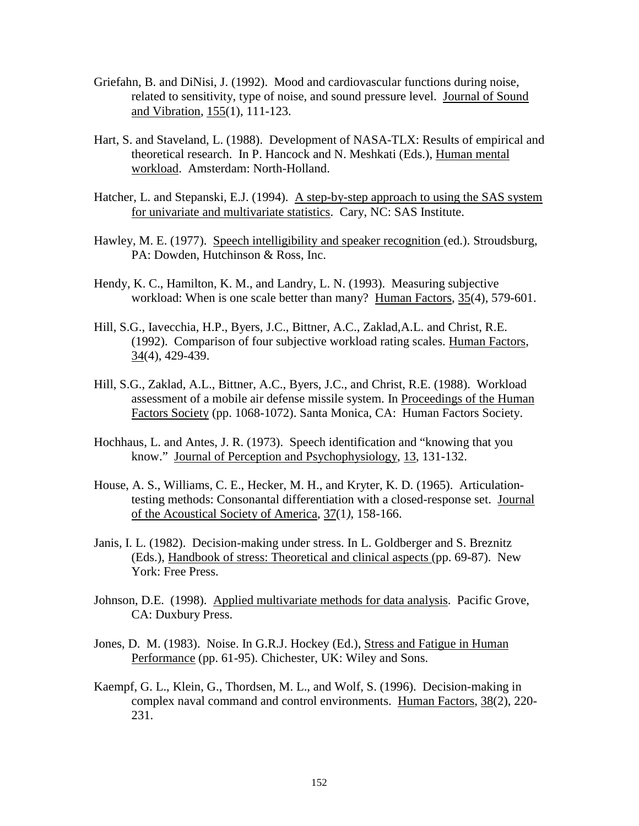- Griefahn, B. and DiNisi, J. (1992). Mood and cardiovascular functions during noise, related to sensitivity, type of noise, and sound pressure level. Journal of Sound and Vibration, 155(1), 111-123.
- Hart, S. and Staveland, L. (1988). Development of NASA-TLX: Results of empirical and theoretical research. In P. Hancock and N. Meshkati (Eds.), Human mental workload. Amsterdam: North-Holland.
- Hatcher, L. and Stepanski, E.J. (1994). A step-by-step approach to using the SAS system for univariate and multivariate statistics. Cary, NC: SAS Institute.
- Hawley, M. E. (1977). Speech intelligibility and speaker recognition (ed.). Stroudsburg, PA: Dowden, Hutchinson & Ross, Inc.
- Hendy, K. C., Hamilton, K. M., and Landry, L. N. (1993). Measuring subjective workload: When is one scale better than many? Human Factors, 35(4), 579-601.
- Hill, S.G., Iavecchia, H.P., Byers, J.C., Bittner, A.C., Zaklad,A.L. and Christ, R.E. (1992). Comparison of four subjective workload rating scales. Human Factors,  $34(4)$ , 429-439.
- Hill, S.G., Zaklad, A.L., Bittner, A.C., Byers, J.C., and Christ, R.E. (1988). Workload assessment of a mobile air defense missile system. In Proceedings of the Human Factors Society (pp. 1068-1072). Santa Monica, CA: Human Factors Society.
- Hochhaus, L. and Antes, J. R. (1973). Speech identification and "knowing that you know." Journal of Perception and Psychophysiology, 13, 131-132.
- House, A. S., Williams, C. E., Hecker, M. H., and Kryter, K. D. (1965). Articulationtesting methods: Consonantal differentiation with a closed-response set. Journal of the Acoustical Society of America, 37(1*)*, 158-166.
- Janis, I. L. (1982). Decision-making under stress. In L. Goldberger and S. Breznitz (Eds.), Handbook of stress: Theoretical and clinical aspects (pp. 69-87). New York: Free Press.
- Johnson, D.E. (1998). Applied multivariate methods for data analysis. Pacific Grove, CA: Duxbury Press.
- Jones, D. M. (1983). Noise. In G.R.J. Hockey (Ed.), Stress and Fatigue in Human Performance (pp. 61-95). Chichester, UK: Wiley and Sons.
- Kaempf, G. L., Klein, G., Thordsen, M. L., and Wolf, S. (1996). Decision-making in complex naval command and control environments. Human Factors, 38(2), 220- 231.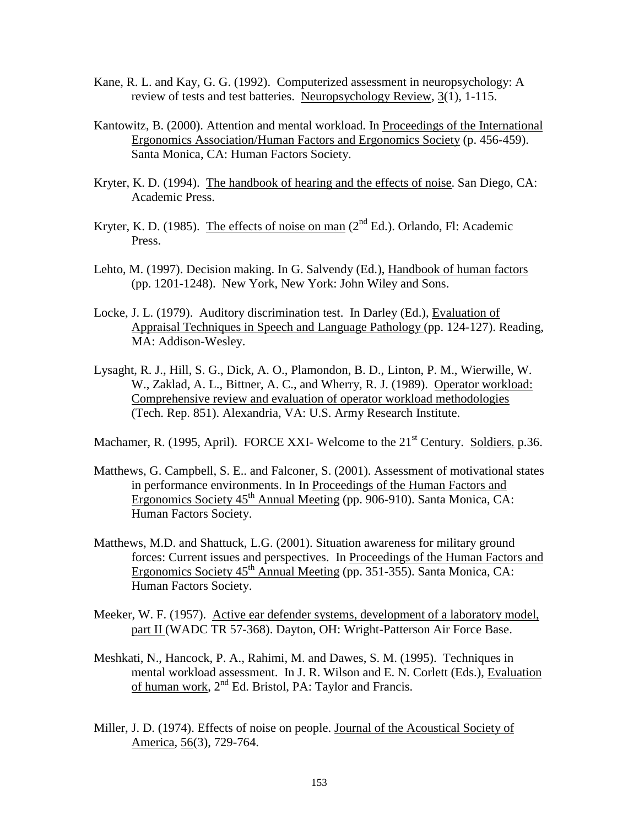- Kane, R. L. and Kay, G. G. (1992). Computerized assessment in neuropsychology: A review of tests and test batteries. Neuropsychology Review, 3(1), 1-115.
- Kantowitz, B. (2000). Attention and mental workload. In Proceedings of the International Ergonomics Association/Human Factors and Ergonomics Society (p. 456-459). Santa Monica, CA: Human Factors Society.
- Kryter, K. D. (1994). The handbook of hearing and the effects of noise. San Diego, CA: Academic Press.
- Kryter, K. D. (1985). The effects of noise on man  $(2<sup>nd</sup> Ed.)$ . Orlando, Fl: Academic Press.
- Lehto, M. (1997). Decision making. In G. Salvendy (Ed.), Handbook of human factors (pp. 1201-1248). New York, New York: John Wiley and Sons.
- Locke, J. L. (1979). Auditory discrimination test. In Darley (Ed.), Evaluation of Appraisal Techniques in Speech and Language Pathology (pp. 124-127). Reading, MA: Addison-Wesley.
- Lysaght, R. J., Hill, S. G., Dick, A. O., Plamondon, B. D., Linton, P. M., Wierwille, W. W., Zaklad, A. L., Bittner, A. C., and Wherry, R. J. (1989). Operator workload: Comprehensive review and evaluation of operator workload methodologies (Tech. Rep. 851). Alexandria, VA: U.S. Army Research Institute.

Machamer, R. (1995, April). FORCE XXI- Welcome to the  $21<sup>st</sup>$  Century. Soldiers. p.36.

- Matthews, G. Campbell, S. E.. and Falconer, S. (2001). Assessment of motivational states in performance environments. In In Proceedings of the Human Factors and Ergonomics Society  $45<sup>th</sup>$  Annual Meeting (pp. 906-910). Santa Monica, CA: Human Factors Society.
- Matthews, M.D. and Shattuck, L.G. (2001). Situation awareness for military ground forces: Current issues and perspectives. In Proceedings of the Human Factors and Ergonomics Society  $45<sup>th</sup>$  Annual Meeting (pp. 351-355). Santa Monica, CA: Human Factors Society.
- Meeker, W. F. (1957). Active ear defender systems, development of a laboratory model, part II (WADC TR 57-368). Dayton, OH: Wright-Patterson Air Force Base.
- Meshkati, N., Hancock, P. A., Rahimi, M. and Dawes, S. M. (1995). Techniques in mental workload assessment. In J. R. Wilson and E. N. Corlett (Eds.), Evaluation of human work,  $2<sup>nd</sup>$  Ed. Bristol, PA: Taylor and Francis.
- Miller, J. D. (1974). Effects of noise on people. Journal of the Acoustical Society of America, 56(3), 729-764.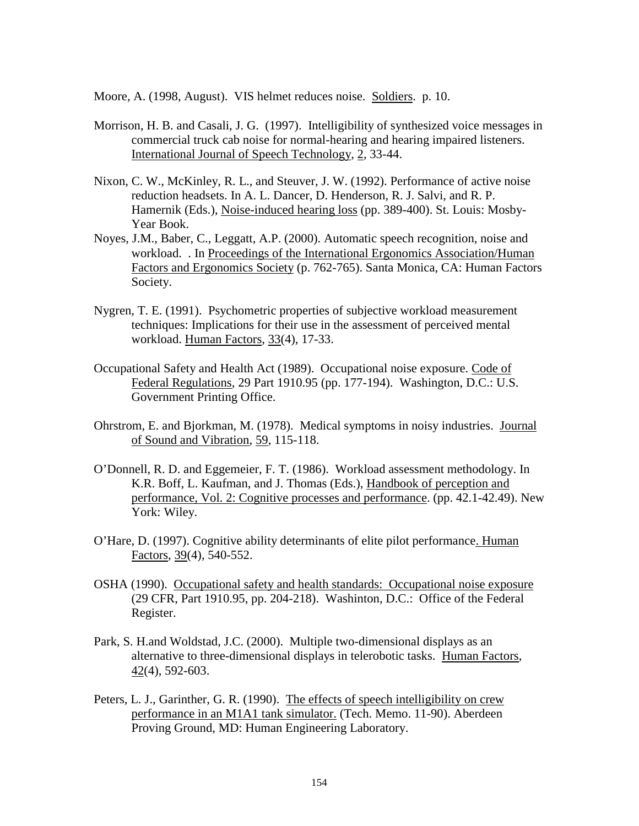Moore, A. (1998, August). VIS helmet reduces noise. Soldiers. p. 10.

- Morrison, H. B. and Casali, J. G. (1997). Intelligibility of synthesized voice messages in commercial truck cab noise for normal-hearing and hearing impaired listeners. International Journal of Speech Technology, 2, 33-44.
- Nixon, C. W., McKinley, R. L., and Steuver, J. W. (1992). Performance of active noise reduction headsets. In A. L. Dancer, D. Henderson, R. J. Salvi, and R. P. Hamernik (Eds.), Noise-induced hearing loss (pp. 389-400). St. Louis: Mosby-Year Book.
- Noyes, J.M., Baber, C., Leggatt, A.P. (2000). Automatic speech recognition, noise and workload. . In Proceedings of the International Ergonomics Association/Human Factors and Ergonomics Society (p. 762-765). Santa Monica, CA: Human Factors Society.
- Nygren, T. E. (1991). Psychometric properties of subjective workload measurement techniques: Implications for their use in the assessment of perceived mental workload. Human Factors, 33(4), 17-33.
- Occupational Safety and Health Act (1989). Occupational noise exposure. Code of Federal Regulations, 29 Part 1910.95 (pp. 177-194). Washington, D.C.: U.S. Government Printing Office.
- Ohrstrom, E. and Bjorkman, M. (1978). Medical symptoms in noisy industries. Journal of Sound and Vibration, 59, 115-118.
- O'Donnell, R. D. and Eggemeier, F. T. (1986). Workload assessment methodology. In K.R. Boff, L. Kaufman, and J. Thomas (Eds.), Handbook of perception and performance, Vol. 2: Cognitive processes and performance. (pp. 42.1-42.49). New York: Wiley.
- O'Hare, D. (1997). Cognitive ability determinants of elite pilot performance. Human Factors, 39(4), 540-552.
- OSHA (1990). Occupational safety and health standards: Occupational noise exposure (29 CFR, Part 1910.95, pp. 204-218). Washinton, D.C.: Office of the Federal Register.
- Park, S. H.and Woldstad, J.C. (2000). Multiple two-dimensional displays as an alternative to three-dimensional displays in telerobotic tasks. Human Factors, 42(4), 592-603.
- Peters, L. J., Garinther, G. R. (1990). The effects of speech intelligibility on crew performance in an M1A1 tank simulator. (Tech. Memo. 11-90). Aberdeen Proving Ground, MD: Human Engineering Laboratory.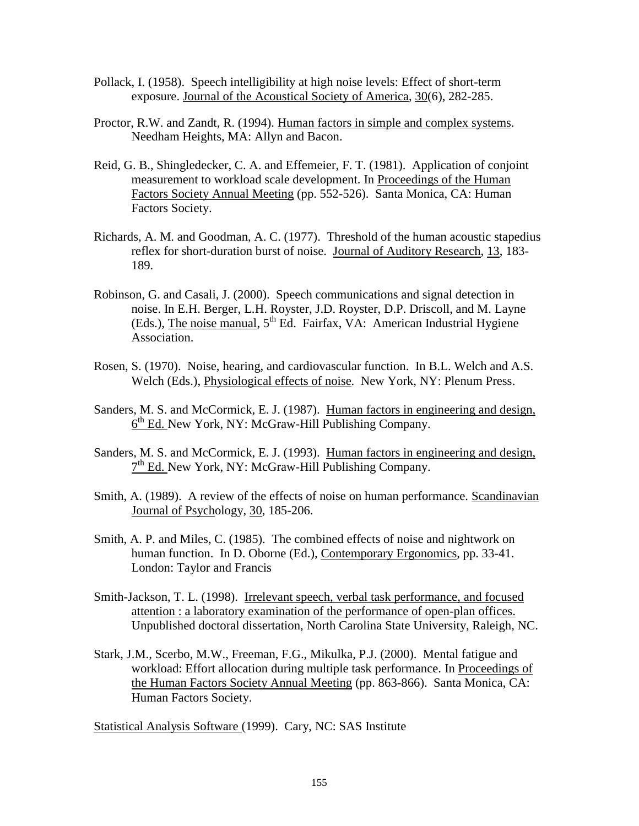- Pollack, I. (1958). Speech intelligibility at high noise levels: Effect of short-term exposure. Journal of the Acoustical Society of America, 30(6), 282-285.
- Proctor, R.W. and Zandt, R. (1994). Human factors in simple and complex systems. Needham Heights, MA: Allyn and Bacon.
- Reid, G. B., Shingledecker, C. A. and Effemeier, F. T. (1981). Application of conjoint measurement to workload scale development. In Proceedings of the Human Factors Society Annual Meeting (pp. 552-526). Santa Monica, CA: Human Factors Society.
- Richards, A. M. and Goodman, A. C. (1977). Threshold of the human acoustic stapedius reflex for short-duration burst of noise. Journal of Auditory Research, 13, 183- 189.
- Robinson, G. and Casali, J. (2000). Speech communications and signal detection in noise. In E.H. Berger, L.H. Royster, J.D. Royster, D.P. Driscoll, and M. Layne (Eds.), The noise manual,  $5<sup>th</sup>$  Ed. Fairfax, VA: American Industrial Hygiene Association.
- Rosen, S. (1970). Noise, hearing, and cardiovascular function. In B.L. Welch and A.S. Welch (Eds.), Physiological effects of noise. New York, NY: Plenum Press.
- Sanders, M. S. and McCormick, E. J. (1987). Human factors in engineering and design,  $6<sup>th</sup>$  Ed. New York, NY: McGraw-Hill Publishing Company.
- Sanders, M. S. and McCormick, E. J. (1993). Human factors in engineering and design, 7<sup>th</sup> Ed. New York, NY: McGraw-Hill Publishing Company.
- Smith, A. (1989). A review of the effects of noise on human performance. Scandinavian Journal of Psychology, 30, 185-206.
- Smith, A. P. and Miles, C. (1985). The combined effects of noise and nightwork on human function. In D. Oborne (Ed.), Contemporary Ergonomics, pp. 33-41. London: Taylor and Francis
- Smith-Jackson, T. L. (1998). Irrelevant speech, verbal task performance, and focused attention : a laboratory examination of the performance of open-plan offices. Unpublished doctoral dissertation, North Carolina State University, Raleigh, NC.
- Stark, J.M., Scerbo, M.W., Freeman, F.G., Mikulka, P.J. (2000). Mental fatigue and workload: Effort allocation during multiple task performance. In Proceedings of the Human Factors Society Annual Meeting (pp. 863-866). Santa Monica, CA: Human Factors Society.

Statistical Analysis Software (1999). Cary, NC: SAS Institute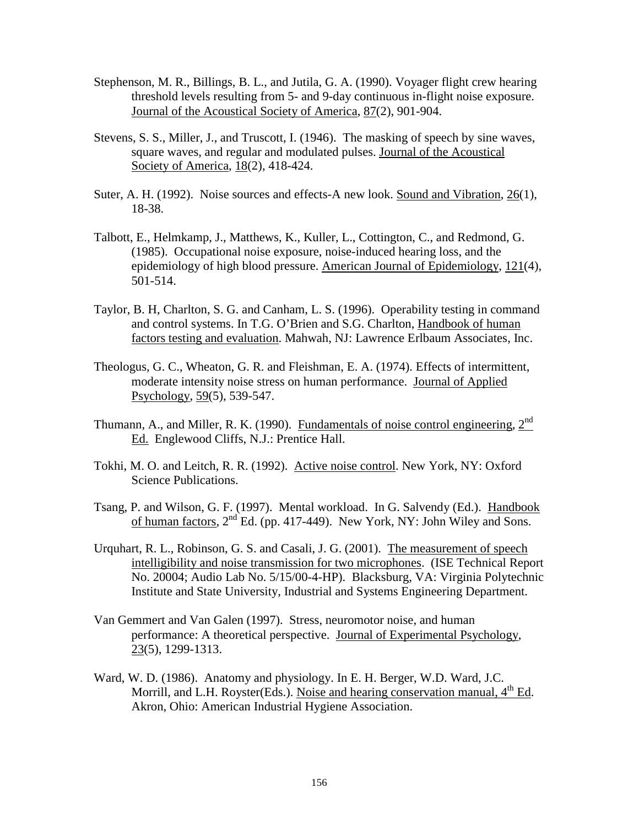- Stephenson, M. R., Billings, B. L., and Jutila, G. A. (1990). Voyager flight crew hearing threshold levels resulting from 5- and 9-day continuous in-flight noise exposure. Journal of the Acoustical Society of America, 87(2), 901-904.
- Stevens, S. S., Miller, J., and Truscott, I. (1946). The masking of speech by sine waves, square waves, and regular and modulated pulses. Journal of the Acoustical Society of America, 18(2), 418-424.
- Suter, A. H. (1992). Noise sources and effects-A new look. Sound and Vibration, 26(1), 18-38.
- Talbott, E., Helmkamp, J., Matthews, K., Kuller, L., Cottington, C., and Redmond, G. (1985). Occupational noise exposure, noise-induced hearing loss, and the epidemiology of high blood pressure. American Journal of Epidemiology, 121(4), 501-514.
- Taylor, B. H, Charlton, S. G. and Canham, L. S. (1996). Operability testing in command and control systems. In T.G. O'Brien and S.G. Charlton, Handbook of human factors testing and evaluation. Mahwah, NJ: Lawrence Erlbaum Associates, Inc.
- Theologus, G. C., Wheaton, G. R. and Fleishman, E. A. (1974). Effects of intermittent, moderate intensity noise stress on human performance. Journal of Applied Psychology, 59(5), 539-547.
- Thumann, A., and Miller, R. K. (1990). Fundamentals of noise control engineering,  $2<sup>nd</sup>$ Ed. Englewood Cliffs, N.J.: Prentice Hall.
- Tokhi, M. O. and Leitch, R. R. (1992). Active noise control. New York, NY: Oxford Science Publications.
- Tsang, P. and Wilson, G. F. (1997). Mental workload. In G. Salvendy (Ed.). Handbook of human factors,  $2^{nd}$  Ed. (pp. 417-449). New York, NY: John Wiley and Sons.
- Urquhart, R. L., Robinson, G. S. and Casali, J. G. (2001). The measurement of speech intelligibility and noise transmission for two microphones. (ISE Technical Report No. 20004; Audio Lab No. 5/15/00-4-HP). Blacksburg, VA: Virginia Polytechnic Institute and State University, Industrial and Systems Engineering Department.
- Van Gemmert and Van Galen (1997). Stress, neuromotor noise, and human performance: A theoretical perspective. Journal of Experimental Psychology, 23(5), 1299-1313.
- Ward, W. D. (1986). Anatomy and physiology. In E. H. Berger, W.D. Ward, J.C. Morrill, and L.H. Royster(Eds.). Noise and hearing conservation manual,  $4<sup>th</sup>$  Ed. Akron, Ohio: American Industrial Hygiene Association.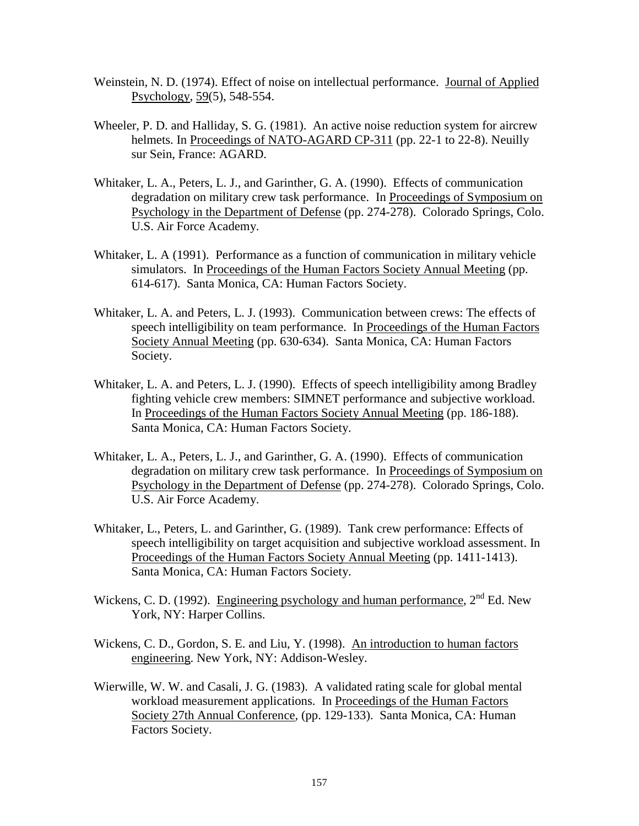- Weinstein, N. D. (1974). Effect of noise on intellectual performance. Journal of Applied Psychology, 59(5), 548-554.
- Wheeler, P. D. and Halliday, S. G. (1981). An active noise reduction system for aircrew helmets. In Proceedings of NATO-AGARD CP-311 (pp. 22-1 to 22-8). Neuilly sur Sein, France: AGARD.
- Whitaker, L. A., Peters, L. J., and Garinther, G. A. (1990). Effects of communication degradation on military crew task performance. In Proceedings of Symposium on Psychology in the Department of Defense (pp. 274-278). Colorado Springs, Colo. U.S. Air Force Academy.
- Whitaker, L. A (1991). Performance as a function of communication in military vehicle simulators. In Proceedings of the Human Factors Society Annual Meeting (pp. 614-617). Santa Monica, CA: Human Factors Society.
- Whitaker, L. A. and Peters, L. J. (1993). Communication between crews: The effects of speech intelligibility on team performance. In Proceedings of the Human Factors Society Annual Meeting (pp. 630-634). Santa Monica, CA: Human Factors Society.
- Whitaker, L. A. and Peters, L. J. (1990). Effects of speech intelligibility among Bradley fighting vehicle crew members: SIMNET performance and subjective workload. In Proceedings of the Human Factors Society Annual Meeting (pp. 186-188). Santa Monica, CA: Human Factors Society.
- Whitaker, L. A., Peters, L. J., and Garinther, G. A. (1990). Effects of communication degradation on military crew task performance. In Proceedings of Symposium on Psychology in the Department of Defense (pp. 274-278). Colorado Springs, Colo. U.S. Air Force Academy.
- Whitaker, L., Peters, L. and Garinther, G. (1989). Tank crew performance: Effects of speech intelligibility on target acquisition and subjective workload assessment. In Proceedings of the Human Factors Society Annual Meeting (pp. 1411-1413). Santa Monica, CA: Human Factors Society.
- Wickens, C. D. (1992). Engineering psychology and human performance,  $2<sup>nd</sup>$  Ed. New York, NY: Harper Collins.
- Wickens, C. D., Gordon, S. E. and Liu, Y. (1998). An introduction to human factors engineering. New York, NY: Addison-Wesley.
- Wierwille, W. W. and Casali, J. G. (1983). A validated rating scale for global mental workload measurement applications. In Proceedings of the Human Factors Society 27th Annual Conference, (pp. 129-133). Santa Monica, CA: Human Factors Society.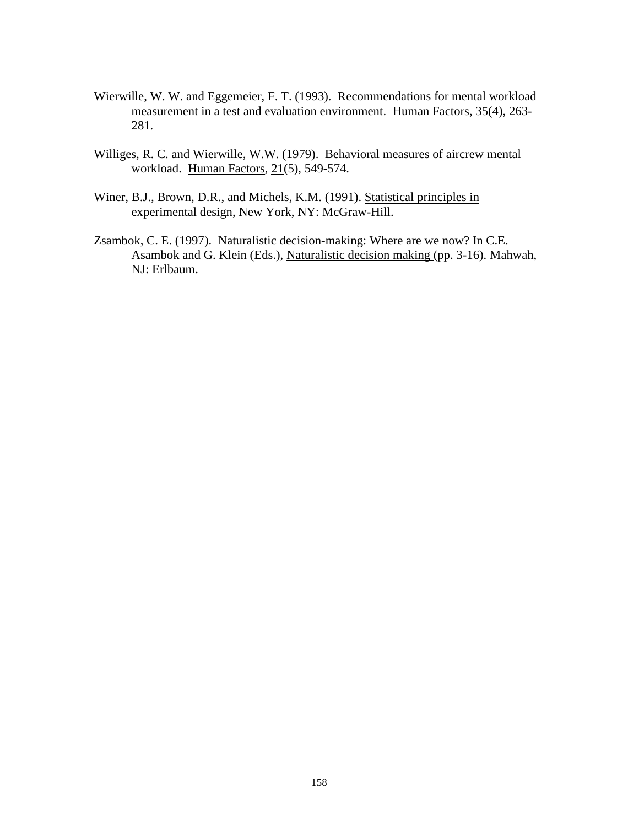- Wierwille, W. W. and Eggemeier, F. T. (1993). Recommendations for mental workload measurement in a test and evaluation environment. Human Factors, 35(4), 263- 281.
- Williges, R. C. and Wierwille, W.W. (1979). Behavioral measures of aircrew mental workload. Human Factors, 21(5), 549-574.
- Winer, B.J., Brown, D.R., and Michels, K.M. (1991). Statistical principles in experimental design, New York, NY: McGraw-Hill.
- Zsambok, C. E. (1997). Naturalistic decision-making: Where are we now? In C.E. Asambok and G. Klein (Eds.), Naturalistic decision making (pp. 3-16). Mahwah, NJ: Erlbaum.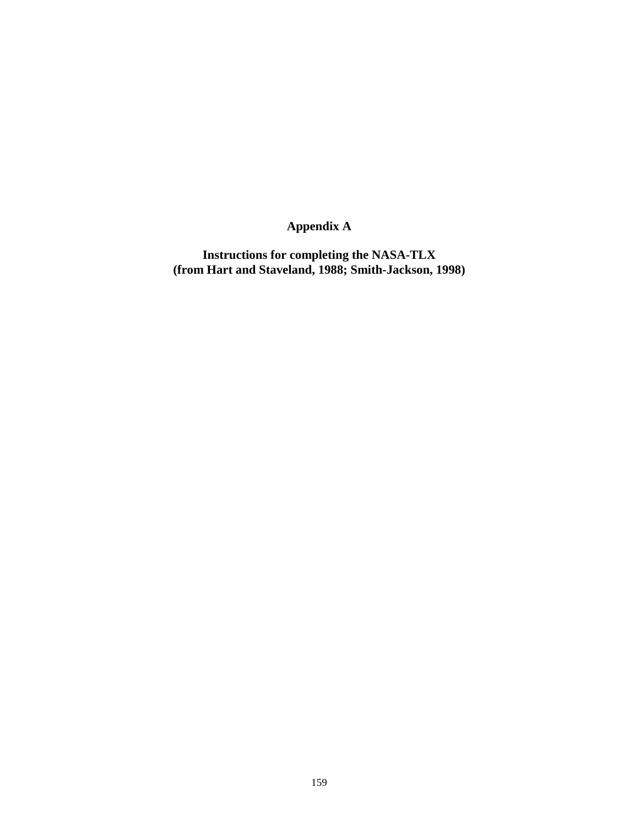# **Appendix A**

**Instructions for completing the NASA-TLX (from Hart and Staveland, 1988; Smith-Jackson, 1998)**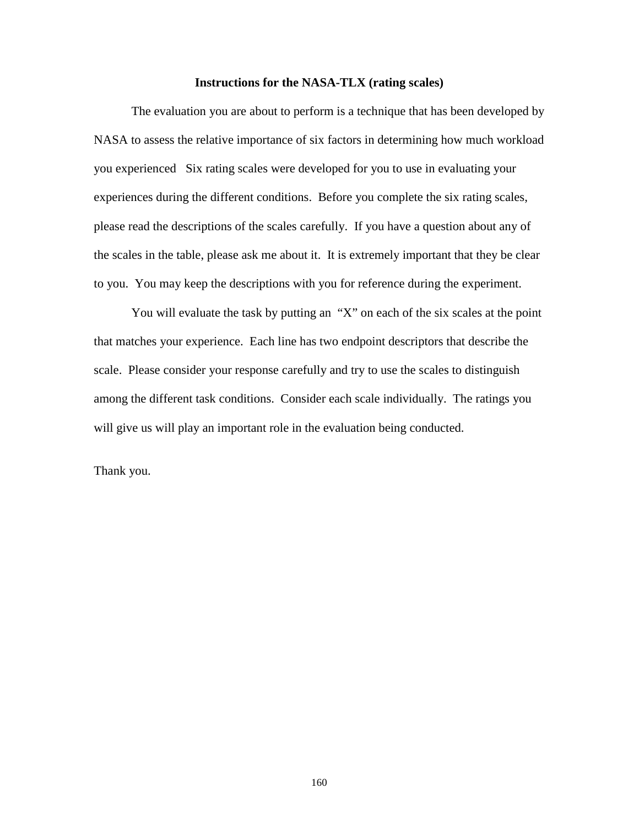#### **Instructions for the NASA-TLX (rating scales)**

The evaluation you are about to perform is a technique that has been developed by NASA to assess the relative importance of six factors in determining how much workload you experienced Six rating scales were developed for you to use in evaluating your experiences during the different conditions. Before you complete the six rating scales, please read the descriptions of the scales carefully. If you have a question about any of the scales in the table, please ask me about it. It is extremely important that they be clear to you. You may keep the descriptions with you for reference during the experiment.

You will evaluate the task by putting an "X" on each of the six scales at the point that matches your experience. Each line has two endpoint descriptors that describe the scale. Please consider your response carefully and try to use the scales to distinguish among the different task conditions. Consider each scale individually. The ratings you will give us will play an important role in the evaluation being conducted.

Thank you.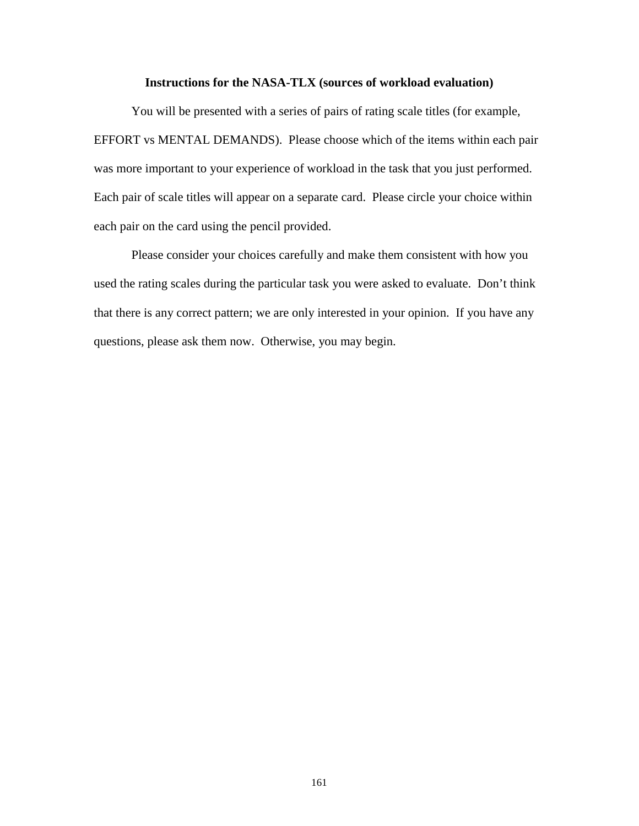## **Instructions for the NASA-TLX (sources of workload evaluation)**

You will be presented with a series of pairs of rating scale titles (for example, EFFORT vs MENTAL DEMANDS). Please choose which of the items within each pair was more important to your experience of workload in the task that you just performed. Each pair of scale titles will appear on a separate card. Please circle your choice within each pair on the card using the pencil provided.

Please consider your choices carefully and make them consistent with how you used the rating scales during the particular task you were asked to evaluate. Don't think that there is any correct pattern; we are only interested in your opinion. If you have any questions, please ask them now. Otherwise, you may begin.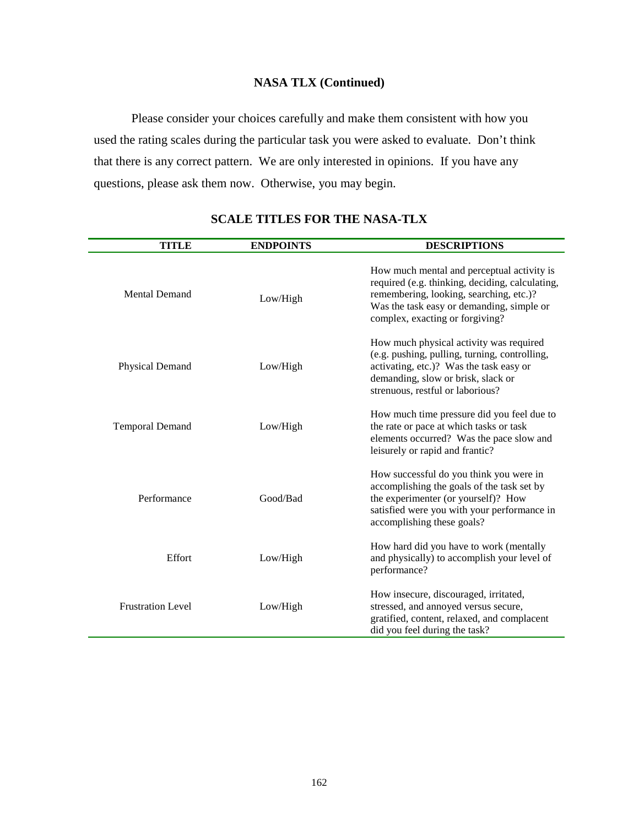# **NASA TLX (Continued)**

Please consider your choices carefully and make them consistent with how you used the rating scales during the particular task you were asked to evaluate. Don't think that there is any correct pattern. We are only interested in opinions. If you have any questions, please ask them now. Otherwise, you may begin.

| TITLE                    | <b>ENDPOINTS</b> | <b>DESCRIPTIONS</b>                                                                                                                                                                                                      |
|--------------------------|------------------|--------------------------------------------------------------------------------------------------------------------------------------------------------------------------------------------------------------------------|
| <b>Mental Demand</b>     | Low/High         | How much mental and perceptual activity is<br>required (e.g. thinking, deciding, calculating,<br>remembering, looking, searching, etc.)?<br>Was the task easy or demanding, simple or<br>complex, exacting or forgiving? |
| Physical Demand          | Low/High         | How much physical activity was required<br>(e.g. pushing, pulling, turning, controlling,<br>activating, etc.)? Was the task easy or<br>demanding, slow or brisk, slack or<br>strenuous, restful or laborious?            |
| <b>Temporal Demand</b>   | Low/High         | How much time pressure did you feel due to<br>the rate or pace at which tasks or task<br>elements occurred? Was the pace slow and<br>leisurely or rapid and frantic?                                                     |
| Performance              | Good/Bad         | How successful do you think you were in<br>accomplishing the goals of the task set by<br>the experimenter (or yourself)? How<br>satisfied were you with your performance in<br>accomplishing these goals?                |
| Effort                   | Low/High         | How hard did you have to work (mentally<br>and physically) to accomplish your level of<br>performance?                                                                                                                   |
| <b>Frustration Level</b> | Low/High         | How insecure, discouraged, irritated,<br>stressed, and annoyed versus secure,<br>gratified, content, relaxed, and complacent<br>did you feel during the task?                                                            |

# **SCALE TITLES FOR THE NASA-TLX**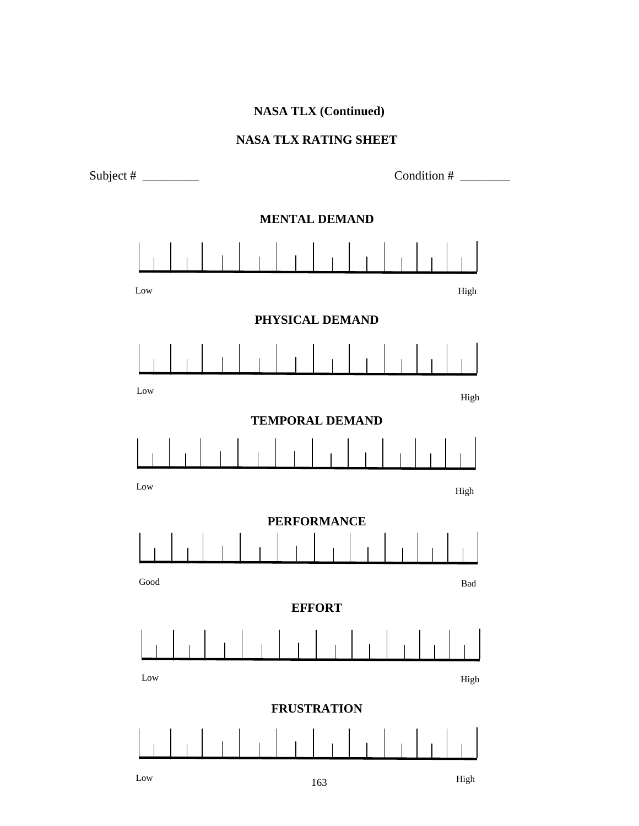# **NASA TLX (Continued)**

# **NASA TLX RATING SHEET**

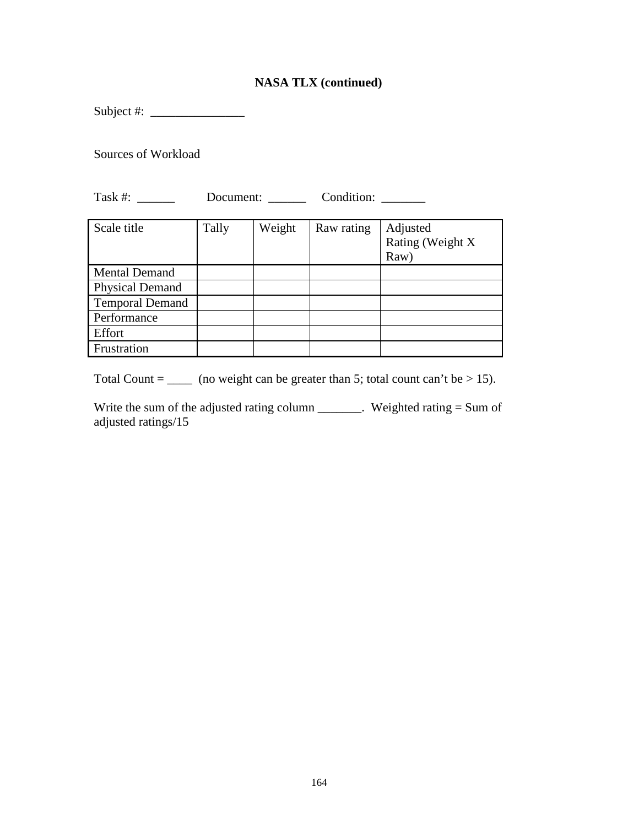# **NASA TLX (continued)**

Subject #:  $\frac{2}{1}$ 

Sources of Workload

Task #: \_\_\_\_\_\_\_ Document: \_\_\_\_\_\_ Condition: \_\_\_\_\_\_\_

| Scale title            | Tally | Weight | Raw rating | Adjusted<br>Rating (Weight X<br>Raw) |
|------------------------|-------|--------|------------|--------------------------------------|
| <b>Mental Demand</b>   |       |        |            |                                      |
| <b>Physical Demand</b> |       |        |            |                                      |
| <b>Temporal Demand</b> |       |        |            |                                      |
| Performance            |       |        |            |                                      |
| Effort                 |       |        |            |                                      |
| Frustration            |       |        |            |                                      |

Total Count =  $\frac{1}{2}$  (no weight can be greater than 5; total count can't be > 15).

Write the sum of the adjusted rating column \_\_\_\_\_\_\_. Weighted rating = Sum of adjusted ratings/15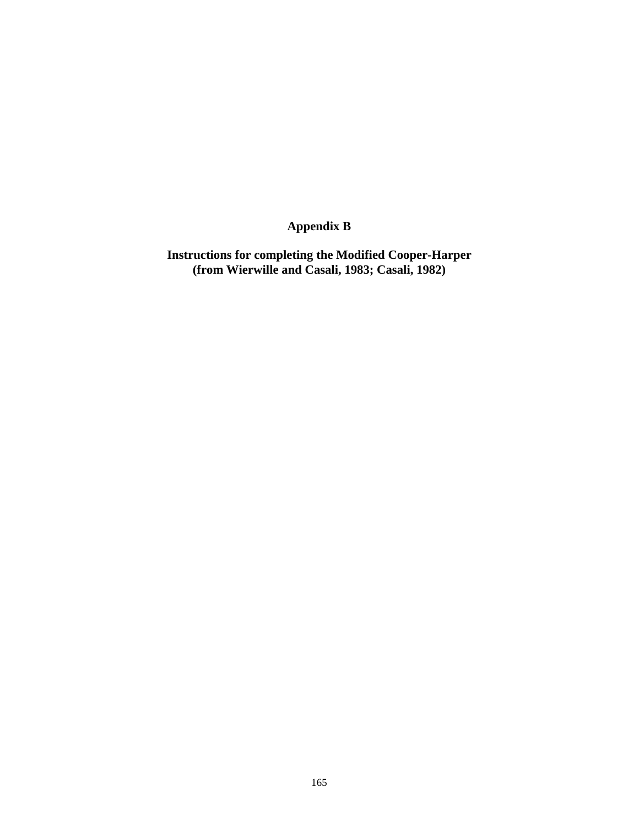# **Appendix B**

**Instructions for completing the Modified Cooper-Harper (from Wierwille and Casali, 1983; Casali, 1982)**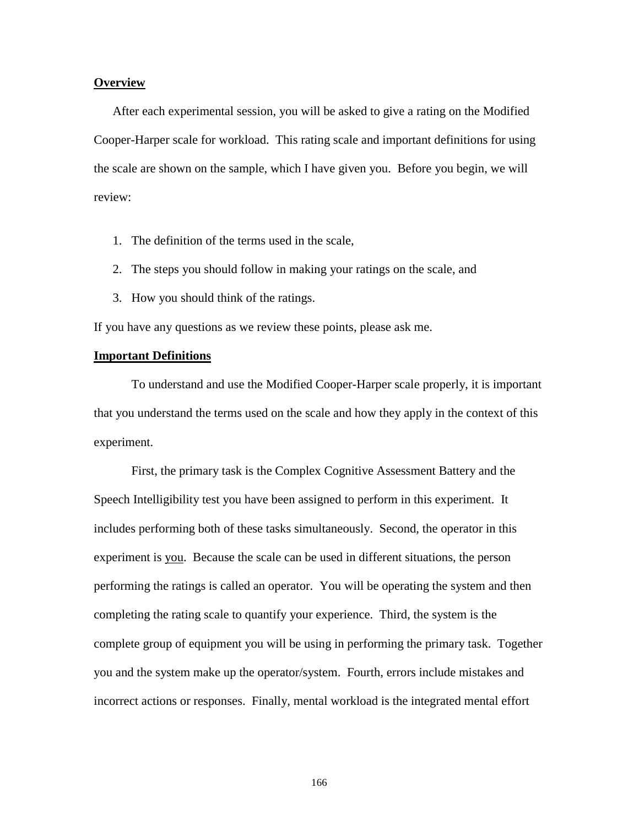### **Overview**

After each experimental session, you will be asked to give a rating on the Modified Cooper-Harper scale for workload. This rating scale and important definitions for using the scale are shown on the sample, which I have given you. Before you begin, we will review:

- 1. The definition of the terms used in the scale,
- 2. The steps you should follow in making your ratings on the scale, and
- 3. How you should think of the ratings.

If you have any questions as we review these points, please ask me.

## **Important Definitions**

To understand and use the Modified Cooper-Harper scale properly, it is important that you understand the terms used on the scale and how they apply in the context of this experiment.

First, the primary task is the Complex Cognitive Assessment Battery and the Speech Intelligibility test you have been assigned to perform in this experiment. It includes performing both of these tasks simultaneously. Second, the operator in this experiment is you. Because the scale can be used in different situations, the person performing the ratings is called an operator. You will be operating the system and then completing the rating scale to quantify your experience. Third, the system is the complete group of equipment you will be using in performing the primary task. Together you and the system make up the operator/system. Fourth, errors include mistakes and incorrect actions or responses. Finally, mental workload is the integrated mental effort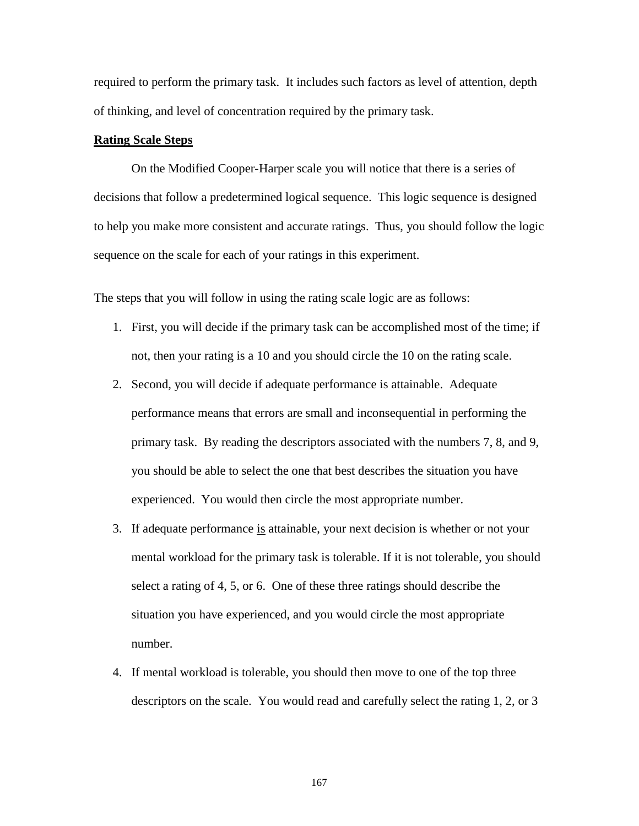required to perform the primary task. It includes such factors as level of attention, depth of thinking, and level of concentration required by the primary task.

## **Rating Scale Steps**

On the Modified Cooper-Harper scale you will notice that there is a series of decisions that follow a predetermined logical sequence. This logic sequence is designed to help you make more consistent and accurate ratings. Thus, you should follow the logic sequence on the scale for each of your ratings in this experiment.

The steps that you will follow in using the rating scale logic are as follows:

- 1. First, you will decide if the primary task can be accomplished most of the time; if not, then your rating is a 10 and you should circle the 10 on the rating scale.
- 2. Second, you will decide if adequate performance is attainable. Adequate performance means that errors are small and inconsequential in performing the primary task. By reading the descriptors associated with the numbers 7, 8, and 9, you should be able to select the one that best describes the situation you have experienced. You would then circle the most appropriate number.
- 3. If adequate performance is attainable, your next decision is whether or not your mental workload for the primary task is tolerable. If it is not tolerable, you should select a rating of 4, 5, or 6. One of these three ratings should describe the situation you have experienced, and you would circle the most appropriate number.
- 4. If mental workload is tolerable, you should then move to one of the top three descriptors on the scale. You would read and carefully select the rating 1, 2, or 3

167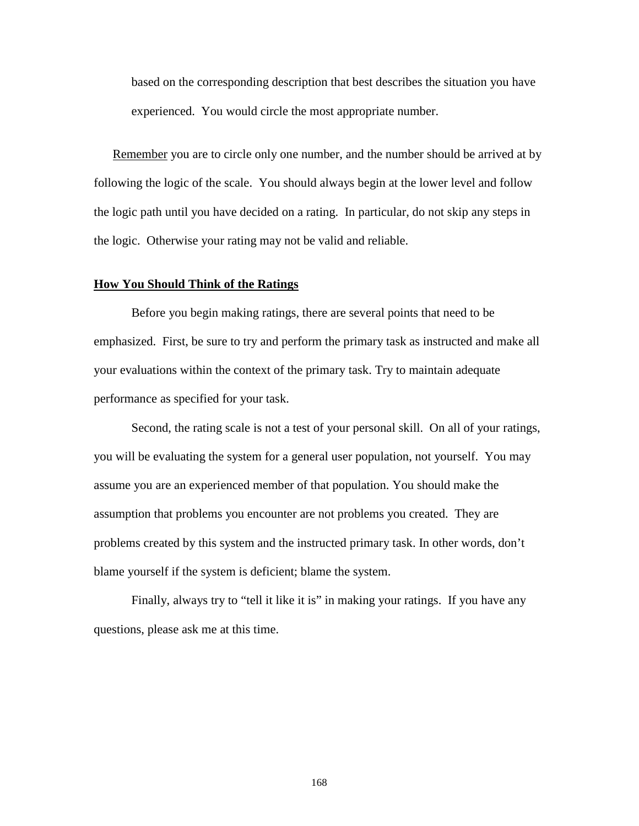based on the corresponding description that best describes the situation you have experienced. You would circle the most appropriate number.

Remember you are to circle only one number, and the number should be arrived at by following the logic of the scale. You should always begin at the lower level and follow the logic path until you have decided on a rating. In particular, do not skip any steps in the logic. Otherwise your rating may not be valid and reliable.

### **How You Should Think of the Ratings**

Before you begin making ratings, there are several points that need to be emphasized. First, be sure to try and perform the primary task as instructed and make all your evaluations within the context of the primary task. Try to maintain adequate performance as specified for your task.

Second, the rating scale is not a test of your personal skill. On all of your ratings, you will be evaluating the system for a general user population, not yourself. You may assume you are an experienced member of that population. You should make the assumption that problems you encounter are not problems you created. They are problems created by this system and the instructed primary task. In other words, don't blame yourself if the system is deficient; blame the system.

Finally, always try to "tell it like it is" in making your ratings. If you have any questions, please ask me at this time.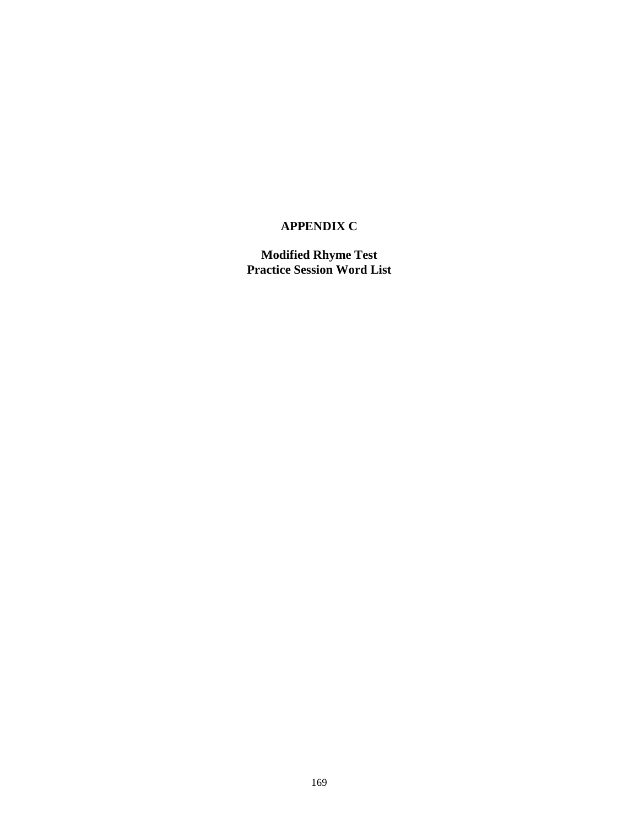# **APPENDIX C**

**Modified Rhyme Test Practice Session Word List**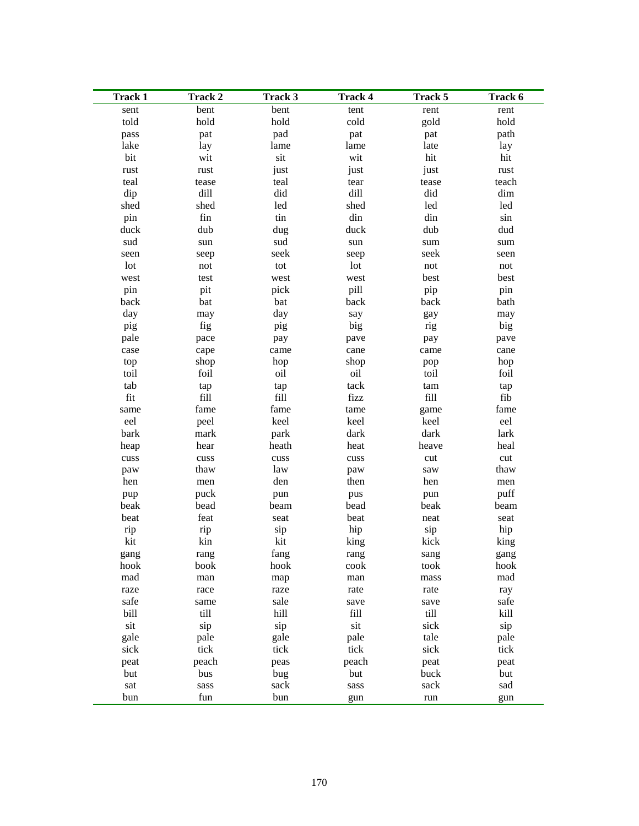| <b>Track 1</b> | Track 2              | Track 3     | <b>Track 4</b> | Track 5              | Track 6              |
|----------------|----------------------|-------------|----------------|----------------------|----------------------|
| sent           | bent                 | bent        | tent           | rent                 | rent                 |
| told           | hold                 | hold        | cold           | gold                 | hold                 |
| pass           | pat                  | pad         | pat            | pat                  | path                 |
| lake           | lay                  | lame        | lame           | late                 | lay                  |
| bit            | wit                  | sit         | wit            | hit                  | hit                  |
| rust           | rust                 | just        | just           | just                 | rust                 |
| teal           | tease                | teal        | tear           | tease                | teach                |
| dip            | dill                 | did         | dill           | did                  | dim                  |
| shed           | shed                 | led         | shed           | led                  | led                  |
| pin            | fin                  | tin         | din            | din                  | sin                  |
| duck           | dub                  | dug         | duck           | dub                  | dud                  |
| sud            | $\operatorname{sun}$ | sud         | sun            | $\operatorname{sum}$ | $\operatorname{sum}$ |
| seen           | seep                 | seek        | seep           | seek                 | seen                 |
| lot            | not                  | tot         | lot            | not                  | not                  |
| west           | test                 | west        | west           | best                 | best                 |
| pin            | pit                  | pick        | pill           | pip                  | pin                  |
| back           | bat                  | bat         | back           | back                 | bath                 |
| day            | may                  | day         | say            | gay                  | may                  |
| pig            | fig                  | pig         | big            | rig                  | big                  |
| pale           | pace                 | pay         | pave           | pay                  | pave                 |
| case           | cape                 | came        | cane           | came                 | cane                 |
| top            | shop                 | hop         | shop           | pop                  | hop                  |
| toil           | foil                 | oil         | oil            | toil                 | foil                 |
| tab            | tap                  | tap         | tack           | $\tan$               | tap                  |
| fit            | fill                 | fill        | fizz           | fill                 | fib                  |
| same           | fame                 | fame        | tame           | game                 | fame                 |
| eel            | peel                 | keel        | keel           | keel                 | eel                  |
| bark           | mark                 | park        | dark           | dark                 | lark                 |
| heap           | hear                 | heath       | heat           | heave                | heal                 |
| cuss           | $\rm{cuss}$          | $\rm{cuss}$ | cuss           | cut                  | cut                  |
| paw            | thaw                 | law         | paw            | saw                  | thaw                 |
| hen            | men                  | den         | then           | hen                  | men                  |
| pup            | puck                 | pun         | pus            | pun                  | puff                 |
| beak           | bead                 | beam        | bead           | beak                 | beam                 |
| beat           | feat                 | seat        | beat           | neat                 | seat                 |
| rip            | rip                  | sip         | hip            | sip                  | hip                  |
| kit            | kin                  | kit         | king           | kick                 | king                 |
| gang           | rang                 | fang        | rang           | sang                 | gang                 |
| hook           | book                 | hook        | cook           | took                 | hook                 |
| mad            | man                  | map         | man            | mass                 | mad                  |
| raze           | race                 | raze        | rate           | rate                 | ray                  |
| safe           | same                 | sale        | save           | save                 | safe                 |
| bill           | till                 | hill        | fill           | till                 | kill                 |
| sit            | sip                  | sip         | sit            | sick                 | sip                  |
| gale           | pale                 | gale        | pale           | tale                 | pale                 |
| sick           | tick                 | tick        | tick           | sick                 | tick                 |
| peat           | peach                | peas        | peach          | peat                 | peat                 |
| but            | bus                  | bug         | but            | buck                 | but                  |
| sat            | sass                 | sack        | sass           | sack                 | sad                  |
| bun            | fun                  | bun         | gun            | run                  | gun                  |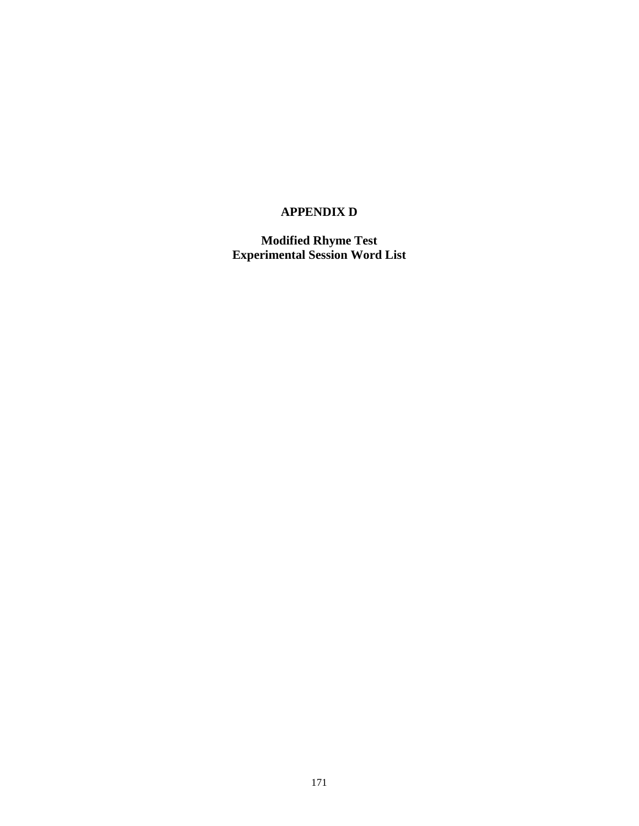# **APPENDIX D**

**Modified Rhyme Test Experimental Session Word List**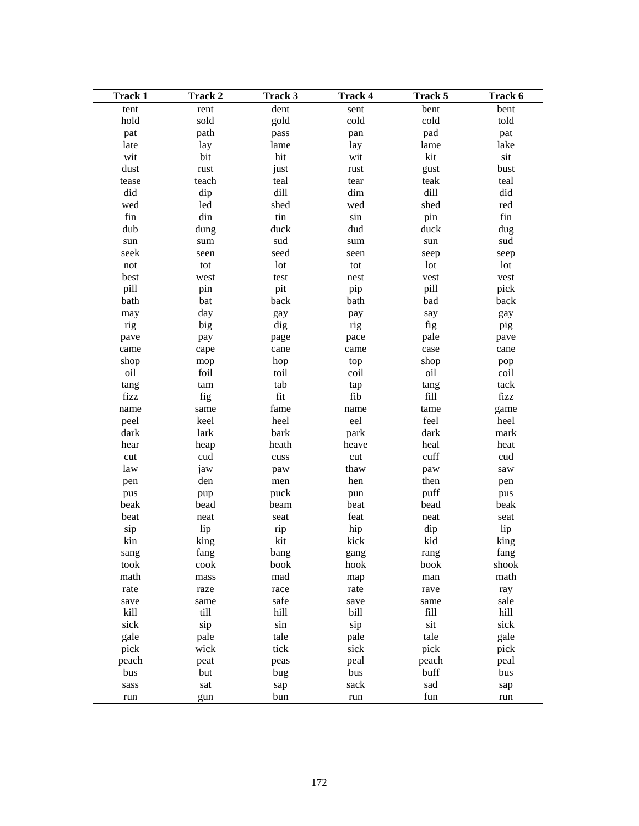| <b>Track 1</b>                        | Track 2              | Track 3     | <b>Track 4</b>       | Track 5 | Track 6          |
|---------------------------------------|----------------------|-------------|----------------------|---------|------------------|
| tent                                  | rent                 | dent        | sent                 | bent    | bent             |
| hold                                  | sold                 | gold        | cold                 | cold    | told             |
| pat                                   | path                 | pass        | pan                  | pad     | pat              |
| late                                  | lay                  | lame        | lay                  | lame    | lake             |
| wit                                   | bit                  | hit         | wit                  | kit     | sit              |
| dust                                  | rust                 | just        | rust                 | gust    | bust             |
| tease                                 | teach                | teal        | tear                 | teak    | teal             |
| did                                   | dip                  | dill        | dim                  | dill    | did              |
| wed                                   | led                  | shed        | wed                  | shed    | red              |
| fin                                   | din                  | tin         | sin                  | pin     | fin              |
| dub                                   | dung                 | duck        | dud                  | duck    | dug              |
| $\operatorname{sun}$                  | $\operatorname{sum}$ | sud         | $\operatorname{sum}$ | sun     | sud              |
| seek                                  | seen                 | seed        | seen                 | seep    | seep             |
| $\operatorname*{not}% \mathcal{M}(n)$ | tot                  | lot         | tot                  | lot     | lot              |
| best                                  | west                 | test        | nest                 | vest    | vest             |
| pill                                  | pin                  | pit         | pip                  | pill    | pick             |
| bath                                  | bat                  | back        | bath                 | bad     | back             |
| may                                   | day                  | gay         | pay                  | say     | gay              |
| rig                                   | big                  | dig         | rig                  | fig     | pig              |
| pave                                  | pay                  | page        | pace                 | pale    | pave             |
| came                                  | cape                 | cane        | came                 | case    | cane             |
| shop                                  | mop                  | hop         | top                  | shop    | pop              |
| oil                                   | foil                 | toil        | coil                 | oil     | coil             |
| tang                                  | tam                  | tab         | tap                  | tang    | tack             |
| fizz                                  | fig                  | fit         | fib                  | fill    | fizz             |
| name                                  | same                 | fame        | name                 | tame    | game             |
| peel                                  | keel                 | heel        | eel                  | feel    | heel             |
| dark                                  | lark                 | bark        | park                 | dark    | mark             |
| hear                                  | heap                 | heath       | heave                | heal    | heat             |
| cut                                   | cud                  | $\rm{cuss}$ | cut                  | cuff    | cud              |
| law                                   | jaw                  | paw         | thaw                 | paw     | $\,\mathrm{saw}$ |
| pen                                   | den                  | men         | hen                  | then    | pen              |
| pus                                   | pup                  | puck        | pun                  | puff    | pus              |
| beak                                  | bead                 | beam        | beat                 | bead    | beak             |
| beat                                  | neat                 | seat        | feat                 | neat    | seat             |
| sip                                   | lip                  | rip         | hip                  | dip     | lip              |
| kin                                   | king                 | kit         | kick                 | kid     | king             |
| sang                                  | fang                 | bang        | gang                 | rang    | fang             |
| took                                  | cook                 | book        | hook                 | book    | shook            |
| math                                  | mass                 | mad         | map                  | man     | math             |
| rate                                  | raze                 | race        | rate                 | rave    | ray              |
| save                                  | same                 | safe        | save                 | same    | sale             |
| kill                                  | till                 | hill        | bill                 | fill    | hill             |
| sick                                  | sip                  | sin         | sip                  | sit     | sick             |
| gale                                  | pale                 | tale        | pale                 | tale    | gale             |
| pick                                  | wick                 | tick        | sick                 | pick    | pick             |
| peach                                 | peat                 | peas        | peal                 | peach   | peal             |
| bus                                   | but                  | bug         | bus                  | buff    | bus              |
| sass                                  | sat                  | sap         | sack                 | sad     | sap              |
| run                                   | gun                  | bun         | run                  | fun     | run              |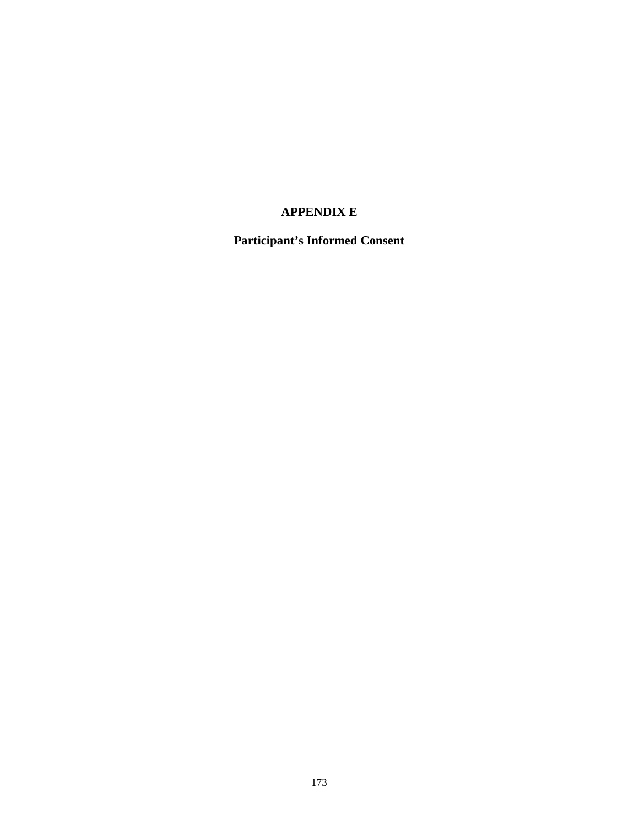# **APPENDIX E**

**Participant's Informed Consent**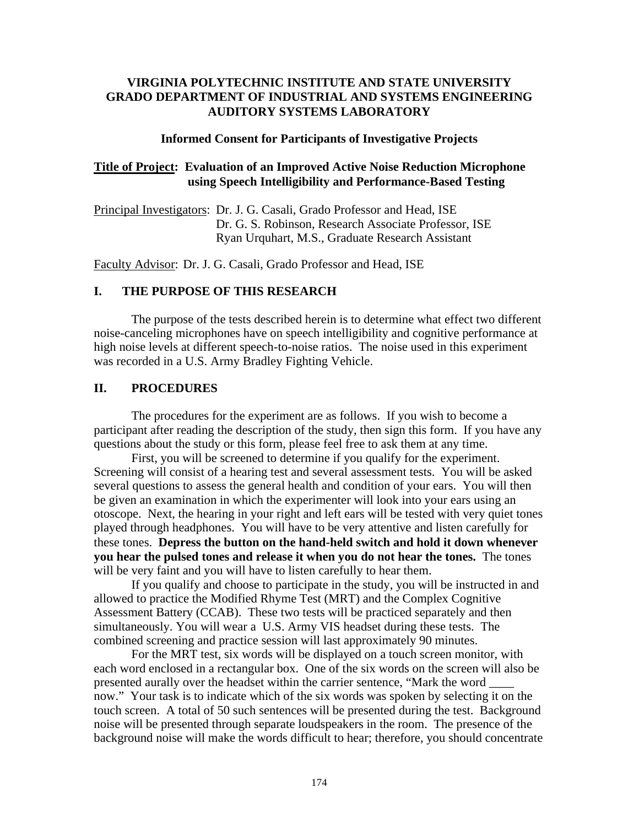# **VIRGINIA POLYTECHNIC INSTITUTE AND STATE UNIVERSITY GRADO DEPARTMENT OF INDUSTRIAL AND SYSTEMS ENGINEERING AUDITORY SYSTEMS LABORATORY**

### **Informed Consent for Participants of Investigative Projects**

## **Title of Project: Evaluation of an Improved Active Noise Reduction Microphone using Speech Intelligibility and Performance-Based Testing**

Principal Investigators: Dr. J. G. Casali, Grado Professor and Head, ISE Dr. G. S. Robinson, Research Associate Professor, ISE Ryan Urquhart, M.S., Graduate Research Assistant

Faculty Advisor: Dr. J. G. Casali, Grado Professor and Head, ISE

## **I. THE PURPOSE OF THIS RESEARCH**

The purpose of the tests described herein is to determine what effect two different noise-canceling microphones have on speech intelligibility and cognitive performance at high noise levels at different speech-to-noise ratios. The noise used in this experiment was recorded in a U.S. Army Bradley Fighting Vehicle.

### **II. PROCEDURES**

The procedures for the experiment are as follows. If you wish to become a participant after reading the description of the study, then sign this form. If you have any questions about the study or this form, please feel free to ask them at any time.

 First, you will be screened to determine if you qualify for the experiment. Screening will consist of a hearing test and several assessment tests. You will be asked several questions to assess the general health and condition of your ears. You will then be given an examination in which the experimenter will look into your ears using an otoscope. Next, the hearing in your right and left ears will be tested with very quiet tones played through headphones. You will have to be very attentive and listen carefully for these tones. **Depress the button on the hand-held switch and hold it down whenever you hear the pulsed tones and release it when you do not hear the tones.** The tones will be very faint and you will have to listen carefully to hear them.

 If you qualify and choose to participate in the study, you will be instructed in and allowed to practice the Modified Rhyme Test (MRT) and the Complex Cognitive Assessment Battery (CCAB). These two tests will be practiced separately and then simultaneously. You will wear a U.S. Army VIS headset during these tests. The combined screening and practice session will last approximately 90 minutes.

 For the MRT test, six words will be displayed on a touch screen monitor, with each word enclosed in a rectangular box. One of the six words on the screen will also be presented aurally over the headset within the carrier sentence, "Mark the word now." Your task is to indicate which of the six words was spoken by selecting it on the touch screen. A total of 50 such sentences will be presented during the test. Background noise will be presented through separate loudspeakers in the room. The presence of the background noise will make the words difficult to hear; therefore, you should concentrate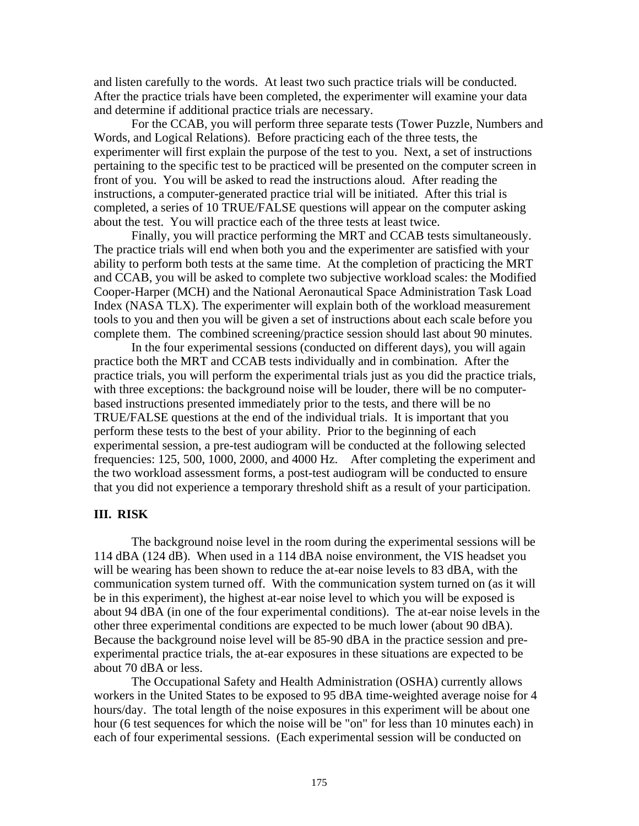and listen carefully to the words. At least two such practice trials will be conducted. After the practice trials have been completed, the experimenter will examine your data and determine if additional practice trials are necessary.

 For the CCAB, you will perform three separate tests (Tower Puzzle, Numbers and Words, and Logical Relations). Before practicing each of the three tests, the experimenter will first explain the purpose of the test to you. Next, a set of instructions pertaining to the specific test to be practiced will be presented on the computer screen in front of you. You will be asked to read the instructions aloud. After reading the instructions, a computer-generated practice trial will be initiated. After this trial is completed, a series of 10 TRUE/FALSE questions will appear on the computer asking about the test. You will practice each of the three tests at least twice.

 Finally, you will practice performing the MRT and CCAB tests simultaneously. The practice trials will end when both you and the experimenter are satisfied with your ability to perform both tests at the same time. At the completion of practicing the MRT and CCAB, you will be asked to complete two subjective workload scales: the Modified Cooper-Harper (MCH) and the National Aeronautical Space Administration Task Load Index (NASA TLX). The experimenter will explain both of the workload measurement tools to you and then you will be given a set of instructions about each scale before you complete them. The combined screening/practice session should last about 90 minutes.

 In the four experimental sessions (conducted on different days), you will again practice both the MRT and CCAB tests individually and in combination. After the practice trials, you will perform the experimental trials just as you did the practice trials, with three exceptions: the background noise will be louder, there will be no computerbased instructions presented immediately prior to the tests, and there will be no TRUE/FALSE questions at the end of the individual trials. It is important that you perform these tests to the best of your ability. Prior to the beginning of each experimental session, a pre-test audiogram will be conducted at the following selected frequencies: 125, 500, 1000, 2000, and 4000 Hz. After completing the experiment and the two workload assessment forms, a post-test audiogram will be conducted to ensure that you did not experience a temporary threshold shift as a result of your participation.

## **III. RISK**

The background noise level in the room during the experimental sessions will be 114 dBA (124 dB). When used in a 114 dBA noise environment, the VIS headset you will be wearing has been shown to reduce the at-ear noise levels to 83 dBA, with the communication system turned off. With the communication system turned on (as it will be in this experiment), the highest at-ear noise level to which you will be exposed is about 94 dBA (in one of the four experimental conditions). The at-ear noise levels in the other three experimental conditions are expected to be much lower (about 90 dBA). Because the background noise level will be 85-90 dBA in the practice session and preexperimental practice trials, the at-ear exposures in these situations are expected to be about 70 dBA or less.

 The Occupational Safety and Health Administration (OSHA) currently allows workers in the United States to be exposed to 95 dBA time-weighted average noise for 4 hours/day. The total length of the noise exposures in this experiment will be about one hour (6 test sequences for which the noise will be "on" for less than 10 minutes each) in each of four experimental sessions. (Each experimental session will be conducted on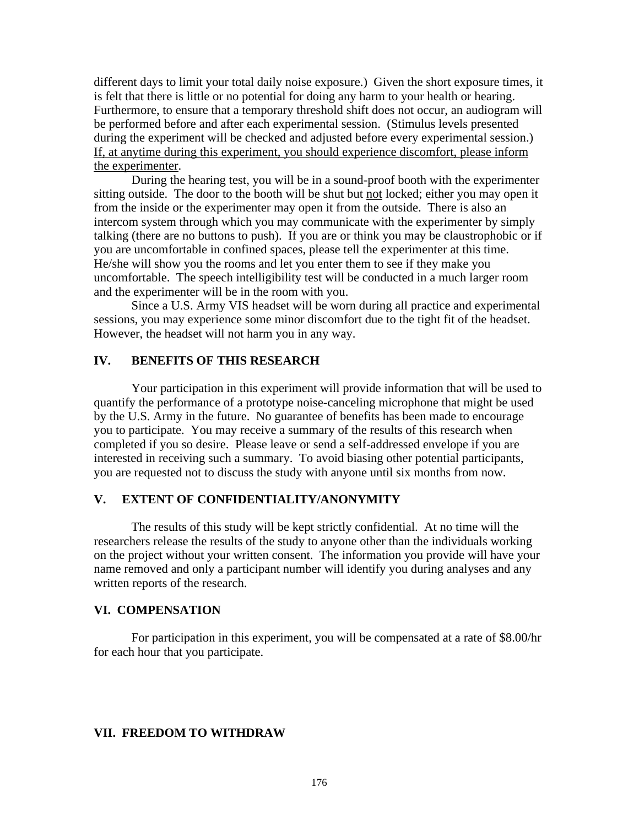different days to limit your total daily noise exposure.) Given the short exposure times, it is felt that there is little or no potential for doing any harm to your health or hearing. Furthermore, to ensure that a temporary threshold shift does not occur, an audiogram will be performed before and after each experimental session. (Stimulus levels presented during the experiment will be checked and adjusted before every experimental session.) If, at anytime during this experiment, you should experience discomfort, please inform the experimenter.

 During the hearing test, you will be in a sound-proof booth with the experimenter sitting outside. The door to the booth will be shut but not locked; either you may open it from the inside or the experimenter may open it from the outside. There is also an intercom system through which you may communicate with the experimenter by simply talking (there are no buttons to push). If you are or think you may be claustrophobic or if you are uncomfortable in confined spaces, please tell the experimenter at this time. He/she will show you the rooms and let you enter them to see if they make you uncomfortable. The speech intelligibility test will be conducted in a much larger room and the experimenter will be in the room with you.

 Since a U.S. Army VIS headset will be worn during all practice and experimental sessions, you may experience some minor discomfort due to the tight fit of the headset. However, the headset will not harm you in any way.

## **IV. BENEFITS OF THIS RESEARCH**

Your participation in this experiment will provide information that will be used to quantify the performance of a prototype noise-canceling microphone that might be used by the U.S. Army in the future. No guarantee of benefits has been made to encourage you to participate. You may receive a summary of the results of this research when completed if you so desire. Please leave or send a self-addressed envelope if you are interested in receiving such a summary. To avoid biasing other potential participants, you are requested not to discuss the study with anyone until six months from now.

# **V. EXTENT OF CONFIDENTIALITY/ANONYMITY**

The results of this study will be kept strictly confidential. At no time will the researchers release the results of the study to anyone other than the individuals working on the project without your written consent. The information you provide will have your name removed and only a participant number will identify you during analyses and any written reports of the research.

# **VI. COMPENSATION**

For participation in this experiment, you will be compensated at a rate of \$8.00/hr for each hour that you participate.

#### **VII. FREEDOM TO WITHDRAW**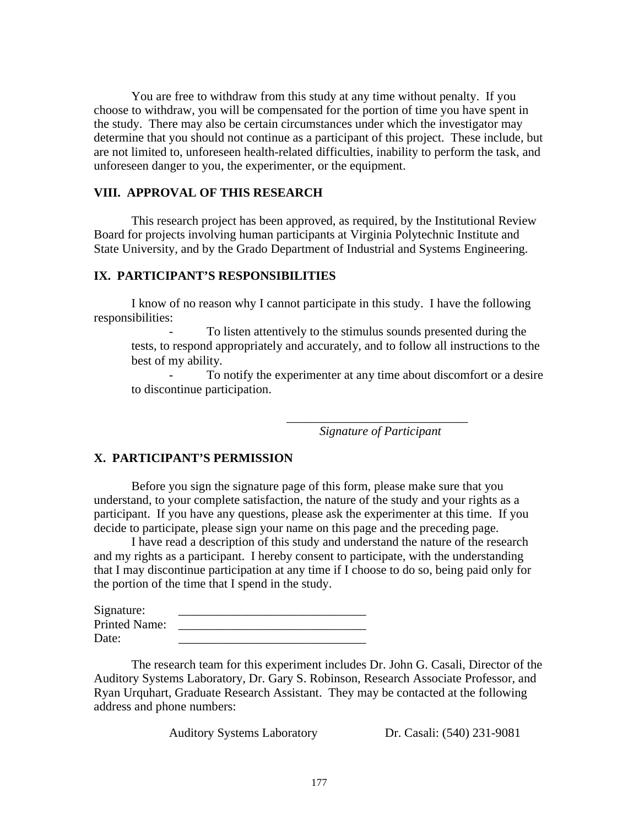You are free to withdraw from this study at any time without penalty. If you choose to withdraw, you will be compensated for the portion of time you have spent in the study. There may also be certain circumstances under which the investigator may determine that you should not continue as a participant of this project. These include, but are not limited to, unforeseen health-related difficulties, inability to perform the task, and unforeseen danger to you, the experimenter, or the equipment.

### **VIII. APPROVAL OF THIS RESEARCH**

This research project has been approved, as required, by the Institutional Review Board for projects involving human participants at Virginia Polytechnic Institute and State University, and by the Grado Department of Industrial and Systems Engineering.

# **IX. PARTICIPANT'S RESPONSIBILITIES**

I know of no reason why I cannot participate in this study. I have the following responsibilities:

To listen attentively to the stimulus sounds presented during the tests, to respond appropriately and accurately, and to follow all instructions to the best of my ability.

To notify the experimenter at any time about discomfort or a desire to discontinue participation.

 *Signature of Participant* 

## **X. PARTICIPANT'S PERMISSION**

Before you sign the signature page of this form, please make sure that you understand, to your complete satisfaction, the nature of the study and your rights as a participant. If you have any questions, please ask the experimenter at this time. If you decide to participate, please sign your name on this page and the preceding page.

 $\overline{\phantom{a}}$  , and the contract of the contract of the contract of the contract of the contract of the contract of the contract of the contract of the contract of the contract of the contract of the contract of the contrac

 I have read a description of this study and understand the nature of the research and my rights as a participant. I hereby consent to participate, with the understanding that I may discontinue participation at any time if I choose to do so, being paid only for the portion of the time that I spend in the study.

| Signature:           |  |
|----------------------|--|
| <b>Printed Name:</b> |  |
| Date:                |  |

 The research team for this experiment includes Dr. John G. Casali, Director of the Auditory Systems Laboratory, Dr. Gary S. Robinson, Research Associate Professor, and Ryan Urquhart, Graduate Research Assistant. They may be contacted at the following address and phone numbers:

Auditory Systems Laboratory Dr. Casali: (540) 231-9081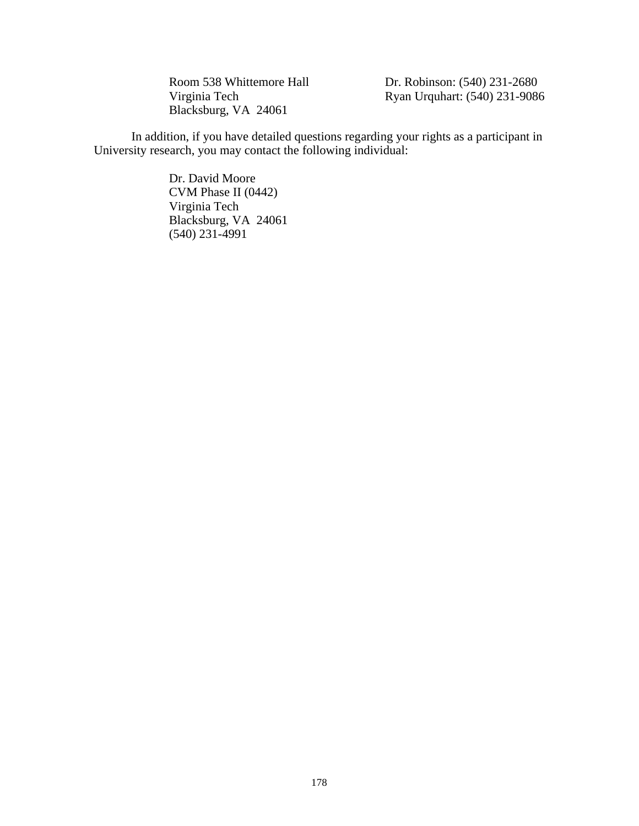Blacksburg, VA 24061

Room 538 Whittemore Hall Dr. Robinson: (540) 231-2680<br>Virginia Tech Ryan Urquhart: (540) 231-9086 Ryan Urquhart: (540) 231-9086

In addition, if you have detailed questions regarding your rights as a participant in University research, you may contact the following individual:

> Dr. David Moore CVM Phase II (0442) Virginia Tech Blacksburg, VA 24061 (540) 231-4991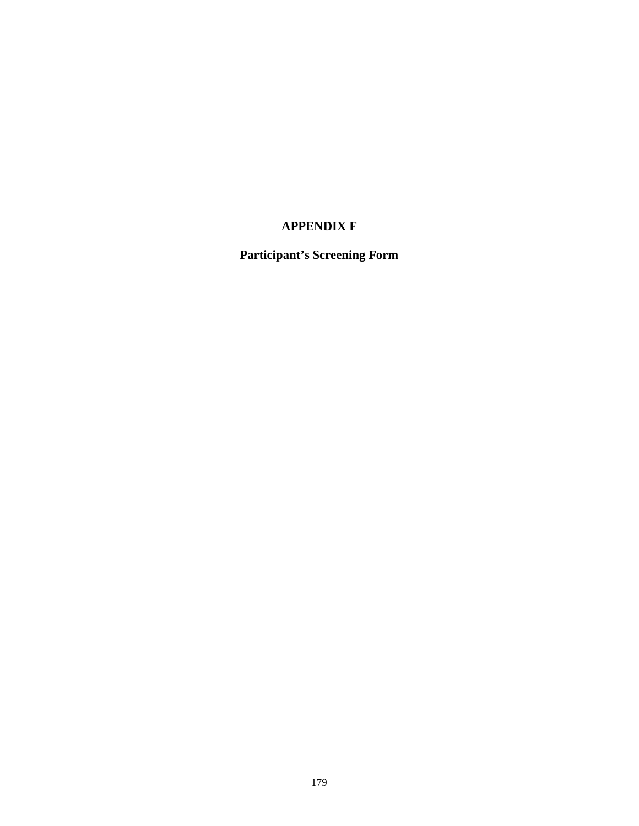# **APPENDIX F**

**Participant's Screening Form**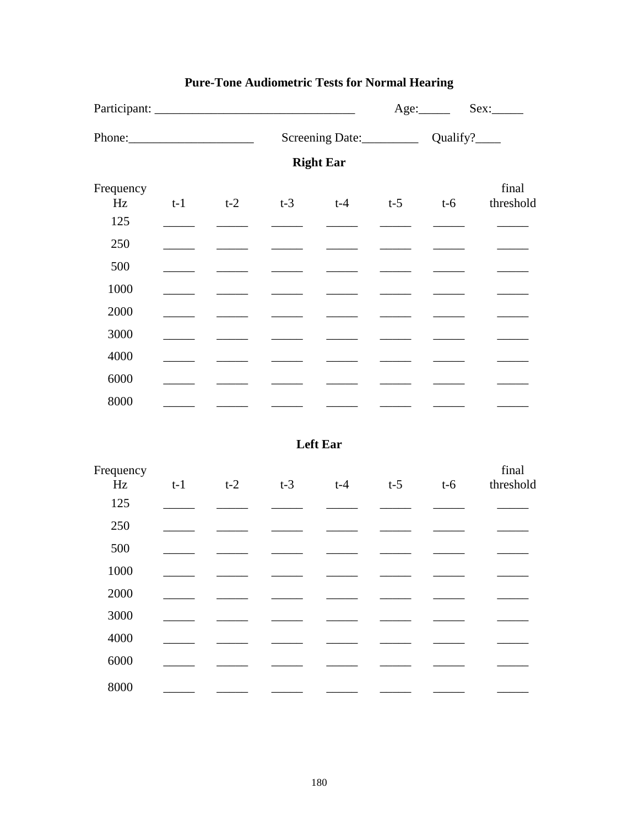|                        |       |                                                                                                                                                                                                                                                                                                                                                                                                                                                                                     | Screening Date: Qualify? |                   |                                                                                                                                                                                                                                                                                                                                                                                                                                                                            |       |                                                                                                                                                                                                                                                                                                                                                                                                                        |
|------------------------|-------|-------------------------------------------------------------------------------------------------------------------------------------------------------------------------------------------------------------------------------------------------------------------------------------------------------------------------------------------------------------------------------------------------------------------------------------------------------------------------------------|--------------------------|-------------------|----------------------------------------------------------------------------------------------------------------------------------------------------------------------------------------------------------------------------------------------------------------------------------------------------------------------------------------------------------------------------------------------------------------------------------------------------------------------------|-------|------------------------------------------------------------------------------------------------------------------------------------------------------------------------------------------------------------------------------------------------------------------------------------------------------------------------------------------------------------------------------------------------------------------------|
|                        |       |                                                                                                                                                                                                                                                                                                                                                                                                                                                                                     |                          | <b>Right Ear</b>  |                                                                                                                                                                                                                                                                                                                                                                                                                                                                            |       |                                                                                                                                                                                                                                                                                                                                                                                                                        |
| Frequency<br>Hz<br>125 | $t-1$ | $t-2$<br>$\frac{1}{2} \left( \frac{1}{2} \right) \left( \frac{1}{2} \right) \left( \frac{1}{2} \right) \left( \frac{1}{2} \right) \left( \frac{1}{2} \right) \left( \frac{1}{2} \right) \left( \frac{1}{2} \right) \left( \frac{1}{2} \right) \left( \frac{1}{2} \right) \left( \frac{1}{2} \right) \left( \frac{1}{2} \right) \left( \frac{1}{2} \right) \left( \frac{1}{2} \right) \left( \frac{1}{2} \right) \left( \frac{1}{2} \right) \left( \frac{1}{2} \right) \left( \frac$ |                          | $t-3$ $t-4$ $t-5$ |                                                                                                                                                                                                                                                                                                                                                                                                                                                                            | $t-6$ | final<br>threshold                                                                                                                                                                                                                                                                                                                                                                                                     |
| 250                    |       |                                                                                                                                                                                                                                                                                                                                                                                                                                                                                     |                          |                   |                                                                                                                                                                                                                                                                                                                                                                                                                                                                            |       |                                                                                                                                                                                                                                                                                                                                                                                                                        |
| 500                    |       |                                                                                                                                                                                                                                                                                                                                                                                                                                                                                     |                          |                   |                                                                                                                                                                                                                                                                                                                                                                                                                                                                            |       |                                                                                                                                                                                                                                                                                                                                                                                                                        |
| 1000                   |       |                                                                                                                                                                                                                                                                                                                                                                                                                                                                                     |                          |                   |                                                                                                                                                                                                                                                                                                                                                                                                                                                                            |       |                                                                                                                                                                                                                                                                                                                                                                                                                        |
| 2000                   |       |                                                                                                                                                                                                                                                                                                                                                                                                                                                                                     |                          |                   | <b>Contract Contract Contract</b>                                                                                                                                                                                                                                                                                                                                                                                                                                          |       |                                                                                                                                                                                                                                                                                                                                                                                                                        |
| 3000                   |       |                                                                                                                                                                                                                                                                                                                                                                                                                                                                                     |                          |                   |                                                                                                                                                                                                                                                                                                                                                                                                                                                                            |       | $\mathcal{L}^{\text{max}}$ , where $\mathcal{L}^{\text{max}}$                                                                                                                                                                                                                                                                                                                                                          |
| 4000                   |       |                                                                                                                                                                                                                                                                                                                                                                                                                                                                                     |                          |                   |                                                                                                                                                                                                                                                                                                                                                                                                                                                                            |       | $\frac{1}{2}$ , and $\frac{1}{2}$ , and $\frac{1}{2}$                                                                                                                                                                                                                                                                                                                                                                  |
| 6000                   |       |                                                                                                                                                                                                                                                                                                                                                                                                                                                                                     |                          |                   |                                                                                                                                                                                                                                                                                                                                                                                                                                                                            |       | $\begin{tabular}{ccccc} \multicolumn{2}{c }{\textbf{1} & \textbf{2} & \textbf{3} & \textbf{4} & \textbf{5} & \textbf{5} & \textbf{6} & \textbf{6} & \textbf{7} & \textbf{8} & \textbf{8} & \textbf{9} & \textbf{10} & \textbf{10} & \textbf{10} & \textbf{10} & \textbf{10} & \textbf{10} & \textbf{10} & \textbf{10} & \textbf{10} & \textbf{10} & \textbf{10} & \textbf{10} & \textbf{10} & \textbf{10} & \textbf{1$ |
| 8000                   |       |                                                                                                                                                                                                                                                                                                                                                                                                                                                                                     |                          |                   | $\frac{1}{2} \left( \frac{1}{2} \right) \left( \frac{1}{2} \right) \left( \frac{1}{2} \right) \left( \frac{1}{2} \right) \left( \frac{1}{2} \right) \left( \frac{1}{2} \right) \left( \frac{1}{2} \right) \left( \frac{1}{2} \right) \left( \frac{1}{2} \right) \left( \frac{1}{2} \right) \left( \frac{1}{2} \right) \left( \frac{1}{2} \right) \left( \frac{1}{2} \right) \left( \frac{1}{2} \right) \left( \frac{1}{2} \right) \left( \frac{1}{2} \right) \left( \frac$ |       |                                                                                                                                                                                                                                                                                                                                                                                                                        |
|                        |       |                                                                                                                                                                                                                                                                                                                                                                                                                                                                                     |                          | <b>Left Ear</b>   |                                                                                                                                                                                                                                                                                                                                                                                                                                                                            |       |                                                                                                                                                                                                                                                                                                                                                                                                                        |
| Frequency<br>Hz<br>125 | $t-1$ | $t-2$                                                                                                                                                                                                                                                                                                                                                                                                                                                                               | $t-3$                    | $t-4$             | $t-5$                                                                                                                                                                                                                                                                                                                                                                                                                                                                      | $t-6$ | final<br>threshold                                                                                                                                                                                                                                                                                                                                                                                                     |
|                        |       |                                                                                                                                                                                                                                                                                                                                                                                                                                                                                     |                          |                   |                                                                                                                                                                                                                                                                                                                                                                                                                                                                            |       |                                                                                                                                                                                                                                                                                                                                                                                                                        |

# **Pure-Tone Audiometric Tests for Normal Hearing**

| Hz   | $t-1$ | t-2 | $t-3$ | $t-4$ | $t-5$ | $t-6$ | threshold |
|------|-------|-----|-------|-------|-------|-------|-----------|
| 125  |       |     |       |       |       |       |           |
| 250  |       |     |       |       |       |       |           |
| 500  |       |     |       |       |       |       |           |
| 1000 |       |     |       |       |       |       |           |
| 2000 |       |     |       |       |       |       |           |
| 3000 |       |     |       |       |       |       |           |
| 4000 |       |     |       |       |       |       |           |
| 6000 |       |     |       |       |       |       |           |
| 8000 |       |     |       |       |       |       |           |
|      |       |     |       |       |       |       |           |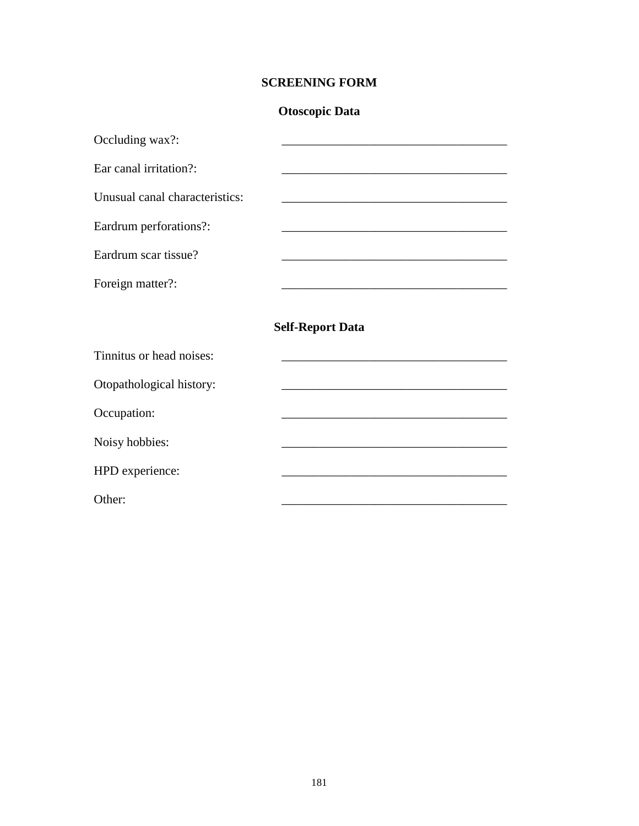## **SCREENING FORM**

## **Otoscopic Data**

| Occluding wax?:                |                                                                                           |
|--------------------------------|-------------------------------------------------------------------------------------------|
| Ear canal irritation?:         |                                                                                           |
| Unusual canal characteristics: |                                                                                           |
| Eardrum perforations?:         |                                                                                           |
| Eardrum scar tissue?           | the control of the control of the control of the control of the control of the control of |
| Foreign matter?:               |                                                                                           |
|                                | <b>Self-Report Data</b>                                                                   |
| Tinnitus or head noises:       |                                                                                           |
| Otopathological history:       |                                                                                           |
| Occupation:                    |                                                                                           |
| Noisy hobbies:                 |                                                                                           |
| HPD experience:                |                                                                                           |
| Other:                         |                                                                                           |